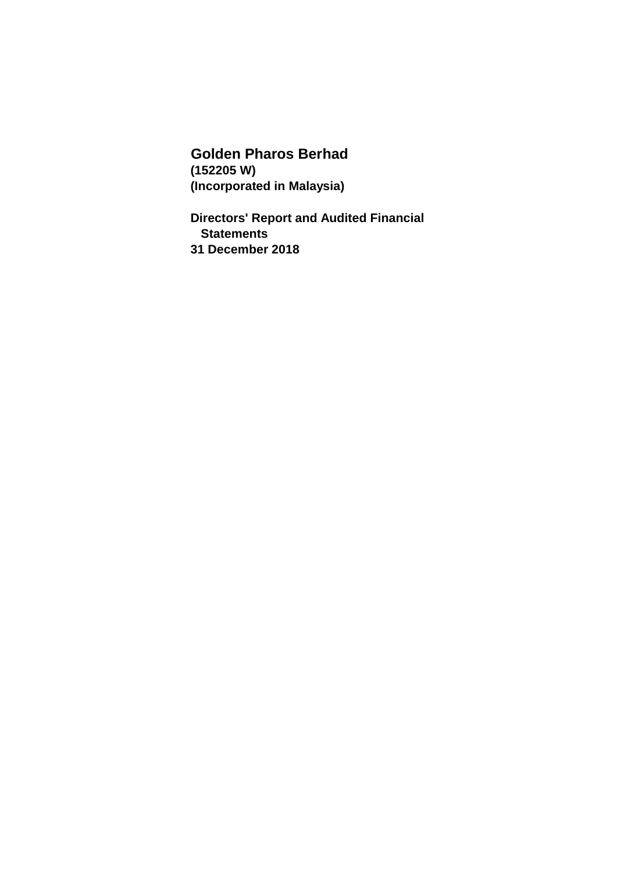**(152205 W) Golden Pharos Berhad (Incorporated in Malaysia)**

 **Statements 31 December 2018 Directors' Report and Audited Financial**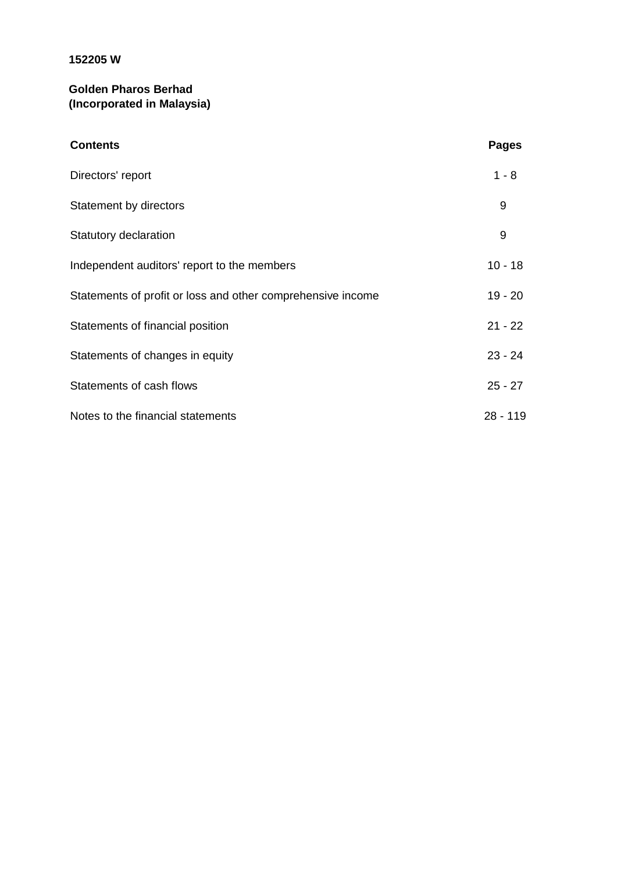# **Golden Pharos Berhad (Incorporated in Malaysia)**

| <b>Contents</b>                                             | <b>Pages</b> |
|-------------------------------------------------------------|--------------|
| Directors' report                                           | $1 - 8$      |
| Statement by directors                                      | 9            |
| Statutory declaration                                       | 9            |
| Independent auditors' report to the members                 | $10 - 18$    |
| Statements of profit or loss and other comprehensive income | $19 - 20$    |
| Statements of financial position                            | $21 - 22$    |
| Statements of changes in equity                             | $23 - 24$    |
| Statements of cash flows                                    | $25 - 27$    |
| Notes to the financial statements                           | 28 - 119     |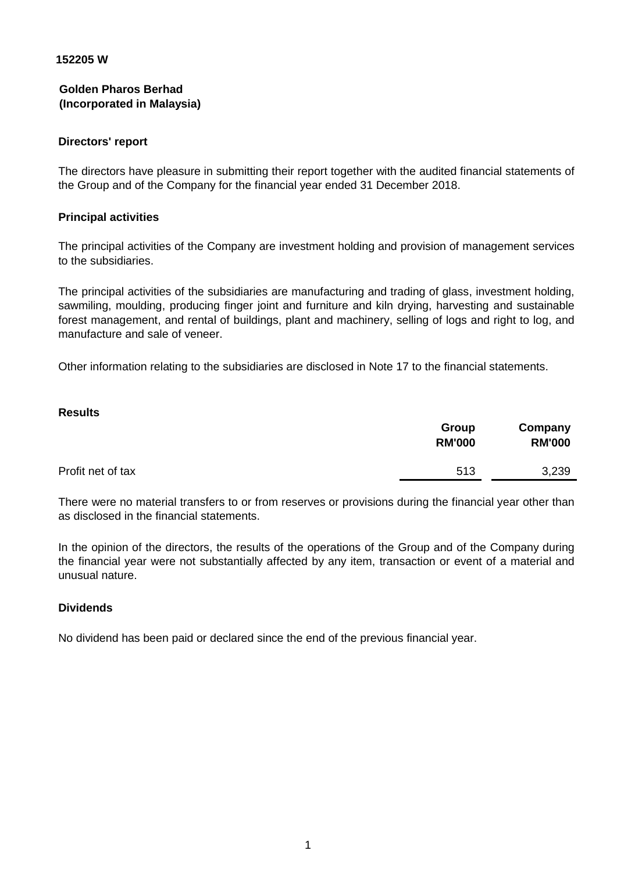### **Golden Pharos Berhad (Incorporated in Malaysia)**

### **Directors' report**

The directors have pleasure in submitting their report together with the audited financial statements of the Group and of the Company for the financial year ended 31 December 2018.

### **Principal activities**

The principal activities of the Company are investment holding and provision of management services to the subsidiaries.

The principal activities of the subsidiaries are manufacturing and trading of glass, investment holding, sawmiling, moulding, producing finger joint and furniture and kiln drying, harvesting and sustainable forest management, and rental of buildings, plant and machinery, selling of logs and right to log, and manufacture and sale of veneer.

Other information relating to the subsidiaries are disclosed in Note 17 to the financial statements.

### **Results**

|                   | Group<br><b>RM'000</b> | Company<br><b>RM'000</b> |
|-------------------|------------------------|--------------------------|
| Profit net of tax | 513                    | 3,239                    |

There were no material transfers to or from reserves or provisions during the financial year other than as disclosed in the financial statements.

In the opinion of the directors, the results of the operations of the Group and of the Company during the financial year were not substantially affected by any item, transaction or event of a material and unusual nature.

### **Dividends**

No dividend has been paid or declared since the end of the previous financial year.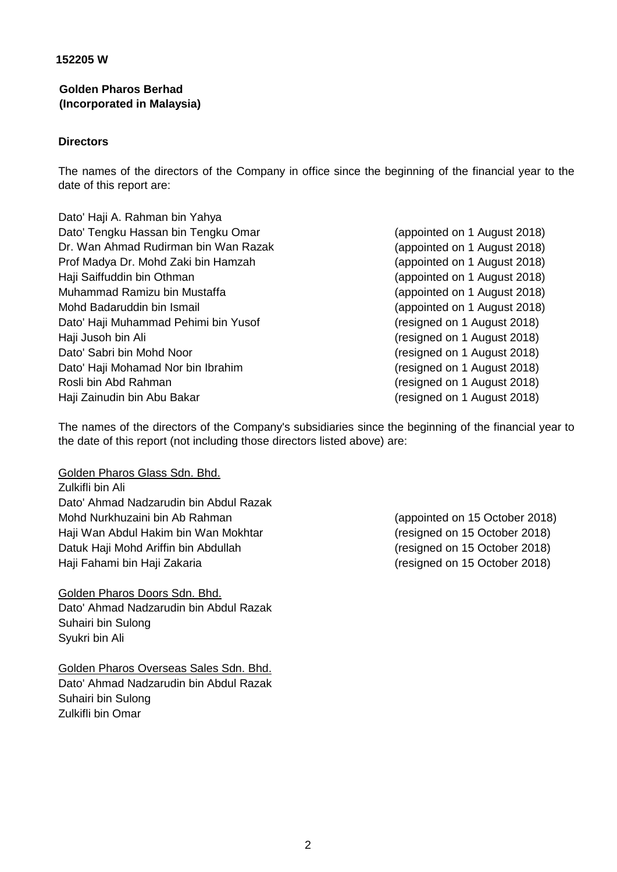### **Directors**

The names of the directors of the Company in office since the beginning of the financial year to the date of this report are:

Dato' Haji A. Rahman bin Yahya Dato' Tengku Hassan bin Tengku Omar (appointed on 1 August 2018) Dr. Wan Ahmad Rudirman bin Wan Razak (appointed on 1 August 2018) Prof Madya Dr. Mohd Zaki bin Hamzah (appointed on 1 August 2018) Haji Saiffuddin bin Othman (appointed on 1 August 2018) Muhammad Ramizu bin Mustaffa (appointed on 1 August 2018) Mohd Badaruddin bin Ismail (appointed on 1 August 2018) Dato' Haji Muhammad Pehimi bin Yusof (resigned on 1 August 2018) Haji Jusoh bin Ali (resigned on 1 August 2018) Dato' Sabri bin Mohd Noor (resigned on 1 August 2018) Dato' Haji Mohamad Nor bin Ibrahim (resigned on 1 August 2018) Rosli bin Abd Rahman (resigned on 1 August 2018) Haji Zainudin bin Abu Bakar (resigned on 1 August 2018)

The names of the directors of the Company's subsidiaries since the beginning of the financial year to the date of this report (not including those directors listed above) are:

Golden Pharos Glass Sdn. Bhd. Zulkifli bin Ali Dato' Ahmad Nadzarudin bin Abdul Razak Mohd Nurkhuzaini bin Ab Rahman (appointed on 15 October 2018) Haji Wan Abdul Hakim bin Wan Mokhtar (resigned on 15 October 2018) Datuk Haji Mohd Ariffin bin Abdullah (resigned on 15 October 2018) Haji Fahami bin Haji Zakaria (resigned on 15 October 2018)

Golden Pharos Doors Sdn. Bhd. Dato' Ahmad Nadzarudin bin Abdul Razak Suhairi bin Sulong Syukri bin Ali

Golden Pharos Overseas Sales Sdn. Bhd. Dato' Ahmad Nadzarudin bin Abdul Razak Suhairi bin Sulong Zulkifli bin Omar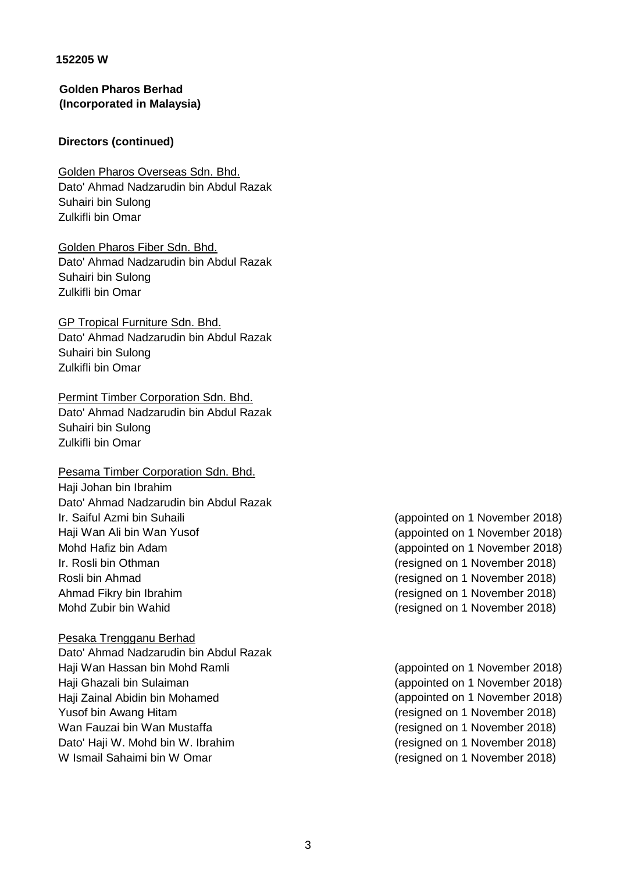### **Golden Pharos Berhad (Incorporated in Malaysia)**

### **Directors (continued)**

Golden Pharos Overseas Sdn. Bhd. Dato' Ahmad Nadzarudin bin Abdul Razak Suhairi bin Sulong Zulkifli bin Omar

Golden Pharos Fiber Sdn. Bhd. Dato' Ahmad Nadzarudin bin Abdul Razak Suhairi bin Sulong Zulkifli bin Omar

GP Tropical Furniture Sdn. Bhd. Dato' Ahmad Nadzarudin bin Abdul Razak Suhairi bin Sulong Zulkifli bin Omar

#### Permint Timber Corporation Sdn. Bhd.

Dato' Ahmad Nadzarudin bin Abdul Razak Suhairi bin Sulong Zulkifli bin Omar

#### Pesama Timber Corporation Sdn. Bhd.

Haji Johan bin Ibrahim Dato' Ahmad Nadzarudin bin Abdul Razak Ir. Saiful Azmi bin Suhaili (appointed on 1 November 2018) Haji Wan Ali bin Wan Yusof (appointed on 1 November 2018) Mohd Hafiz bin Adam (appointed on 1 November 2018) Ir. Rosli bin Othman (resigned on 1 November 2018) Rosli bin Ahmad (resigned on 1 November 2018) Ahmad Fikry bin Ibrahim **Ahmad Fikry bin Ibrahim** (resigned on 1 November 2018) Mohd Zubir bin Wahid (resigned on 1 November 2018)

#### Pesaka Trengganu Berhad

Dato' Ahmad Nadzarudin bin Abdul Razak Haji Wan Hassan bin Mohd Ramli (appointed on 1 November 2018) Haji Ghazali bin Sulaiman (appointed on 1 November 2018) Haji Zainal Abidin bin Mohamed (appointed on 1 November 2018) Yusof bin Awang Hitam (resigned on 1 November 2018) Wan Fauzai bin Wan Mustaffa (resigned on 1 November 2018) Dato' Haji W. Mohd bin W. Ibrahim (resigned on 1 November 2018) W Ismail Sahaimi bin W Omar (resigned on 1 November 2018)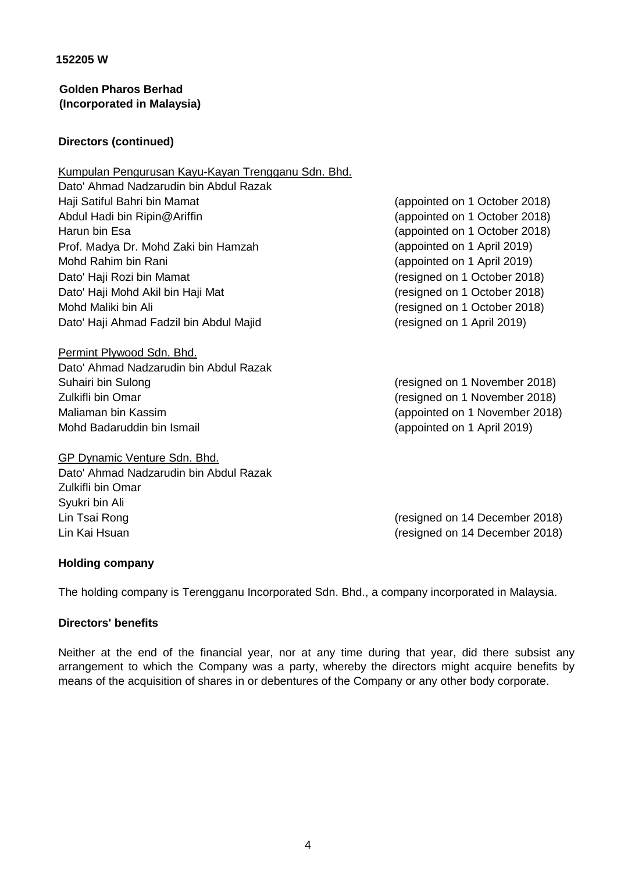# **Directors (continued)**

Kumpulan Pengurusan Kayu-Kayan Trengganu Sdn. Bhd. Dato' Ahmad Nadzarudin bin Abdul Razak Haji Satiful Bahri bin Mamat (appointed on 1 October 2018) Abdul Hadi bin Ripin@Ariffin (appointed on 1 October 2018) Harun bin Esa (appointed on 1 October 2018) Prof. Madya Dr. Mohd Zaki bin Hamzah (appointed on 1 April 2019) Mohd Rahim bin Rani **Mohd Rahim bin Rani** (appointed on 1 April 2019) Dato' Haji Rozi bin Mamat (resigned on 1 October 2018) Dato' Haji Mohd Akil bin Haji Mat (resigned on 1 October 2018) Mohd Maliki bin Ali (resigned on 1 October 2018) Dato' Haji Ahmad Fadzil bin Abdul Majid (resigned on 1 April 2019)

Permint Plywood Sdn. Bhd. Dato' Ahmad Nadzarudin bin Abdul Razak Suhairi bin Sulong (resigned on 1 November 2018) Zulkifli bin Omar (resigned on 1 November 2018) Maliaman bin Kassim (appointed on 1 November 2018) Mohd Badaruddin bin Ismail (appointed on 1 April 2019)

GP Dynamic Venture Sdn. Bhd. Dato' Ahmad Nadzarudin bin Abdul Razak Zulkifli bin Omar Syukri bin Ali Lin Tsai Rong (resigned on 14 December 2018) Lin Kai Hsuan (resigned on 14 December 2018)

# **Holding company**

The holding company is Terengganu Incorporated Sdn. Bhd., a company incorporated in Malaysia.

# **Directors' benefits**

Neither at the end of the financial year, nor at any time during that year, did there subsist any arrangement to which the Company was a party, whereby the directors might acquire benefits by means of the acquisition of shares in or debentures of the Company or any other body corporate.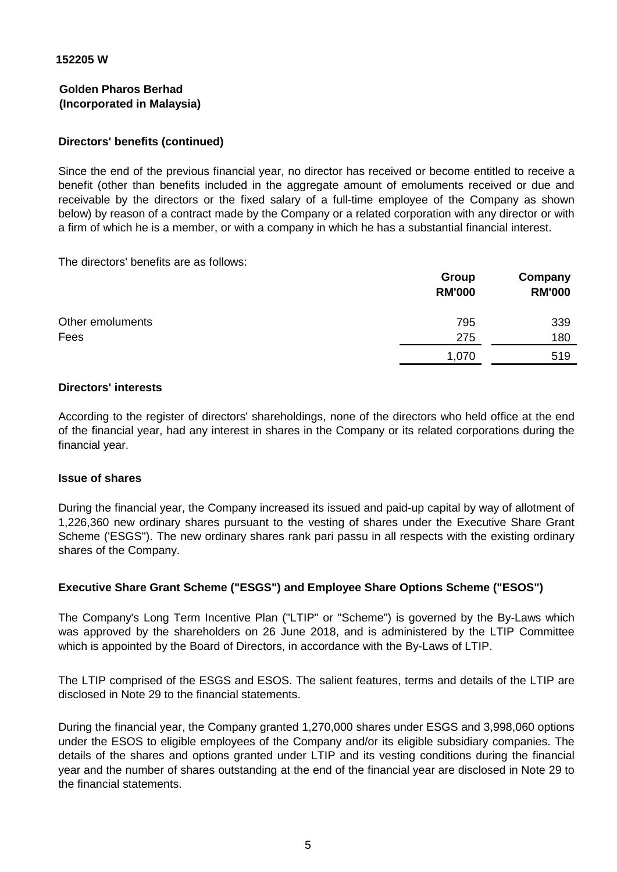# **Directors' benefits (continued)**

Since the end of the previous financial year, no director has received or become entitled to receive a benefit (other than benefits included in the aggregate amount of emoluments received or due and receivable by the directors or the fixed salary of a full-time employee of the Company as shown below) by reason of a contract made by the Company or a related corporation with any director or with a firm of which he is a member, or with a company in which he has a substantial financial interest.

The directors' benefits are as follows:

|                  | Group<br><b>RM'000</b> | Company<br><b>RM'000</b> |
|------------------|------------------------|--------------------------|
| Other emoluments | 795                    | 339                      |
| Fees             | 275                    | 180                      |
|                  | 1,070                  | 519                      |

### **Directors' interests**

According to the register of directors' shareholdings, none of the directors who held office at the end of the financial year, had any interest in shares in the Company or its related corporations during the financial year.

### **Issue of shares**

During the financial year, the Company increased its issued and paid-up capital by way of allotment of 1,226,360 new ordinary shares pursuant to the vesting of shares under the Executive Share Grant Scheme ('ESGS"). The new ordinary shares rank pari passu in all respects with the existing ordinary shares of the Company.

# **Executive Share Grant Scheme ("ESGS") and Employee Share Options Scheme ("ESOS")**

The Company's Long Term Incentive Plan ("LTIP" or "Scheme") is governed by the By-Laws which was approved by the shareholders on 26 June 2018, and is administered by the LTIP Committee which is appointed by the Board of Directors, in accordance with the By-Laws of LTIP.

The LTIP comprised of the ESGS and ESOS. The salient features, terms and details of the LTIP are disclosed in Note 29 to the financial statements.

During the financial year, the Company granted 1,270,000 shares under ESGS and 3,998,060 options under the ESOS to eligible employees of the Company and/or its eligible subsidiary companies. The details of the shares and options granted under LTIP and its vesting conditions during the financial year and the number of shares outstanding at the end of the financial year are disclosed in Note 29 to the financial statements.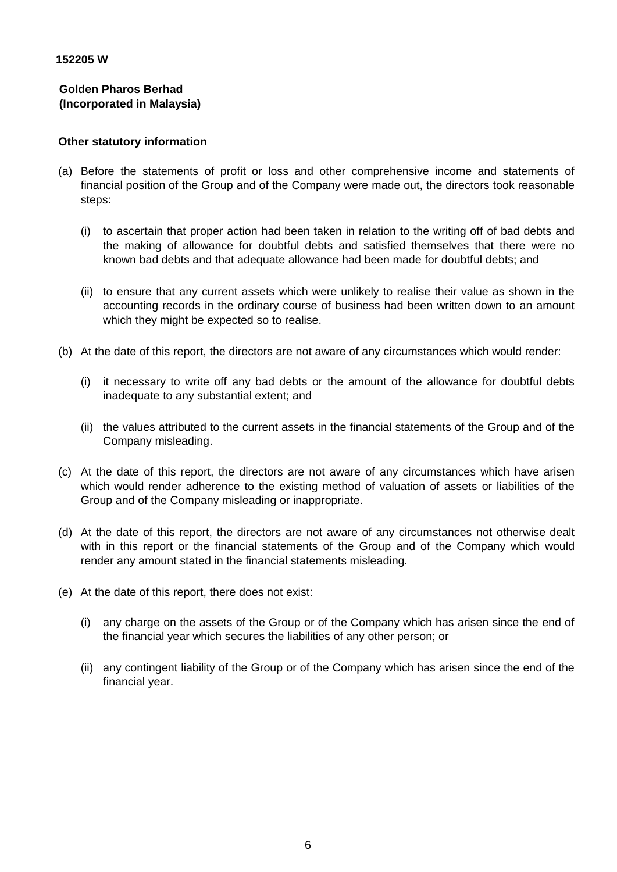### **Other statutory information**

- (a) Before the statements of profit or loss and other comprehensive income and statements of financial position of the Group and of the Company were made out, the directors took reasonable steps:
	- (i) to ascertain that proper action had been taken in relation to the writing off of bad debts and the making of allowance for doubtful debts and satisfied themselves that there were no known bad debts and that adequate allowance had been made for doubtful debts; and
	- (ii) to ensure that any current assets which were unlikely to realise their value as shown in the accounting records in the ordinary course of business had been written down to an amount which they might be expected so to realise.
- (b) At the date of this report, the directors are not aware of any circumstances which would render:
	- (i) it necessary to write off any bad debts or the amount of the allowance for doubtful debts inadequate to any substantial extent; and
	- (ii) the values attributed to the current assets in the financial statements of the Group and of the Company misleading.
- (c) At the date of this report, the directors are not aware of any circumstances which have arisen which would render adherence to the existing method of valuation of assets or liabilities of the Group and of the Company misleading or inappropriate.
- (d) At the date of this report, the directors are not aware of any circumstances not otherwise dealt with in this report or the financial statements of the Group and of the Company which would render any amount stated in the financial statements misleading.
- (e) At the date of this report, there does not exist:
	- (i) any charge on the assets of the Group or of the Company which has arisen since the end of the financial year which secures the liabilities of any other person; or
	- (ii) any contingent liability of the Group or of the Company which has arisen since the end of the financial year.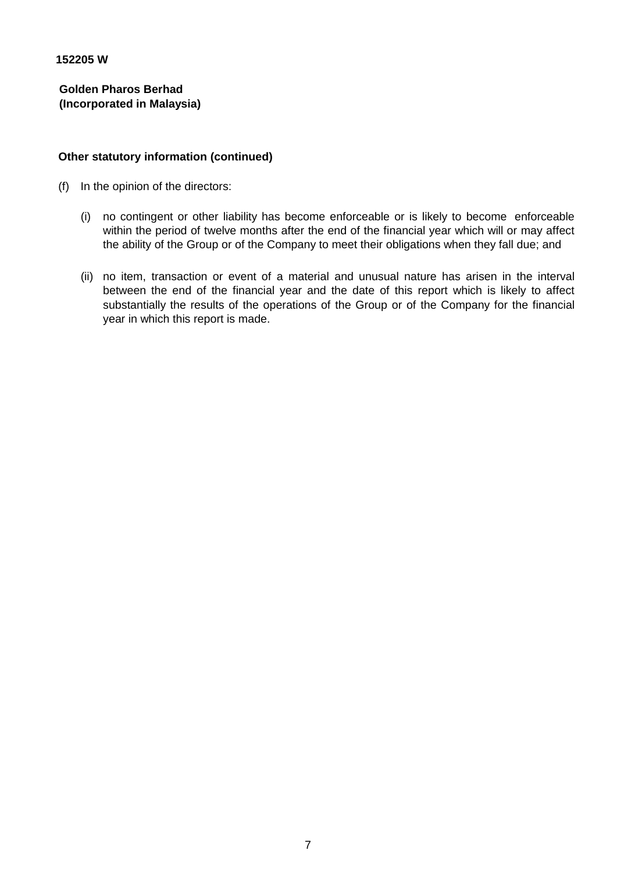## **Other statutory information (continued)**

- (f) In the opinion of the directors:
	- (i) no contingent or other liability has become enforceable or is likely to become enforceable within the period of twelve months after the end of the financial year which will or may affect the ability of the Group or of the Company to meet their obligations when they fall due; and
	- (ii) no item, transaction or event of a material and unusual nature has arisen in the interval between the end of the financial year and the date of this report which is likely to affect substantially the results of the operations of the Group or of the Company for the financial year in which this report is made.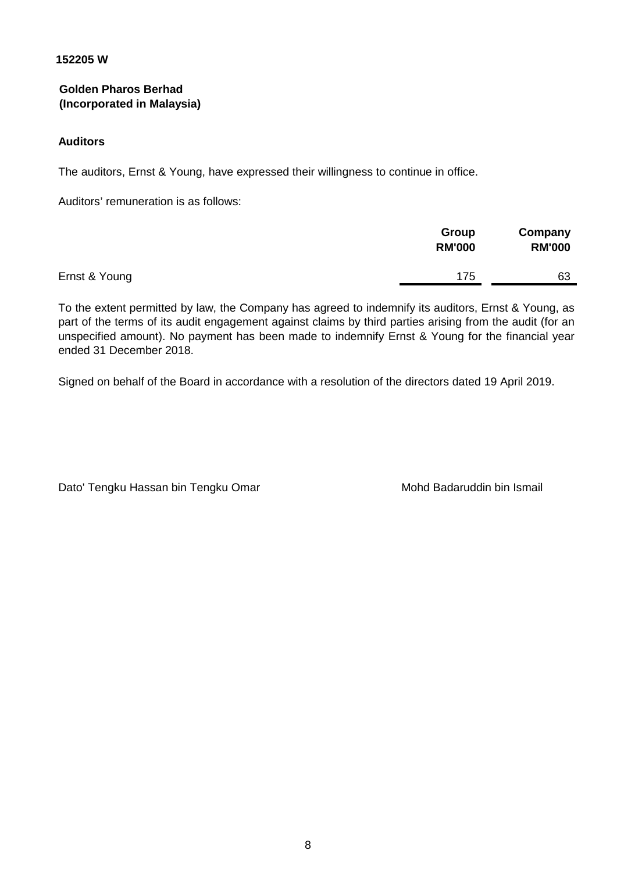### **Golden Pharos Berhad (Incorporated in Malaysia)**

### **Auditors**

The auditors, Ernst & Young, have expressed their willingness to continue in office.

Auditors' remuneration is as follows:

| Group<br><b>RM'000</b> | Company<br><b>RM'000</b> |
|------------------------|--------------------------|
| 175                    | 63                       |
|                        |                          |

To the extent permitted by law, the Company has agreed to indemnify its auditors, Ernst & Young, as part of the terms of its audit engagement against claims by third parties arising from the audit (for an unspecified amount). No payment has been made to indemnify Ernst & Young for the financial year ended 31 December 2018.

Signed on behalf of the Board in accordance with a resolution of the directors dated 19 April 2019.

Dato' Tengku Hassan bin Tengku Omar Mohd Badaruddin bin Ismail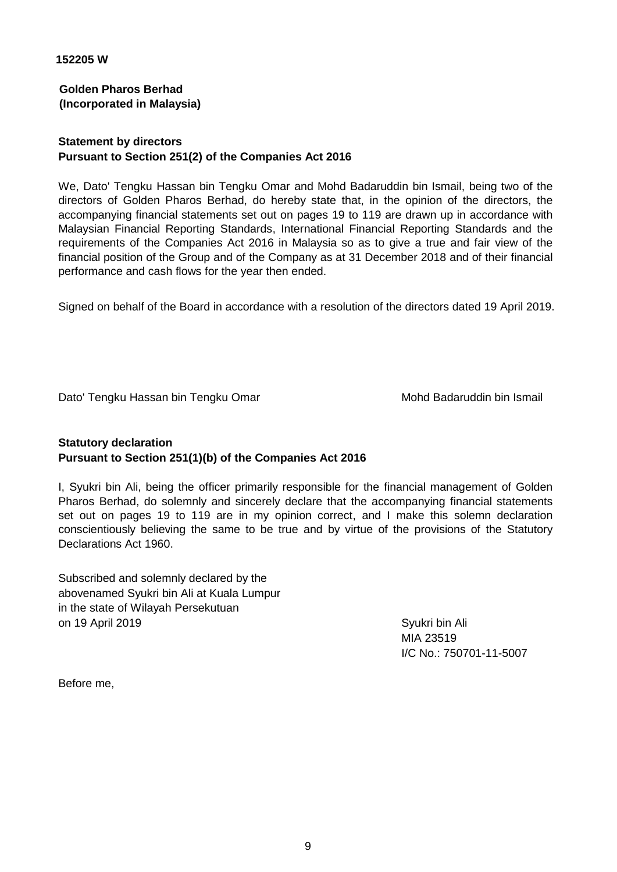### **Golden Pharos Berhad (Incorporated in Malaysia)**

## **Statement by directors Pursuant to Section 251(2) of the Companies Act 2016**

We, Dato' Tengku Hassan bin Tengku Omar and Mohd Badaruddin bin Ismail, being two of the directors of Golden Pharos Berhad, do hereby state that, in the opinion of the directors, the accompanying financial statements set out on pages 19 to 119 are drawn up in accordance with Malaysian Financial Reporting Standards, International Financial Reporting Standards and the requirements of the Companies Act 2016 in Malaysia so as to give a true and fair view of the financial position of the Group and of the Company as at 31 December 2018 and of their financial performance and cash flows for the year then ended.

Signed on behalf of the Board in accordance with a resolution of the directors dated 19 April 2019.

Dato' Tengku Hassan bin Tengku Omar Mohd Badaruddin bin Ismail

# **Statutory declaration Pursuant to Section 251(1)(b) of the Companies Act 2016**

I, Syukri bin Ali, being the officer primarily responsible for the financial management of Golden Pharos Berhad, do solemnly and sincerely declare that the accompanying financial statements set out on pages 19 to 119 are in my opinion correct, and I make this solemn declaration conscientiously believing the same to be true and by virtue of the provisions of the Statutory Declarations Act 1960.

Subscribed and solemnly declared by the abovenamed Syukri bin Ali at Kuala Lumpur in the state of Wilayah Persekutuan on 19 April 2019 Syukri bin Ali

MIA 23519 I/C No.: 750701-11-5007

Before me,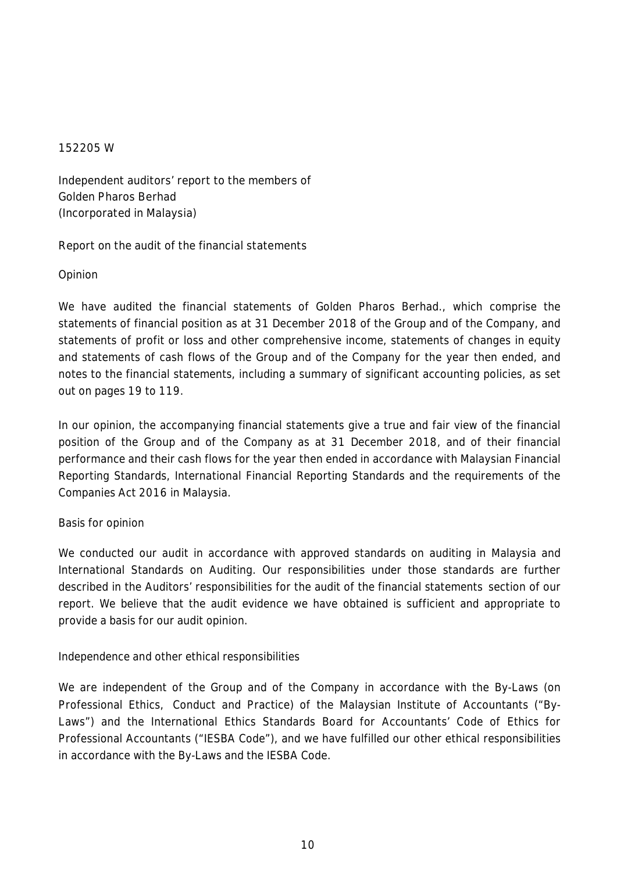**Independent auditors' report to the members of Golden Pharos Berhad (Incorporated in Malaysia)**

**Report on the audit of the financial statements**

# *Opinion*

We have audited the financial statements of Golden Pharos Berhad., which comprise the statements of financial position as at 31 December 2018 of the Group and of the Company, and statements of profit or loss and other comprehensive income, statements of changes in equity and statements of cash flows of the Group and of the Company for the year then ended, and notes to the financial statements, including a summary of significant accounting policies, as set out on pages 19 to 119.

In our opinion, the accompanying financial statements give a true and fair view of the financial position of the Group and of the Company as at 31 December 2018, and of their financial performance and their cash flows for the year then ended in accordance with Malaysian Financial Reporting Standards, International Financial Reporting Standards and the requirements of the Companies Act 2016 in Malaysia.

# *Basis for opinion*

We conducted our audit in accordance with approved standards on auditing in Malaysia and International Standards on Auditing. Our responsibilities under those standards are further described in the *Auditors' responsibilities for the audit of the financial statements* section of our report. We believe that the audit evidence we have obtained is sufficient and appropriate to provide a basis for our audit opinion.

# *Independence and other ethical responsibilities*

We are independent of the Group and of the Company in accordance with the By-Laws (on Professional Ethics, Conduct and Practice) of the Malaysian Institute of Accountants ("By-Laws") and the International Ethics Standards Board for Accountants' Code of Ethics for Professional Accountants ("IESBA Code"), and we have fulfilled our other ethical responsibilities in accordance with the By-Laws and the IESBA Code.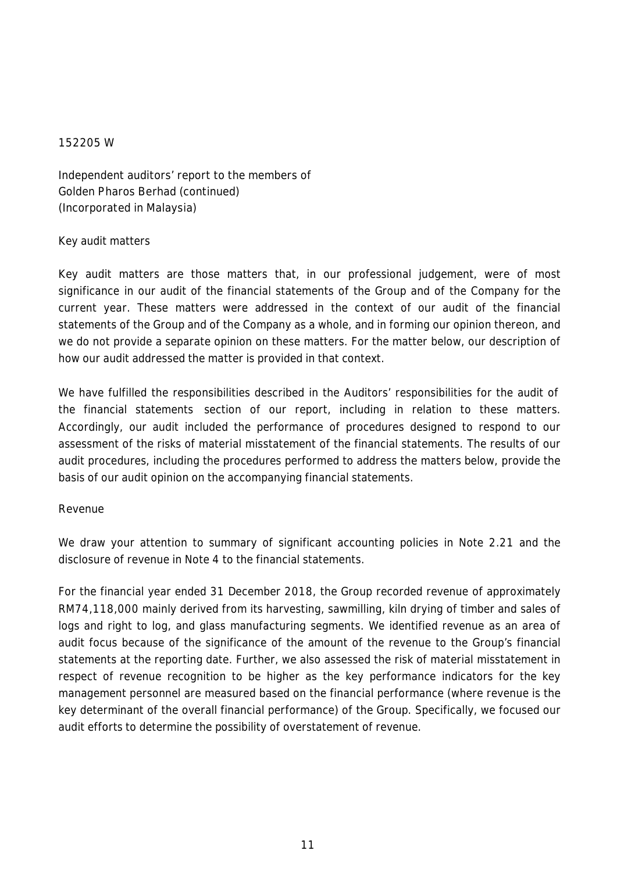**Independent auditors' report to the members of Golden Pharos Berhad (continued) (Incorporated in Malaysia)**

### *Key audit matters*

Key audit matters are those matters that, in our professional judgement, were of most significance in our audit of the financial statements of the Group and of the Company for the current year. These matters were addressed in the context of our audit of the financial statements of the Group and of the Company as a whole, and in forming our opinion thereon, and we do not provide a separate opinion on these matters. For the matter below, our description of how our audit addressed the matter is provided in that context.

We have fulfilled the responsibilities described in the *Auditors' responsibilities for the audit of the financial statements* section of our report, including in relation to these matters. Accordingly, our audit included the performance of procedures designed to respond to our assessment of the risks of material misstatement of the financial statements. The results of our audit procedures, including the procedures performed to address the matters below, provide the basis of our audit opinion on the accompanying financial statements.

### *Revenue*

We draw your attention to summary of significant accounting policies in Note 2.21 and the disclosure of revenue in Note 4 to the financial statements.

For the financial year ended 31 December 2018, the Group recorded revenue of approximately RM74,118,000 mainly derived from its harvesting, sawmilling, kiln drying of timber and sales of logs and right to log, and glass manufacturing segments. We identified revenue as an area of audit focus because of the significance of the amount of the revenue to the Group's financial statements at the reporting date. Further, we also assessed the risk of material misstatement in respect of revenue recognition to be higher as the key performance indicators for the key management personnel are measured based on the financial performance (where revenue is the key determinant of the overall financial performance) of the Group. Specifically, we focused our audit efforts to determine the possibility of overstatement of revenue.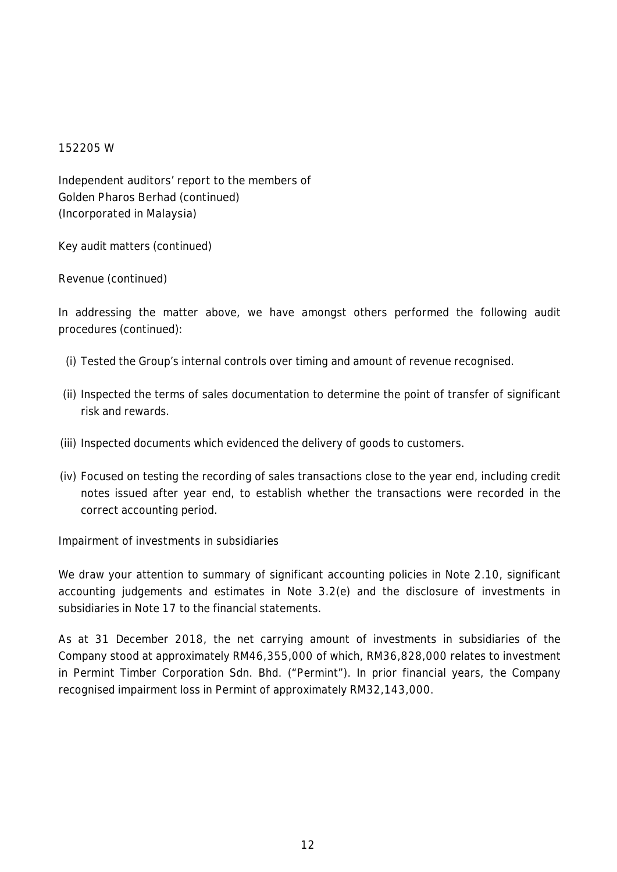**Independent auditors' report to the members of Golden Pharos Berhad (continued) (Incorporated in Malaysia)**

*Key audit matters (continued)*

# *Revenue (continued)*

In addressing the matter above, we have amongst others performed the following audit procedures (continued):

- (i) Tested the Group's internal controls over timing and amount of revenue recognised.
- (ii) Inspected the terms of sales documentation to determine the point of transfer of significant risk and rewards.
- (iii) Inspected documents which evidenced the delivery of goods to customers.
- (iv) Focused on testing the recording of sales transactions close to the year end, including credit notes issued after year end, to establish whether the transactions were recorded in the correct accounting period.

# *Impairment of investments in subsidiaries*

We draw your attention to summary of significant accounting policies in Note 2.10, significant accounting judgements and estimates in Note 3.2(e) and the disclosure of investments in subsidiaries in Note 17 to the financial statements.

As at 31 December 2018, the net carrying amount of investments in subsidiaries of the Company stood at approximately RM46,355,000 of which, RM36,828,000 relates to investment in Permint Timber Corporation Sdn. Bhd. ("Permint"). In prior financial years, the Company recognised impairment loss in Permint of approximately RM32,143,000.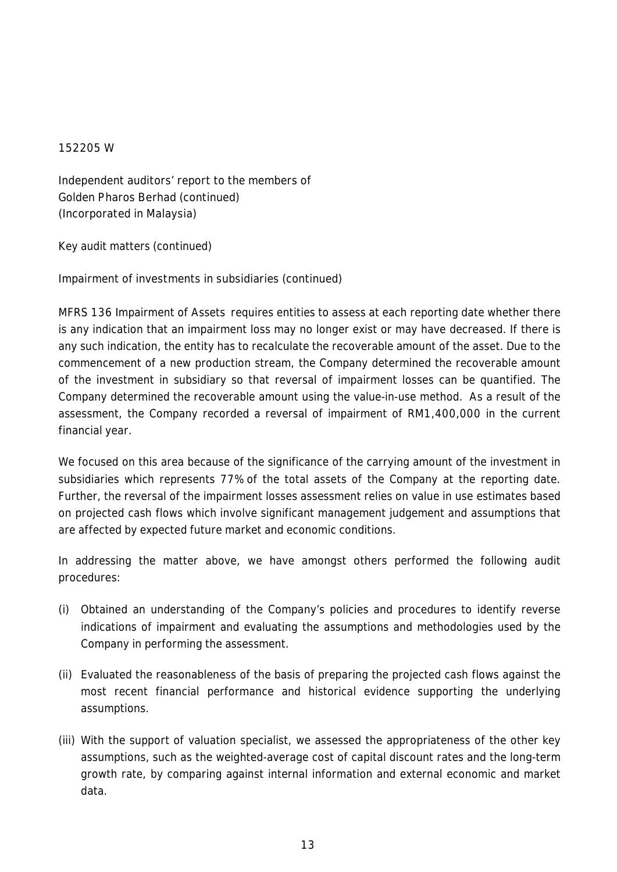**Independent auditors' report to the members of Golden Pharos Berhad (continued) (Incorporated in Malaysia)**

# *Key audit matters (continued)*

# *Impairment of investments in subsidiaries (continued)*

MFRS 136 *Impairment of Assets* requires entities to assess at each reporting date whether there is any indication that an impairment loss may no longer exist or may have decreased. If there is any such indication, the entity has to recalculate the recoverable amount of the asset. Due to the commencement of a new production stream, the Company determined the recoverable amount of the investment in subsidiary so that reversal of impairment losses can be quantified. The Company determined the recoverable amount using the value-in-use method. As a result of the assessment, the Company recorded a reversal of impairment of RM1,400,000 in the current financial year.

We focused on this area because of the significance of the carrying amount of the investment in subsidiaries which represents 77% of the total assets of the Company at the reporting date. Further, the reversal of the impairment losses assessment relies on value in use estimates based on projected cash flows which involve significant management judgement and assumptions that are affected by expected future market and economic conditions.

In addressing the matter above, we have amongst others performed the following audit procedures:

- (i) Obtained an understanding of the Company's policies and procedures to identify reverse indications of impairment and evaluating the assumptions and methodologies used by the Company in performing the assessment.
- (ii) Evaluated the reasonableness of the basis of preparing the projected cash flows against the most recent financial performance and historical evidence supporting the underlying assumptions.
- (iii) With the support of valuation specialist, we assessed the appropriateness of the other key assumptions, such as the weighted-average cost of capital discount rates and the long-term growth rate, by comparing against internal information and external economic and market data.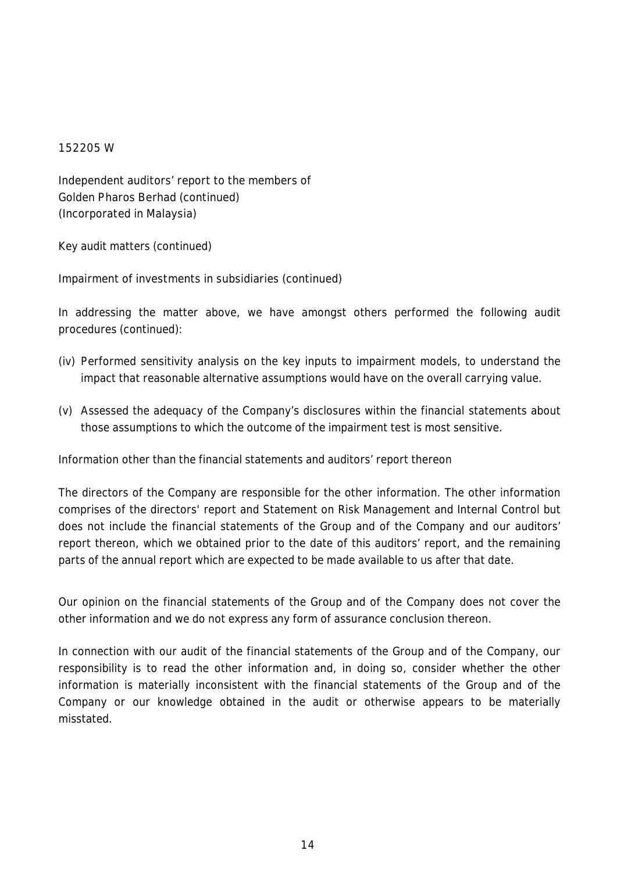**Independent auditors' report to the members of Golden Pharos Berhad (continued) (Incorporated in Malaysia)**

# *Key audit matters (continued)*

# *Impairment of investments in subsidiaries (continued)*

In addressing the matter above, we have amongst others performed the following audit procedures (continued):

- (iv) Performed sensitivity analysis on the key inputs to impairment models, to understand the impact that reasonable alternative assumptions would have on the overall carrying value.
- (v) Assessed the adequacy of the Company's disclosures within the financial statements about those assumptions to which the outcome of the impairment test is most sensitive.

### *Information other than the financial statements and auditors' report thereon*

The directors of the Company are responsible for the other information. The other information comprises of the directors' report and Statement on Risk Management and Internal Control but does not include the financial statements of the Group and of the Company and our auditors' report thereon, which we obtained prior to the date of this auditors' report, and the remaining parts of the annual report which are expected to be made available to us after that date.

Our opinion on the financial statements of the Group and of the Company does not cover the other information and we do not express any form of assurance conclusion thereon.

In connection with our audit of the financial statements of the Group and of the Company, our responsibility is to read the other information and, in doing so, consider whether the other information is materially inconsistent with the financial statements of the Group and of the Company or our knowledge obtained in the audit or otherwise appears to be materially misstated.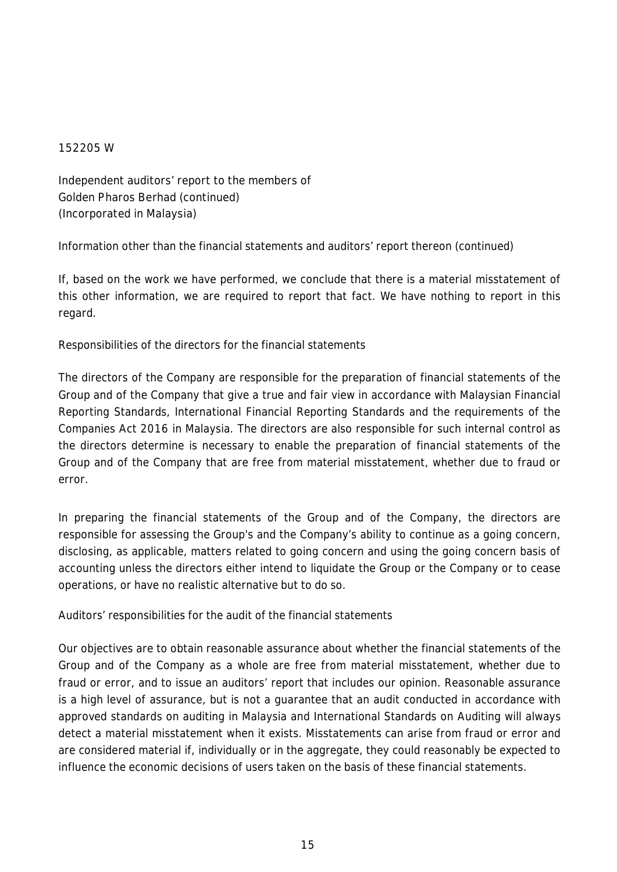**Independent auditors' report to the members of Golden Pharos Berhad (continued) (Incorporated in Malaysia)**

# *Information other than the financial statements and auditors' report thereon (continued)*

If, based on the work we have performed, we conclude that there is a material misstatement of this other information, we are required to report that fact. We have nothing to report in this regard.

# *Responsibilities of the directors for the financial statements*

The directors of the Company are responsible for the preparation of financial statements of the Group and of the Company that give a true and fair view in accordance with Malaysian Financial Reporting Standards, International Financial Reporting Standards and the requirements of the Companies Act 2016 in Malaysia. The directors are also responsible for such internal control as the directors determine is necessary to enable the preparation of financial statements of the Group and of the Company that are free from material misstatement, whether due to fraud or error.

In preparing the financial statements of the Group and of the Company, the directors are responsible for assessing the Group's and the Company's ability to continue as a going concern, disclosing, as applicable, matters related to going concern and using the going concern basis of accounting unless the directors either intend to liquidate the Group or the Company or to cease operations, or have no realistic alternative but to do so.

# *Auditors' responsibilities for the audit of the financial statements*

Our objectives are to obtain reasonable assurance about whether the financial statements of the Group and of the Company as a whole are free from material misstatement, whether due to fraud or error, and to issue an auditors' report that includes our opinion. Reasonable assurance is a high level of assurance, but is not a guarantee that an audit conducted in accordance with approved standards on auditing in Malaysia and International Standards on Auditing will always detect a material misstatement when it exists. Misstatements can arise from fraud or error and are considered material if, individually or in the aggregate, they could reasonably be expected to influence the economic decisions of users taken on the basis of these financial statements.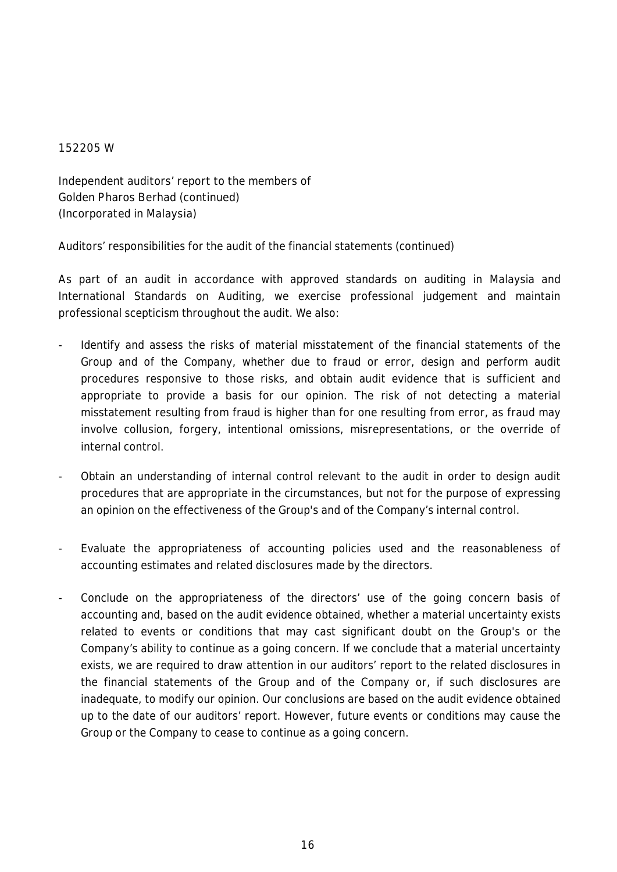**Independent auditors' report to the members of Golden Pharos Berhad (continued) (Incorporated in Malaysia)**

# *Auditors' responsibilities for the audit of the financial statements (continued)*

As part of an audit in accordance with approved standards on auditing in Malaysia and International Standards on Auditing, we exercise professional judgement and maintain professional scepticism throughout the audit. We also:

- **-** Identify and assess the risks of material misstatement of the financial statements of the Group and of the Company, whether due to fraud or error, design and perform audit procedures responsive to those risks, and obtain audit evidence that is sufficient and appropriate to provide a basis for our opinion. The risk of not detecting a material misstatement resulting from fraud is higher than for one resulting from error, as fraud may involve collusion, forgery, intentional omissions, misrepresentations, or the override of internal control.
- **-** Obtain an understanding of internal control relevant to the audit in order to design audit procedures that are appropriate in the circumstances, but not for the purpose of expressing an opinion on the effectiveness of the Group's and of the Company's internal control.
- **-** Evaluate the appropriateness of accounting policies used and the reasonableness of accounting estimates and related disclosures made by the directors.
- **-** Conclude on the appropriateness of the directors' use of the going concern basis of accounting and, based on the audit evidence obtained, whether a material uncertainty exists related to events or conditions that may cast significant doubt on the Group's or the Company's ability to continue as a going concern. If we conclude that a material uncertainty exists, we are required to draw attention in our auditors' report to the related disclosures in the financial statements of the Group and of the Company or, if such disclosures are inadequate, to modify our opinion. Our conclusions are based on the audit evidence obtained up to the date of our auditors' report. However, future events or conditions may cause the Group or the Company to cease to continue as a going concern.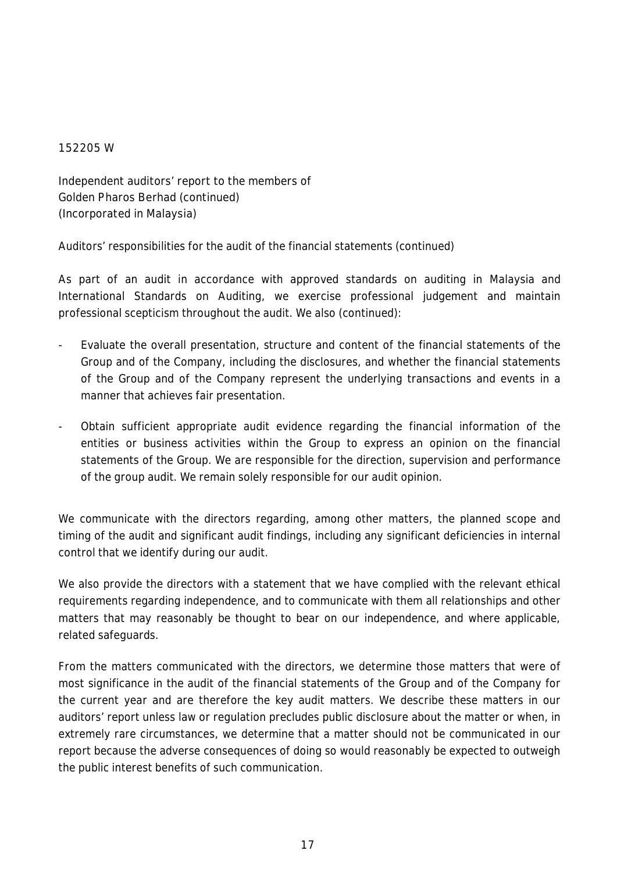**Independent auditors' report to the members of Golden Pharos Berhad (continued) (Incorporated in Malaysia)**

# *Auditors' responsibilities for the audit of the financial statements (continued)*

As part of an audit in accordance with approved standards on auditing in Malaysia and International Standards on Auditing, we exercise professional judgement and maintain professional scepticism throughout the audit. We also (continued):

- **-** Evaluate the overall presentation, structure and content of the financial statements of the Group and of the Company, including the disclosures, and whether the financial statements of the Group and of the Company represent the underlying transactions and events in a manner that achieves fair presentation.
- **-** Obtain sufficient appropriate audit evidence regarding the financial information of the entities or business activities within the Group to express an opinion on the financial statements of the Group. We are responsible for the direction, supervision and performance of the group audit. We remain solely responsible for our audit opinion.

We communicate with the directors regarding, among other matters, the planned scope and timing of the audit and significant audit findings, including any significant deficiencies in internal control that we identify during our audit.

We also provide the directors with a statement that we have complied with the relevant ethical requirements regarding independence, and to communicate with them all relationships and other matters that may reasonably be thought to bear on our independence, and where applicable, related safeguards.

From the matters communicated with the directors, we determine those matters that were of most significance in the audit of the financial statements of the Group and of the Company for the current year and are therefore the key audit matters. We describe these matters in our auditors' report unless law or regulation precludes public disclosure about the matter or when, in extremely rare circumstances, we determine that a matter should not be communicated in our report because the adverse consequences of doing so would reasonably be expected to outweigh the public interest benefits of such communication.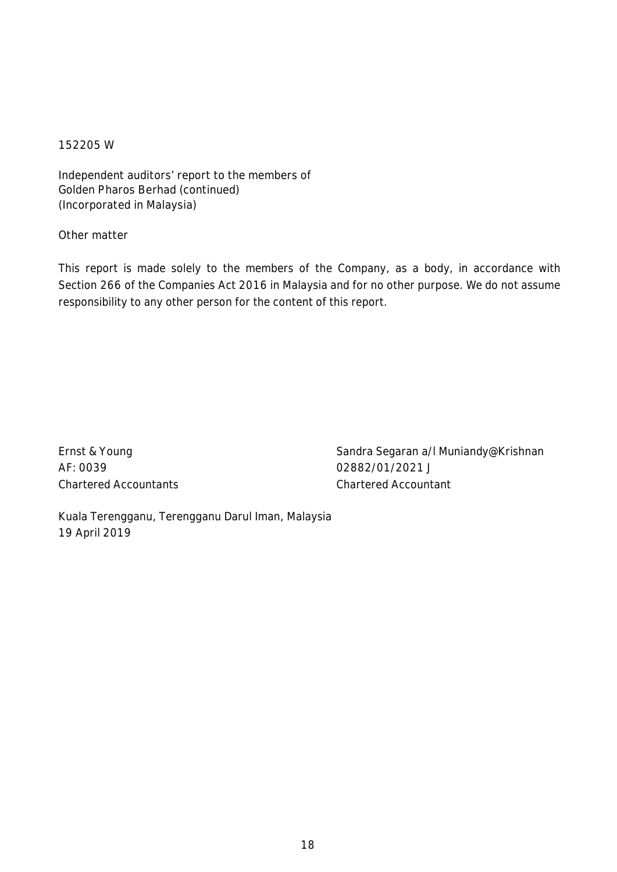**Independent auditors' report to the members of Golden Pharos Berhad (continued) (Incorporated in Malaysia)**

# **Other matter**

This report is made solely to the members of the Company, as a body, in accordance with Section 266 of the Companies Act 2016 in Malaysia and for no other purpose. We do not assume responsibility to any other person for the content of this report.

AF: 0039 02882/01/2021 J Chartered Accountants Chartered Accountant

Ernst & Young Sandra Segaran a/l Muniandy@Krishnan

Kuala Terengganu, Terengganu Darul Iman, Malaysia 19 April 2019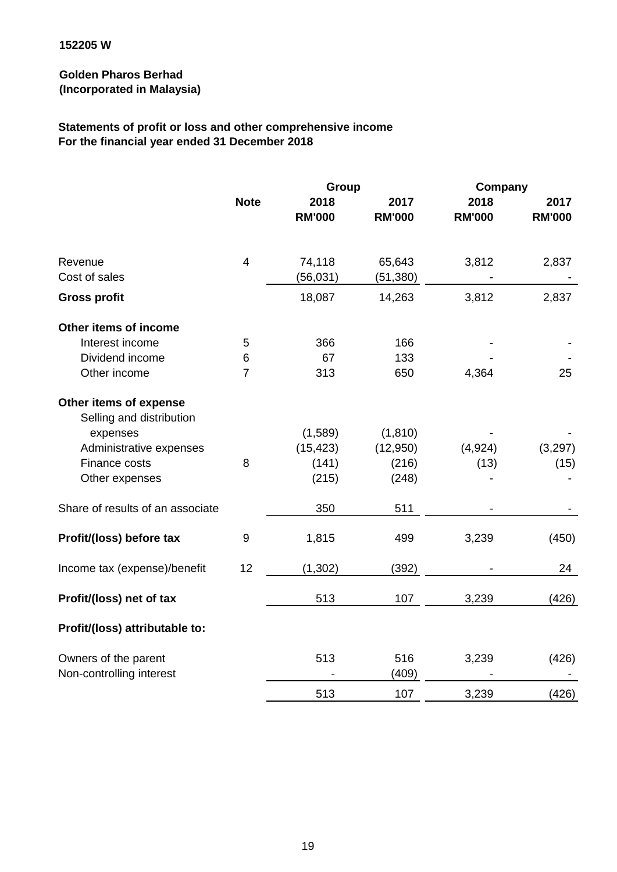# **Statements of profit or loss and other comprehensive income For the financial year ended 31 December 2018**

|                                                    |                  | Group                 |                       | Company               |                       |  |
|----------------------------------------------------|------------------|-----------------------|-----------------------|-----------------------|-----------------------|--|
|                                                    | <b>Note</b>      | 2018<br><b>RM'000</b> | 2017<br><b>RM'000</b> | 2018<br><b>RM'000</b> | 2017<br><b>RM'000</b> |  |
| Revenue                                            | $\overline{4}$   | 74,118                | 65,643                | 3,812                 | 2,837                 |  |
| Cost of sales                                      |                  | (56, 031)             | (51, 380)             |                       |                       |  |
| <b>Gross profit</b>                                |                  | 18,087                | 14,263                | 3,812                 | 2,837                 |  |
| Other items of income                              |                  |                       |                       |                       |                       |  |
| Interest income                                    | 5                | 366                   | 166                   |                       |                       |  |
| Dividend income                                    | 6                | 67                    | 133                   |                       |                       |  |
| Other income                                       | $\overline{7}$   | 313                   | 650                   | 4,364                 | 25                    |  |
| Other items of expense<br>Selling and distribution |                  |                       |                       |                       |                       |  |
| expenses                                           |                  | (1,589)               | (1, 810)              |                       |                       |  |
| Administrative expenses                            |                  | (15, 423)             | (12,950)              | (4, 924)              | (3,297)               |  |
| Finance costs                                      | 8                | (141)                 | (216)                 | (13)                  | (15)                  |  |
| Other expenses                                     |                  | (215)                 | (248)                 |                       |                       |  |
| Share of results of an associate                   |                  | 350                   | 511                   |                       |                       |  |
| Profit/(loss) before tax                           | $\boldsymbol{9}$ | 1,815                 | 499                   | 3,239                 | (450)                 |  |
| Income tax (expense)/benefit                       | 12               | (1, 302)              | (392)                 |                       | 24                    |  |
| Profit/(loss) net of tax                           |                  | 513                   | 107                   | 3,239                 | (426)                 |  |
| Profit/(loss) attributable to:                     |                  |                       |                       |                       |                       |  |
| Owners of the parent<br>Non-controlling interest   |                  | 513                   | 516<br>(409)          | 3,239                 | (426)                 |  |
|                                                    |                  | 513                   | 107                   | 3,239                 | (426)                 |  |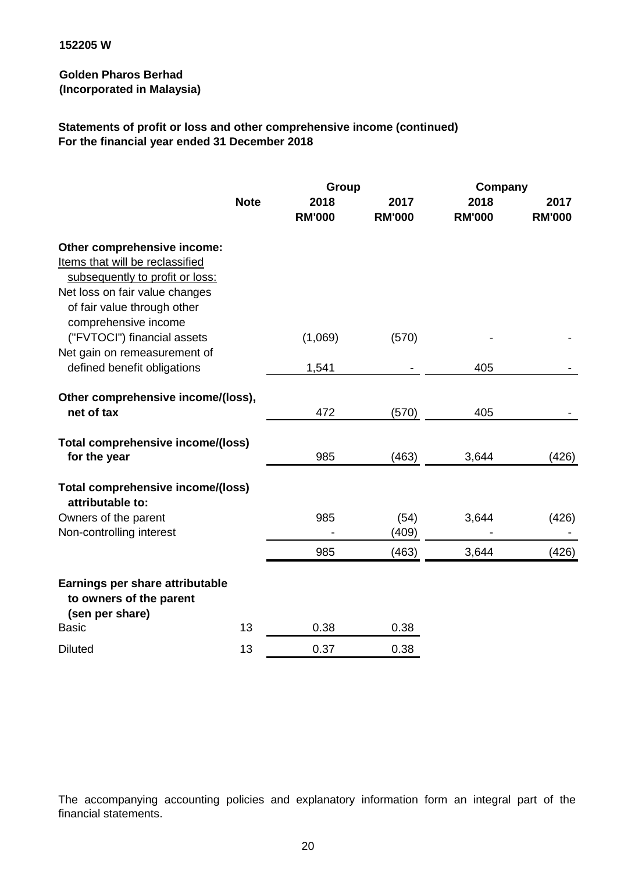# **Statements of profit or loss and other comprehensive income (continued) For the financial year ended 31 December 2018**

|                                                                               |             | Group                 |                       | Company               |                       |  |
|-------------------------------------------------------------------------------|-------------|-----------------------|-----------------------|-----------------------|-----------------------|--|
|                                                                               | <b>Note</b> | 2018<br><b>RM'000</b> | 2017<br><b>RM'000</b> | 2018<br><b>RM'000</b> | 2017<br><b>RM'000</b> |  |
| Other comprehensive income:                                                   |             |                       |                       |                       |                       |  |
| Items that will be reclassified                                               |             |                       |                       |                       |                       |  |
| subsequently to profit or loss:<br>Net loss on fair value changes             |             |                       |                       |                       |                       |  |
| of fair value through other                                                   |             |                       |                       |                       |                       |  |
| comprehensive income                                                          |             |                       |                       |                       |                       |  |
| ("FVTOCI") financial assets                                                   |             | (1,069)               | (570)                 |                       |                       |  |
| Net gain on remeasurement of                                                  |             |                       |                       |                       |                       |  |
| defined benefit obligations                                                   |             | 1,541                 |                       | 405                   |                       |  |
| Other comprehensive income/(loss),                                            |             |                       |                       |                       |                       |  |
| net of tax                                                                    |             | 472                   | (570)                 | 405                   |                       |  |
| Total comprehensive income/(loss)<br>for the year                             |             | 985                   | (463)                 | 3,644                 | (426)                 |  |
| <b>Total comprehensive income/(loss)</b><br>attributable to:                  |             |                       |                       |                       |                       |  |
| Owners of the parent                                                          |             | 985                   | (54)                  | 3,644                 | (426)                 |  |
| Non-controlling interest                                                      |             |                       | (409)                 |                       |                       |  |
|                                                                               |             | 985                   | (463)                 | 3,644                 | (426)                 |  |
| Earnings per share attributable<br>to owners of the parent<br>(sen per share) |             |                       |                       |                       |                       |  |
| <b>Basic</b>                                                                  | 13          | 0.38                  | 0.38                  |                       |                       |  |
| <b>Diluted</b>                                                                | 13          | 0.37                  | 0.38                  |                       |                       |  |
|                                                                               |             |                       |                       |                       |                       |  |

The accompanying accounting policies and explanatory information form an integral part of the financial statements.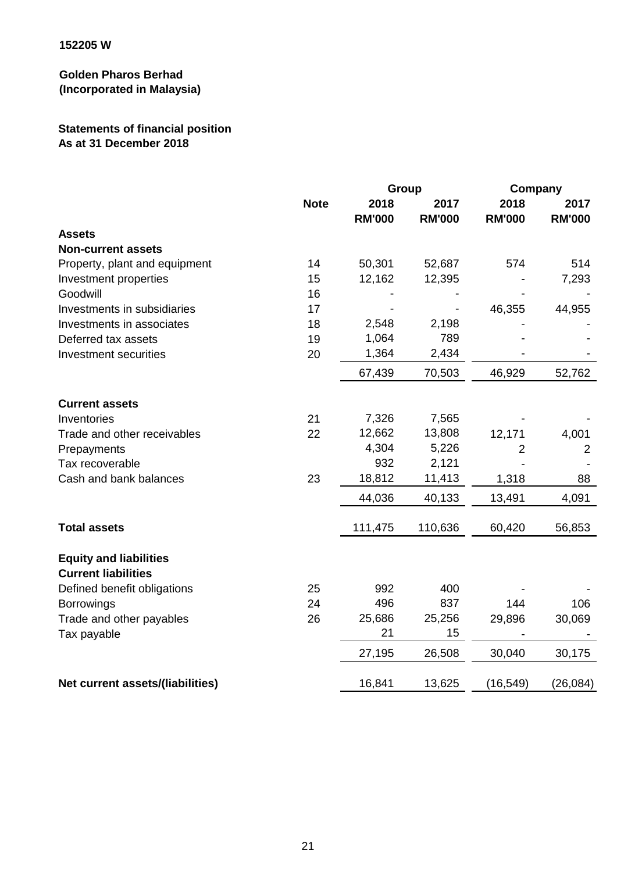# **Statements of financial position As at 31 December 2018**

|         | Group                                                                                                                                                                                        |                                                                                                 | Company                                       |  |
|---------|----------------------------------------------------------------------------------------------------------------------------------------------------------------------------------------------|-------------------------------------------------------------------------------------------------|-----------------------------------------------|--|
| 2018    | 2017                                                                                                                                                                                         | 2018                                                                                            | 2017                                          |  |
|         |                                                                                                                                                                                              |                                                                                                 | <b>RM'000</b>                                 |  |
|         |                                                                                                                                                                                              |                                                                                                 |                                               |  |
|         |                                                                                                                                                                                              |                                                                                                 |                                               |  |
|         |                                                                                                                                                                                              |                                                                                                 | 514                                           |  |
|         |                                                                                                                                                                                              |                                                                                                 | 7,293                                         |  |
|         |                                                                                                                                                                                              |                                                                                                 |                                               |  |
|         |                                                                                                                                                                                              |                                                                                                 | 44,955                                        |  |
|         |                                                                                                                                                                                              |                                                                                                 |                                               |  |
|         |                                                                                                                                                                                              |                                                                                                 |                                               |  |
|         |                                                                                                                                                                                              |                                                                                                 |                                               |  |
| 67,439  | 70,503                                                                                                                                                                                       | 46,929                                                                                          | 52,762                                        |  |
|         |                                                                                                                                                                                              |                                                                                                 |                                               |  |
|         |                                                                                                                                                                                              |                                                                                                 |                                               |  |
|         |                                                                                                                                                                                              |                                                                                                 | 4,001                                         |  |
|         |                                                                                                                                                                                              |                                                                                                 | $\overline{2}$                                |  |
|         |                                                                                                                                                                                              |                                                                                                 |                                               |  |
| 18,812  | 11,413                                                                                                                                                                                       | 1,318                                                                                           | 88                                            |  |
| 44,036  | 40,133                                                                                                                                                                                       | 13,491                                                                                          | 4,091                                         |  |
| 111,475 | 110,636                                                                                                                                                                                      | 60,420                                                                                          | 56,853                                        |  |
|         |                                                                                                                                                                                              |                                                                                                 |                                               |  |
|         |                                                                                                                                                                                              |                                                                                                 |                                               |  |
| 992     | 400                                                                                                                                                                                          |                                                                                                 |                                               |  |
| 496     | 837                                                                                                                                                                                          | 144                                                                                             | 106                                           |  |
| 25,686  | 25,256                                                                                                                                                                                       | 29,896                                                                                          | 30,069                                        |  |
| 21      | 15                                                                                                                                                                                           |                                                                                                 |                                               |  |
| 27,195  | 26,508                                                                                                                                                                                       | 30,040                                                                                          | 30,175                                        |  |
| 16,841  | 13,625                                                                                                                                                                                       | (16, 549)                                                                                       | (26,084)                                      |  |
|         | <b>Note</b><br><b>RM'000</b><br>50,301<br>14<br>15<br>12,162<br>16<br>17<br>2,548<br>18<br>1,064<br>19<br>1,364<br>20<br>7,326<br>21<br>12,662<br>22<br>4,304<br>932<br>23<br>25<br>24<br>26 | <b>RM'000</b><br>52,687<br>12,395<br>2,198<br>789<br>2,434<br>7,565<br>13,808<br>5,226<br>2,121 | <b>RM'000</b><br>574<br>46,355<br>12,171<br>2 |  |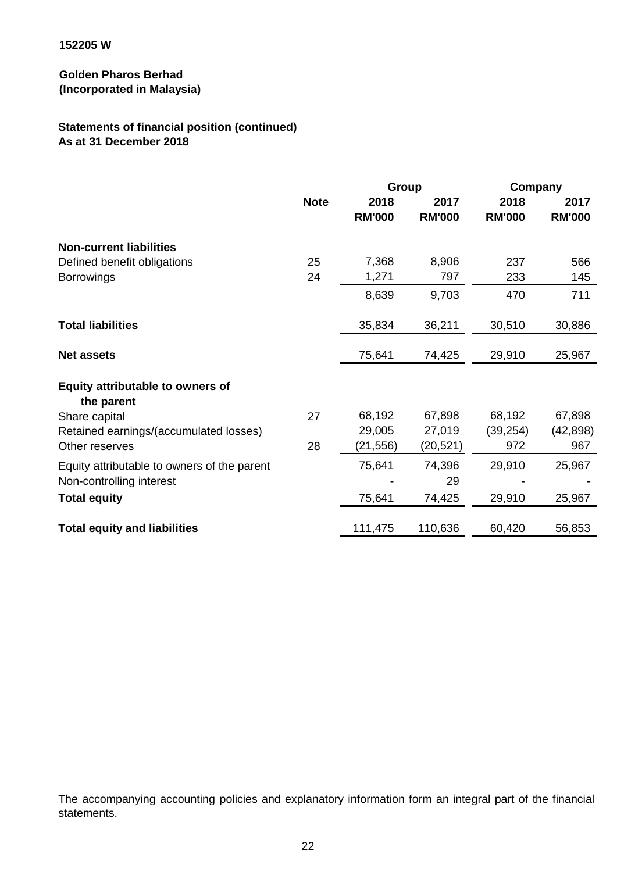# **Statements of financial position (continued) As at 31 December 2018**

|                                                |             | Group                 |                       | Company               |                       |
|------------------------------------------------|-------------|-----------------------|-----------------------|-----------------------|-----------------------|
|                                                | <b>Note</b> | 2018<br><b>RM'000</b> | 2017<br><b>RM'000</b> | 2018<br><b>RM'000</b> | 2017<br><b>RM'000</b> |
| <b>Non-current liabilities</b>                 |             |                       |                       |                       |                       |
| Defined benefit obligations                    | 25          | 7,368                 | 8,906                 | 237                   | 566                   |
| <b>Borrowings</b>                              | 24          | 1,271                 | 797                   | 233                   | 145                   |
|                                                |             | 8,639                 | 9,703                 | 470                   | 711                   |
| <b>Total liabilities</b>                       |             | 35,834                | 36,211                | 30,510                | 30,886                |
| <b>Net assets</b>                              |             | 75,641                | 74,425                | 29,910                | 25,967                |
| Equity attributable to owners of<br>the parent |             |                       |                       |                       |                       |
| Share capital                                  | 27          | 68,192                | 67,898                | 68,192                | 67,898                |
| Retained earnings/(accumulated losses)         |             | 29,005                | 27,019                | (39, 254)             | (42, 898)             |
| Other reserves                                 | 28          | (21, 556)             | (20,521)              | 972                   | 967                   |
| Equity attributable to owners of the parent    |             | 75,641                | 74,396                | 29,910                | 25,967                |
| Non-controlling interest                       |             |                       | 29                    |                       |                       |
| <b>Total equity</b>                            |             | 75,641                | 74,425                | 29,910                | 25,967                |
| <b>Total equity and liabilities</b>            |             | 111,475               | 110,636               | 60,420                | 56,853                |

The accompanying accounting policies and explanatory information form an integral part of the financial statements.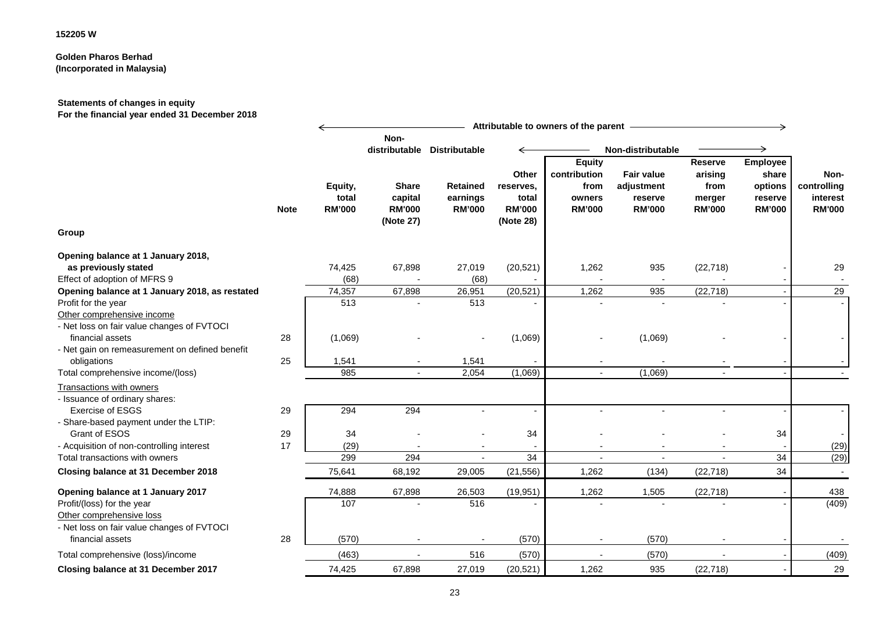#### **Golden Pharos Berhad (Incorporated in Malaysia)**

# **Statements of changes in equity**

**For the financial year ended 31 December 2018**

|                                                                       |             |                                   | Attributable to owners of the parent                                   |                                                                      |                                                           |                                                                  |                                                                                  |                                                       |                                                          |                                                  |
|-----------------------------------------------------------------------|-------------|-----------------------------------|------------------------------------------------------------------------|----------------------------------------------------------------------|-----------------------------------------------------------|------------------------------------------------------------------|----------------------------------------------------------------------------------|-------------------------------------------------------|----------------------------------------------------------|--------------------------------------------------|
|                                                                       |             |                                   | Non-                                                                   |                                                                      |                                                           |                                                                  |                                                                                  |                                                       |                                                          |                                                  |
| Group                                                                 | <b>Note</b> | Equity,<br>total<br><b>RM'000</b> | distributable<br><b>Share</b><br>capital<br><b>RM'000</b><br>(Note 27) | <b>Distributable</b><br><b>Retained</b><br>earnings<br><b>RM'000</b> | Other<br>reserves,<br>total<br><b>RM'000</b><br>(Note 28) | <b>Equity</b><br>contribution<br>from<br>owners<br><b>RM'000</b> | Non-distributable<br><b>Fair value</b><br>adjustment<br>reserve<br><b>RM'000</b> | Reserve<br>arising<br>from<br>merger<br><b>RM'000</b> | Employee<br>share<br>options<br>reserve<br><b>RM'000</b> | Non-<br>controlling<br>interest<br><b>RM'000</b> |
|                                                                       |             |                                   |                                                                        |                                                                      |                                                           |                                                                  |                                                                                  |                                                       |                                                          |                                                  |
| Opening balance at 1 January 2018,                                    |             |                                   |                                                                        |                                                                      |                                                           |                                                                  |                                                                                  |                                                       |                                                          |                                                  |
| as previously stated                                                  |             | 74,425                            | 67,898                                                                 | 27,019                                                               | (20, 521)                                                 | 1,262                                                            | 935                                                                              | (22, 718)                                             |                                                          | 29                                               |
| Effect of adoption of MFRS 9                                          |             | (68)                              |                                                                        | (68)                                                                 |                                                           |                                                                  | 935                                                                              |                                                       |                                                          |                                                  |
| Opening balance at 1 January 2018, as restated<br>Profit for the year |             | 74,357<br>513                     | 67,898                                                                 | 26,951<br>513                                                        | (20, 521)                                                 | 1,262                                                            |                                                                                  | (22, 718)                                             |                                                          | 29                                               |
| Other comprehensive income                                            |             |                                   |                                                                        |                                                                      |                                                           |                                                                  |                                                                                  |                                                       |                                                          |                                                  |
| - Net loss on fair value changes of FVTOCI                            |             |                                   |                                                                        |                                                                      |                                                           |                                                                  |                                                                                  |                                                       |                                                          |                                                  |
| financial assets                                                      | 28          | (1,069)                           |                                                                        |                                                                      | (1,069)                                                   |                                                                  | (1,069)                                                                          |                                                       |                                                          |                                                  |
| - Net gain on remeasurement on defined benefit                        |             |                                   |                                                                        |                                                                      |                                                           |                                                                  |                                                                                  |                                                       |                                                          |                                                  |
| obligations                                                           | 25          | 1,541                             |                                                                        | 1,541                                                                |                                                           |                                                                  |                                                                                  |                                                       |                                                          |                                                  |
| Total comprehensive income/(loss)                                     |             | 985                               |                                                                        | 2,054                                                                | (1,069)                                                   |                                                                  | (1,069)                                                                          |                                                       |                                                          |                                                  |
| Transactions with owners                                              |             |                                   |                                                                        |                                                                      |                                                           |                                                                  |                                                                                  |                                                       |                                                          |                                                  |
| - Issuance of ordinary shares:                                        |             |                                   |                                                                        |                                                                      |                                                           |                                                                  |                                                                                  |                                                       |                                                          |                                                  |
| <b>Exercise of ESGS</b>                                               | 29          | 294                               | 294                                                                    |                                                                      |                                                           |                                                                  |                                                                                  |                                                       |                                                          |                                                  |
| Share-based payment under the LTIP:                                   |             |                                   |                                                                        |                                                                      |                                                           |                                                                  |                                                                                  |                                                       |                                                          |                                                  |
| Grant of ESOS                                                         | 29          | 34                                |                                                                        |                                                                      | 34                                                        |                                                                  |                                                                                  |                                                       | 34                                                       |                                                  |
| - Acquisition of non-controlling interest                             | 17          | (29)                              |                                                                        |                                                                      |                                                           |                                                                  |                                                                                  |                                                       |                                                          | (29)                                             |
| Total transactions with owners                                        |             | 299                               | 294                                                                    |                                                                      | 34                                                        |                                                                  |                                                                                  |                                                       | 34                                                       | (29)                                             |
| Closing balance at 31 December 2018                                   |             | 75,641                            | 68,192                                                                 | 29,005                                                               | (21, 556)                                                 | 1,262                                                            | (134)                                                                            | (22, 718)                                             | 34                                                       |                                                  |
| Opening balance at 1 January 2017                                     |             | 74,888                            | 67,898                                                                 | 26,503                                                               | (19, 951)                                                 | 1,262                                                            | 1,505                                                                            | (22, 718)                                             |                                                          | 438                                              |
| Profit/(loss) for the year                                            |             | 107                               |                                                                        | 516                                                                  |                                                           |                                                                  |                                                                                  |                                                       |                                                          | (409)                                            |
| Other comprehensive loss                                              |             |                                   |                                                                        |                                                                      |                                                           |                                                                  |                                                                                  |                                                       |                                                          |                                                  |
| - Net loss on fair value changes of FVTOCI                            |             |                                   |                                                                        |                                                                      |                                                           |                                                                  |                                                                                  |                                                       |                                                          |                                                  |
| financial assets                                                      | 28          | (570)                             |                                                                        |                                                                      | (570)                                                     |                                                                  | (570)                                                                            |                                                       |                                                          |                                                  |
| Total comprehensive (loss)/income                                     |             | (463)                             |                                                                        | 516                                                                  | (570)                                                     |                                                                  | (570)                                                                            |                                                       |                                                          | (409)                                            |
| Closing balance at 31 December 2017                                   |             | 74,425                            | 67,898                                                                 | 27,019                                                               | (20, 521)                                                 | 1,262                                                            | 935                                                                              | (22, 718)                                             |                                                          | 29                                               |
|                                                                       |             |                                   |                                                                        |                                                                      |                                                           |                                                                  |                                                                                  |                                                       |                                                          |                                                  |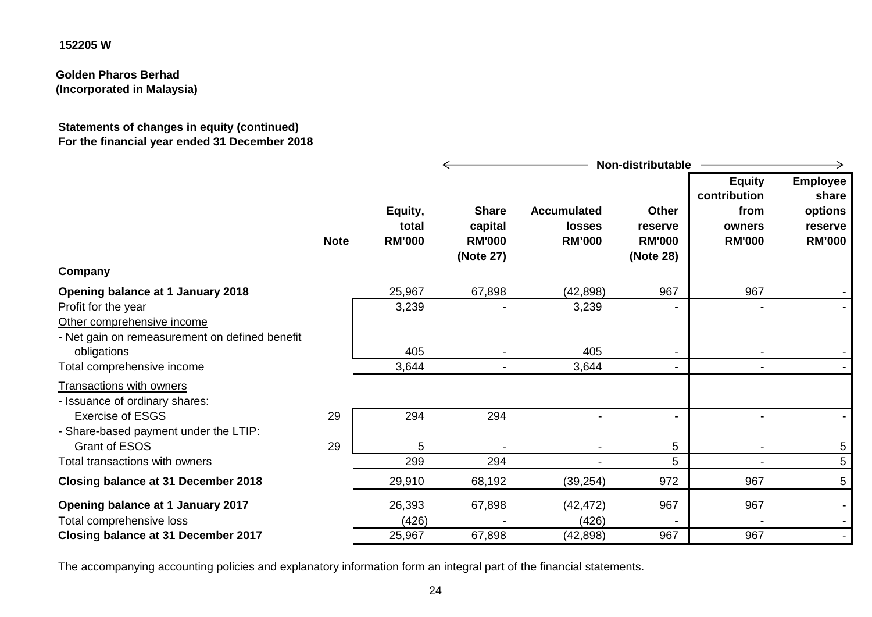# **Golden Pharos Berhad (Incorporated in Malaysia)**

# **Statements of changes in equity (continued) For the financial year ended 31 December 2018**

|                                                                   |             | Non-distributable                 |                                                       |                                                      |                                                       |                                                                  |                                                                 |
|-------------------------------------------------------------------|-------------|-----------------------------------|-------------------------------------------------------|------------------------------------------------------|-------------------------------------------------------|------------------------------------------------------------------|-----------------------------------------------------------------|
| Company                                                           | <b>Note</b> | Equity,<br>total<br><b>RM'000</b> | <b>Share</b><br>capital<br><b>RM'000</b><br>(Note 27) | <b>Accumulated</b><br><b>losses</b><br><b>RM'000</b> | <b>Other</b><br>reserve<br><b>RM'000</b><br>(Note 28) | <b>Equity</b><br>contribution<br>from<br>owners<br><b>RM'000</b> | <b>Employee</b><br>share<br>options<br>reserve<br><b>RM'000</b> |
| Opening balance at 1 January 2018                                 |             | 25,967                            | 67,898                                                | (42, 898)                                            | 967                                                   | 967                                                              |                                                                 |
| Profit for the year                                               |             | 3,239                             |                                                       | 3,239                                                |                                                       |                                                                  |                                                                 |
| Other comprehensive income                                        |             |                                   |                                                       |                                                      |                                                       |                                                                  |                                                                 |
| - Net gain on remeasurement on defined benefit                    |             |                                   |                                                       |                                                      |                                                       |                                                                  |                                                                 |
| obligations                                                       |             | 405                               |                                                       | 405                                                  | $\overline{\phantom{a}}$                              |                                                                  |                                                                 |
| Total comprehensive income                                        |             | 3,644                             | $\overline{\phantom{a}}$                              | 3,644                                                | $\overline{\phantom{a}}$                              |                                                                  |                                                                 |
| <b>Transactions with owners</b><br>- Issuance of ordinary shares: |             |                                   |                                                       |                                                      |                                                       |                                                                  |                                                                 |
| <b>Exercise of ESGS</b>                                           | 29          | 294                               | 294                                                   |                                                      | $\overline{\phantom{0}}$                              |                                                                  |                                                                 |
| - Share-based payment under the LTIP:                             |             |                                   |                                                       |                                                      |                                                       |                                                                  |                                                                 |
| <b>Grant of ESOS</b>                                              | 29          | 5                                 |                                                       |                                                      | 5                                                     |                                                                  | 5                                                               |
| Total transactions with owners                                    |             | 299                               | 294                                                   |                                                      | 5                                                     | $\blacksquare$                                                   | 5                                                               |
| <b>Closing balance at 31 December 2018</b>                        |             | 29,910                            | 68,192                                                | (39, 254)                                            | 972                                                   | 967                                                              | 5                                                               |
| Opening balance at 1 January 2017                                 |             | 26,393                            | 67,898                                                | (42, 472)                                            | 967                                                   | 967                                                              |                                                                 |
| Total comprehensive loss                                          |             | (426)                             |                                                       | (426)                                                |                                                       |                                                                  |                                                                 |
| Closing balance at 31 December 2017                               |             | 25,967                            | 67,898                                                | (42, 898)                                            | 967                                                   | 967                                                              |                                                                 |

The accompanying accounting policies and explanatory information form an integral part of the financial statements.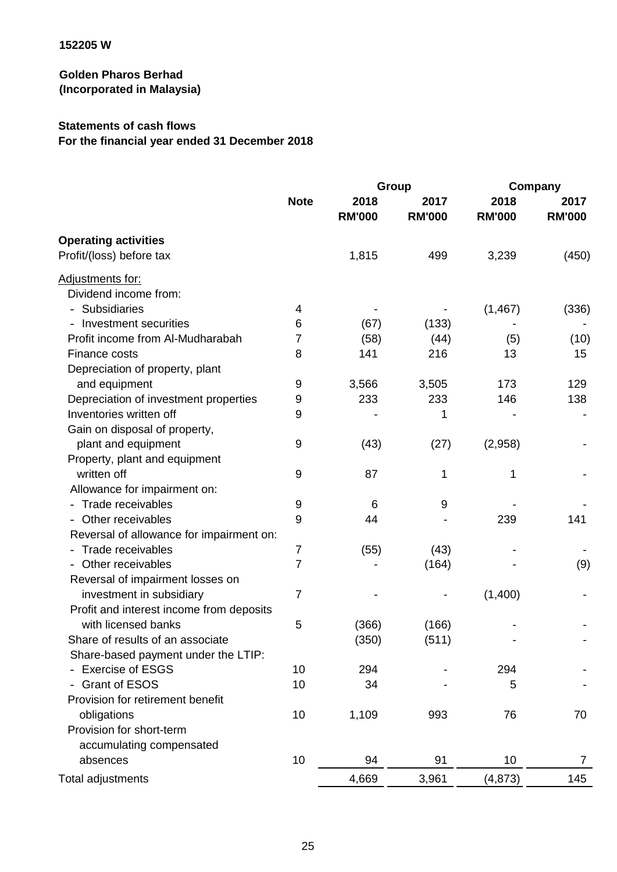# **Statements of cash flows For the financial year ended 31 December 2018**

|                                          |                |                       | Group                 | Company               |                       |  |
|------------------------------------------|----------------|-----------------------|-----------------------|-----------------------|-----------------------|--|
|                                          | <b>Note</b>    | 2018<br><b>RM'000</b> | 2017<br><b>RM'000</b> | 2018<br><b>RM'000</b> | 2017<br><b>RM'000</b> |  |
| <b>Operating activities</b>              |                |                       |                       |                       |                       |  |
| Profit/(loss) before tax                 |                | 1,815                 | 499                   | 3,239                 | (450)                 |  |
| <u>Adjustments for:</u>                  |                |                       |                       |                       |                       |  |
| Dividend income from:                    |                |                       |                       |                       |                       |  |
| Subsidiaries                             | 4              |                       |                       | (1, 467)              | (336)                 |  |
| Investment securities                    | 6              | (67)                  | (133)                 |                       |                       |  |
| Profit income from Al-Mudharabah         | 7              | (58)                  | (44)                  | (5)                   | (10)                  |  |
| Finance costs                            | 8              | 141                   | 216                   | 13                    | 15                    |  |
| Depreciation of property, plant          |                |                       |                       |                       |                       |  |
| and equipment                            | 9              | 3,566                 | 3,505                 | 173                   | 129                   |  |
| Depreciation of investment properties    | 9              | 233                   | 233                   | 146                   | 138                   |  |
| Inventories written off                  | 9              |                       | 1                     |                       |                       |  |
| Gain on disposal of property,            |                |                       |                       |                       |                       |  |
| plant and equipment                      | 9              | (43)                  | (27)                  | (2,958)               |                       |  |
| Property, plant and equipment            |                |                       |                       |                       |                       |  |
| written off                              | 9              | 87                    | 1                     | 1                     |                       |  |
| Allowance for impairment on:             |                |                       |                       |                       |                       |  |
| Trade receivables                        | 9              | 6                     | 9                     |                       |                       |  |
| - Other receivables                      | 9              | 44                    |                       | 239                   | 141                   |  |
| Reversal of allowance for impairment on: |                |                       |                       |                       |                       |  |
| - Trade receivables                      | $\overline{7}$ | (55)                  | (43)                  |                       |                       |  |
| - Other receivables                      | $\overline{7}$ |                       | (164)                 |                       | (9)                   |  |
| Reversal of impairment losses on         |                |                       |                       |                       |                       |  |
| investment in subsidiary                 | $\overline{7}$ |                       |                       | (1,400)               |                       |  |
| Profit and interest income from deposits |                |                       |                       |                       |                       |  |
| with licensed banks                      | 5              | (366)                 | (166)                 |                       |                       |  |
| Share of results of an associate         |                | (350)                 | (511)                 |                       |                       |  |
| Share-based payment under the LTIP:      |                |                       |                       |                       |                       |  |
| <b>Exercise of ESGS</b>                  | 10             | 294                   |                       | 294                   |                       |  |
| <b>Grant of ESOS</b>                     | 10             | 34                    |                       | 5                     |                       |  |
| Provision for retirement benefit         |                |                       |                       |                       |                       |  |
| obligations                              | 10             | 1,109                 | 993                   | 76                    | 70                    |  |
| Provision for short-term                 |                |                       |                       |                       |                       |  |
| accumulating compensated                 |                |                       |                       |                       |                       |  |
| absences                                 | 10             | 94                    | 91                    | 10                    | 7                     |  |
| Total adjustments                        |                | 4,669                 | 3,961                 | (4, 873)              | 145                   |  |
|                                          |                |                       |                       |                       |                       |  |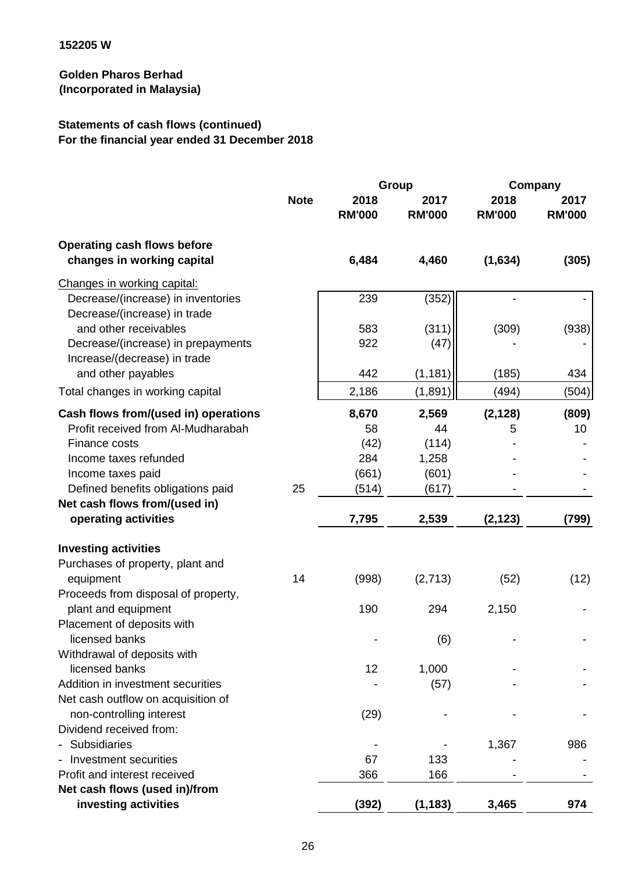# **Statements of cash flows (continued) For the financial year ended 31 December 2018**

|                                                                                                   |             |                       | Group                 | Company               |                       |  |
|---------------------------------------------------------------------------------------------------|-------------|-----------------------|-----------------------|-----------------------|-----------------------|--|
|                                                                                                   | <b>Note</b> | 2018<br><b>RM'000</b> | 2017<br><b>RM'000</b> | 2018<br><b>RM'000</b> | 2017<br><b>RM'000</b> |  |
| <b>Operating cash flows before</b><br>changes in working capital                                  |             | 6,484                 | 4,460                 | (1,634)               | (305)                 |  |
| Changes in working capital:<br>Decrease/(increase) in inventories<br>Decrease/(increase) in trade |             | 239                   | (352)                 |                       |                       |  |
| and other receivables<br>Decrease/(increase) in prepayments                                       |             | 583<br>922            | (311)<br>(47)         | (309)                 | (938)                 |  |
| Increase/(decrease) in trade<br>and other payables                                                |             | 442                   | (1, 181)              | (185)                 | 434                   |  |
| Total changes in working capital                                                                  |             | 2,186                 | (1, 891)              | (494)                 | (504)                 |  |
| Cash flows from/(used in) operations<br>Profit received from AI-Mudharabah                        |             | 8,670<br>58           | 2,569<br>44           | (2, 128)<br>5         | (809)<br>10           |  |
| Finance costs<br>Income taxes refunded                                                            |             | (42)<br>284           | (114)<br>1,258        |                       |                       |  |
| Income taxes paid<br>Defined benefits obligations paid                                            | 25          | (661)<br>(514)        | (601)<br>(617)        |                       |                       |  |
| Net cash flows from/(used in)                                                                     |             |                       |                       |                       |                       |  |
| operating activities                                                                              |             | 7,795                 | 2,539                 | (2, 123)              | (799)                 |  |
| <b>Investing activities</b>                                                                       |             |                       |                       |                       |                       |  |
| Purchases of property, plant and<br>equipment                                                     | 14          | (998)                 | (2,713)               | (52)                  | (12)                  |  |
| Proceeds from disposal of property,<br>plant and equipment                                        |             | 190                   | 294                   | 2,150                 |                       |  |
| Placement of deposits with<br>licensed banks<br>Withdrawal of deposits with                       |             |                       | (6)                   |                       |                       |  |
| licensed banks<br>Addition in investment securities                                               |             | 12                    | 1,000<br>(57)         |                       |                       |  |
| Net cash outflow on acquisition of<br>non-controlling interest                                    |             | (29)                  |                       |                       |                       |  |
| Dividend received from:<br>Subsidiaries                                                           |             |                       |                       | 1,367                 | 986                   |  |
| Investment securities                                                                             |             | 67                    | 133                   |                       |                       |  |
| Profit and interest received                                                                      |             | 366                   | 166                   |                       |                       |  |
| Net cash flows (used in)/from                                                                     |             |                       |                       |                       |                       |  |
| investing activities                                                                              |             | (392)                 | (1, 183)              | 3,465                 | 974                   |  |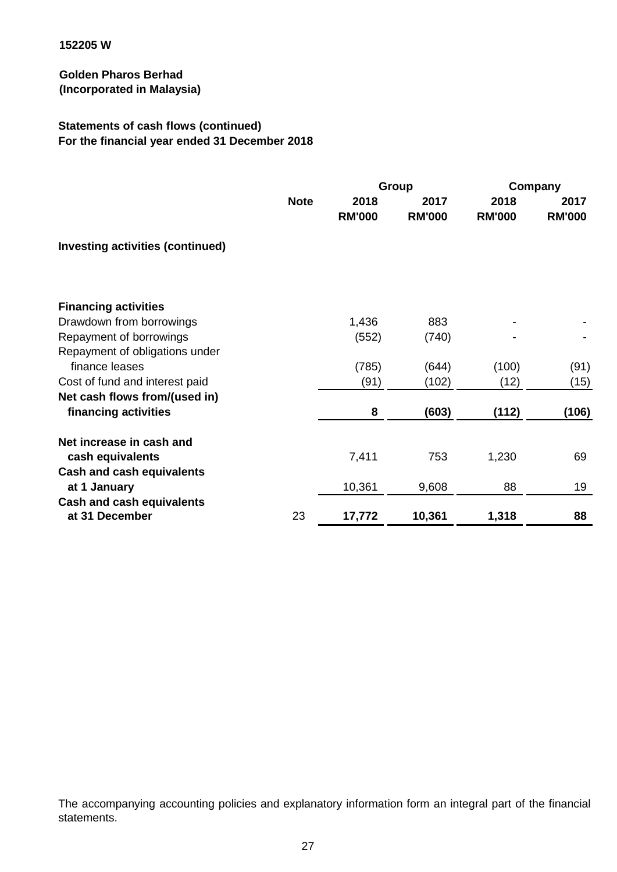# **Statements of cash flows (continued) For the financial year ended 31 December 2018**

|                                         |             | Group                 |                       | Company               |                       |
|-----------------------------------------|-------------|-----------------------|-----------------------|-----------------------|-----------------------|
|                                         | <b>Note</b> | 2018<br><b>RM'000</b> | 2017<br><b>RM'000</b> | 2018<br><b>RM'000</b> | 2017<br><b>RM'000</b> |
| <b>Investing activities (continued)</b> |             |                       |                       |                       |                       |
| <b>Financing activities</b>             |             |                       |                       |                       |                       |
| Drawdown from borrowings                |             | 1,436                 | 883                   |                       |                       |
| Repayment of borrowings                 |             | (552)                 | (740)                 |                       |                       |
| Repayment of obligations under          |             |                       |                       |                       |                       |
| finance leases                          |             | (785)                 | (644)                 | (100)                 | (91)                  |
| Cost of fund and interest paid          |             | (91)                  | (102)                 | (12)                  | (15)                  |
| Net cash flows from/(used in)           |             |                       |                       |                       |                       |
| financing activities                    |             | 8                     | (603)                 | (112)                 | (106)                 |
| Net increase in cash and                |             |                       |                       |                       |                       |
| cash equivalents                        |             | 7,411                 | 753                   | 1,230                 | 69                    |
| <b>Cash and cash equivalents</b>        |             |                       |                       |                       |                       |
| at 1 January                            |             | 10,361                | 9,608                 | 88                    | 19                    |
| <b>Cash and cash equivalents</b>        |             |                       |                       |                       |                       |
| at 31 December                          | 23          | 17,772                | 10,361                | 1,318                 | 88                    |

The accompanying accounting policies and explanatory information form an integral part of the financial statements.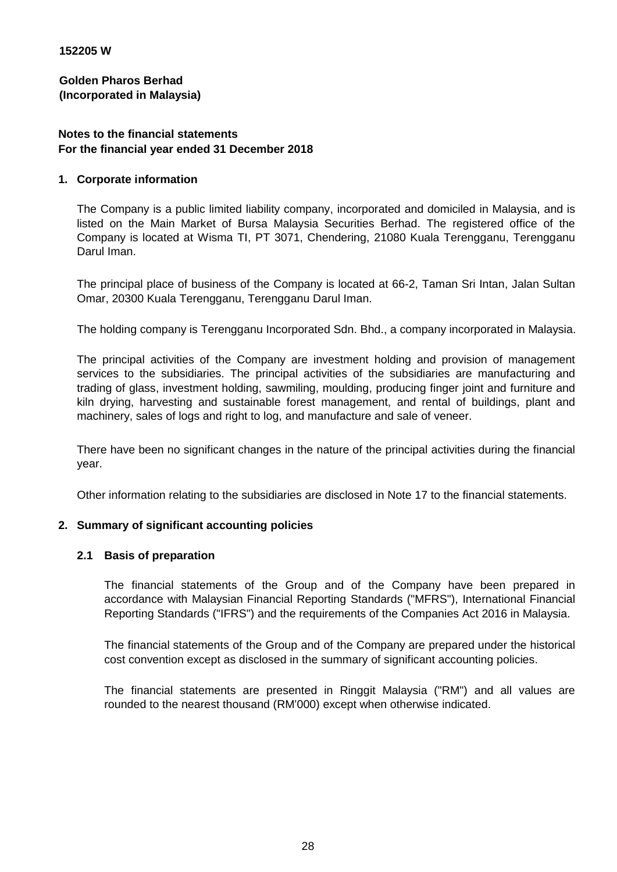### **Notes to the financial statements For the financial year ended 31 December 2018**

## **1. Corporate information**

The Company is a public limited liability company, incorporated and domiciled in Malaysia, and is listed on the Main Market of Bursa Malaysia Securities Berhad. The registered office of the Company is located at Wisma TI, PT 3071, Chendering, 21080 Kuala Terengganu, Terengganu Darul Iman.

The principal place of business of the Company is located at 66-2, Taman Sri Intan, Jalan Sultan Omar, 20300 Kuala Terengganu, Terengganu Darul Iman.

The holding company is Terengganu Incorporated Sdn. Bhd., a company incorporated in Malaysia.

The principal activities of the Company are investment holding and provision of management services to the subsidiaries. The principal activities of the subsidiaries are manufacturing and trading of glass, investment holding, sawmiling, moulding, producing finger joint and furniture and kiln drying, harvesting and sustainable forest management, and rental of buildings, plant and machinery, sales of logs and right to log, and manufacture and sale of veneer.

There have been no significant changes in the nature of the principal activities during the financial year.

Other information relating to the subsidiaries are disclosed in Note 17 to the financial statements.

### **2. Summary of significant accounting policies**

### **2.1 Basis of preparation**

The financial statements of the Group and of the Company have been prepared in accordance with Malaysian Financial Reporting Standards ("MFRS"), International Financial Reporting Standards ("IFRS") and the requirements of the Companies Act 2016 in Malaysia.

The financial statements of the Group and of the Company are prepared under the historical cost convention except as disclosed in the summary of significant accounting policies.

The financial statements are presented in Ringgit Malaysia ("RM") and all values are rounded to the nearest thousand (RM'000) except when otherwise indicated.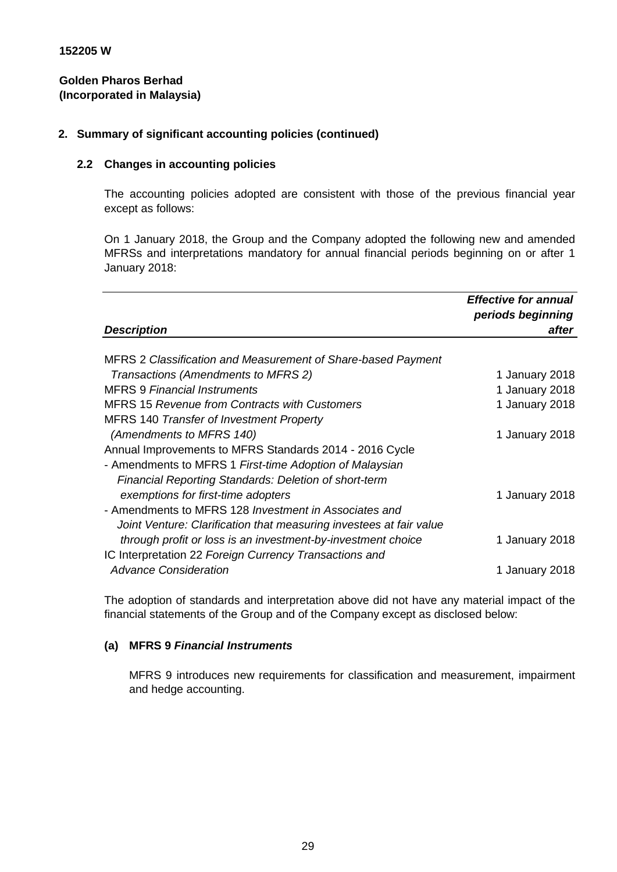## **2. Summary of significant accounting policies (continued)**

### **2.2 Changes in accounting policies**

The accounting policies adopted are consistent with those of the previous financial year except as follows:

On 1 January 2018, the Group and the Company adopted the following new and amended MFRSs and interpretations mandatory for annual financial periods beginning on or after 1 January 2018:

|                                                                     | <b>Effective for annual</b><br>periods beginning |
|---------------------------------------------------------------------|--------------------------------------------------|
| <b>Description</b>                                                  | after                                            |
|                                                                     |                                                  |
| MFRS 2 Classification and Measurement of Share-based Payment        |                                                  |
| Transactions (Amendments to MFRS 2)                                 | 1 January 2018                                   |
| <b>MFRS 9 Financial Instruments</b>                                 | 1 January 2018                                   |
| <b>MFRS 15 Revenue from Contracts with Customers</b>                | 1 January 2018                                   |
| MFRS 140 Transfer of Investment Property                            |                                                  |
| (Amendments to MFRS 140)                                            | 1 January 2018                                   |
| Annual Improvements to MFRS Standards 2014 - 2016 Cycle             |                                                  |
| - Amendments to MFRS 1 First-time Adoption of Malaysian             |                                                  |
| Financial Reporting Standards: Deletion of short-term               |                                                  |
| exemptions for first-time adopters                                  | 1 January 2018                                   |
| - Amendments to MFRS 128 Investment in Associates and               |                                                  |
| Joint Venture: Clarification that measuring investees at fair value |                                                  |
| through profit or loss is an investment-by-investment choice        | 1 January 2018                                   |
| IC Interpretation 22 Foreign Currency Transactions and              |                                                  |
| <b>Advance Consideration</b>                                        | 1 January 2018                                   |
|                                                                     |                                                  |

The adoption of standards and interpretation above did not have any material impact of the financial statements of the Group and of the Company except as disclosed below:

### **(a) MFRS 9** *Financial Instruments*

MFRS 9 introduces new requirements for classification and measurement, impairment and hedge accounting.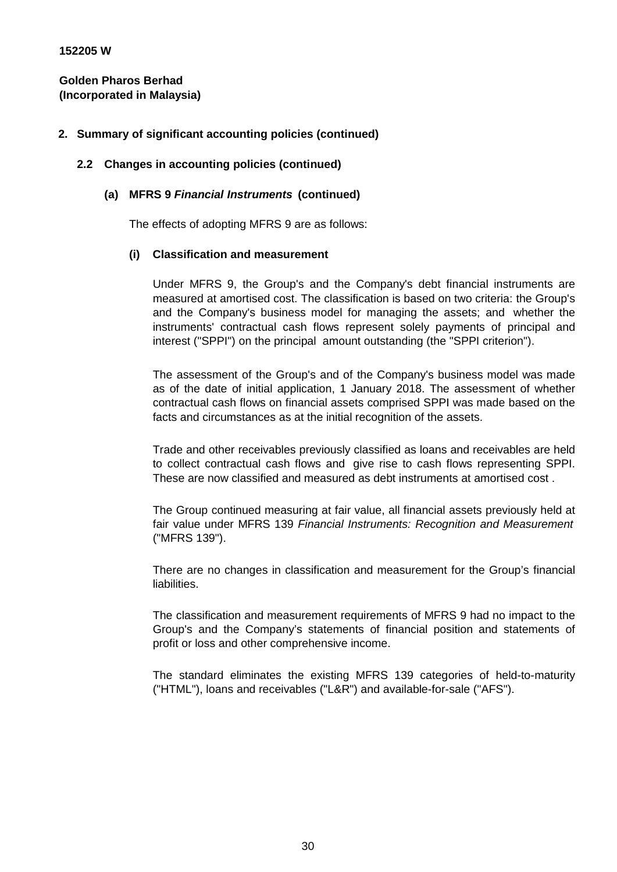## **Golden Pharos Berhad (Incorporated in Malaysia)**

## **2. Summary of significant accounting policies (continued)**

### **2.2 Changes in accounting policies (continued)**

### **(a) MFRS 9** *Financial Instruments* **(continued)**

The effects of adopting MFRS 9 are as follows:

### **(i) Classification and measurement**

Under MFRS 9, the Group's and the Company's debt financial instruments are measured at amortised cost. The classification is based on two criteria: the Group's and the Company's business model for managing the assets; and whether the instruments' contractual cash flows represent solely payments of principal and interest ("SPPI") on the principal amount outstanding (the "SPPI criterion").

The assessment of the Group's and of the Company's business model was made as of the date of initial application, 1 January 2018. The assessment of whether contractual cash flows on financial assets comprised SPPI was made based on the facts and circumstances as at the initial recognition of the assets.

Trade and other receivables previously classified as loans and receivables are held to collect contractual cash flows and give rise to cash flows representing SPPI. These are now classified and measured as debt instruments at amortised cost .

The Group continued measuring at fair value, all financial assets previously held at fair value under MFRS 139 *Financial Instruments: Recognition and Measurement* ("MFRS 139").

There are no changes in classification and measurement for the Group's financial liabilities.

The classification and measurement requirements of MFRS 9 had no impact to the Group's and the Company's statements of financial position and statements of profit or loss and other comprehensive income.

The standard eliminates the existing MFRS 139 categories of held-to-maturity ("HTML"), loans and receivables ("L&R") and available-for-sale ("AFS").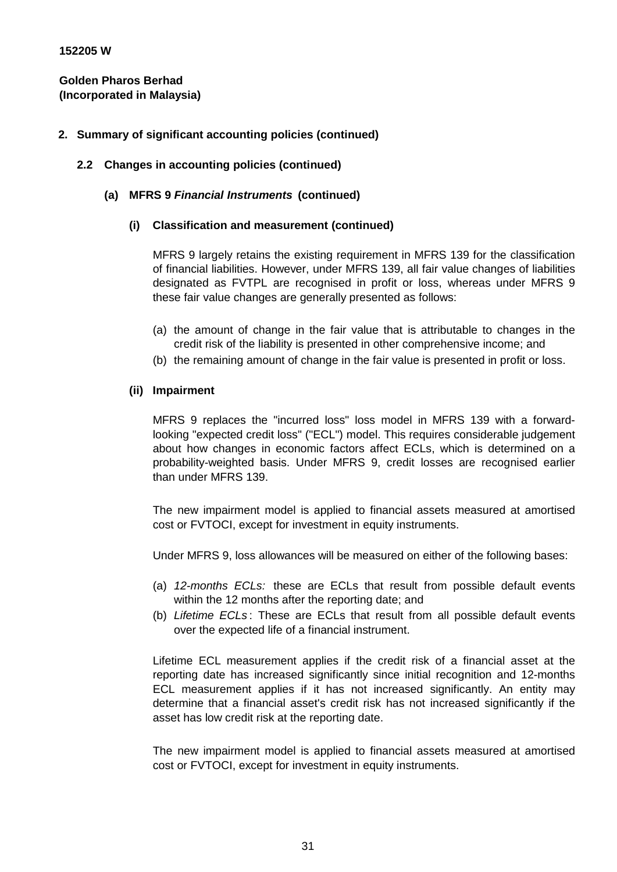## **2. Summary of significant accounting policies (continued)**

### **2.2 Changes in accounting policies (continued)**

## **(a) MFRS 9** *Financial Instruments* **(continued)**

### **(i) Classification and measurement (continued)**

MFRS 9 largely retains the existing requirement in MFRS 139 for the classification of financial liabilities. However, under MFRS 139, all fair value changes of liabilities designated as FVTPL are recognised in profit or loss, whereas under MFRS 9 these fair value changes are generally presented as follows:

- (a) the amount of change in the fair value that is attributable to changes in the credit risk of the liability is presented in other comprehensive income; and
- (b) the remaining amount of change in the fair value is presented in profit or loss.

## **(ii) Impairment**

MFRS 9 replaces the "incurred loss" loss model in MFRS 139 with a forwardlooking "expected credit loss" ("ECL") model. This requires considerable judgement about how changes in economic factors affect ECLs, which is determined on a probability-weighted basis. Under MFRS 9, credit losses are recognised earlier than under MFRS 139.

The new impairment model is applied to financial assets measured at amortised cost or FVTOCI, except for investment in equity instruments.

Under MFRS 9, loss allowances will be measured on either of the following bases:

- (a) *12-months ECLs:* these are ECLs that result from possible default events within the 12 months after the reporting date; and
- (b) *Lifetime ECLs* : These are ECLs that result from all possible default events over the expected life of a financial instrument.

Lifetime ECL measurement applies if the credit risk of a financial asset at the reporting date has increased significantly since initial recognition and 12-months ECL measurement applies if it has not increased significantly. An entity may determine that a financial asset's credit risk has not increased significantly if the asset has low credit risk at the reporting date.

The new impairment model is applied to financial assets measured at amortised cost or FVTOCI, except for investment in equity instruments.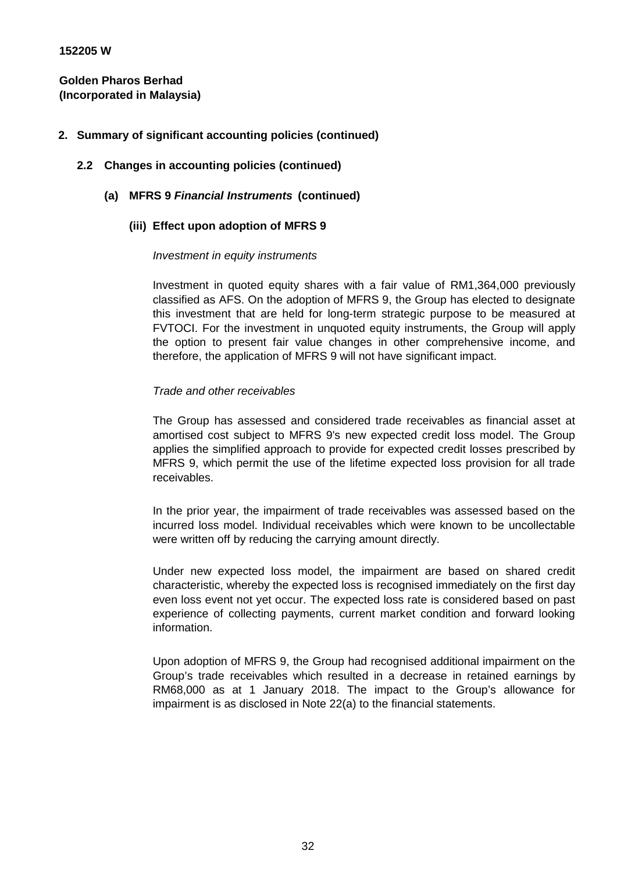## **Golden Pharos Berhad (Incorporated in Malaysia)**

### **2. Summary of significant accounting policies (continued)**

## **2.2 Changes in accounting policies (continued)**

## **(a) MFRS 9** *Financial Instruments* **(continued)**

## **(iii) Effect upon adoption of MFRS 9**

### *Investment in equity instruments*

Investment in quoted equity shares with a fair value of RM1,364,000 previously classified as AFS. On the adoption of MFRS 9, the Group has elected to designate this investment that are held for long-term strategic purpose to be measured at FVTOCI. For the investment in unquoted equity instruments, the Group will apply the option to present fair value changes in other comprehensive income, and therefore, the application of MFRS 9 will not have significant impact.

### *Trade and other receivables*

The Group has assessed and considered trade receivables as financial asset at amortised cost subject to MFRS 9's new expected credit loss model. The Group applies the simplified approach to provide for expected credit losses prescribed by MFRS 9, which permit the use of the lifetime expected loss provision for all trade receivables.

In the prior year, the impairment of trade receivables was assessed based on the incurred loss model. Individual receivables which were known to be uncollectable were written off by reducing the carrying amount directly.

Under new expected loss model, the impairment are based on shared credit characteristic, whereby the expected loss is recognised immediately on the first day even loss event not yet occur. The expected loss rate is considered based on past experience of collecting payments, current market condition and forward looking information.

Upon adoption of MFRS 9, the Group had recognised additional impairment on the Group's trade receivables which resulted in a decrease in retained earnings by RM68,000 as at 1 January 2018. The impact to the Group's allowance for impairment is as disclosed in Note 22(a) to the financial statements.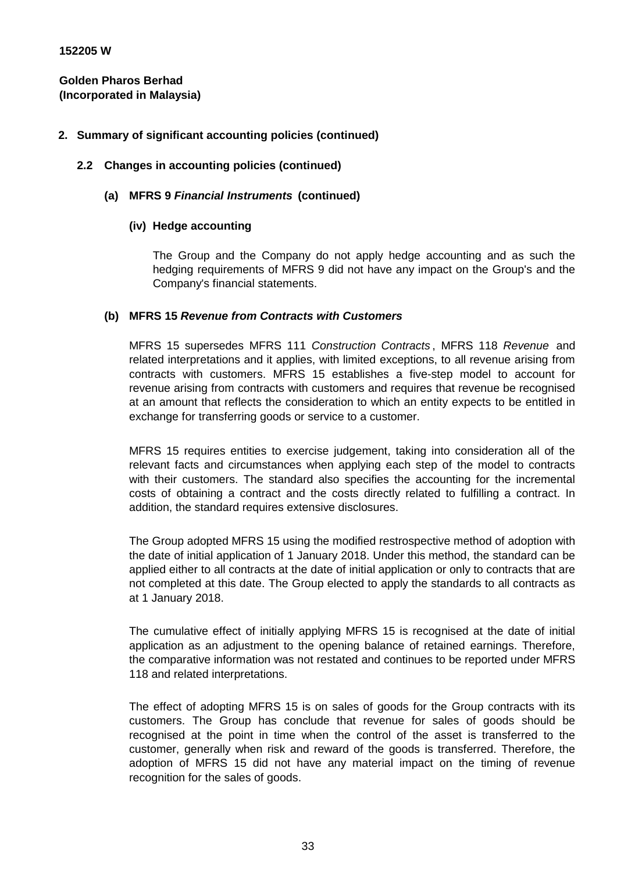### **2. Summary of significant accounting policies (continued)**

### **2.2 Changes in accounting policies (continued)**

## **(a) MFRS 9** *Financial Instruments* **(continued)**

## **(iv) Hedge accounting**

The Group and the Company do not apply hedge accounting and as such the hedging requirements of MFRS 9 did not have any impact on the Group's and the Company's financial statements.

### **(b) MFRS 15** *Revenue from Contracts with Customers*

MFRS 15 supersedes MFRS 111 *Construction Contracts* , MFRS 118 *Revenue* and related interpretations and it applies, with limited exceptions, to all revenue arising from contracts with customers. MFRS 15 establishes a five-step model to account for revenue arising from contracts with customers and requires that revenue be recognised at an amount that reflects the consideration to which an entity expects to be entitled in exchange for transferring goods or service to a customer.

MFRS 15 requires entities to exercise judgement, taking into consideration all of the relevant facts and circumstances when applying each step of the model to contracts with their customers. The standard also specifies the accounting for the incremental costs of obtaining a contract and the costs directly related to fulfilling a contract. In addition, the standard requires extensive disclosures.

The Group adopted MFRS 15 using the modified restrospective method of adoption with the date of initial application of 1 January 2018. Under this method, the standard can be applied either to all contracts at the date of initial application or only to contracts that are not completed at this date. The Group elected to apply the standards to all contracts as at 1 January 2018.

The cumulative effect of initially applying MFRS 15 is recognised at the date of initial application as an adjustment to the opening balance of retained earnings. Therefore, the comparative information was not restated and continues to be reported under MFRS 118 and related interpretations.

The effect of adopting MFRS 15 is on sales of goods for the Group contracts with its customers. The Group has conclude that revenue for sales of goods should be recognised at the point in time when the control of the asset is transferred to the customer, generally when risk and reward of the goods is transferred. Therefore, the adoption of MFRS 15 did not have any material impact on the timing of revenue recognition for the sales of goods.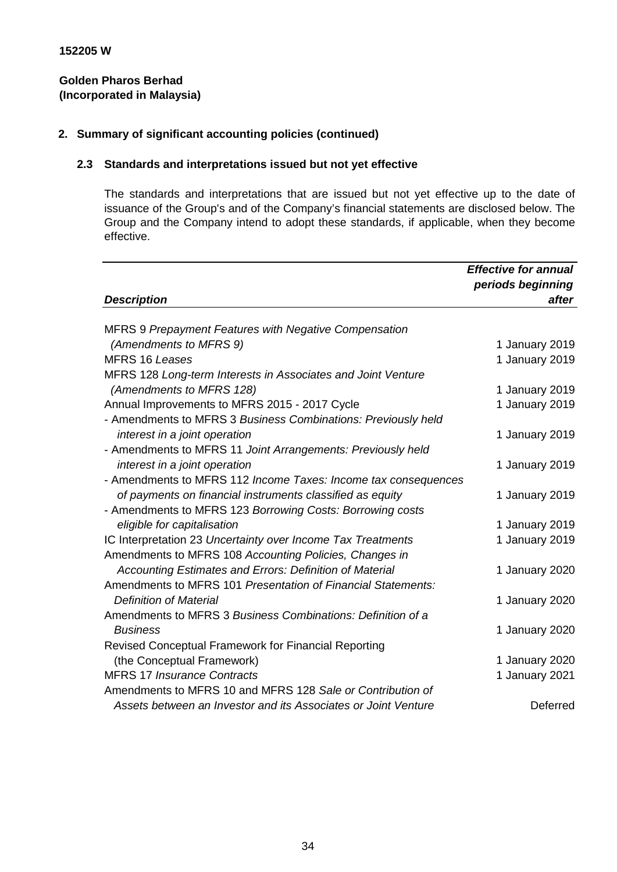# **2. Summary of significant accounting policies (continued)**

### **2.3 Standards and interpretations issued but not yet effective**

The standards and interpretations that are issued but not yet effective up to the date of issuance of the Group's and of the Company's financial statements are disclosed below. The Group and the Company intend to adopt these standards, if applicable, when they become effective.

|                                                                | <b>Effective for annual</b> |  |
|----------------------------------------------------------------|-----------------------------|--|
|                                                                | periods beginning           |  |
| <b>Description</b>                                             | after                       |  |
|                                                                |                             |  |
| <b>MFRS 9 Prepayment Features with Negative Compensation</b>   |                             |  |
| (Amendments to MFRS 9)                                         | 1 January 2019              |  |
| MFRS 16 Leases                                                 | 1 January 2019              |  |
| MFRS 128 Long-term Interests in Associates and Joint Venture   |                             |  |
| (Amendments to MFRS 128)                                       | 1 January 2019              |  |
| Annual Improvements to MFRS 2015 - 2017 Cycle                  | 1 January 2019              |  |
| - Amendments to MFRS 3 Business Combinations: Previously held  |                             |  |
| interest in a joint operation                                  | 1 January 2019              |  |
| - Amendments to MFRS 11 Joint Arrangements: Previously held    |                             |  |
| interest in a joint operation                                  | 1 January 2019              |  |
| - Amendments to MFRS 112 Income Taxes: Income tax consequences |                             |  |
| of payments on financial instruments classified as equity      | 1 January 2019              |  |
| - Amendments to MFRS 123 Borrowing Costs: Borrowing costs      |                             |  |
| eligible for capitalisation                                    | 1 January 2019              |  |
| IC Interpretation 23 Uncertainty over Income Tax Treatments    | 1 January 2019              |  |
| Amendments to MFRS 108 Accounting Policies, Changes in         |                             |  |
| Accounting Estimates and Errors: Definition of Material        | 1 January 2020              |  |
| Amendments to MFRS 101 Presentation of Financial Statements:   |                             |  |
| <b>Definition of Material</b>                                  | 1 January 2020              |  |
| Amendments to MFRS 3 Business Combinations: Definition of a    |                             |  |
| <b>Business</b>                                                | 1 January 2020              |  |
| Revised Conceptual Framework for Financial Reporting           |                             |  |
| (the Conceptual Framework)                                     | 1 January 2020              |  |
| <b>MFRS 17 Insurance Contracts</b>                             | 1 January 2021              |  |
| Amendments to MFRS 10 and MFRS 128 Sale or Contribution of     |                             |  |
| Assets between an Investor and its Associates or Joint Venture | Deferred                    |  |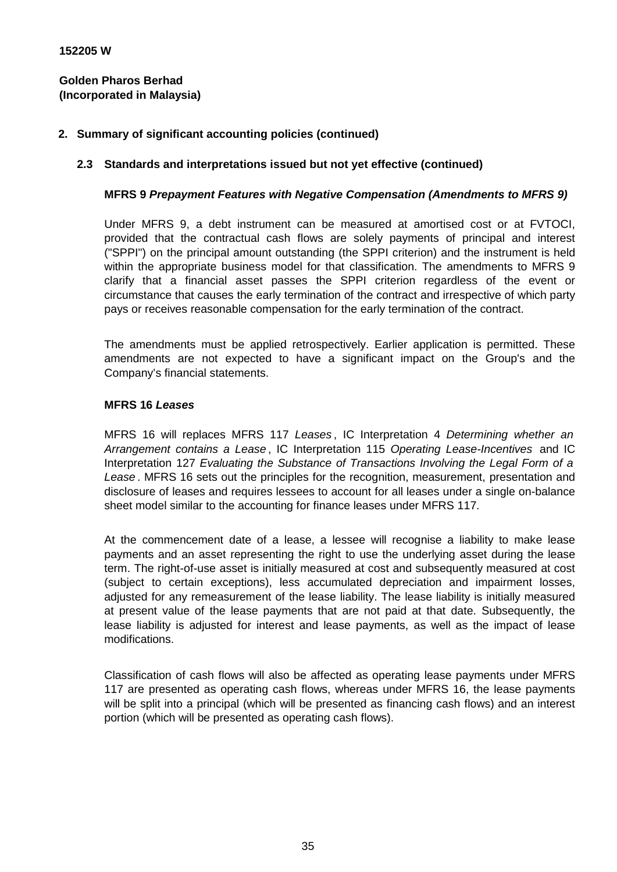## **2. Summary of significant accounting policies (continued)**

#### **2.3 Standards and interpretations issued but not yet effective (continued)**

## **MFRS 9** *Prepayment Features with Negative Compensation (Amendments to MFRS 9)*

Under MFRS 9, a debt instrument can be measured at amortised cost or at FVTOCI, provided that the contractual cash flows are solely payments of principal and interest ("SPPI") on the principal amount outstanding (the SPPI criterion) and the instrument is held within the appropriate business model for that classification. The amendments to MFRS 9 clarify that a financial asset passes the SPPI criterion regardless of the event or circumstance that causes the early termination of the contract and irrespective of which party pays or receives reasonable compensation for the early termination of the contract.

The amendments must be applied retrospectively. Earlier application is permitted. These amendments are not expected to have a significant impact on the Group's and the Company's financial statements.

#### **MFRS 16** *Leases*

MFRS 16 will replaces MFRS 117 *Leases* , IC Interpretation 4 *Determining whether an Arrangement contains a Lease* , IC Interpretation 115 *Operating Lease-Incentives* and IC Interpretation 127 *Evaluating the Substance of Transactions Involving the Legal Form of a Lease* . MFRS 16 sets out the principles for the recognition, measurement, presentation and disclosure of leases and requires lessees to account for all leases under a single on-balance sheet model similar to the accounting for finance leases under MFRS 117.

At the commencement date of a lease, a lessee will recognise a liability to make lease payments and an asset representing the right to use the underlying asset during the lease term. The right-of-use asset is initially measured at cost and subsequently measured at cost (subject to certain exceptions), less accumulated depreciation and impairment losses, adjusted for any remeasurement of the lease liability. The lease liability is initially measured at present value of the lease payments that are not paid at that date. Subsequently, the lease liability is adjusted for interest and lease payments, as well as the impact of lease modifications.

Classification of cash flows will also be affected as operating lease payments under MFRS 117 are presented as operating cash flows, whereas under MFRS 16, the lease payments will be split into a principal (which will be presented as financing cash flows) and an interest portion (which will be presented as operating cash flows).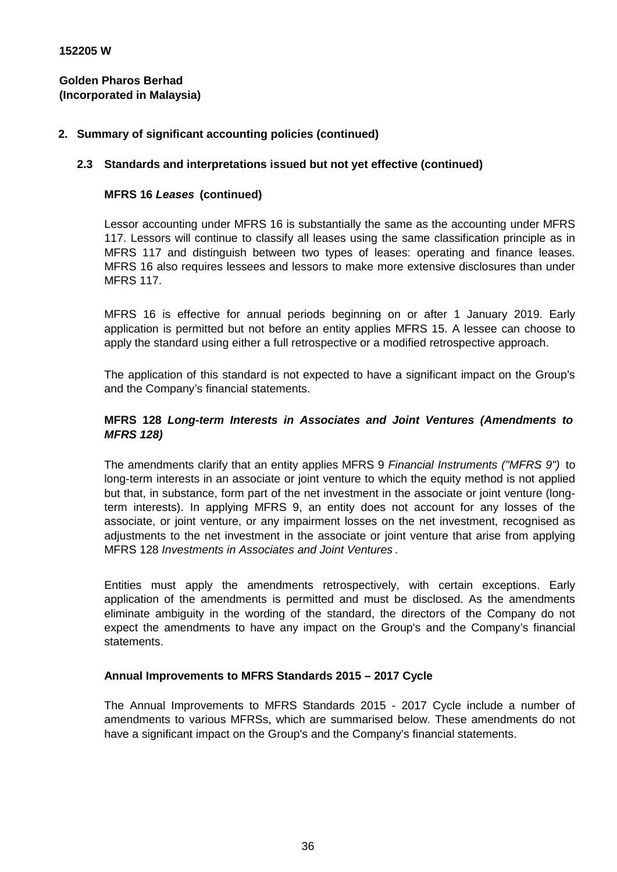#### **152205 W**

## **Golden Pharos Berhad (Incorporated in Malaysia)**

## **2. Summary of significant accounting policies (continued)**

#### **2.3 Standards and interpretations issued but not yet effective (continued)**

#### **MFRS 16** *Leases* **(continued)**

Lessor accounting under MFRS 16 is substantially the same as the accounting under MFRS 117. Lessors will continue to classify all leases using the same classification principle as in MFRS 117 and distinguish between two types of leases: operating and finance leases. MFRS 16 also requires lessees and lessors to make more extensive disclosures than under MFRS 117.

MFRS 16 is effective for annual periods beginning on or after 1 January 2019. Early application is permitted but not before an entity applies MFRS 15. A lessee can choose to apply the standard using either a full retrospective or a modified retrospective approach.

The application of this standard is not expected to have a significant impact on the Group's and the Company's financial statements.

## **MFRS 128** *Long-term Interests in Associates and Joint Ventures (Amendments to MFRS 128)*

The amendments clarify that an entity applies MFRS 9 *Financial Instruments ("MFRS 9")* to long-term interests in an associate or joint venture to which the equity method is not applied but that, in substance, form part of the net investment in the associate or joint venture (longterm interests). In applying MFRS 9, an entity does not account for any losses of the associate, or joint venture, or any impairment losses on the net investment, recognised as adjustments to the net investment in the associate or joint venture that arise from applying MFRS 128 *Investments in Associates and Joint Ventures* .

Entities must apply the amendments retrospectively, with certain exceptions. Early application of the amendments is permitted and must be disclosed. As the amendments eliminate ambiguity in the wording of the standard, the directors of the Company do not expect the amendments to have any impact on the Group's and the Company's financial statements.

#### **Annual Improvements to MFRS Standards 2015 – 2017 Cycle**

The Annual Improvements to MFRS Standards 2015 - 2017 Cycle include a number of amendments to various MFRSs, which are summarised below. These amendments do not have a significant impact on the Group's and the Company's financial statements.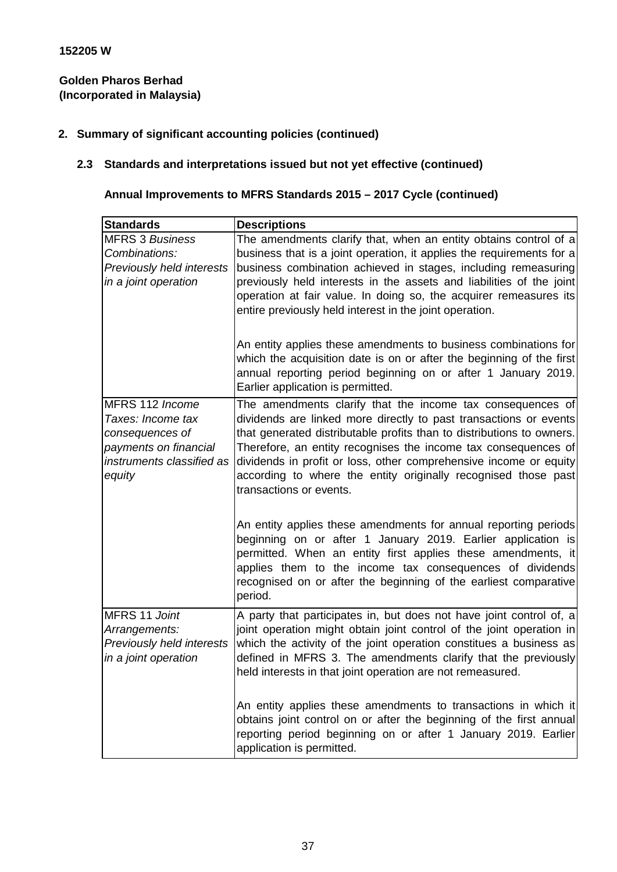## **2. Summary of significant accounting policies (continued)**

## **2.3 Standards and interpretations issued but not yet effective (continued)**

# **Annual Improvements to MFRS Standards 2015 – 2017 Cycle (continued)**

| <b>Standards</b>                                                                                                        | <b>Descriptions</b>                                                                                                                                                                                                                                                                                                                                                                                                                          |
|-------------------------------------------------------------------------------------------------------------------------|----------------------------------------------------------------------------------------------------------------------------------------------------------------------------------------------------------------------------------------------------------------------------------------------------------------------------------------------------------------------------------------------------------------------------------------------|
| <b>MFRS 3 Business</b><br>Combinations:<br>Previously held interests<br>in a joint operation                            | The amendments clarify that, when an entity obtains control of a<br>business that is a joint operation, it applies the requirements for a<br>business combination achieved in stages, including remeasuring<br>previously held interests in the assets and liabilities of the joint<br>operation at fair value. In doing so, the acquirer remeasures its                                                                                     |
|                                                                                                                         | entire previously held interest in the joint operation.<br>An entity applies these amendments to business combinations for<br>which the acquisition date is on or after the beginning of the first                                                                                                                                                                                                                                           |
|                                                                                                                         | annual reporting period beginning on or after 1 January 2019.<br>Earlier application is permitted.                                                                                                                                                                                                                                                                                                                                           |
| MFRS 112 Income<br>Taxes: Income tax<br>consequences of<br>payments on financial<br>instruments classified as<br>equity | The amendments clarify that the income tax consequences of<br>dividends are linked more directly to past transactions or events<br>that generated distributable profits than to distributions to owners.<br>Therefore, an entity recognises the income tax consequences of<br>dividends in profit or loss, other comprehensive income or equity<br>according to where the entity originally recognised those past<br>transactions or events. |
|                                                                                                                         | An entity applies these amendments for annual reporting periods<br>beginning on or after 1 January 2019. Earlier application is<br>permitted. When an entity first applies these amendments, it<br>applies them to the income tax consequences of dividends<br>recognised on or after the beginning of the earliest comparative<br>period.                                                                                                   |
| MFRS 11 Joint<br>Arrangements:<br><b>Previously held interests</b><br>in a joint operation                              | A party that participates in, but does not have joint control of, a<br>joint operation might obtain joint control of the joint operation in<br>which the activity of the joint operation constitues a business as<br>defined in MFRS 3. The amendments clarify that the previously<br>held interests in that joint operation are not remeasured.                                                                                             |
|                                                                                                                         | An entity applies these amendments to transactions in which it<br>obtains joint control on or after the beginning of the first annual<br>reporting period beginning on or after 1 January 2019. Earlier<br>application is permitted.                                                                                                                                                                                                         |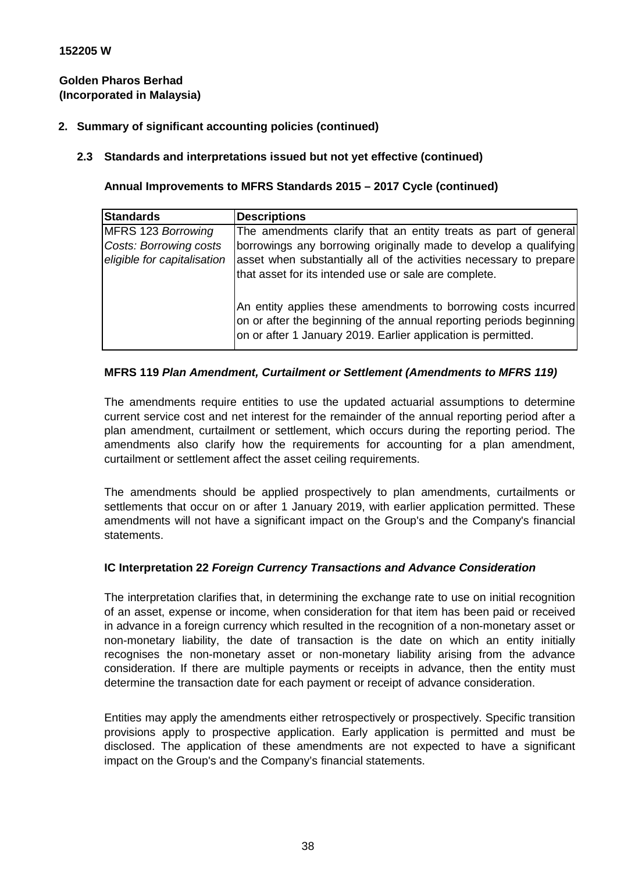## **152205 W**

## **Golden Pharos Berhad (Incorporated in Malaysia)**

## **2. Summary of significant accounting policies (continued)**

## **2.3 Standards and interpretations issued but not yet effective (continued)**

## **Annual Improvements to MFRS Standards 2015 – 2017 Cycle (continued)**

| <b>Standards</b>                                                            | <b>Descriptions</b>                                                                                                                                                                                                                                                 |
|-----------------------------------------------------------------------------|---------------------------------------------------------------------------------------------------------------------------------------------------------------------------------------------------------------------------------------------------------------------|
| MFRS 123 Borrowing<br>Costs: Borrowing costs<br>eligible for capitalisation | The amendments clarify that an entity treats as part of general<br>borrowings any borrowing originally made to develop a qualifying<br>asset when substantially all of the activities necessary to prepare<br>that asset for its intended use or sale are complete. |
|                                                                             | An entity applies these amendments to borrowing costs incurred<br>on or after the beginning of the annual reporting periods beginning<br>on or after 1 January 2019. Earlier application is permitted.                                                              |

## **MFRS 119** *Plan Amendment, Curtailment or Settlement (Amendments to MFRS 119)*

The amendments require entities to use the updated actuarial assumptions to determine current service cost and net interest for the remainder of the annual reporting period after a plan amendment, curtailment or settlement, which occurs during the reporting period. The amendments also clarify how the requirements for accounting for a plan amendment, curtailment or settlement affect the asset ceiling requirements.

The amendments should be applied prospectively to plan amendments, curtailments or settlements that occur on or after 1 January 2019, with earlier application permitted. These amendments will not have a significant impact on the Group's and the Company's financial statements.

#### **IC Interpretation 22** *Foreign Currency Transactions and Advance Consideration*

The interpretation clarifies that, in determining the exchange rate to use on initial recognition of an asset, expense or income, when consideration for that item has been paid or received in advance in a foreign currency which resulted in the recognition of a non-monetary asset or non-monetary liability, the date of transaction is the date on which an entity initially recognises the non-monetary asset or non-monetary liability arising from the advance consideration. If there are multiple payments or receipts in advance, then the entity must determine the transaction date for each payment or receipt of advance consideration.

Entities may apply the amendments either retrospectively or prospectively. Specific transition provisions apply to prospective application. Early application is permitted and must be disclosed. The application of these amendments are not expected to have a significant impact on the Group's and the Company's financial statements.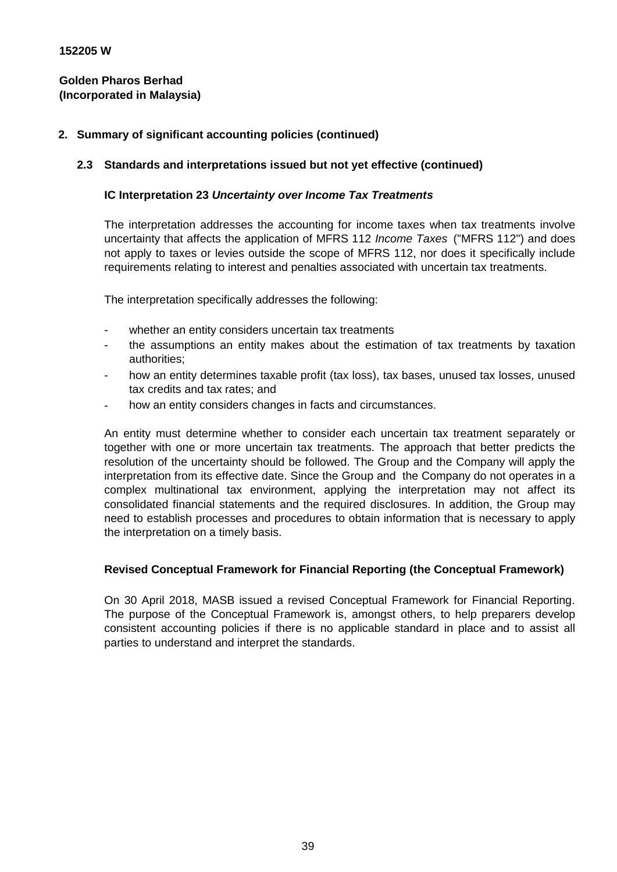## **2. Summary of significant accounting policies (continued)**

## **2.3 Standards and interpretations issued but not yet effective (continued)**

#### **IC Interpretation 23** *Uncertainty over Income Tax Treatments*

The interpretation addresses the accounting for income taxes when tax treatments involve uncertainty that affects the application of MFRS 112 *Income Taxes* ("MFRS 112") and does not apply to taxes or levies outside the scope of MFRS 112, nor does it specifically include requirements relating to interest and penalties associated with uncertain tax treatments.

The interpretation specifically addresses the following:

- whether an entity considers uncertain tax treatments
- the assumptions an entity makes about the estimation of tax treatments by taxation authorities;
- how an entity determines taxable profit (tax loss), tax bases, unused tax losses, unused tax credits and tax rates; and
- how an entity considers changes in facts and circumstances.

An entity must determine whether to consider each uncertain tax treatment separately or together with one or more uncertain tax treatments. The approach that better predicts the resolution of the uncertainty should be followed. The Group and the Company will apply the interpretation from its effective date. Since the Group and the Company do not operates in a complex multinational tax environment, applying the interpretation may not affect its consolidated financial statements and the required disclosures. In addition, the Group may need to establish processes and procedures to obtain information that is necessary to apply the interpretation on a timely basis.

#### **Revised Conceptual Framework for Financial Reporting (the Conceptual Framework)**

On 30 April 2018, MASB issued a revised Conceptual Framework for Financial Reporting. The purpose of the Conceptual Framework is, amongst others, to help preparers develop consistent accounting policies if there is no applicable standard in place and to assist all parties to understand and interpret the standards.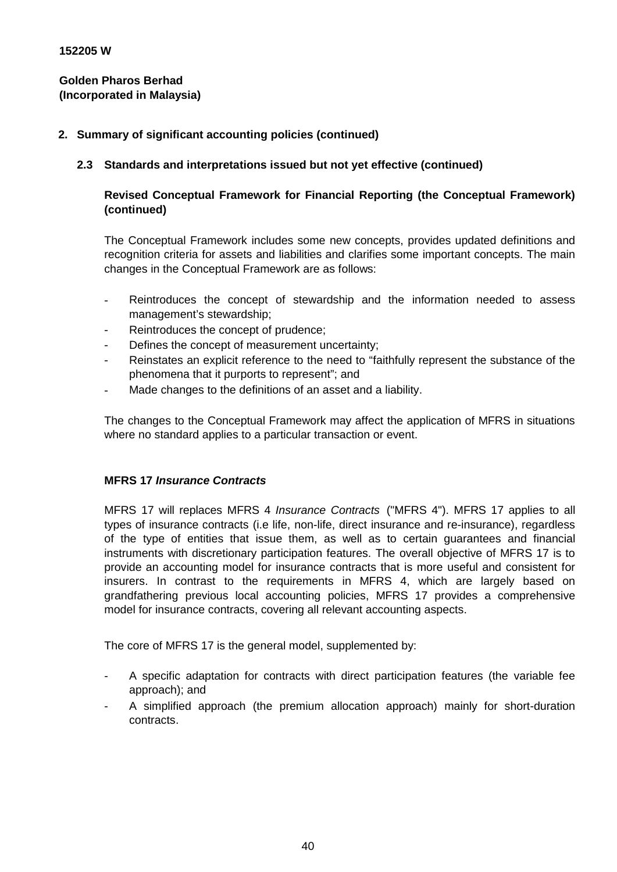## **2. Summary of significant accounting policies (continued)**

## **2.3 Standards and interpretations issued but not yet effective (continued)**

## **Revised Conceptual Framework for Financial Reporting (the Conceptual Framework) (continued)**

The Conceptual Framework includes some new concepts, provides updated definitions and recognition criteria for assets and liabilities and clarifies some important concepts. The main changes in the Conceptual Framework are as follows:

- Reintroduces the concept of stewardship and the information needed to assess management's stewardship;
- Reintroduces the concept of prudence;
- Defines the concept of measurement uncertainty;
- Reinstates an explicit reference to the need to "faithfully represent the substance of the phenomena that it purports to represent"; and
- Made changes to the definitions of an asset and a liability.

The changes to the Conceptual Framework may affect the application of MFRS in situations where no standard applies to a particular transaction or event.

#### **MFRS 17** *Insurance Contracts*

MFRS 17 will replaces MFRS 4 *Insurance Contracts* ("MFRS 4"). MFRS 17 applies to all types of insurance contracts (i.e life, non-life, direct insurance and re-insurance), regardless of the type of entities that issue them, as well as to certain guarantees and financial instruments with discretionary participation features. The overall objective of MFRS 17 is to provide an accounting model for insurance contracts that is more useful and consistent for insurers. In contrast to the requirements in MFRS 4, which are largely based on grandfathering previous local accounting policies, MFRS 17 provides a comprehensive model for insurance contracts, covering all relevant accounting aspects.

The core of MFRS 17 is the general model, supplemented by:

- A specific adaptation for contracts with direct participation features (the variable fee approach); and
- A simplified approach (the premium allocation approach) mainly for short-duration contracts.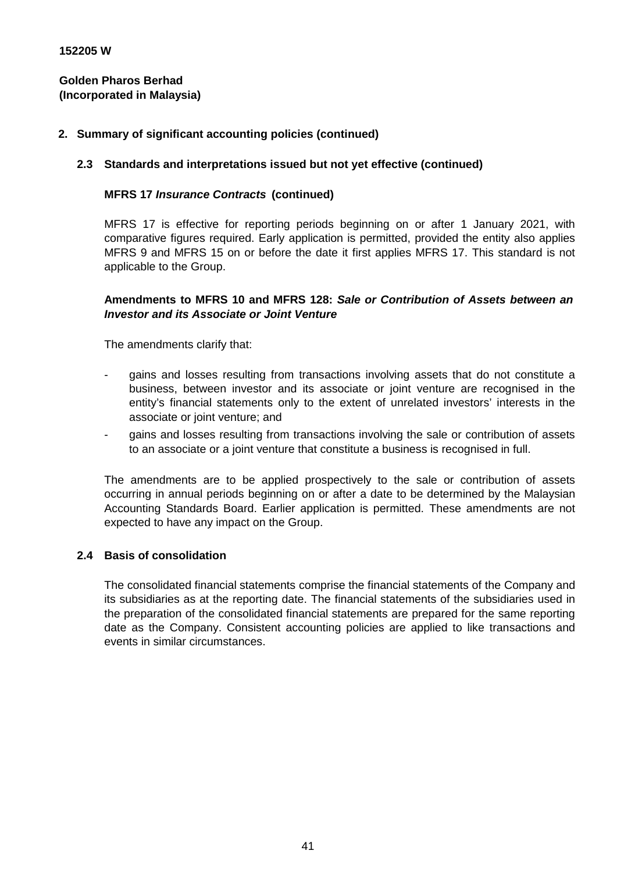#### **152205 W**

## **Golden Pharos Berhad (Incorporated in Malaysia)**

## **2. Summary of significant accounting policies (continued)**

## **2.3 Standards and interpretations issued but not yet effective (continued)**

#### **MFRS 17** *Insurance Contracts* **(continued)**

MFRS 17 is effective for reporting periods beginning on or after 1 January 2021, with comparative figures required. Early application is permitted, provided the entity also applies MFRS 9 and MFRS 15 on or before the date it first applies MFRS 17. This standard is not applicable to the Group.

## **Amendments to MFRS 10 and MFRS 128:** *Sale or Contribution of Assets between an Investor and its Associate or Joint Venture*

The amendments clarify that:

- gains and losses resulting from transactions involving assets that do not constitute a business, between investor and its associate or joint venture are recognised in the entity's financial statements only to the extent of unrelated investors' interests in the associate or joint venture; and
- gains and losses resulting from transactions involving the sale or contribution of assets to an associate or a joint venture that constitute a business is recognised in full.

The amendments are to be applied prospectively to the sale or contribution of assets occurring in annual periods beginning on or after a date to be determined by the Malaysian Accounting Standards Board. Earlier application is permitted. These amendments are not expected to have any impact on the Group.

#### **2.4 Basis of consolidation**

The consolidated financial statements comprise the financial statements of the Company and its subsidiaries as at the reporting date. The financial statements of the subsidiaries used in the preparation of the consolidated financial statements are prepared for the same reporting date as the Company. Consistent accounting policies are applied to like transactions and events in similar circumstances.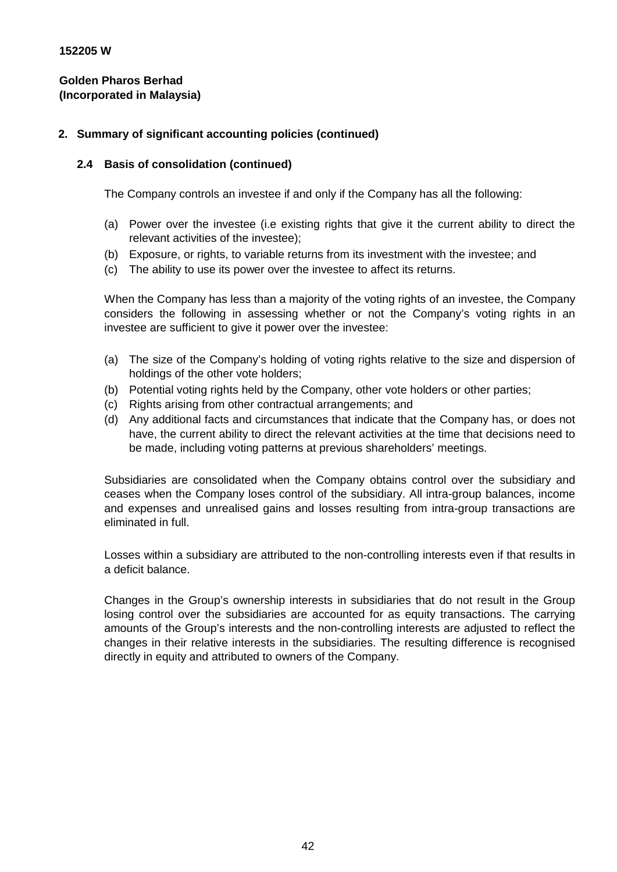#### **152205 W**

## **Golden Pharos Berhad (Incorporated in Malaysia)**

## **2. Summary of significant accounting policies (continued)**

## **2.4 Basis of consolidation (continued)**

The Company controls an investee if and only if the Company has all the following:

- (a) Power over the investee (i.e existing rights that give it the current ability to direct the relevant activities of the investee);
- (b) Exposure, or rights, to variable returns from its investment with the investee; and
- (c) The ability to use its power over the investee to affect its returns.

When the Company has less than a majority of the voting rights of an investee, the Company considers the following in assessing whether or not the Company's voting rights in an investee are sufficient to give it power over the investee:

- (a) The size of the Company's holding of voting rights relative to the size and dispersion of holdings of the other vote holders;
- (b) Potential voting rights held by the Company, other vote holders or other parties;
- (c) Rights arising from other contractual arrangements; and
- (d) Any additional facts and circumstances that indicate that the Company has, or does not have, the current ability to direct the relevant activities at the time that decisions need to be made, including voting patterns at previous shareholders' meetings.

Subsidiaries are consolidated when the Company obtains control over the subsidiary and ceases when the Company loses control of the subsidiary. All intra-group balances, income and expenses and unrealised gains and losses resulting from intra-group transactions are eliminated in full.

Losses within a subsidiary are attributed to the non-controlling interests even if that results in a deficit balance.

Changes in the Group's ownership interests in subsidiaries that do not result in the Group losing control over the subsidiaries are accounted for as equity transactions. The carrying amounts of the Group's interests and the non-controlling interests are adjusted to reflect the changes in their relative interests in the subsidiaries. The resulting difference is recognised directly in equity and attributed to owners of the Company.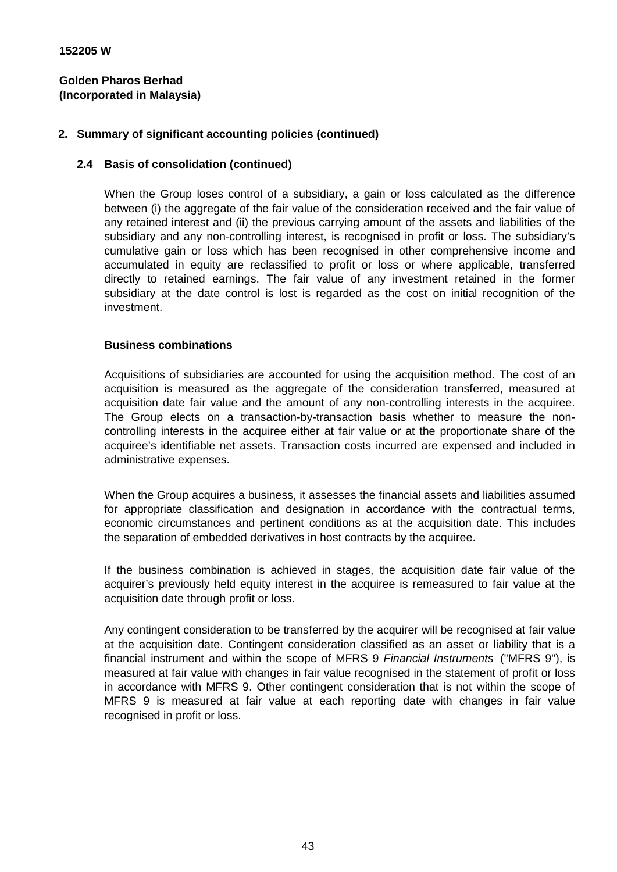## **2. Summary of significant accounting policies (continued)**

## **2.4 Basis of consolidation (continued)**

When the Group loses control of a subsidiary, a gain or loss calculated as the difference between (i) the aggregate of the fair value of the consideration received and the fair value of any retained interest and (ii) the previous carrying amount of the assets and liabilities of the subsidiary and any non-controlling interest, is recognised in profit or loss. The subsidiary's cumulative gain or loss which has been recognised in other comprehensive income and accumulated in equity are reclassified to profit or loss or where applicable, transferred directly to retained earnings. The fair value of any investment retained in the former subsidiary at the date control is lost is regarded as the cost on initial recognition of the investment.

## **Business combinations**

Acquisitions of subsidiaries are accounted for using the acquisition method. The cost of an acquisition is measured as the aggregate of the consideration transferred, measured at acquisition date fair value and the amount of any non-controlling interests in the acquiree. The Group elects on a transaction-by-transaction basis whether to measure the noncontrolling interests in the acquiree either at fair value or at the proportionate share of the acquiree's identifiable net assets. Transaction costs incurred are expensed and included in administrative expenses.

When the Group acquires a business, it assesses the financial assets and liabilities assumed for appropriate classification and designation in accordance with the contractual terms, economic circumstances and pertinent conditions as at the acquisition date. This includes the separation of embedded derivatives in host contracts by the acquiree.

If the business combination is achieved in stages, the acquisition date fair value of the acquirer's previously held equity interest in the acquiree is remeasured to fair value at the acquisition date through profit or loss.

Any contingent consideration to be transferred by the acquirer will be recognised at fair value at the acquisition date. Contingent consideration classified as an asset or liability that is a financial instrument and within the scope of MFRS 9 *Financial Instruments* ("MFRS 9"), is measured at fair value with changes in fair value recognised in the statement of profit or loss in accordance with MFRS 9. Other contingent consideration that is not within the scope of MFRS 9 is measured at fair value at each reporting date with changes in fair value recognised in profit or loss.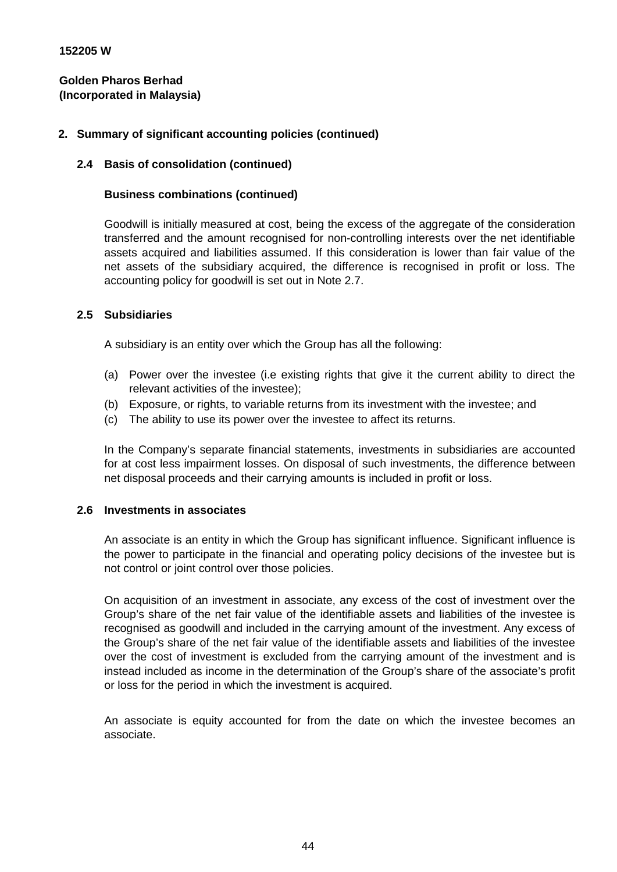#### **152205 W**

## **Golden Pharos Berhad (Incorporated in Malaysia)**

## **2. Summary of significant accounting policies (continued)**

## **2.4 Basis of consolidation (continued)**

## **Business combinations (continued)**

Goodwill is initially measured at cost, being the excess of the aggregate of the consideration transferred and the amount recognised for non-controlling interests over the net identifiable assets acquired and liabilities assumed. If this consideration is lower than fair value of the net assets of the subsidiary acquired, the difference is recognised in profit or loss. The accounting policy for goodwill is set out in Note 2.7.

#### **2.5 Subsidiaries**

A subsidiary is an entity over which the Group has all the following:

- (a) Power over the investee (i.e existing rights that give it the current ability to direct the relevant activities of the investee);
- (b) Exposure, or rights, to variable returns from its investment with the investee; and
- (c) The ability to use its power over the investee to affect its returns.

In the Company's separate financial statements, investments in subsidiaries are accounted for at cost less impairment losses. On disposal of such investments, the difference between net disposal proceeds and their carrying amounts is included in profit or loss.

#### **2.6 Investments in associates**

An associate is an entity in which the Group has significant influence. Significant influence is the power to participate in the financial and operating policy decisions of the investee but is not control or joint control over those policies.

On acquisition of an investment in associate, any excess of the cost of investment over the Group's share of the net fair value of the identifiable assets and liabilities of the investee is recognised as goodwill and included in the carrying amount of the investment. Any excess of the Group's share of the net fair value of the identifiable assets and liabilities of the investee over the cost of investment is excluded from the carrying amount of the investment and is instead included as income in the determination of the Group's share of the associate's profit or loss for the period in which the investment is acquired.

An associate is equity accounted for from the date on which the investee becomes an associate.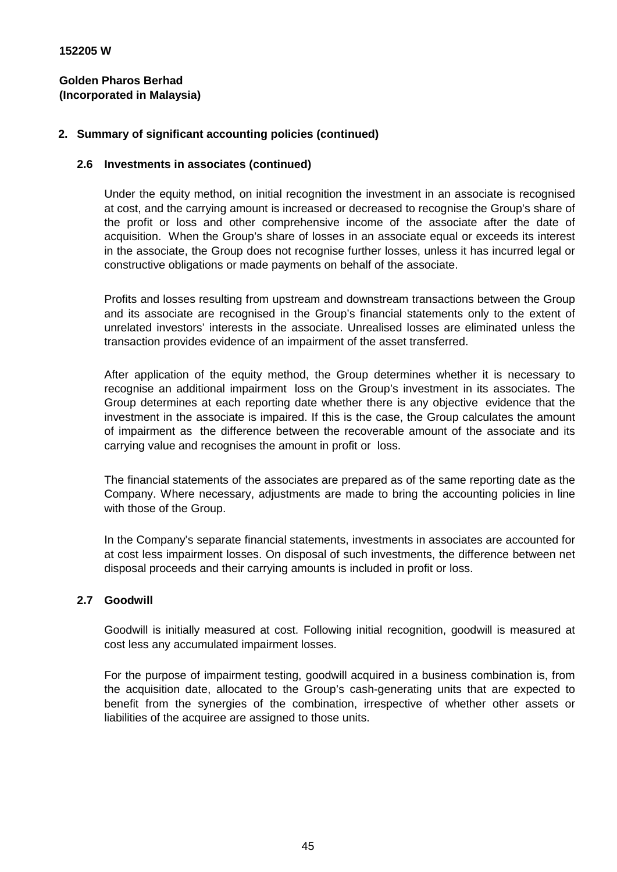## **2. Summary of significant accounting policies (continued)**

## **2.6 Investments in associates (continued)**

Under the equity method, on initial recognition the investment in an associate is recognised at cost, and the carrying amount is increased or decreased to recognise the Group's share of the profit or loss and other comprehensive income of the associate after the date of acquisition. When the Group's share of losses in an associate equal or exceeds its interest in the associate, the Group does not recognise further losses, unless it has incurred legal or constructive obligations or made payments on behalf of the associate.

Profits and losses resulting from upstream and downstream transactions between the Group and its associate are recognised in the Group's financial statements only to the extent of unrelated investors' interests in the associate. Unrealised losses are eliminated unless the transaction provides evidence of an impairment of the asset transferred.

After application of the equity method, the Group determines whether it is necessary to recognise an additional impairment loss on the Group's investment in its associates. The Group determines at each reporting date whether there is any objective evidence that the investment in the associate is impaired. If this is the case, the Group calculates the amount of impairment as the difference between the recoverable amount of the associate and its carrying value and recognises the amount in profit or loss.

The financial statements of the associates are prepared as of the same reporting date as the Company. Where necessary, adjustments are made to bring the accounting policies in line with those of the Group.

In the Company's separate financial statements, investments in associates are accounted for at cost less impairment losses. On disposal of such investments, the difference between net disposal proceeds and their carrying amounts is included in profit or loss.

#### **2.7 Goodwill**

Goodwill is initially measured at cost. Following initial recognition, goodwill is measured at cost less any accumulated impairment losses.

For the purpose of impairment testing, goodwill acquired in a business combination is, from the acquisition date, allocated to the Group's cash-generating units that are expected to benefit from the synergies of the combination, irrespective of whether other assets or liabilities of the acquiree are assigned to those units.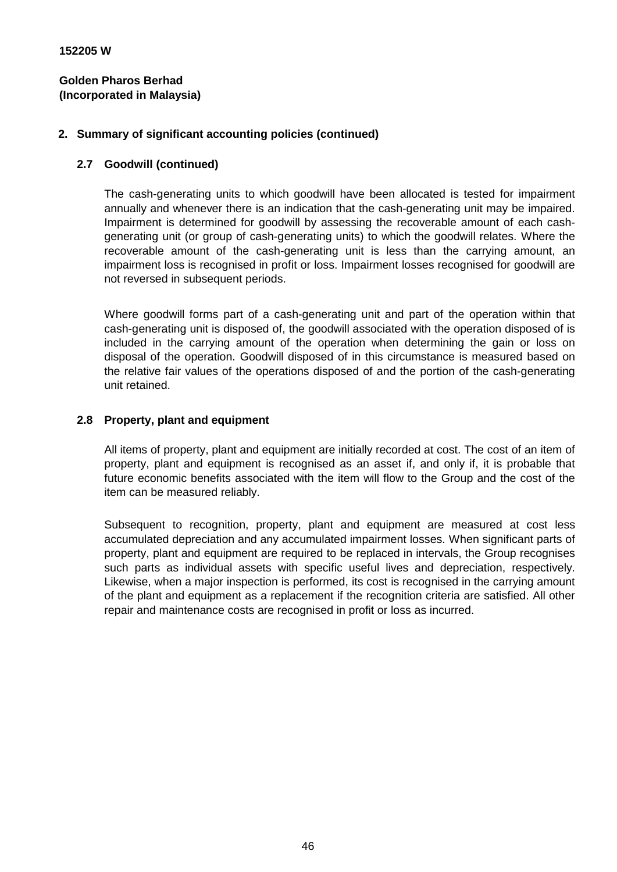## **2. Summary of significant accounting policies (continued)**

## **2.7 Goodwill (continued)**

The cash-generating units to which goodwill have been allocated is tested for impairment annually and whenever there is an indication that the cash-generating unit may be impaired. Impairment is determined for goodwill by assessing the recoverable amount of each cashgenerating unit (or group of cash-generating units) to which the goodwill relates. Where the recoverable amount of the cash-generating unit is less than the carrying amount, an impairment loss is recognised in profit or loss. Impairment losses recognised for goodwill are not reversed in subsequent periods.

Where goodwill forms part of a cash-generating unit and part of the operation within that cash-generating unit is disposed of, the goodwill associated with the operation disposed of is included in the carrying amount of the operation when determining the gain or loss on disposal of the operation. Goodwill disposed of in this circumstance is measured based on the relative fair values of the operations disposed of and the portion of the cash-generating unit retained.

## **2.8 Property, plant and equipment**

All items of property, plant and equipment are initially recorded at cost. The cost of an item of property, plant and equipment is recognised as an asset if, and only if, it is probable that future economic benefits associated with the item will flow to the Group and the cost of the item can be measured reliably.

Subsequent to recognition, property, plant and equipment are measured at cost less accumulated depreciation and any accumulated impairment losses. When significant parts of property, plant and equipment are required to be replaced in intervals, the Group recognises such parts as individual assets with specific useful lives and depreciation, respectively. Likewise, when a major inspection is performed, its cost is recognised in the carrying amount of the plant and equipment as a replacement if the recognition criteria are satisfied. All other repair and maintenance costs are recognised in profit or loss as incurred.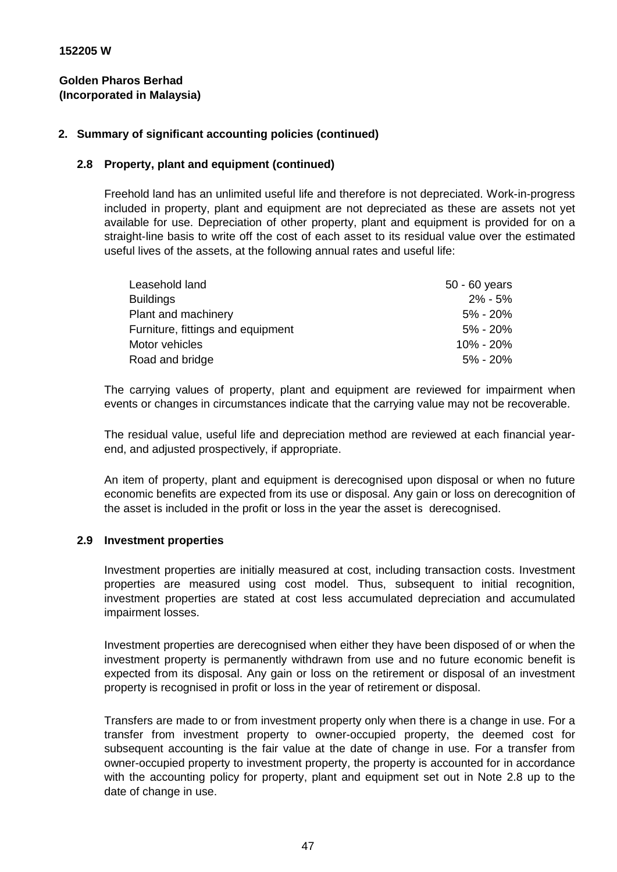## **2. Summary of significant accounting policies (continued)**

#### **2.8 Property, plant and equipment (continued)**

Freehold land has an unlimited useful life and therefore is not depreciated. Work-in-progress included in property, plant and equipment are not depreciated as these are assets not yet available for use. Depreciation of other property, plant and equipment is provided for on a straight-line basis to write off the cost of each asset to its residual value over the estimated useful lives of the assets, at the following annual rates and useful life:

| Leasehold land                    | 50 - 60 years |
|-----------------------------------|---------------|
| <b>Buildings</b>                  | $2\% - 5\%$   |
| Plant and machinery               | $5\% - 20\%$  |
| Furniture, fittings and equipment | $5\%$ - 20%   |
| Motor vehicles                    | 10% - 20%     |
| Road and bridge                   | $5\% - 20\%$  |

The carrying values of property, plant and equipment are reviewed for impairment when events or changes in circumstances indicate that the carrying value may not be recoverable.

The residual value, useful life and depreciation method are reviewed at each financial yearend, and adjusted prospectively, if appropriate.

An item of property, plant and equipment is derecognised upon disposal or when no future economic benefits are expected from its use or disposal. Any gain or loss on derecognition of the asset is included in the profit or loss in the year the asset is derecognised.

#### **2.9 Investment properties**

Investment properties are initially measured at cost, including transaction costs. Investment properties are measured using cost model. Thus, subsequent to initial recognition, investment properties are stated at cost less accumulated depreciation and accumulated impairment losses.

Investment properties are derecognised when either they have been disposed of or when the investment property is permanently withdrawn from use and no future economic benefit is expected from its disposal. Any gain or loss on the retirement or disposal of an investment property is recognised in profit or loss in the year of retirement or disposal.

Transfers are made to or from investment property only when there is a change in use. For a transfer from investment property to owner-occupied property, the deemed cost for subsequent accounting is the fair value at the date of change in use. For a transfer from owner-occupied property to investment property, the property is accounted for in accordance with the accounting policy for property, plant and equipment set out in Note 2.8 up to the date of change in use.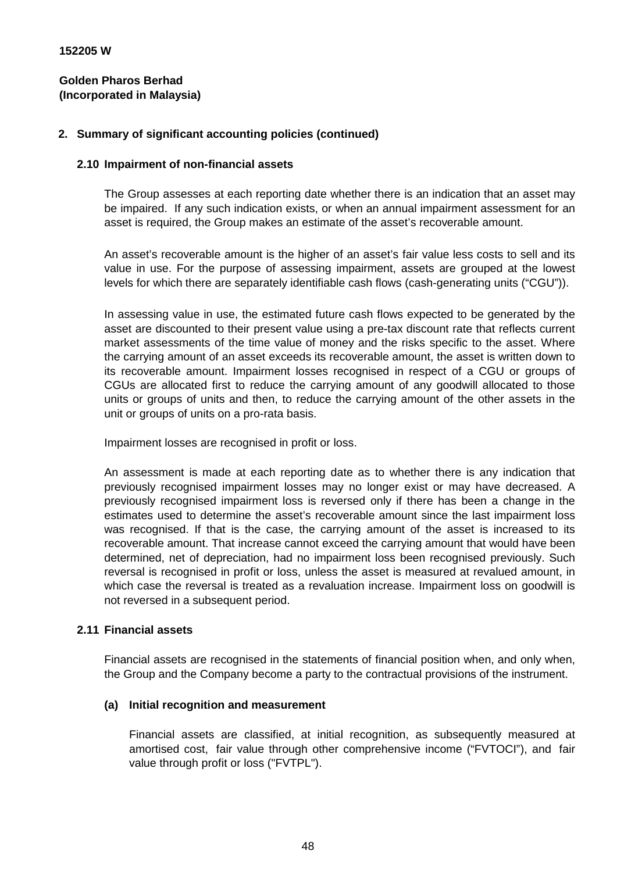## **2. Summary of significant accounting policies (continued)**

#### **2.10 Impairment of non-financial assets**

The Group assesses at each reporting date whether there is an indication that an asset may be impaired. If any such indication exists, or when an annual impairment assessment for an asset is required, the Group makes an estimate of the asset's recoverable amount.

An asset's recoverable amount is the higher of an asset's fair value less costs to sell and its value in use. For the purpose of assessing impairment, assets are grouped at the lowest levels for which there are separately identifiable cash flows (cash-generating units ("CGU")).

In assessing value in use, the estimated future cash flows expected to be generated by the asset are discounted to their present value using a pre-tax discount rate that reflects current market assessments of the time value of money and the risks specific to the asset. Where the carrying amount of an asset exceeds its recoverable amount, the asset is written down to its recoverable amount. Impairment losses recognised in respect of a CGU or groups of CGUs are allocated first to reduce the carrying amount of any goodwill allocated to those units or groups of units and then, to reduce the carrying amount of the other assets in the unit or groups of units on a pro-rata basis.

Impairment losses are recognised in profit or loss.

An assessment is made at each reporting date as to whether there is any indication that previously recognised impairment losses may no longer exist or may have decreased. A previously recognised impairment loss is reversed only if there has been a change in the estimates used to determine the asset's recoverable amount since the last impairment loss was recognised. If that is the case, the carrying amount of the asset is increased to its recoverable amount. That increase cannot exceed the carrying amount that would have been determined, net of depreciation, had no impairment loss been recognised previously. Such reversal is recognised in profit or loss, unless the asset is measured at revalued amount, in which case the reversal is treated as a revaluation increase. Impairment loss on goodwill is not reversed in a subsequent period.

#### **2.11 Financial assets**

Financial assets are recognised in the statements of financial position when, and only when, the Group and the Company become a party to the contractual provisions of the instrument.

#### **(a) Initial recognition and measurement**

Financial assets are classified, at initial recognition, as subsequently measured at amortised cost, fair value through other comprehensive income ("FVTOCI"), and fair value through profit or loss ("FVTPL").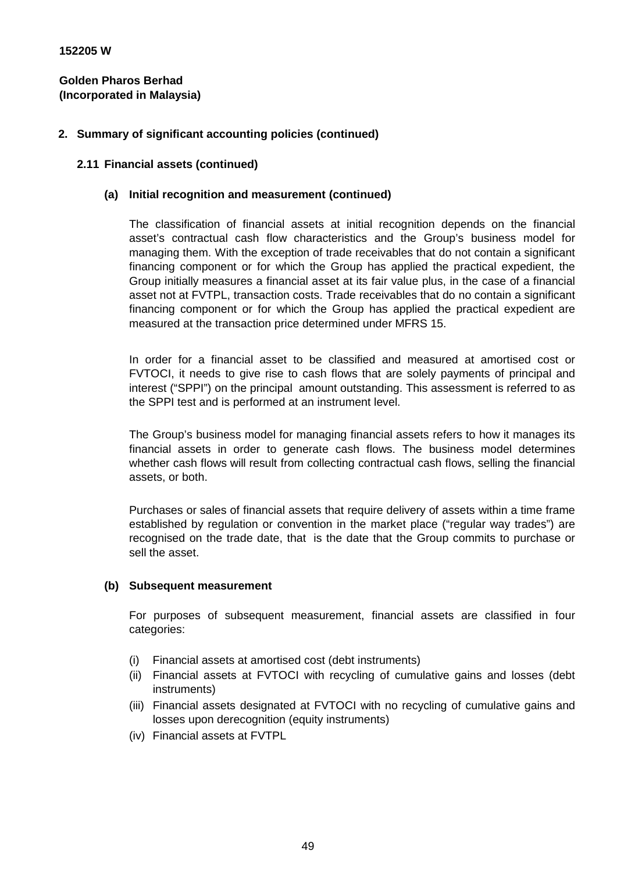## **2. Summary of significant accounting policies (continued)**

#### **2.11 Financial assets (continued)**

#### **(a) Initial recognition and measurement (continued)**

The classification of financial assets at initial recognition depends on the financial asset's contractual cash flow characteristics and the Group's business model for managing them. With the exception of trade receivables that do not contain a significant financing component or for which the Group has applied the practical expedient, the Group initially measures a financial asset at its fair value plus, in the case of a financial asset not at FVTPL, transaction costs. Trade receivables that do no contain a significant financing component or for which the Group has applied the practical expedient are measured at the transaction price determined under MFRS 15.

In order for a financial asset to be classified and measured at amortised cost or FVTOCI, it needs to give rise to cash flows that are solely payments of principal and interest ("SPPI") on the principal amount outstanding. This assessment is referred to as the SPPI test and is performed at an instrument level.

The Group's business model for managing financial assets refers to how it manages its financial assets in order to generate cash flows. The business model determines whether cash flows will result from collecting contractual cash flows, selling the financial assets, or both.

Purchases or sales of financial assets that require delivery of assets within a time frame established by regulation or convention in the market place ("regular way trades") are recognised on the trade date, that is the date that the Group commits to purchase or sell the asset.

#### **(b) Subsequent measurement**

For purposes of subsequent measurement, financial assets are classified in four categories:

- (i) Financial assets at amortised cost (debt instruments)
- (ii) Financial assets at FVTOCI with recycling of cumulative gains and losses (debt instruments)
- (iii) Financial assets designated at FVTOCI with no recycling of cumulative gains and losses upon derecognition (equity instruments)
- (iv) Financial assets at FVTPL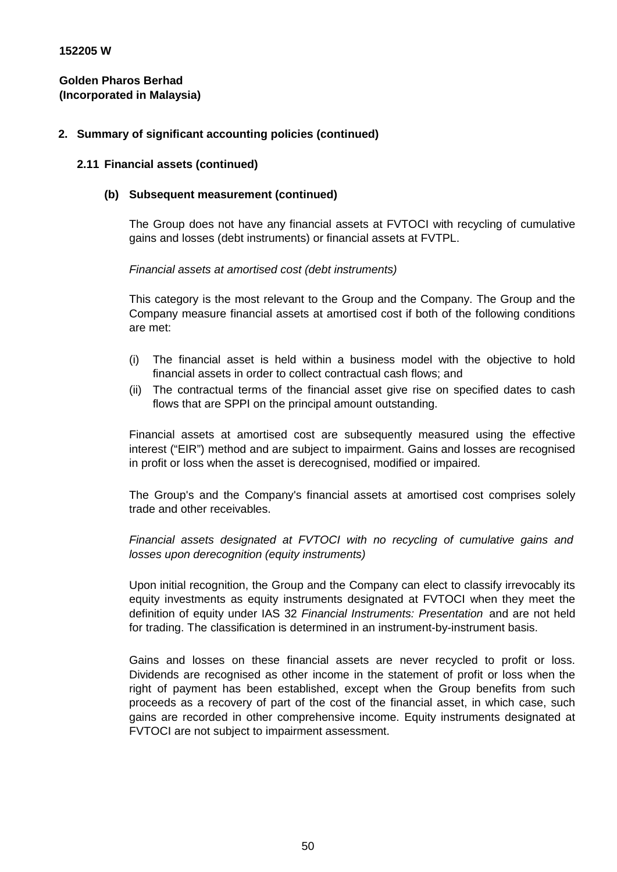## **2. Summary of significant accounting policies (continued)**

#### **2.11 Financial assets (continued)**

#### **(b) Subsequent measurement (continued)**

The Group does not have any financial assets at FVTOCI with recycling of cumulative gains and losses (debt instruments) or financial assets at FVTPL.

*Financial assets at amortised cost (debt instruments)*

This category is the most relevant to the Group and the Company. The Group and the Company measure financial assets at amortised cost if both of the following conditions are met:

- (i) The financial asset is held within a business model with the objective to hold financial assets in order to collect contractual cash flows; and
- (ii) The contractual terms of the financial asset give rise on specified dates to cash flows that are SPPI on the principal amount outstanding.

Financial assets at amortised cost are subsequently measured using the effective interest ("EIR") method and are subject to impairment. Gains and losses are recognised in profit or loss when the asset is derecognised, modified or impaired.

The Group's and the Company's financial assets at amortised cost comprises solely trade and other receivables.

*Financial assets designated at FVTOCI with no recycling of cumulative gains and losses upon derecognition (equity instruments)*

Upon initial recognition, the Group and the Company can elect to classify irrevocably its equity investments as equity instruments designated at FVTOCI when they meet the definition of equity under IAS 32 *Financial Instruments: Presentation* and are not held for trading. The classification is determined in an instrument-by-instrument basis.

Gains and losses on these financial assets are never recycled to profit or loss. Dividends are recognised as other income in the statement of profit or loss when the right of payment has been established, except when the Group benefits from such proceeds as a recovery of part of the cost of the financial asset, in which case, such gains are recorded in other comprehensive income. Equity instruments designated at FVTOCI are not subject to impairment assessment.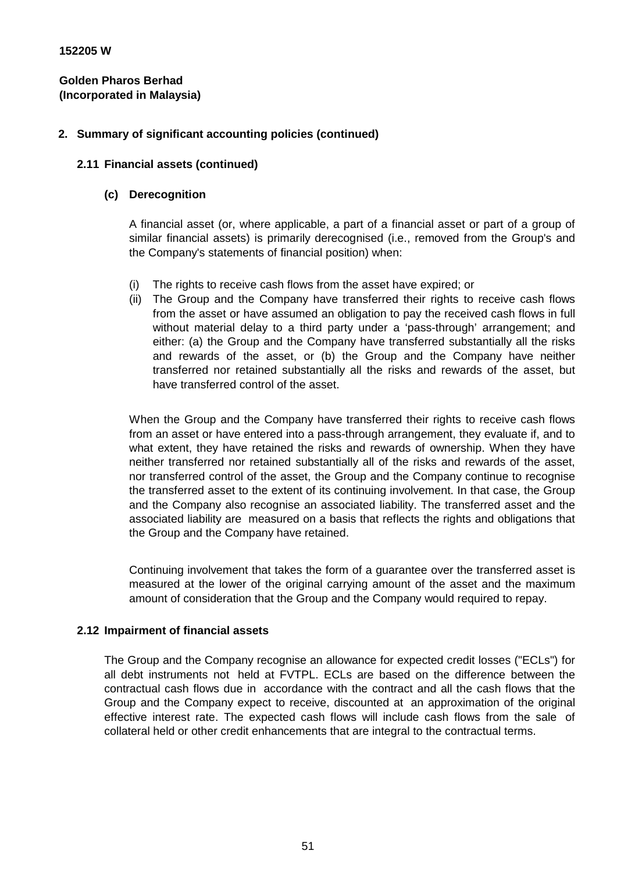## **2. Summary of significant accounting policies (continued)**

## **2.11 Financial assets (continued)**

## **(c) Derecognition**

A financial asset (or, where applicable, a part of a financial asset or part of a group of similar financial assets) is primarily derecognised (i.e., removed from the Group's and the Company's statements of financial position) when:

- (i) The rights to receive cash flows from the asset have expired; or
- (ii) The Group and the Company have transferred their rights to receive cash flows from the asset or have assumed an obligation to pay the received cash flows in full without material delay to a third party under a 'pass-through' arrangement; and either: (a) the Group and the Company have transferred substantially all the risks and rewards of the asset, or (b) the Group and the Company have neither transferred nor retained substantially all the risks and rewards of the asset, but have transferred control of the asset.

When the Group and the Company have transferred their rights to receive cash flows from an asset or have entered into a pass-through arrangement, they evaluate if, and to what extent, they have retained the risks and rewards of ownership. When they have neither transferred nor retained substantially all of the risks and rewards of the asset, nor transferred control of the asset, the Group and the Company continue to recognise the transferred asset to the extent of its continuing involvement. In that case, the Group and the Company also recognise an associated liability. The transferred asset and the associated liability are measured on a basis that reflects the rights and obligations that the Group and the Company have retained.

Continuing involvement that takes the form of a guarantee over the transferred asset is measured at the lower of the original carrying amount of the asset and the maximum amount of consideration that the Group and the Company would required to repay.

#### **2.12 Impairment of financial assets**

The Group and the Company recognise an allowance for expected credit losses ("ECLs") for all debt instruments not held at FVTPL. ECLs are based on the difference between the contractual cash flows due in accordance with the contract and all the cash flows that the Group and the Company expect to receive, discounted at an approximation of the original effective interest rate. The expected cash flows will include cash flows from the sale of collateral held or other credit enhancements that are integral to the contractual terms.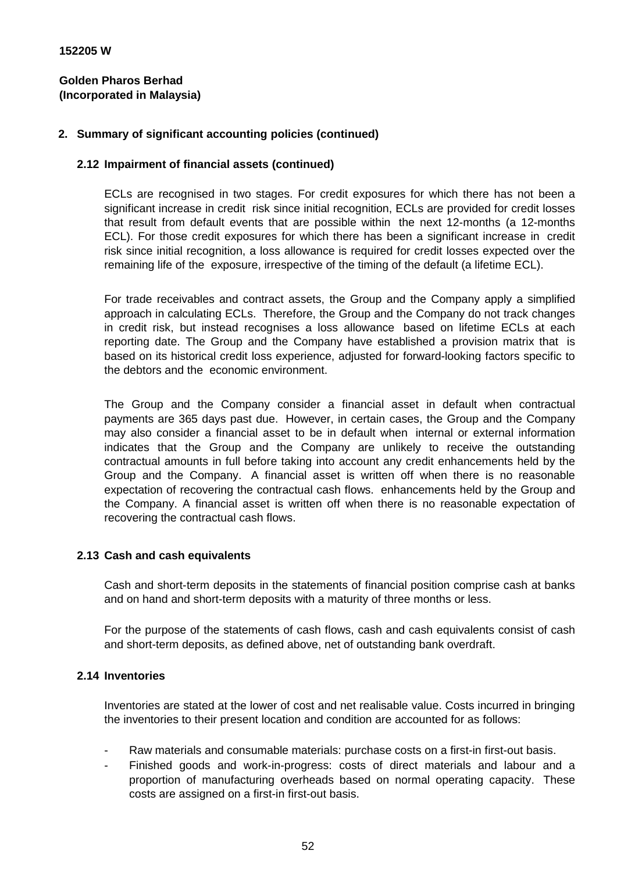## **2. Summary of significant accounting policies (continued)**

#### **2.12 Impairment of financial assets (continued)**

ECLs are recognised in two stages. For credit exposures for which there has not been a significant increase in credit risk since initial recognition, ECLs are provided for credit losses that result from default events that are possible within the next 12-months (a 12-months ECL). For those credit exposures for which there has been a significant increase in credit risk since initial recognition, a loss allowance is required for credit losses expected over the remaining life of the exposure, irrespective of the timing of the default (a lifetime ECL).

For trade receivables and contract assets, the Group and the Company apply a simplified approach in calculating ECLs. Therefore, the Group and the Company do not track changes in credit risk, but instead recognises a loss allowance based on lifetime ECLs at each reporting date. The Group and the Company have established a provision matrix that is based on its historical credit loss experience, adjusted for forward-looking factors specific to the debtors and the economic environment.

The Group and the Company consider a financial asset in default when contractual payments are 365 days past due. However, in certain cases, the Group and the Company may also consider a financial asset to be in default when internal or external information indicates that the Group and the Company are unlikely to receive the outstanding contractual amounts in full before taking into account any credit enhancements held by the Group and the Company. A financial asset is written off when there is no reasonable expectation of recovering the contractual cash flows. enhancements held by the Group and the Company. A financial asset is written off when there is no reasonable expectation of recovering the contractual cash flows.

#### **2.13 Cash and cash equivalents**

Cash and short-term deposits in the statements of financial position comprise cash at banks and on hand and short-term deposits with a maturity of three months or less.

For the purpose of the statements of cash flows, cash and cash equivalents consist of cash and short-term deposits, as defined above, net of outstanding bank overdraft.

## **2.14 Inventories**

Inventories are stated at the lower of cost and net realisable value. Costs incurred in bringing the inventories to their present location and condition are accounted for as follows:

- Raw materials and consumable materials: purchase costs on a first-in first-out basis.
- Finished goods and work-in-progress: costs of direct materials and labour and a proportion of manufacturing overheads based on normal operating capacity. These costs are assigned on a first-in first-out basis.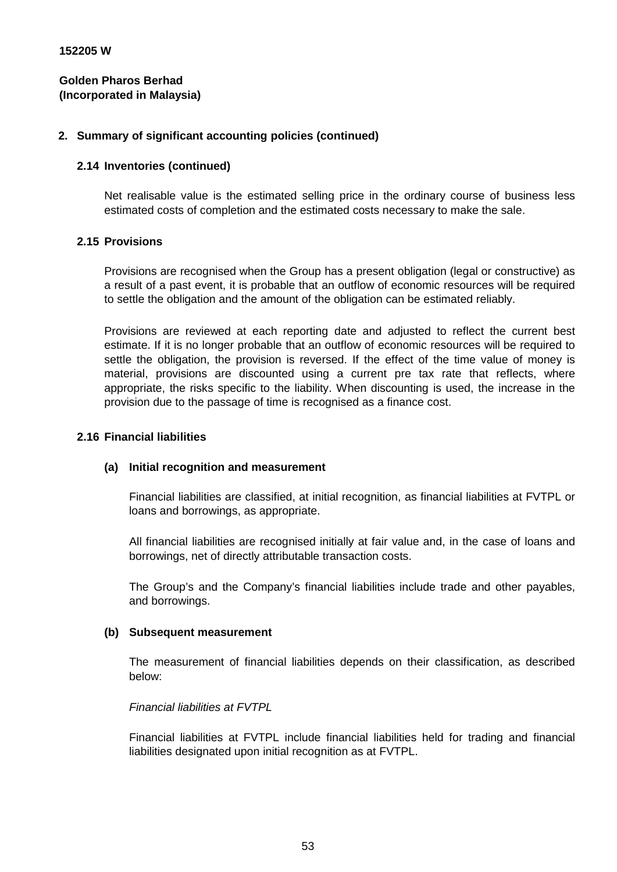## **2. Summary of significant accounting policies (continued)**

## **2.14 Inventories (continued)**

Net realisable value is the estimated selling price in the ordinary course of business less estimated costs of completion and the estimated costs necessary to make the sale.

#### **2.15 Provisions**

Provisions are recognised when the Group has a present obligation (legal or constructive) as a result of a past event, it is probable that an outflow of economic resources will be required to settle the obligation and the amount of the obligation can be estimated reliably.

Provisions are reviewed at each reporting date and adjusted to reflect the current best estimate. If it is no longer probable that an outflow of economic resources will be required to settle the obligation, the provision is reversed. If the effect of the time value of money is material, provisions are discounted using a current pre tax rate that reflects, where appropriate, the risks specific to the liability. When discounting is used, the increase in the provision due to the passage of time is recognised as a finance cost.

#### **2.16 Financial liabilities**

#### **(a) Initial recognition and measurement**

Financial liabilities are classified, at initial recognition, as financial liabilities at FVTPL or loans and borrowings, as appropriate.

All financial liabilities are recognised initially at fair value and, in the case of loans and borrowings, net of directly attributable transaction costs.

The Group's and the Company's financial liabilities include trade and other payables, and borrowings.

#### **(b) Subsequent measurement**

The measurement of financial liabilities depends on their classification, as described below:

#### *Financial liabilities at FVTPL*

Financial liabilities at FVTPL include financial liabilities held for trading and financial liabilities designated upon initial recognition as at FVTPL.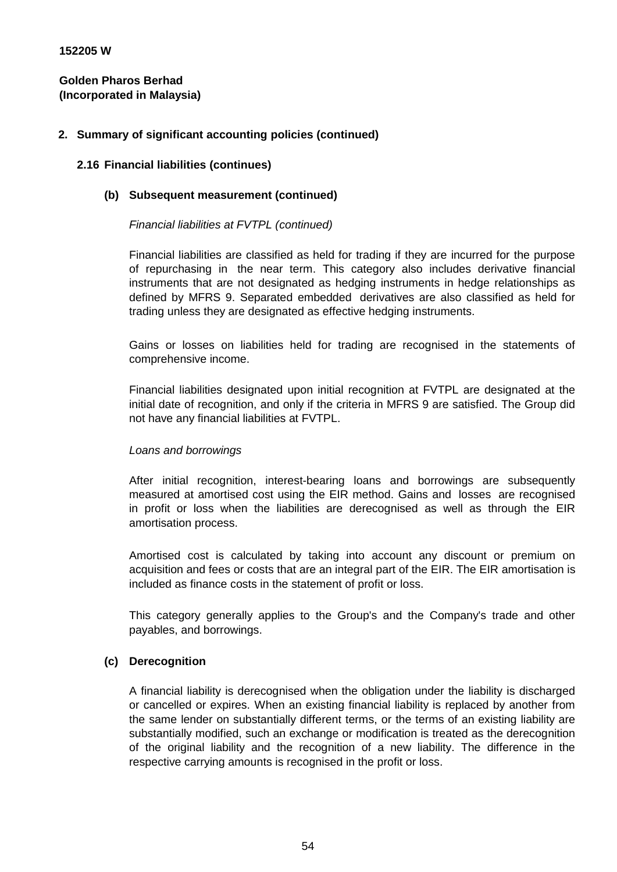## **2. Summary of significant accounting policies (continued)**

## **2.16 Financial liabilities (continues)**

## **(b) Subsequent measurement (continued)**

#### *Financial liabilities at FVTPL (continued)*

Financial liabilities are classified as held for trading if they are incurred for the purpose of repurchasing in the near term. This category also includes derivative financial instruments that are not designated as hedging instruments in hedge relationships as defined by MFRS 9. Separated embedded derivatives are also classified as held for trading unless they are designated as effective hedging instruments.

Gains or losses on liabilities held for trading are recognised in the statements of comprehensive income.

Financial liabilities designated upon initial recognition at FVTPL are designated at the initial date of recognition, and only if the criteria in MFRS 9 are satisfied. The Group did not have any financial liabilities at FVTPL.

#### *Loans and borrowings*

After initial recognition, interest-bearing loans and borrowings are subsequently measured at amortised cost using the EIR method. Gains and losses are recognised in profit or loss when the liabilities are derecognised as well as through the EIR amortisation process.

Amortised cost is calculated by taking into account any discount or premium on acquisition and fees or costs that are an integral part of the EIR. The EIR amortisation is included as finance costs in the statement of profit or loss.

This category generally applies to the Group's and the Company's trade and other payables, and borrowings.

#### **(c) Derecognition**

A financial liability is derecognised when the obligation under the liability is discharged or cancelled or expires. When an existing financial liability is replaced by another from the same lender on substantially different terms, or the terms of an existing liability are substantially modified, such an exchange or modification is treated as the derecognition of the original liability and the recognition of a new liability. The difference in the respective carrying amounts is recognised in the profit or loss.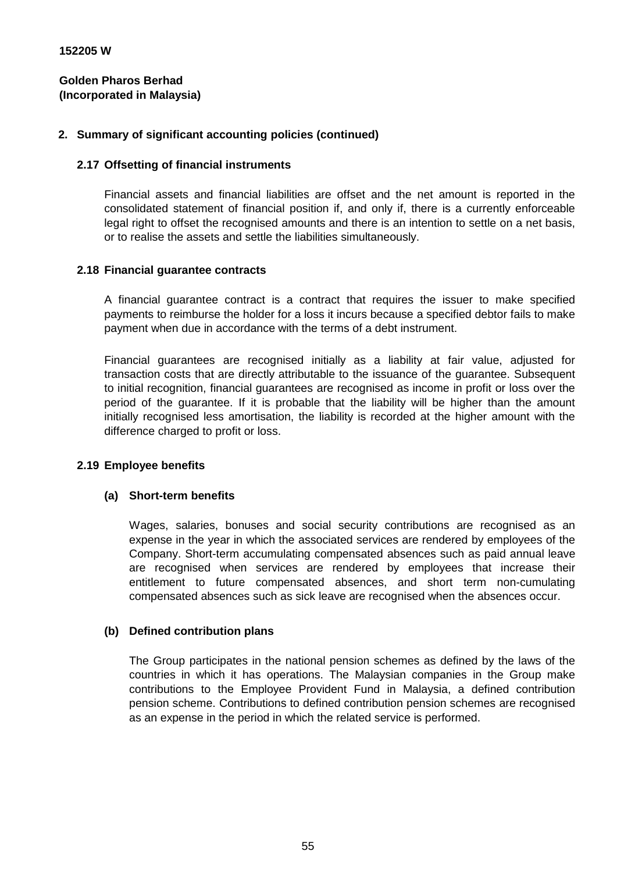#### **2. Summary of significant accounting policies (continued)**

#### **2.17 Offsetting of financial instruments**

Financial assets and financial liabilities are offset and the net amount is reported in the consolidated statement of financial position if, and only if, there is a currently enforceable legal right to offset the recognised amounts and there is an intention to settle on a net basis, or to realise the assets and settle the liabilities simultaneously.

## **2.18 Financial guarantee contracts**

A financial guarantee contract is a contract that requires the issuer to make specified payments to reimburse the holder for a loss it incurs because a specified debtor fails to make payment when due in accordance with the terms of a debt instrument.

Financial guarantees are recognised initially as a liability at fair value, adjusted for transaction costs that are directly attributable to the issuance of the guarantee. Subsequent to initial recognition, financial guarantees are recognised as income in profit or loss over the period of the guarantee. If it is probable that the liability will be higher than the amount initially recognised less amortisation, the liability is recorded at the higher amount with the difference charged to profit or loss.

#### **2.19 Employee benefits**

#### **(a) Short-term benefits**

Wages, salaries, bonuses and social security contributions are recognised as an expense in the year in which the associated services are rendered by employees of the Company. Short-term accumulating compensated absences such as paid annual leave are recognised when services are rendered by employees that increase their entitlement to future compensated absences, and short term non-cumulating compensated absences such as sick leave are recognised when the absences occur.

#### **(b) Defined contribution plans**

The Group participates in the national pension schemes as defined by the laws of the countries in which it has operations. The Malaysian companies in the Group make contributions to the Employee Provident Fund in Malaysia, a defined contribution pension scheme. Contributions to defined contribution pension schemes are recognised as an expense in the period in which the related service is performed.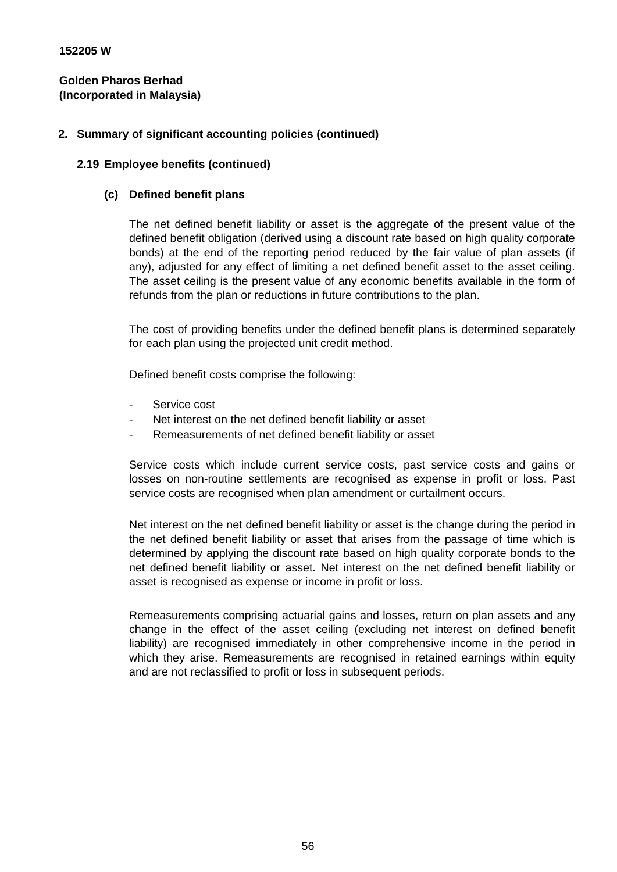## **2. Summary of significant accounting policies (continued)**

## **2.19 Employee benefits (continued)**

#### **(c) Defined benefit plans**

The net defined benefit liability or asset is the aggregate of the present value of the defined benefit obligation (derived using a discount rate based on high quality corporate bonds) at the end of the reporting period reduced by the fair value of plan assets (if any), adjusted for any effect of limiting a net defined benefit asset to the asset ceiling. The asset ceiling is the present value of any economic benefits available in the form of refunds from the plan or reductions in future contributions to the plan.

The cost of providing benefits under the defined benefit plans is determined separately for each plan using the projected unit credit method.

Defined benefit costs comprise the following:

- Service cost
- Net interest on the net defined benefit liability or asset
- Remeasurements of net defined benefit liability or asset

Service costs which include current service costs, past service costs and gains or losses on non-routine settlements are recognised as expense in profit or loss. Past service costs are recognised when plan amendment or curtailment occurs.

Net interest on the net defined benefit liability or asset is the change during the period in the net defined benefit liability or asset that arises from the passage of time which is determined by applying the discount rate based on high quality corporate bonds to the net defined benefit liability or asset. Net interest on the net defined benefit liability or asset is recognised as expense or income in profit or loss.

Remeasurements comprising actuarial gains and losses, return on plan assets and any change in the effect of the asset ceiling (excluding net interest on defined benefit liability) are recognised immediately in other comprehensive income in the period in which they arise. Remeasurements are recognised in retained earnings within equity and are not reclassified to profit or loss in subsequent periods.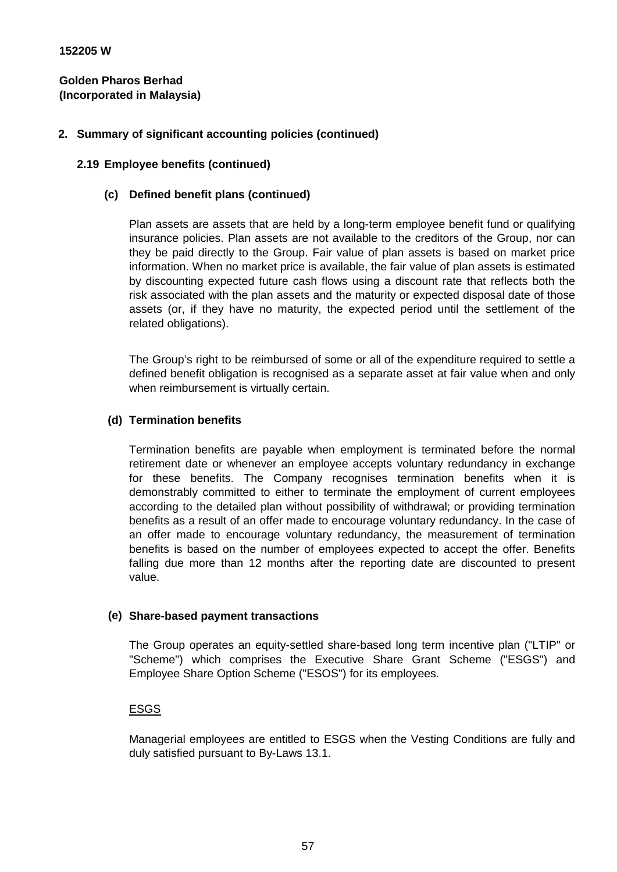## **2. Summary of significant accounting policies (continued)**

#### **2.19 Employee benefits (continued)**

#### **(c) Defined benefit plans (continued)**

Plan assets are assets that are held by a long-term employee benefit fund or qualifying insurance policies. Plan assets are not available to the creditors of the Group, nor can they be paid directly to the Group. Fair value of plan assets is based on market price information. When no market price is available, the fair value of plan assets is estimated by discounting expected future cash flows using a discount rate that reflects both the risk associated with the plan assets and the maturity or expected disposal date of those assets (or, if they have no maturity, the expected period until the settlement of the related obligations).

The Group's right to be reimbursed of some or all of the expenditure required to settle a defined benefit obligation is recognised as a separate asset at fair value when and only when reimbursement is virtually certain.

#### **(d) Termination benefits**

Termination benefits are payable when employment is terminated before the normal retirement date or whenever an employee accepts voluntary redundancy in exchange for these benefits. The Company recognises termination benefits when it is demonstrably committed to either to terminate the employment of current employees according to the detailed plan without possibility of withdrawal; or providing termination benefits as a result of an offer made to encourage voluntary redundancy. In the case of an offer made to encourage voluntary redundancy, the measurement of termination benefits is based on the number of employees expected to accept the offer. Benefits falling due more than 12 months after the reporting date are discounted to present value.

#### **(e) Share-based payment transactions**

The Group operates an equity-settled share-based long term incentive plan ("LTIP" or "Scheme") which comprises the Executive Share Grant Scheme ("ESGS") and Employee Share Option Scheme ("ESOS") for its employees.

#### ESGS

Managerial employees are entitled to ESGS when the Vesting Conditions are fully and duly satisfied pursuant to By-Laws 13.1.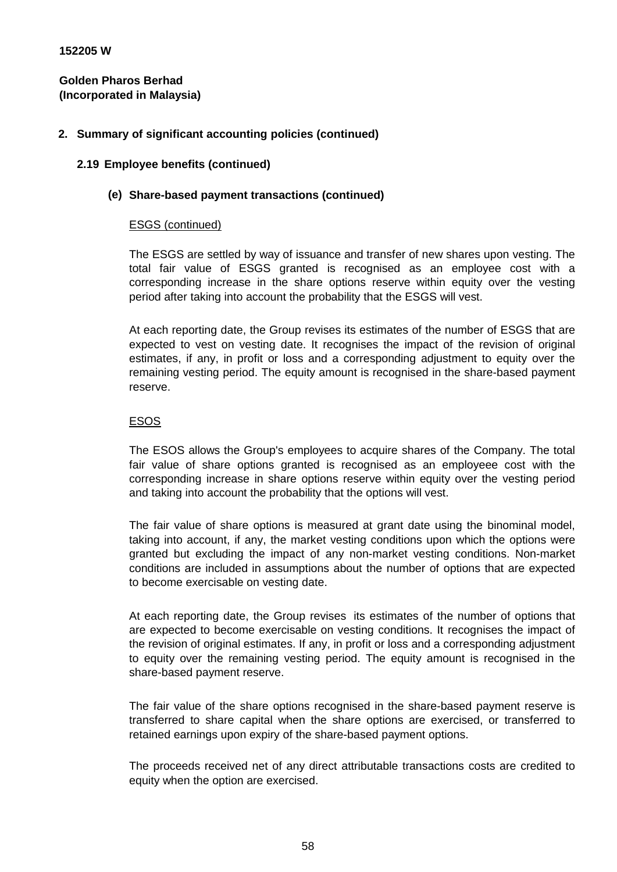## **2. Summary of significant accounting policies (continued)**

#### **2.19 Employee benefits (continued)**

#### **(e) Share-based payment transactions (continued)**

#### ESGS (continued)

The ESGS are settled by way of issuance and transfer of new shares upon vesting. The total fair value of ESGS granted is recognised as an employee cost with a corresponding increase in the share options reserve within equity over the vesting period after taking into account the probability that the ESGS will vest.

At each reporting date, the Group revises its estimates of the number of ESGS that are expected to vest on vesting date. It recognises the impact of the revision of original estimates, if any, in profit or loss and a corresponding adjustment to equity over the remaining vesting period. The equity amount is recognised in the share-based payment reserve.

#### ESOS

The ESOS allows the Group's employees to acquire shares of the Company. The total fair value of share options granted is recognised as an employeee cost with the corresponding increase in share options reserve within equity over the vesting period and taking into account the probability that the options will vest.

The fair value of share options is measured at grant date using the binominal model, taking into account, if any, the market vesting conditions upon which the options were granted but excluding the impact of any non-market vesting conditions. Non-market conditions are included in assumptions about the number of options that are expected to become exercisable on vesting date.

At each reporting date, the Group revises its estimates of the number of options that are expected to become exercisable on vesting conditions. It recognises the impact of the revision of original estimates. If any, in profit or loss and a corresponding adjustment to equity over the remaining vesting period. The equity amount is recognised in the share-based payment reserve.

The fair value of the share options recognised in the share-based payment reserve is transferred to share capital when the share options are exercised, or transferred to retained earnings upon expiry of the share-based payment options.

The proceeds received net of any direct attributable transactions costs are credited to equity when the option are exercised.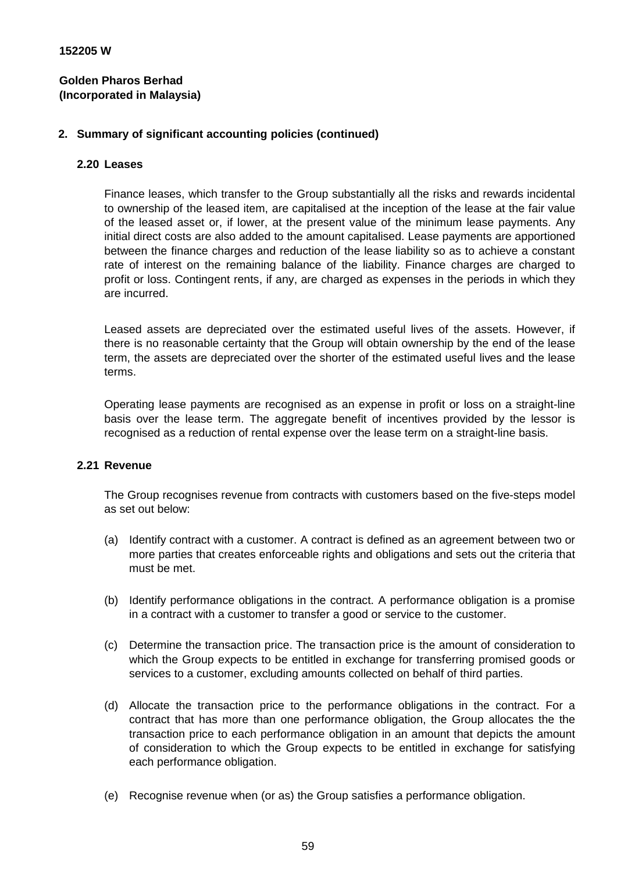## **2. Summary of significant accounting policies (continued)**

#### **2.20 Leases**

Finance leases, which transfer to the Group substantially all the risks and rewards incidental to ownership of the leased item, are capitalised at the inception of the lease at the fair value of the leased asset or, if lower, at the present value of the minimum lease payments. Any initial direct costs are also added to the amount capitalised. Lease payments are apportioned between the finance charges and reduction of the lease liability so as to achieve a constant rate of interest on the remaining balance of the liability. Finance charges are charged to profit or loss. Contingent rents, if any, are charged as expenses in the periods in which they are incurred.

Leased assets are depreciated over the estimated useful lives of the assets. However, if there is no reasonable certainty that the Group will obtain ownership by the end of the lease term, the assets are depreciated over the shorter of the estimated useful lives and the lease terms.

Operating lease payments are recognised as an expense in profit or loss on a straight-line basis over the lease term. The aggregate benefit of incentives provided by the lessor is recognised as a reduction of rental expense over the lease term on a straight-line basis.

#### **2.21 Revenue**

The Group recognises revenue from contracts with customers based on the five-steps model as set out below:

- (a) Identify contract with a customer. A contract is defined as an agreement between two or more parties that creates enforceable rights and obligations and sets out the criteria that must be met.
- (b) Identify performance obligations in the contract. A performance obligation is a promise in a contract with a customer to transfer a good or service to the customer.
- (c) Determine the transaction price. The transaction price is the amount of consideration to which the Group expects to be entitled in exchange for transferring promised goods or services to a customer, excluding amounts collected on behalf of third parties.
- (d) Allocate the transaction price to the performance obligations in the contract. For a contract that has more than one performance obligation, the Group allocates the the transaction price to each performance obligation in an amount that depicts the amount of consideration to which the Group expects to be entitled in exchange for satisfying each performance obligation.
- (e) Recognise revenue when (or as) the Group satisfies a performance obligation.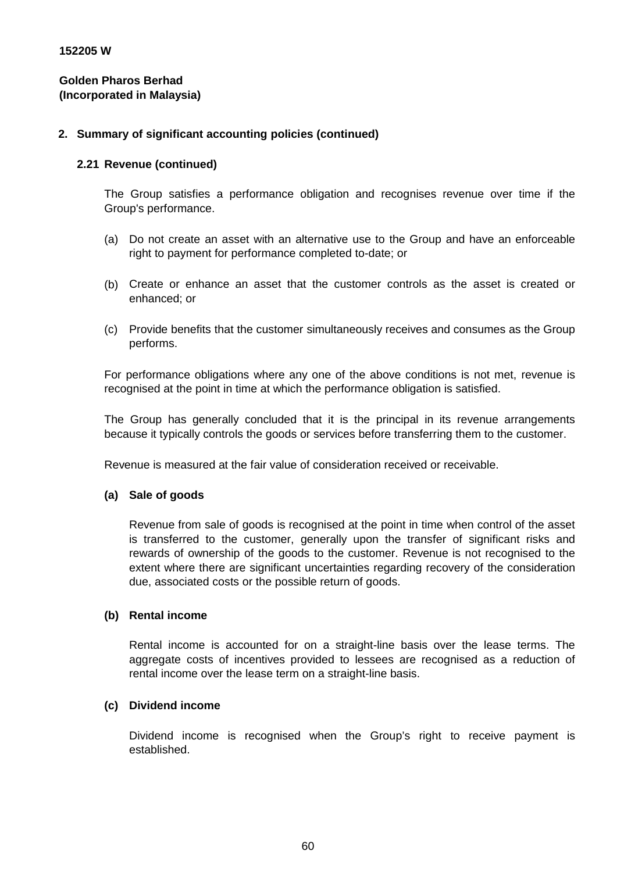## **2. Summary of significant accounting policies (continued)**

#### **2.21 Revenue (continued)**

The Group satisfies a performance obligation and recognises revenue over time if the Group's performance.

- (a) Do not create an asset with an alternative use to the Group and have an enforceable right to payment for performance completed to-date; or
- (b) Create or enhance an asset that the customer controls as the asset is created or enhanced; or
- (c) Provide benefits that the customer simultaneously receives and consumes as the Group performs.

For performance obligations where any one of the above conditions is not met, revenue is recognised at the point in time at which the performance obligation is satisfied.

The Group has generally concluded that it is the principal in its revenue arrangements because it typically controls the goods or services before transferring them to the customer.

Revenue is measured at the fair value of consideration received or receivable.

#### **(a) Sale of goods**

Revenue from sale of goods is recognised at the point in time when control of the asset is transferred to the customer, generally upon the transfer of significant risks and rewards of ownership of the goods to the customer. Revenue is not recognised to the extent where there are significant uncertainties regarding recovery of the consideration due, associated costs or the possible return of goods.

#### **(b) Rental income**

Rental income is accounted for on a straight-line basis over the lease terms. The aggregate costs of incentives provided to lessees are recognised as a reduction of rental income over the lease term on a straight-line basis.

#### **(c) Dividend income**

Dividend income is recognised when the Group's right to receive payment is established.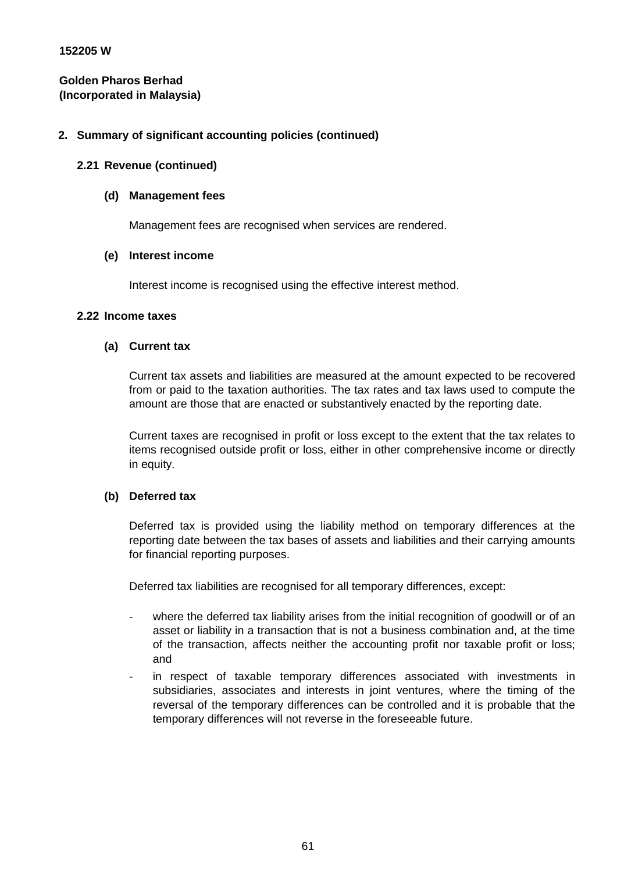## **2. Summary of significant accounting policies (continued)**

## **2.21 Revenue (continued)**

## **(d) Management fees**

Management fees are recognised when services are rendered.

#### **(e) Interest income**

Interest income is recognised using the effective interest method.

## **2.22 Income taxes**

#### **(a) Current tax**

Current tax assets and liabilities are measured at the amount expected to be recovered from or paid to the taxation authorities. The tax rates and tax laws used to compute the amount are those that are enacted or substantively enacted by the reporting date.

Current taxes are recognised in profit or loss except to the extent that the tax relates to items recognised outside profit or loss, either in other comprehensive income or directly in equity.

#### **(b) Deferred tax**

Deferred tax is provided using the liability method on temporary differences at the reporting date between the tax bases of assets and liabilities and their carrying amounts for financial reporting purposes.

Deferred tax liabilities are recognised for all temporary differences, except:

- where the deferred tax liability arises from the initial recognition of goodwill or of an asset or liability in a transaction that is not a business combination and, at the time of the transaction, affects neither the accounting profit nor taxable profit or loss; and
- in respect of taxable temporary differences associated with investments in subsidiaries, associates and interests in joint ventures, where the timing of the reversal of the temporary differences can be controlled and it is probable that the temporary differences will not reverse in the foreseeable future.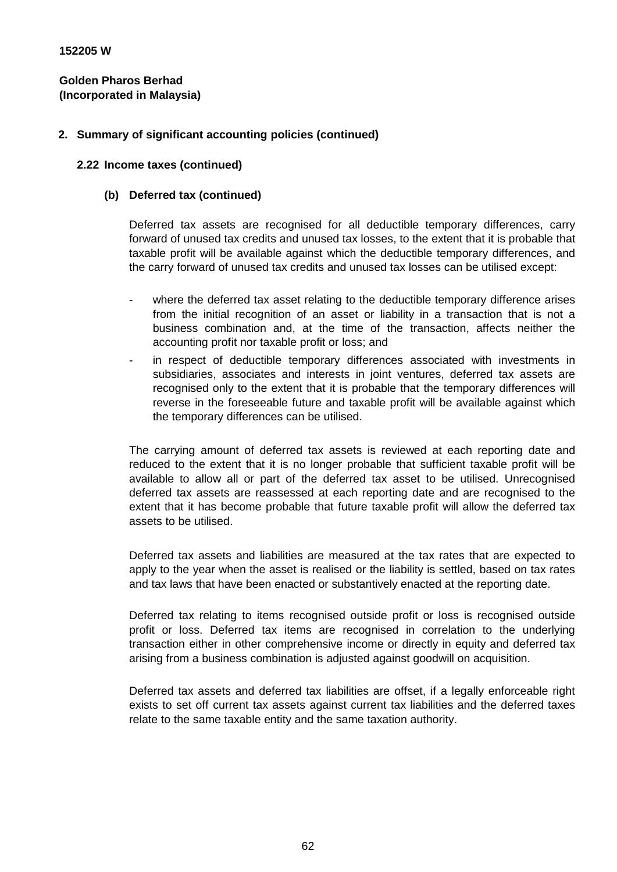## **2. Summary of significant accounting policies (continued)**

#### **2.22 Income taxes (continued)**

## **(b) Deferred tax (continued)**

Deferred tax assets are recognised for all deductible temporary differences, carry forward of unused tax credits and unused tax losses, to the extent that it is probable that taxable profit will be available against which the deductible temporary differences, and the carry forward of unused tax credits and unused tax losses can be utilised except:

- where the deferred tax asset relating to the deductible temporary difference arises from the initial recognition of an asset or liability in a transaction that is not a business combination and, at the time of the transaction, affects neither the accounting profit nor taxable profit or loss; and
- in respect of deductible temporary differences associated with investments in subsidiaries, associates and interests in joint ventures, deferred tax assets are recognised only to the extent that it is probable that the temporary differences will reverse in the foreseeable future and taxable profit will be available against which the temporary differences can be utilised.

The carrying amount of deferred tax assets is reviewed at each reporting date and reduced to the extent that it is no longer probable that sufficient taxable profit will be available to allow all or part of the deferred tax asset to be utilised. Unrecognised deferred tax assets are reassessed at each reporting date and are recognised to the extent that it has become probable that future taxable profit will allow the deferred tax assets to be utilised.

Deferred tax assets and liabilities are measured at the tax rates that are expected to apply to the year when the asset is realised or the liability is settled, based on tax rates and tax laws that have been enacted or substantively enacted at the reporting date.

Deferred tax relating to items recognised outside profit or loss is recognised outside profit or loss. Deferred tax items are recognised in correlation to the underlying transaction either in other comprehensive income or directly in equity and deferred tax arising from a business combination is adjusted against goodwill on acquisition.

Deferred tax assets and deferred tax liabilities are offset, if a legally enforceable right exists to set off current tax assets against current tax liabilities and the deferred taxes relate to the same taxable entity and the same taxation authority.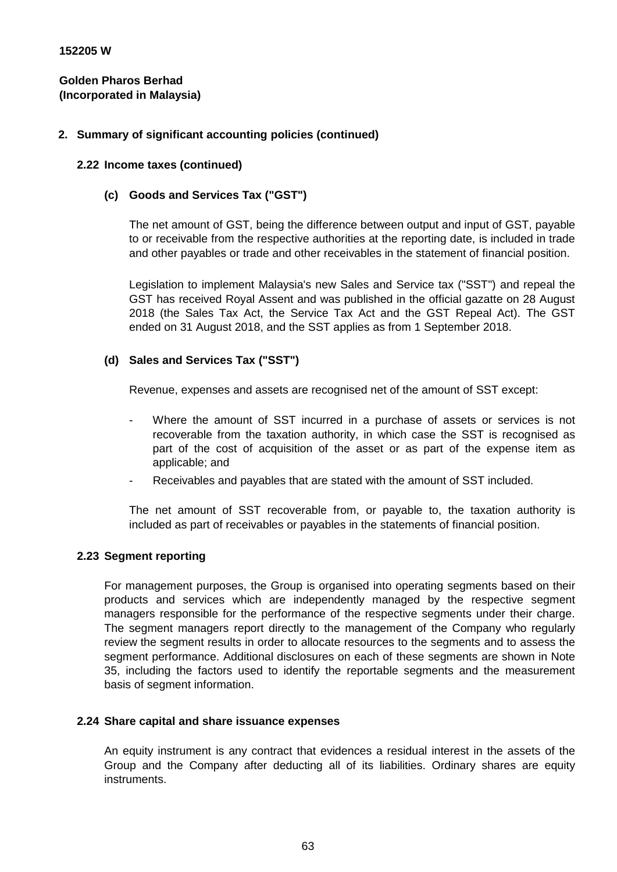## **2. Summary of significant accounting policies (continued)**

## **2.22 Income taxes (continued)**

## **(c) Goods and Services Tax ("GST")**

The net amount of GST, being the difference between output and input of GST, payable to or receivable from the respective authorities at the reporting date, is included in trade and other payables or trade and other receivables in the statement of financial position.

Legislation to implement Malaysia's new Sales and Service tax ("SST") and repeal the GST has received Royal Assent and was published in the official gazatte on 28 August 2018 (the Sales Tax Act, the Service Tax Act and the GST Repeal Act). The GST ended on 31 August 2018, and the SST applies as from 1 September 2018.

## **(d) Sales and Services Tax ("SST")**

Revenue, expenses and assets are recognised net of the amount of SST except:

- Where the amount of SST incurred in a purchase of assets or services is not recoverable from the taxation authority, in which case the SST is recognised as part of the cost of acquisition of the asset or as part of the expense item as applicable; and
- Receivables and payables that are stated with the amount of SST included.

The net amount of SST recoverable from, or payable to, the taxation authority is included as part of receivables or payables in the statements of financial position.

#### **2.23 Segment reporting**

For management purposes, the Group is organised into operating segments based on their products and services which are independently managed by the respective segment managers responsible for the performance of the respective segments under their charge. The segment managers report directly to the management of the Company who regularly review the segment results in order to allocate resources to the segments and to assess the segment performance. Additional disclosures on each of these segments are shown in Note 35, including the factors used to identify the reportable segments and the measurement basis of segment information.

#### **2.24 Share capital and share issuance expenses**

An equity instrument is any contract that evidences a residual interest in the assets of the Group and the Company after deducting all of its liabilities. Ordinary shares are equity instruments.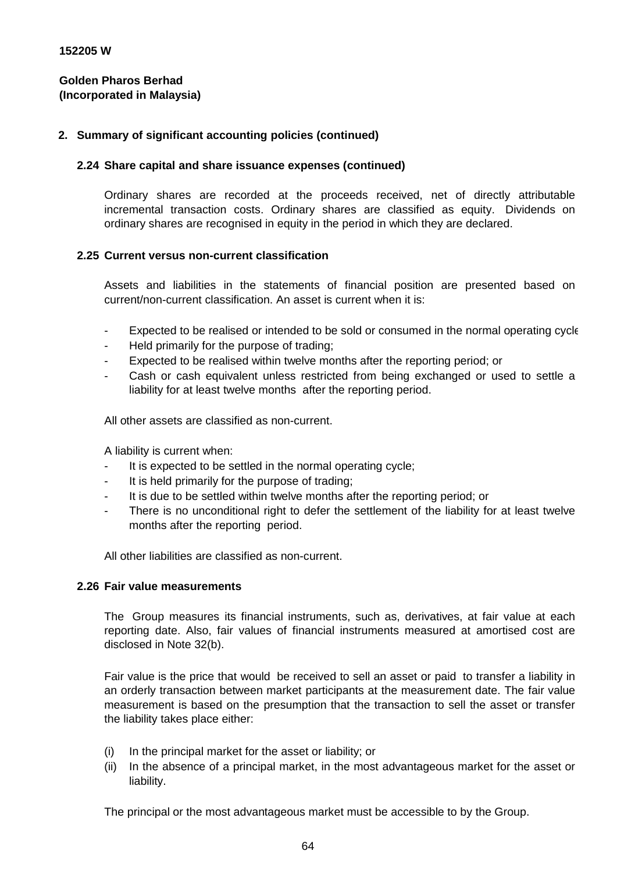#### **2. Summary of significant accounting policies (continued)**

#### **2.24 Share capital and share issuance expenses (continued)**

Ordinary shares are recorded at the proceeds received, net of directly attributable incremental transaction costs. Ordinary shares are classified as equity. Dividends on ordinary shares are recognised in equity in the period in which they are declared.

#### **2.25 Current versus non-current classification**

Assets and liabilities in the statements of financial position are presented based on current/non-current classification. An asset is current when it is:

- Expected to be realised or intended to be sold or consumed in the normal operating cycle
- Held primarily for the purpose of trading;
- Expected to be realised within twelve months after the reporting period; or
- Cash or cash equivalent unless restricted from being exchanged or used to settle a liability for at least twelve months after the reporting period.

All other assets are classified as non-current.

A liability is current when:

- It is expected to be settled in the normal operating cycle;
- It is held primarily for the purpose of trading;
- It is due to be settled within twelve months after the reporting period; or
- There is no unconditional right to defer the settlement of the liability for at least twelve months after the reporting period.

All other liabilities are classified as non-current.

#### **2.26 Fair value measurements**

The Group measures its financial instruments, such as, derivatives, at fair value at each reporting date. Also, fair values of financial instruments measured at amortised cost are disclosed in Note 32(b).

Fair value is the price that would be received to sell an asset or paid to transfer a liability in an orderly transaction between market participants at the measurement date. The fair value measurement is based on the presumption that the transaction to sell the asset or transfer the liability takes place either:

- (i) In the principal market for the asset or liability; or
- (ii) In the absence of a principal market, in the most advantageous market for the asset or liability.

The principal or the most advantageous market must be accessible to by the Group.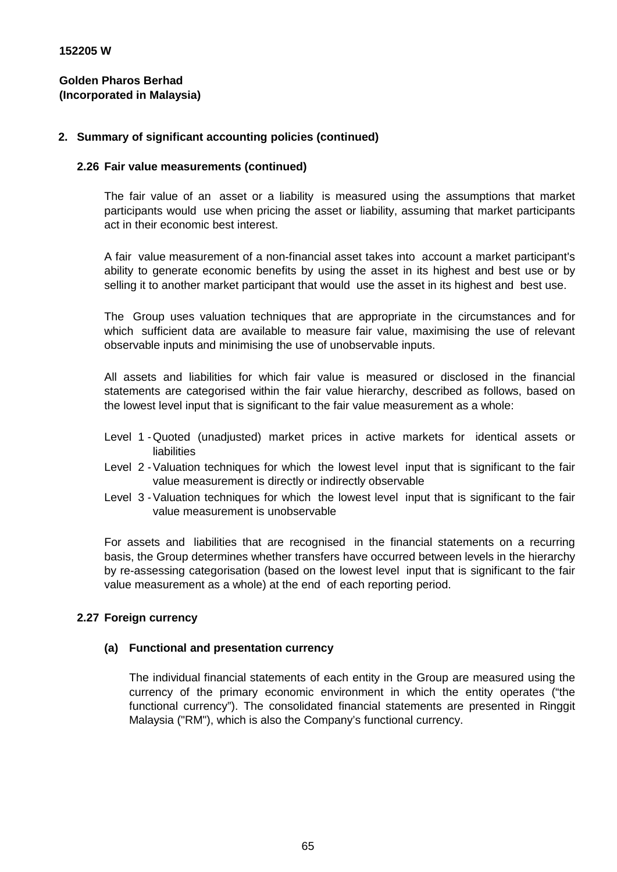## **2. Summary of significant accounting policies (continued)**

#### **2.26 Fair value measurements (continued)**

The fair value of an asset or a liability is measured using the assumptions that market participants would use when pricing the asset or liability, assuming that market participants act in their economic best interest.

A fair value measurement of a non-financial asset takes into account a market participant's ability to generate economic benefits by using the asset in its highest and best use or by selling it to another market participant that would use the asset in its highest and best use.

The Group uses valuation techniques that are appropriate in the circumstances and for which sufficient data are available to measure fair value, maximising the use of relevant observable inputs and minimising the use of unobservable inputs.

All assets and liabilities for which fair value is measured or disclosed in the financial statements are categorised within the fair value hierarchy, described as follows, based on the lowest level input that is significant to the fair value measurement as a whole:

- Level 1 Quoted (unadjusted) market prices in active markets for identical assets or liabilities
- Level 2 Valuation techniques for which the lowest level input that is significant to the fair value measurement is directly or indirectly observable
- Level 3 Valuation techniques for which the lowest level input that is significant to the fair value measurement is unobservable

For assets and liabilities that are recognised in the financial statements on a recurring basis, the Group determines whether transfers have occurred between levels in the hierarchy by re-assessing categorisation (based on the lowest level input that is significant to the fair value measurement as a whole) at the end of each reporting period.

## **2.27 Foreign currency**

#### **(a) Functional and presentation currency**

The individual financial statements of each entity in the Group are measured using the currency of the primary economic environment in which the entity operates ("the functional currency"). The consolidated financial statements are presented in Ringgit Malaysia ("RM"), which is also the Company's functional currency.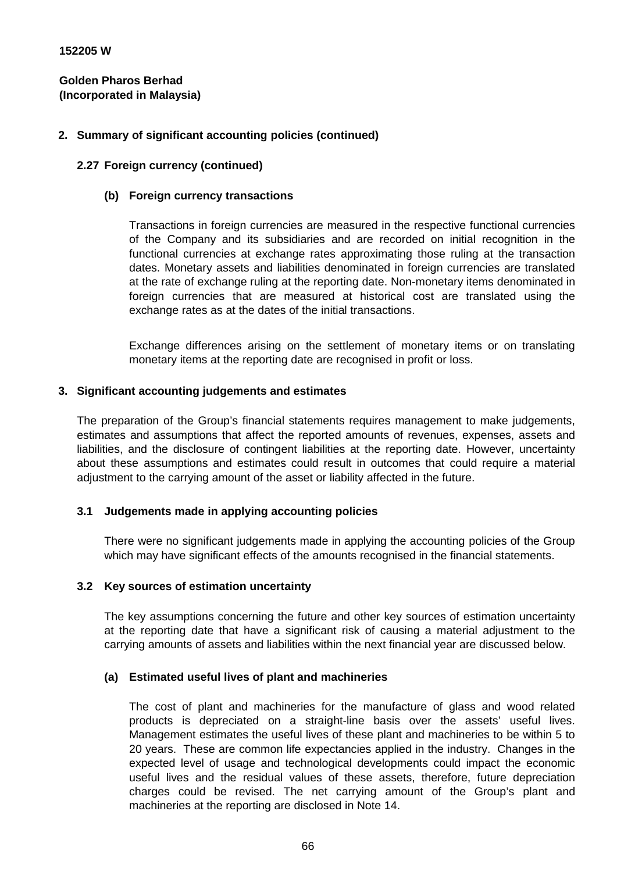## **2. Summary of significant accounting policies (continued)**

## **2.27 Foreign currency (continued)**

#### **(b) Foreign currency transactions**

Transactions in foreign currencies are measured in the respective functional currencies of the Company and its subsidiaries and are recorded on initial recognition in the functional currencies at exchange rates approximating those ruling at the transaction dates. Monetary assets and liabilities denominated in foreign currencies are translated at the rate of exchange ruling at the reporting date. Non-monetary items denominated in foreign currencies that are measured at historical cost are translated using the exchange rates as at the dates of the initial transactions.

Exchange differences arising on the settlement of monetary items or on translating monetary items at the reporting date are recognised in profit or loss.

#### **3. Significant accounting judgements and estimates**

The preparation of the Group's financial statements requires management to make judgements, estimates and assumptions that affect the reported amounts of revenues, expenses, assets and liabilities, and the disclosure of contingent liabilities at the reporting date. However, uncertainty about these assumptions and estimates could result in outcomes that could require a material adjustment to the carrying amount of the asset or liability affected in the future.

#### **3.1 Judgements made in applying accounting policies**

There were no significant judgements made in applying the accounting policies of the Group which may have significant effects of the amounts recognised in the financial statements.

#### **3.2 Key sources of estimation uncertainty**

The key assumptions concerning the future and other key sources of estimation uncertainty at the reporting date that have a significant risk of causing a material adjustment to the carrying amounts of assets and liabilities within the next financial year are discussed below.

#### **(a) Estimated useful lives of plant and machineries**

The cost of plant and machineries for the manufacture of glass and wood related products is depreciated on a straight-line basis over the assets' useful lives. Management estimates the useful lives of these plant and machineries to be within 5 to 20 years. These are common life expectancies applied in the industry. Changes in the expected level of usage and technological developments could impact the economic useful lives and the residual values of these assets, therefore, future depreciation charges could be revised. The net carrying amount of the Group's plant and machineries at the reporting are disclosed in Note 14.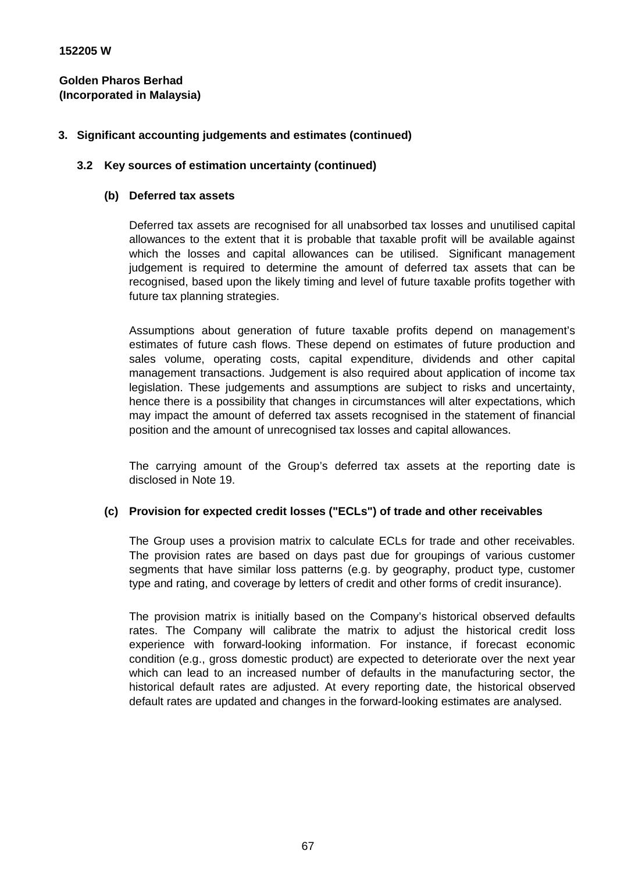## **3. Significant accounting judgements and estimates (continued)**

## **3.2 Key sources of estimation uncertainty (continued)**

## **(b) Deferred tax assets**

Deferred tax assets are recognised for all unabsorbed tax losses and unutilised capital allowances to the extent that it is probable that taxable profit will be available against which the losses and capital allowances can be utilised. Significant management judgement is required to determine the amount of deferred tax assets that can be recognised, based upon the likely timing and level of future taxable profits together with future tax planning strategies.

Assumptions about generation of future taxable profits depend on management's estimates of future cash flows. These depend on estimates of future production and sales volume, operating costs, capital expenditure, dividends and other capital management transactions. Judgement is also required about application of income tax legislation. These judgements and assumptions are subject to risks and uncertainty, hence there is a possibility that changes in circumstances will alter expectations, which may impact the amount of deferred tax assets recognised in the statement of financial position and the amount of unrecognised tax losses and capital allowances.

The carrying amount of the Group's deferred tax assets at the reporting date is disclosed in Note 19.

#### **(c) Provision for expected credit losses ("ECLs") of trade and other receivables**

The Group uses a provision matrix to calculate ECLs for trade and other receivables. The provision rates are based on days past due for groupings of various customer segments that have similar loss patterns (e.g. by geography, product type, customer type and rating, and coverage by letters of credit and other forms of credit insurance).

The provision matrix is initially based on the Company's historical observed defaults rates. The Company will calibrate the matrix to adjust the historical credit loss experience with forward-looking information. For instance, if forecast economic condition (e.g., gross domestic product) are expected to deteriorate over the next year which can lead to an increased number of defaults in the manufacturing sector, the historical default rates are adjusted. At every reporting date, the historical observed default rates are updated and changes in the forward-looking estimates are analysed.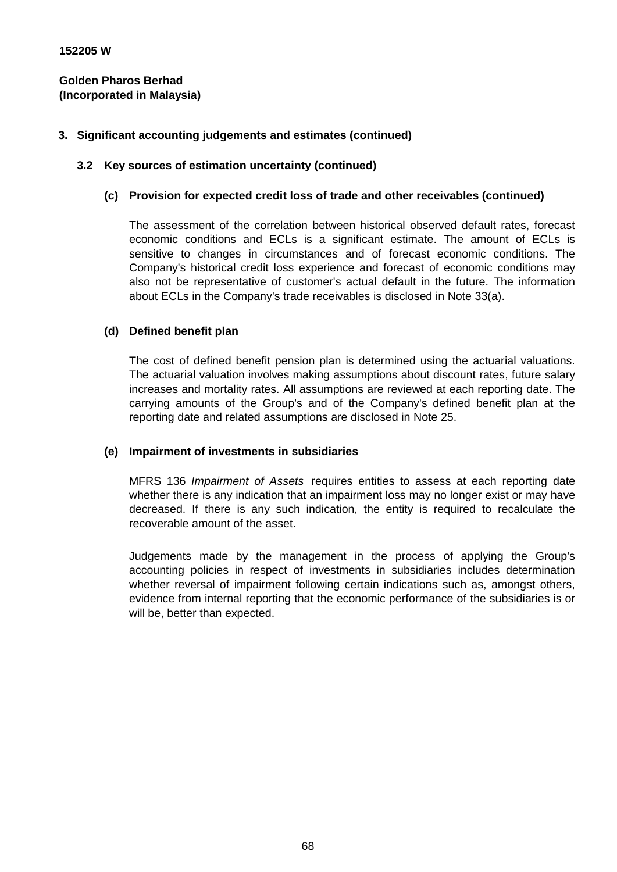## **3. Significant accounting judgements and estimates (continued)**

#### **3.2 Key sources of estimation uncertainty (continued)**

#### **(c) Provision for expected credit loss of trade and other receivables (continued)**

The assessment of the correlation between historical observed default rates, forecast economic conditions and ECLs is a significant estimate. The amount of ECLs is sensitive to changes in circumstances and of forecast economic conditions. The Company's historical credit loss experience and forecast of economic conditions may also not be representative of customer's actual default in the future. The information about ECLs in the Company's trade receivables is disclosed in Note 33(a).

#### **(d) Defined benefit plan**

The cost of defined benefit pension plan is determined using the actuarial valuations. The actuarial valuation involves making assumptions about discount rates, future salary increases and mortality rates. All assumptions are reviewed at each reporting date. The carrying amounts of the Group's and of the Company's defined benefit plan at the reporting date and related assumptions are disclosed in Note 25.

#### **(e) Impairment of investments in subsidiaries**

MFRS 136 *Impairment of Assets* requires entities to assess at each reporting date whether there is any indication that an impairment loss may no longer exist or may have decreased. If there is any such indication, the entity is required to recalculate the recoverable amount of the asset.

Judgements made by the management in the process of applying the Group's accounting policies in respect of investments in subsidiaries includes determination whether reversal of impairment following certain indications such as, amongst others, evidence from internal reporting that the economic performance of the subsidiaries is or will be, better than expected.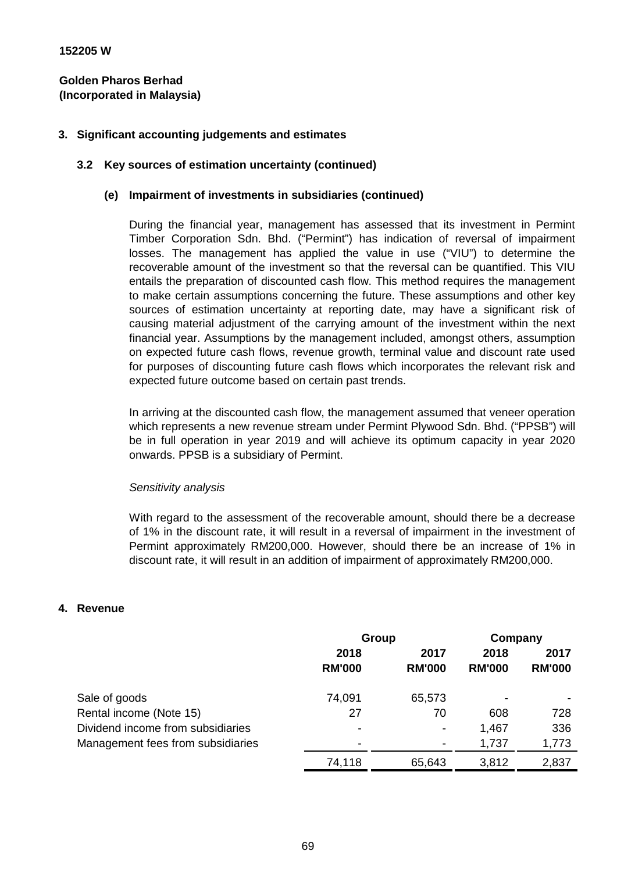## **3. Significant accounting judgements and estimates**

#### **3.2 Key sources of estimation uncertainty (continued)**

#### **(e) Impairment of investments in subsidiaries (continued)**

During the financial year, management has assessed that its investment in Permint Timber Corporation Sdn. Bhd. ("Permint") has indication of reversal of impairment losses. The management has applied the value in use ("VIU") to determine the recoverable amount of the investment so that the reversal can be quantified. This VIU entails the preparation of discounted cash flow. This method requires the management to make certain assumptions concerning the future. These assumptions and other key sources of estimation uncertainty at reporting date, may have a significant risk of causing material adjustment of the carrying amount of the investment within the next financial year. Assumptions by the management included, amongst others, assumption on expected future cash flows, revenue growth, terminal value and discount rate used for purposes of discounting future cash flows which incorporates the relevant risk and expected future outcome based on certain past trends.

In arriving at the discounted cash flow, the management assumed that veneer operation which represents a new revenue stream under Permint Plywood Sdn. Bhd. ("PPSB") will be in full operation in year 2019 and will achieve its optimum capacity in year 2020 onwards. PPSB is a subsidiary of Permint.

#### *Sensitivity analysis*

With regard to the assessment of the recoverable amount, should there be a decrease of 1% in the discount rate, it will result in a reversal of impairment in the investment of Permint approximately RM200,000. However, should there be an increase of 1% in discount rate, it will result in an addition of impairment of approximately RM200,000.

#### **4. Revenue**

|                                   | Group                    |                       | Company               |                       |
|-----------------------------------|--------------------------|-----------------------|-----------------------|-----------------------|
|                                   | 2018<br><b>RM'000</b>    | 2017<br><b>RM'000</b> | 2018<br><b>RM'000</b> | 2017<br><b>RM'000</b> |
| Sale of goods                     | 74,091                   | 65,573                | ٠                     |                       |
| Rental income (Note 15)           | 27                       | 70                    | 608                   | 728                   |
| Dividend income from subsidiaries | $\overline{\phantom{a}}$ |                       | 1,467                 | 336                   |
| Management fees from subsidiaries | $\overline{\phantom{a}}$ |                       | 1,737                 | 1,773                 |
|                                   | 74,118                   | 65,643                | 3,812                 | 2,837                 |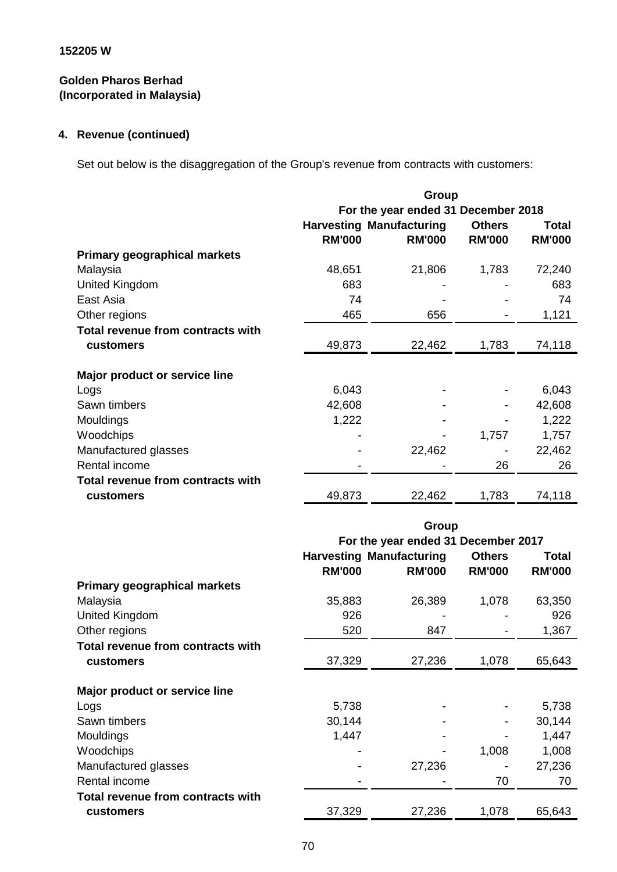# **4. Revenue (continued)**

Set out below is the disaggregation of the Group's revenue from contracts with customers:

| Group                               |                          |                                           |                |
|-------------------------------------|--------------------------|-------------------------------------------|----------------|
| For the year ended 31 December 2018 |                          |                                           |                |
|                                     |                          | <b>Others</b>                             | Total          |
| <b>RM'000</b>                       | <b>RM'000</b>            | <b>RM'000</b>                             | <b>RM'000</b>  |
|                                     |                          |                                           |                |
| 48,651                              | 21,806                   | 1,783                                     | 72,240         |
| 683                                 |                          |                                           | 683            |
| 74                                  |                          |                                           | 74             |
| 465                                 | 656                      |                                           | 1,121          |
|                                     |                          |                                           |                |
| 49,873                              | 22,462                   | 1,783                                     | 74,118         |
|                                     |                          |                                           |                |
|                                     |                          |                                           | 6,043          |
|                                     |                          |                                           | 42,608         |
|                                     |                          |                                           | 1,222          |
|                                     |                          |                                           | 1,757          |
|                                     |                          |                                           | 22,462         |
|                                     |                          | 26                                        | 26             |
|                                     |                          |                                           |                |
| 49,873                              | 22,462                   | 1,783                                     | 74,118         |
|                                     |                          |                                           |                |
|                                     | 6,043<br>42,608<br>1,222 | <b>Harvesting Manufacturing</b><br>22,462 | 1,757<br>Group |

|                                     | Group                               |                                 |               |               |
|-------------------------------------|-------------------------------------|---------------------------------|---------------|---------------|
|                                     | For the year ended 31 December 2017 |                                 |               |               |
|                                     |                                     | <b>Harvesting Manufacturing</b> | <b>Others</b> | Total         |
|                                     | <b>RM'000</b>                       | <b>RM'000</b>                   | <b>RM'000</b> | <b>RM'000</b> |
| <b>Primary geographical markets</b> |                                     |                                 |               |               |
| Malaysia                            | 35,883                              | 26,389                          | 1,078         | 63,350        |
| United Kingdom                      | 926                                 |                                 |               | 926           |
| Other regions                       | 520                                 | 847                             |               | 1,367         |
| Total revenue from contracts with   |                                     |                                 |               |               |
| customers                           | 37,329                              | 27,236                          | 1,078         | 65,643        |
| Major product or service line       |                                     |                                 |               |               |
| Logs                                | 5,738                               |                                 |               | 5,738         |
| Sawn timbers                        | 30,144                              |                                 |               | 30,144        |
| Mouldings                           | 1,447                               |                                 |               | 1,447         |
| Woodchips                           |                                     |                                 | 1,008         | 1,008         |
| Manufactured glasses                |                                     | 27,236                          |               | 27,236        |
| Rental income                       |                                     |                                 | 70            | 70            |
| Total revenue from contracts with   |                                     |                                 |               |               |
| customers                           | 37,329                              | 27,236                          | 1,078         | 65,643        |
|                                     |                                     |                                 |               |               |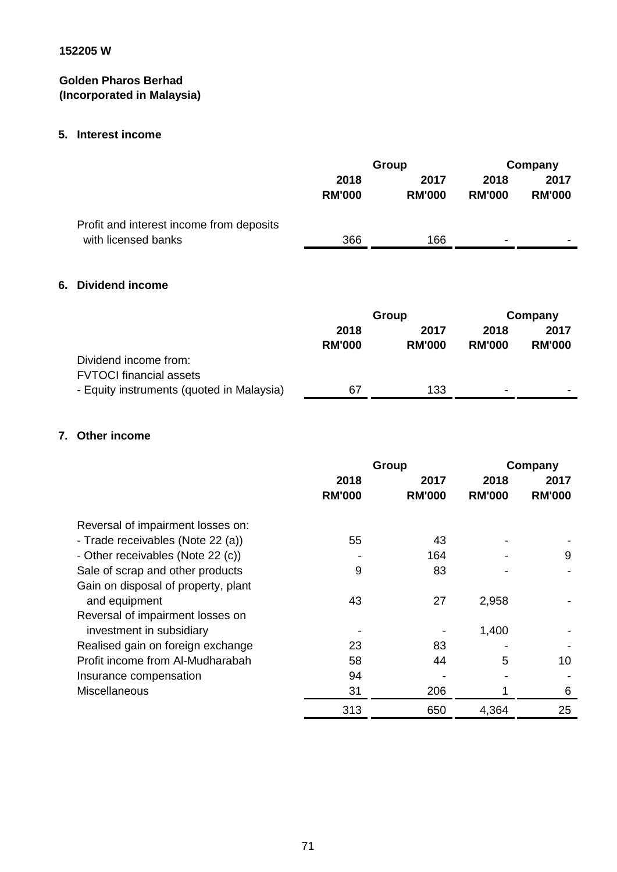**6. Dividend income**

# **Golden Pharos Berhad (Incorporated in Malaysia)**

# **5. Interest income**

|                                           |               | Group         | Company       |               |
|-------------------------------------------|---------------|---------------|---------------|---------------|
|                                           | 2018          | 2017          | 2018          | 2017          |
|                                           | <b>RM'000</b> | <b>RM'000</b> | <b>RM'000</b> | <b>RM'000</b> |
| Profit and interest income from deposits  |               |               |               |               |
| with licensed banks                       | 366           | 166           |               |               |
| <b>Dividend income</b>                    |               | Group         |               | Company       |
|                                           | 2018          | 2017          | 2018          | 2017          |
|                                           | <b>RM'000</b> | <b>RM'000</b> | <b>RM'000</b> | <b>RM'000</b> |
| Dividend income from:                     |               |               |               |               |
| <b>FVTOCI</b> financial assets            |               |               |               |               |
| - Equity instruments (quoted in Malaysia) | 67            | 133           |               |               |

# **7. Other income**

|                                     |                       | Group                 |                       | Company               |  |  |
|-------------------------------------|-----------------------|-----------------------|-----------------------|-----------------------|--|--|
|                                     | 2018<br><b>RM'000</b> | 2017<br><b>RM'000</b> | 2018<br><b>RM'000</b> | 2017<br><b>RM'000</b> |  |  |
| Reversal of impairment losses on:   |                       |                       |                       |                       |  |  |
| - Trade receivables (Note 22 (a))   | 55                    | 43                    |                       |                       |  |  |
| - Other receivables (Note 22 (c))   |                       | 164                   |                       | 9                     |  |  |
| Sale of scrap and other products    | 9                     | 83                    |                       |                       |  |  |
| Gain on disposal of property, plant |                       |                       |                       |                       |  |  |
| and equipment                       | 43                    | 27                    | 2,958                 |                       |  |  |
| Reversal of impairment losses on    |                       |                       |                       |                       |  |  |
| investment in subsidiary            |                       |                       | 1,400                 |                       |  |  |
| Realised gain on foreign exchange   | 23                    | 83                    |                       |                       |  |  |
| Profit income from Al-Mudharabah    | 58                    | 44                    | 5                     | 10                    |  |  |
| Insurance compensation              | 94                    |                       |                       |                       |  |  |
| <b>Miscellaneous</b>                | 31                    | 206                   |                       | 6                     |  |  |
|                                     | 313                   | 650                   | 4,364                 | 25                    |  |  |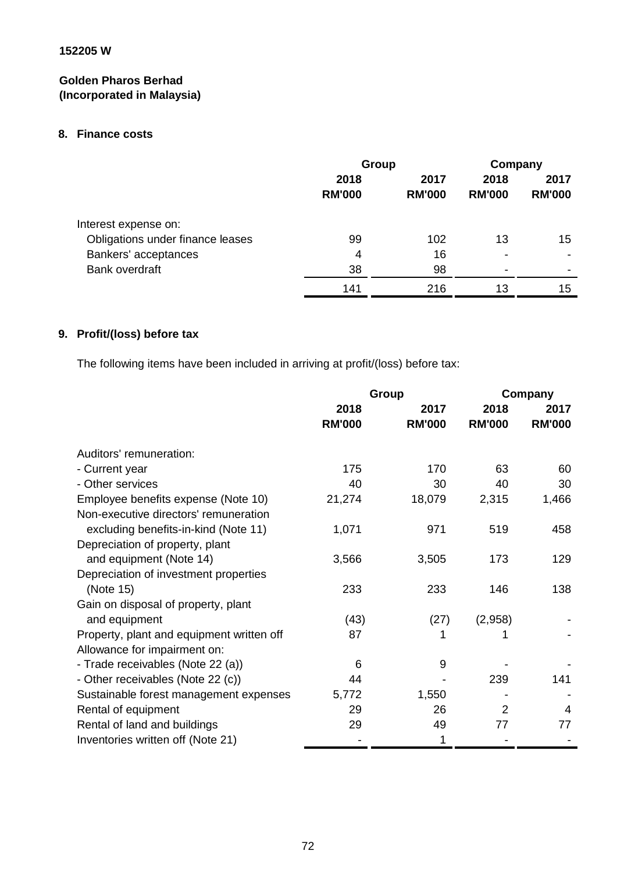# **8. Finance costs**

|                                  | Group                                          |     | Company                  |                       |  |
|----------------------------------|------------------------------------------------|-----|--------------------------|-----------------------|--|
|                                  | 2018<br>2017<br><b>RM'000</b><br><b>RM'000</b> |     | 2018<br><b>RM'000</b>    | 2017<br><b>RM'000</b> |  |
| Interest expense on:             |                                                |     |                          |                       |  |
| Obligations under finance leases | 99                                             | 102 | 13                       | 15                    |  |
| Bankers' acceptances             | 4                                              | 16  | $\overline{\phantom{a}}$ |                       |  |
| <b>Bank overdraft</b>            | 38                                             | 98  | $\overline{\phantom{a}}$ |                       |  |
|                                  | 141                                            | 216 | 13                       | 15                    |  |

## **9. Profit/(loss) before tax**

The following items have been included in arriving at profit/(loss) before tax:

|                                           |               | Group         | Company       |               |  |
|-------------------------------------------|---------------|---------------|---------------|---------------|--|
|                                           | 2018          | 2017          | 2018          | 2017          |  |
|                                           | <b>RM'000</b> | <b>RM'000</b> | <b>RM'000</b> | <b>RM'000</b> |  |
| Auditors' remuneration:                   |               |               |               |               |  |
| - Current year                            | 175           | 170           | 63            | 60            |  |
| - Other services                          | 40            | 30            | 40            | 30            |  |
| Employee benefits expense (Note 10)       | 21,274        | 18,079        | 2,315         | 1,466         |  |
| Non-executive directors' remuneration     |               |               |               |               |  |
| excluding benefits-in-kind (Note 11)      | 1,071         | 971           | 519           | 458           |  |
| Depreciation of property, plant           |               |               |               |               |  |
| and equipment (Note 14)                   | 3,566         | 3,505         | 173           | 129           |  |
| Depreciation of investment properties     |               |               |               |               |  |
| (Note 15)                                 | 233           | 233           | 146           | 138           |  |
| Gain on disposal of property, plant       |               |               |               |               |  |
| and equipment                             | (43)          | (27)          | (2,958)       |               |  |
| Property, plant and equipment written off | 87            | 1             |               |               |  |
| Allowance for impairment on:              |               |               |               |               |  |
| - Trade receivables (Note 22 (a))         | 6             | 9             |               |               |  |
| - Other receivables (Note 22 (c))         | 44            |               | 239           | 141           |  |
| Sustainable forest management expenses    | 5,772         | 1,550         |               |               |  |
| Rental of equipment                       | 29            | 26            | 2             | 4             |  |
| Rental of land and buildings              | 29            | 49            | 77            | 77            |  |
| Inventories written off (Note 21)         |               |               |               |               |  |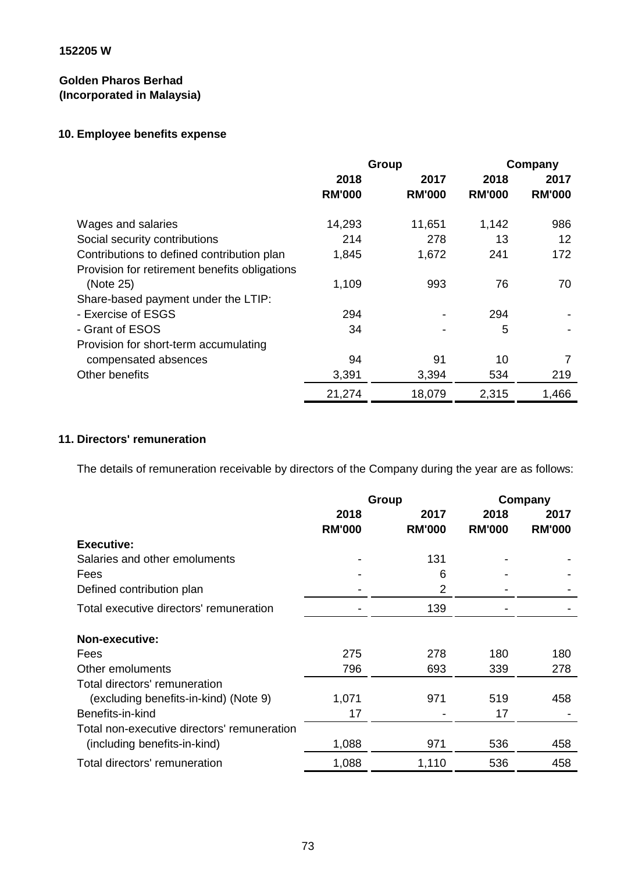# **10. Employee benefits expense**

|                                               | Group         |               | Company       |               |
|-----------------------------------------------|---------------|---------------|---------------|---------------|
|                                               | 2018          | 2017          | 2018          | 2017          |
|                                               | <b>RM'000</b> | <b>RM'000</b> | <b>RM'000</b> | <b>RM'000</b> |
| Wages and salaries                            | 14,293        | 11,651        | 1,142         | 986           |
| Social security contributions                 | 214           | 278           | 13            | 12            |
| Contributions to defined contribution plan    | 1,845         | 1,672         | 241           | 172           |
| Provision for retirement benefits obligations |               |               |               |               |
| (Note 25)                                     | 1,109         | 993           | 76            | 70            |
| Share-based payment under the LTIP:           |               |               |               |               |
| - Exercise of ESGS                            | 294           |               | 294           |               |
| - Grant of ESOS                               | 34            |               | 5             |               |
| Provision for short-term accumulating         |               |               |               |               |
| compensated absences                          | 94            | 91            | 10            | 7             |
| Other benefits                                | 3,391         | 3,394         | 534           | 219           |
|                                               | 21,274        | 18,079        | 2,315         | 1,466         |

## **11. Directors' remuneration**

The details of remuneration receivable by directors of the Company during the year are as follows:

|                                                                             |                       | Group                 | Company               |                       |
|-----------------------------------------------------------------------------|-----------------------|-----------------------|-----------------------|-----------------------|
|                                                                             | 2018<br><b>RM'000</b> | 2017<br><b>RM'000</b> | 2018<br><b>RM'000</b> | 2017<br><b>RM'000</b> |
| <b>Executive:</b>                                                           |                       |                       |                       |                       |
| Salaries and other emoluments                                               |                       | 131                   |                       |                       |
| Fees                                                                        |                       | 6                     |                       |                       |
| Defined contribution plan                                                   |                       | 2                     |                       |                       |
| Total executive directors' remuneration                                     |                       | 139                   |                       |                       |
| Non-executive:                                                              |                       |                       |                       |                       |
| Fees                                                                        | 275                   | 278                   | 180                   | 180                   |
| Other emoluments                                                            | 796                   | 693                   | 339                   | 278                   |
| Total directors' remuneration                                               |                       |                       |                       |                       |
| (excluding benefits-in-kind) (Note 9)                                       | 1,071                 | 971                   | 519                   | 458                   |
| Benefits-in-kind                                                            | 17                    |                       | 17                    |                       |
| Total non-executive directors' remuneration<br>(including benefits-in-kind) | 1,088                 | 971                   | 536                   | 458                   |
| Total directors' remuneration                                               | 1,088                 | 1,110                 | 536                   | 458                   |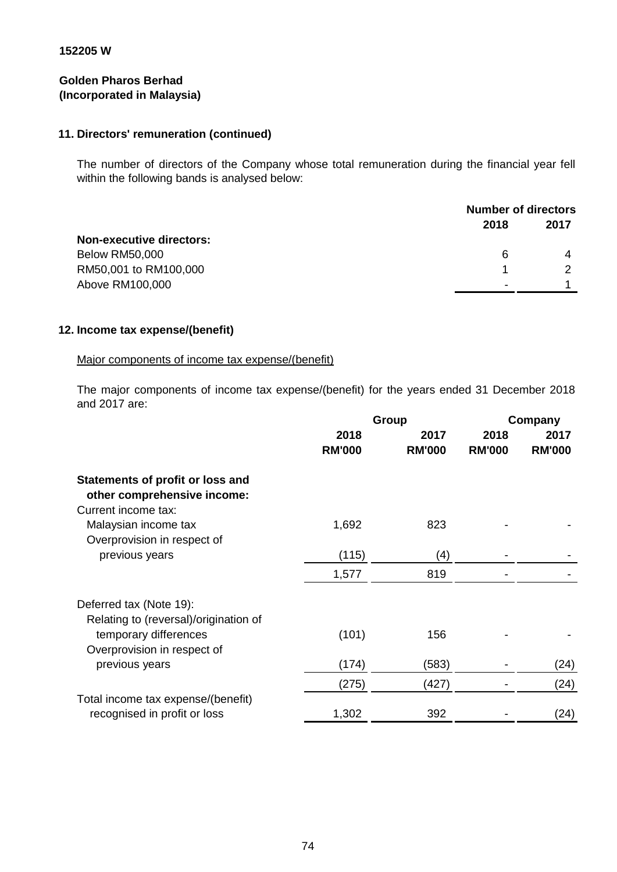### **Golden Pharos Berhad (Incorporated in Malaysia)**

## **11. Directors' remuneration (continued)**

The number of directors of the Company whose total remuneration during the financial year fell within the following bands is analysed below:

|                                 |                          | <b>Number of directors</b> |  |  |
|---------------------------------|--------------------------|----------------------------|--|--|
|                                 | 2018                     | 2017                       |  |  |
| <b>Non-executive directors:</b> |                          |                            |  |  |
| <b>Below RM50,000</b>           | 6                        | 4                          |  |  |
| RM50,001 to RM100,000           |                          | 2                          |  |  |
| Above RM100,000                 | $\overline{\phantom{a}}$ |                            |  |  |
|                                 |                          |                            |  |  |

#### **12. Income tax expense/(benefit)**

#### Major components of income tax expense/(benefit)

The major components of income tax expense/(benefit) for the years ended 31 December 2018 and 2017 are:

|                                                                 |                       | Group                 | Company               |                       |  |
|-----------------------------------------------------------------|-----------------------|-----------------------|-----------------------|-----------------------|--|
|                                                                 | 2018<br><b>RM'000</b> | 2017<br><b>RM'000</b> | 2018<br><b>RM'000</b> | 2017<br><b>RM'000</b> |  |
|                                                                 |                       |                       |                       |                       |  |
| Statements of profit or loss and<br>other comprehensive income: |                       |                       |                       |                       |  |
| Current income tax:                                             |                       |                       |                       |                       |  |
| Malaysian income tax                                            | 1,692                 | 823                   |                       |                       |  |
| Overprovision in respect of                                     |                       |                       |                       |                       |  |
| previous years                                                  | (115)                 | (4)                   |                       |                       |  |
|                                                                 | 1,577                 | 819                   |                       |                       |  |
| Deferred tax (Note 19):                                         |                       |                       |                       |                       |  |
| Relating to (reversal)/origination of                           |                       |                       |                       |                       |  |
| temporary differences                                           | (101)                 | 156                   |                       |                       |  |
| Overprovision in respect of                                     |                       |                       |                       |                       |  |
| previous years                                                  | (174)                 | (583)                 |                       | (24)                  |  |
|                                                                 | (275)                 | (427)                 |                       | (24)                  |  |
| Total income tax expense/(benefit)                              |                       |                       |                       |                       |  |
| recognised in profit or loss                                    | 1,302                 | 392                   |                       | (24)                  |  |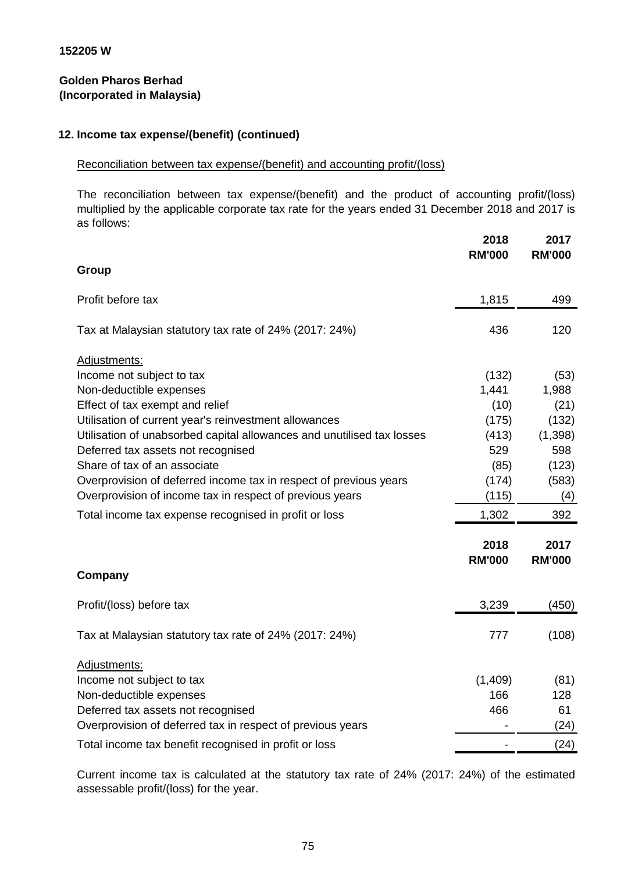#### **12. Income tax expense/(benefit) (continued)**

#### Reconciliation between tax expense/(benefit) and accounting profit/(loss)

The reconciliation between tax expense/(benefit) and the product of accounting profit/(loss) multiplied by the applicable corporate tax rate for the years ended 31 December 2018 and 2017 is as follows:

|                                                                        | 2018<br><b>RM'000</b> | 2017<br><b>RM'000</b> |
|------------------------------------------------------------------------|-----------------------|-----------------------|
| Group                                                                  |                       |                       |
| Profit before tax                                                      | 1,815                 | 499                   |
| Tax at Malaysian statutory tax rate of 24% (2017: 24%)                 | 436                   | 120                   |
| Adjustments:                                                           |                       |                       |
| Income not subject to tax                                              | (132)                 | (53)                  |
| Non-deductible expenses                                                | 1,441                 | 1,988                 |
| Effect of tax exempt and relief                                        | (10)                  | (21)                  |
| Utilisation of current year's reinvestment allowances                  | (175)                 | (132)                 |
| Utilisation of unabsorbed capital allowances and unutilised tax losses | (413)                 | (1, 398)              |
| Deferred tax assets not recognised                                     | 529                   | 598                   |
| Share of tax of an associate                                           | (85)                  | (123)                 |
| Overprovision of deferred income tax in respect of previous years      | (174)<br>(115)        | (583)                 |
| Overprovision of income tax in respect of previous years               |                       | (4)                   |
| Total income tax expense recognised in profit or loss                  | 1,302                 | 392                   |
|                                                                        | 2018<br><b>RM'000</b> | 2017<br><b>RM'000</b> |
| Company                                                                |                       |                       |
| Profit/(loss) before tax                                               | 3,239                 | (450)                 |
| Tax at Malaysian statutory tax rate of 24% (2017: 24%)                 | 777                   | (108)                 |
| Adjustments:                                                           |                       |                       |
| Income not subject to tax                                              | (1,409)               | (81)                  |
| Non-deductible expenses                                                | 166                   | 128                   |
| Deferred tax assets not recognised                                     | 466                   | 61                    |
| Overprovision of deferred tax in respect of previous years             |                       | (24)                  |
| Total income tax benefit recognised in profit or loss                  |                       | (24)                  |

Current income tax is calculated at the statutory tax rate of 24% (2017: 24%) of the estimated assessable profit/(loss) for the year.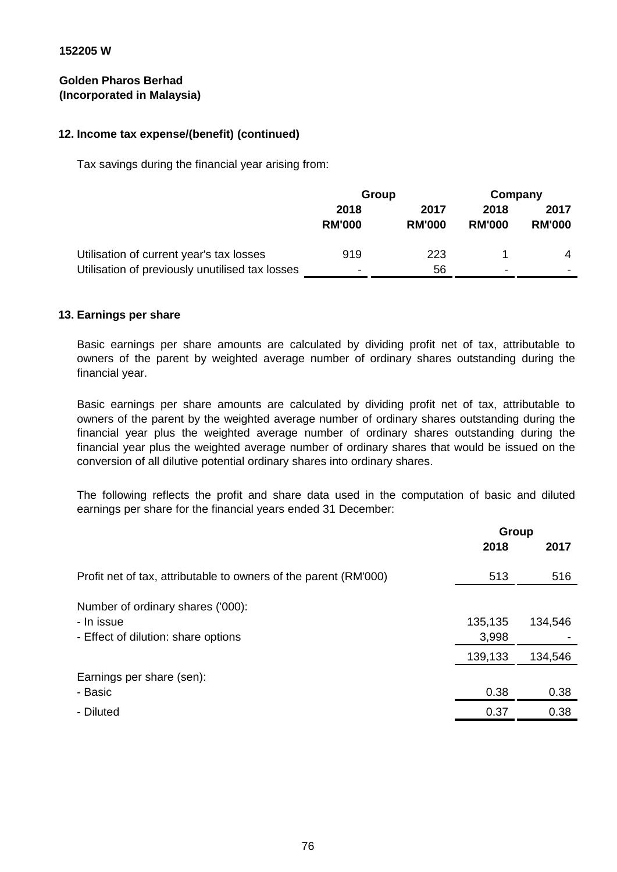### **Golden Pharos Berhad (Incorporated in Malaysia)**

#### **12. Income tax expense/(benefit) (continued)**

Tax savings during the financial year arising from:

|                                                 | Group                    |                       | Company               |                       |
|-------------------------------------------------|--------------------------|-----------------------|-----------------------|-----------------------|
|                                                 | 2018<br><b>RM'000</b>    | 2017<br><b>RM'000</b> | 2018<br><b>RM'000</b> | 2017<br><b>RM'000</b> |
| Utilisation of current year's tax losses        | 919                      | 223                   |                       | 4                     |
| Utilisation of previously unutilised tax losses | $\overline{\phantom{0}}$ | 56                    | $\,$                  |                       |

#### **13. Earnings per share**

Basic earnings per share amounts are calculated by dividing profit net of tax, attributable to owners of the parent by weighted average number of ordinary shares outstanding during the financial year.

Basic earnings per share amounts are calculated by dividing profit net of tax, attributable to owners of the parent by the weighted average number of ordinary shares outstanding during the financial year plus the weighted average number of ordinary shares outstanding during the financial year plus the weighted average number of ordinary shares that would be issued on the conversion of all dilutive potential ordinary shares into ordinary shares.

The following reflects the profit and share data used in the computation of basic and diluted earnings per share for the financial years ended 31 December:

|                                                                  | Group   |         |
|------------------------------------------------------------------|---------|---------|
|                                                                  | 2018    | 2017    |
| Profit net of tax, attributable to owners of the parent (RM'000) | 513     | 516     |
| Number of ordinary shares ('000):                                |         |         |
| - In issue                                                       | 135,135 | 134,546 |
| - Effect of dilution: share options                              | 3,998   |         |
|                                                                  | 139,133 | 134,546 |
| Earnings per share (sen):                                        |         |         |
| - Basic                                                          | 0.38    | 0.38    |
| - Diluted                                                        | 0.37    | 0.38    |
|                                                                  |         |         |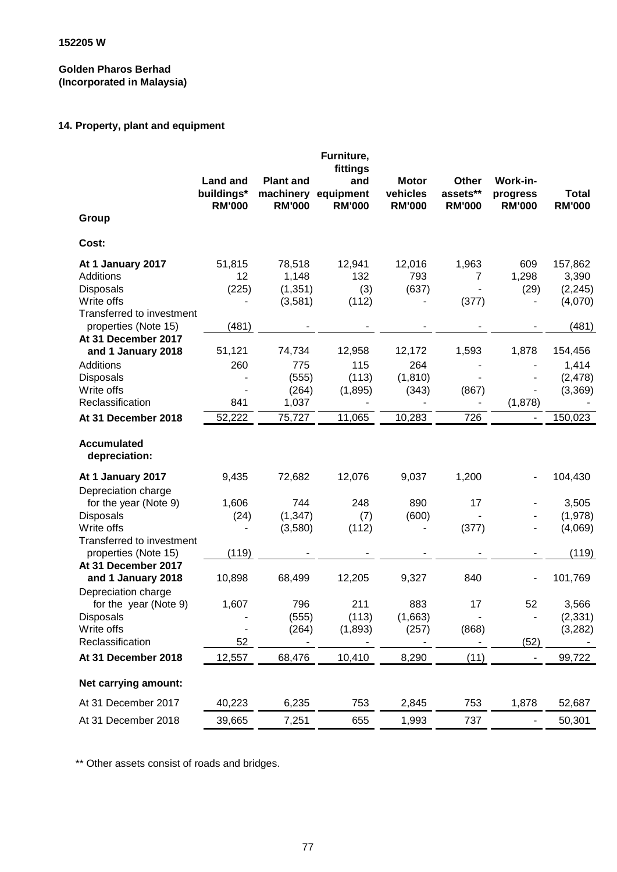# **14. Property, plant and equipment**

|                                           |                                                |                                                | Furniture,<br>fittings            |                                           |                                           |                                       |                               |
|-------------------------------------------|------------------------------------------------|------------------------------------------------|-----------------------------------|-------------------------------------------|-------------------------------------------|---------------------------------------|-------------------------------|
|                                           | <b>Land and</b><br>buildings*<br><b>RM'000</b> | <b>Plant and</b><br>machinery<br><b>RM'000</b> | and<br>equipment<br><b>RM'000</b> | <b>Motor</b><br>vehicles<br><b>RM'000</b> | <b>Other</b><br>assets**<br><b>RM'000</b> | Work-in-<br>progress<br><b>RM'000</b> | <b>Total</b><br><b>RM'000</b> |
| Group                                     |                                                |                                                |                                   |                                           |                                           |                                       |                               |
| Cost:                                     |                                                |                                                |                                   |                                           |                                           |                                       |                               |
| At 1 January 2017                         | 51,815                                         | 78,518                                         | 12,941                            | 12,016                                    | 1,963                                     | 609                                   | 157,862                       |
| Additions                                 | 12                                             | 1,148                                          | 132                               | 793                                       | 7                                         | 1,298                                 | 3,390                         |
| <b>Disposals</b><br>Write offs            | (225)                                          | (1, 351)<br>(3,581)                            | (3)<br>(112)                      | (637)<br>$\qquad \qquad \blacksquare$     | (377)                                     | (29)<br>$\overline{\phantom{a}}$      | (2, 245)<br>(4,070)           |
| Transferred to investment                 |                                                |                                                |                                   |                                           |                                           |                                       |                               |
| properties (Note 15)                      | (481)                                          |                                                |                                   |                                           |                                           |                                       | (481)                         |
| At 31 December 2017                       |                                                |                                                |                                   |                                           |                                           |                                       |                               |
| and 1 January 2018                        | 51,121                                         | 74,734                                         | 12,958                            | 12,172                                    | 1,593                                     | 1,878                                 | 154,456                       |
| Additions                                 | 260                                            | 775                                            | 115                               | 264                                       |                                           |                                       | 1,414                         |
| <b>Disposals</b>                          |                                                | (555)                                          | (113)                             | (1, 810)                                  |                                           |                                       | (2, 478)                      |
| Write offs<br>Reclassification            | 841                                            | (264)                                          | (1,895)                           | (343)                                     | (867)                                     |                                       | (3,369)                       |
|                                           |                                                | 1,037                                          |                                   |                                           |                                           | (1,878)                               |                               |
| At 31 December 2018                       | 52,222                                         | 75,727                                         | 11,065                            | 10,283                                    | 726                                       |                                       | 150,023                       |
| <b>Accumulated</b><br>depreciation:       |                                                |                                                |                                   |                                           |                                           |                                       |                               |
| At 1 January 2017<br>Depreciation charge  | 9,435                                          | 72,682                                         | 12,076                            | 9,037                                     | 1,200                                     |                                       | 104,430                       |
| for the year (Note 9)                     | 1,606                                          | 744                                            | 248                               | 890                                       | 17                                        |                                       | 3,505                         |
| <b>Disposals</b>                          | (24)                                           | (1, 347)                                       | (7)                               | (600)                                     |                                           |                                       | (1,978)                       |
| Write offs                                |                                                | (3,580)                                        | (112)                             | $\qquad \qquad \blacksquare$              | (377)                                     |                                       | (4,069)                       |
| Transferred to investment                 |                                                |                                                |                                   |                                           |                                           |                                       |                               |
| properties (Note 15)                      | (119)                                          |                                                |                                   |                                           |                                           |                                       | (119)                         |
| At 31 December 2017<br>and 1 January 2018 | 10,898                                         | 68,499                                         | 12,205                            | 9,327                                     | 840                                       |                                       | 101,769                       |
| Depreciation charge                       |                                                |                                                |                                   |                                           |                                           |                                       |                               |
| for the year (Note 9)                     | 1,607                                          | 796                                            | 211                               | 883                                       | 17                                        | 52                                    | 3,566                         |
| <b>Disposals</b>                          |                                                | (555)                                          | (113)                             | (1,663)                                   |                                           | -                                     | (2, 331)                      |
| Write offs                                |                                                | (264)                                          | (1,893)                           | (257)                                     | (868)                                     |                                       | (3,282)                       |
| Reclassification                          | 52                                             |                                                |                                   |                                           | ۰                                         | (52)                                  |                               |
| At 31 December 2018                       | 12,557                                         | 68,476                                         | 10,410                            | 8,290                                     | (11)                                      | $\overline{\phantom{0}}$              | 99,722                        |
| Net carrying amount:                      |                                                |                                                |                                   |                                           |                                           |                                       |                               |
| At 31 December 2017                       | 40,223                                         | 6,235                                          | 753                               | 2,845                                     | 753                                       | 1,878                                 | 52,687                        |
| At 31 December 2018                       | 39,665                                         | 7,251                                          | 655                               | 1,993                                     | 737                                       | $\qquad \qquad \blacksquare$          | 50,301                        |

\*\* Other assets consist of roads and bridges.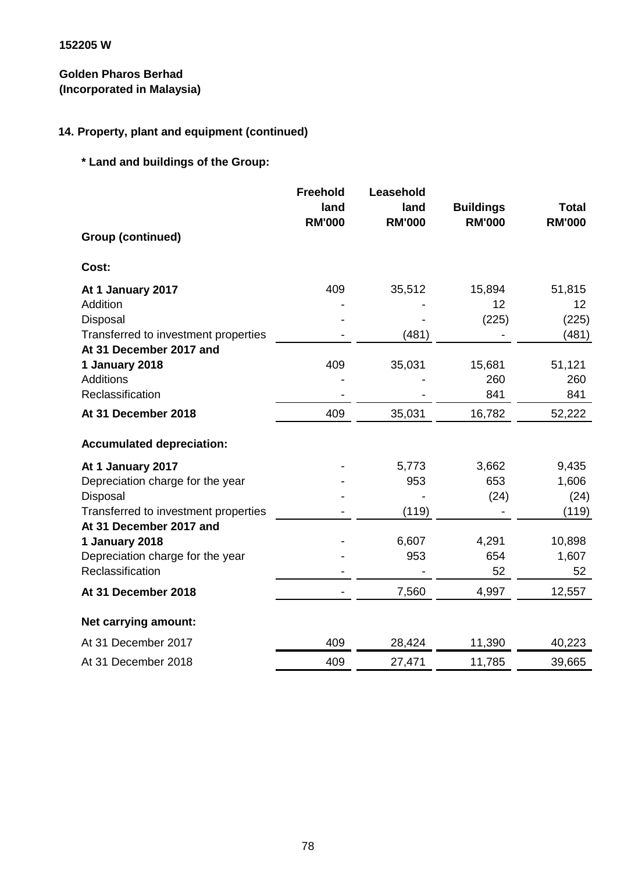# **14. Property, plant and equipment (continued)**

**\* Land and buildings of the Group:**

|                                      | <b>Freehold</b><br>land<br><b>RM'000</b> | Leasehold<br>land<br><b>RM'000</b> | <b>Buildings</b><br><b>RM'000</b> | <b>Total</b><br><b>RM'000</b> |
|--------------------------------------|------------------------------------------|------------------------------------|-----------------------------------|-------------------------------|
| <b>Group (continued)</b>             |                                          |                                    |                                   |                               |
| Cost:                                |                                          |                                    |                                   |                               |
| At 1 January 2017                    | 409                                      | 35,512                             | 15,894                            | 51,815                        |
| Addition                             |                                          |                                    | 12                                | 12                            |
| Disposal                             |                                          |                                    | (225)                             | (225)                         |
| Transferred to investment properties |                                          | (481)                              |                                   | (481)                         |
| At 31 December 2017 and              |                                          |                                    |                                   |                               |
| 1 January 2018                       | 409                                      | 35,031                             | 15,681                            | 51,121                        |
| <b>Additions</b>                     |                                          |                                    | 260                               | 260                           |
| Reclassification                     |                                          |                                    | 841                               | 841                           |
| At 31 December 2018                  | 409                                      | 35,031                             | 16,782                            | 52,222                        |
| <b>Accumulated depreciation:</b>     |                                          |                                    |                                   |                               |
| At 1 January 2017                    |                                          | 5,773                              | 3,662                             | 9,435                         |
| Depreciation charge for the year     |                                          | 953                                | 653                               | 1,606                         |
| Disposal                             |                                          |                                    | (24)                              | (24)                          |
| Transferred to investment properties |                                          | (119)                              |                                   | (119)                         |
| At 31 December 2017 and              |                                          |                                    |                                   |                               |
| 1 January 2018                       |                                          | 6,607                              | 4,291                             | 10,898                        |
| Depreciation charge for the year     |                                          | 953                                | 654                               | 1,607                         |
| Reclassification                     |                                          |                                    | 52                                | 52                            |
| At 31 December 2018                  |                                          | 7,560                              | 4,997                             | 12,557                        |
| Net carrying amount:                 |                                          |                                    |                                   |                               |
| At 31 December 2017                  | 409                                      | 28,424                             | 11,390                            | 40,223                        |
| At 31 December 2018                  | 409                                      | 27,471                             | 11,785                            | 39,665                        |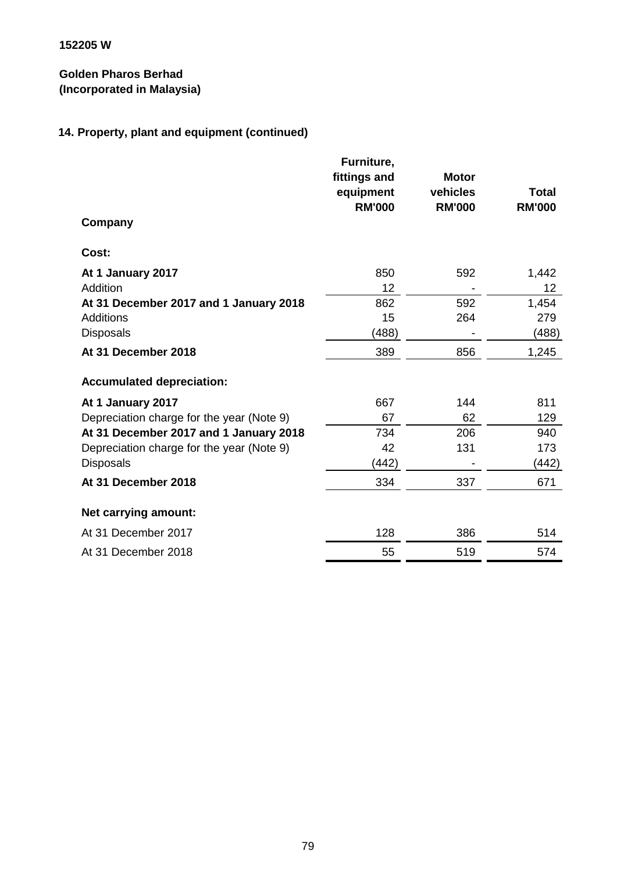# **14. Property, plant and equipment (continued)**

|                                           | Furniture,<br>fittings and<br>equipment<br><b>RM'000</b> | <b>Motor</b><br>vehicles<br><b>RM'000</b> | <b>Total</b><br><b>RM'000</b> |
|-------------------------------------------|----------------------------------------------------------|-------------------------------------------|-------------------------------|
| Company                                   |                                                          |                                           |                               |
| Cost:                                     |                                                          |                                           |                               |
| At 1 January 2017                         | 850                                                      | 592                                       | 1,442                         |
| Addition                                  | 12                                                       |                                           | 12                            |
| At 31 December 2017 and 1 January 2018    | 862                                                      | 592                                       | 1,454                         |
| <b>Additions</b>                          | 15                                                       | 264                                       | 279                           |
| <b>Disposals</b>                          | (488)                                                    |                                           | (488)                         |
| At 31 December 2018                       | 389                                                      | 856                                       | 1,245                         |
| <b>Accumulated depreciation:</b>          |                                                          |                                           |                               |
| At 1 January 2017                         | 667                                                      | 144                                       | 811                           |
| Depreciation charge for the year (Note 9) | 67                                                       | 62                                        | 129                           |
| At 31 December 2017 and 1 January 2018    | 734                                                      | 206                                       | 940                           |
| Depreciation charge for the year (Note 9) | 42                                                       | 131                                       | 173                           |
| <b>Disposals</b>                          | (442)                                                    |                                           | (442)                         |
| At 31 December 2018                       | 334                                                      | 337                                       | 671                           |
| Net carrying amount:                      |                                                          |                                           |                               |
| At 31 December 2017                       | 128                                                      | 386                                       | 514                           |
| At 31 December 2018                       | 55                                                       | 519                                       | 574                           |
|                                           |                                                          |                                           |                               |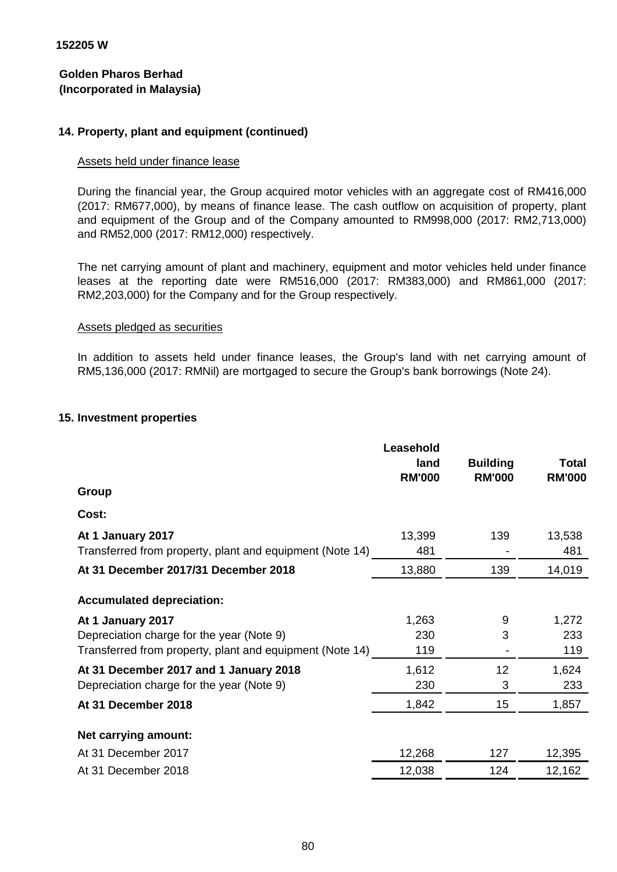### **14. Property, plant and equipment (continued)**

#### Assets held under finance lease

During the financial year, the Group acquired motor vehicles with an aggregate cost of RM416,000 (2017: RM677,000), by means of finance lease. The cash outflow on acquisition of property, plant and equipment of the Group and of the Company amounted to RM998,000 (2017: RM2,713,000) and RM52,000 (2017: RM12,000) respectively.

The net carrying amount of plant and machinery, equipment and motor vehicles held under finance leases at the reporting date were RM516,000 (2017: RM383,000) and RM861,000 (2017: RM2,203,000) for the Company and for the Group respectively.

#### Assets pledged as securities

In addition to assets held under finance leases, the Group's land with net carrying amount of RM5,136,000 (2017: RMNil) are mortgaged to secure the Group's bank borrowings (Note 24).

#### **15. Investment properties**

|                                                                                                                            | Leasehold<br>land<br><b>RM'000</b> | <b>Building</b><br><b>RM'000</b> | <b>Total</b><br><b>RM'000</b> |
|----------------------------------------------------------------------------------------------------------------------------|------------------------------------|----------------------------------|-------------------------------|
| Group                                                                                                                      |                                    |                                  |                               |
| Cost:                                                                                                                      |                                    |                                  |                               |
| At 1 January 2017<br>Transferred from property, plant and equipment (Note 14)                                              | 13,399<br>481                      | 139                              | 13,538<br>481                 |
| At 31 December 2017/31 December 2018                                                                                       | 13,880                             | 139                              | 14,019                        |
| <b>Accumulated depreciation:</b>                                                                                           |                                    |                                  |                               |
| At 1 January 2017<br>Depreciation charge for the year (Note 9)<br>Transferred from property, plant and equipment (Note 14) | 1,263<br>230<br>119                | 9<br>3                           | 1,272<br>233<br>119           |
| At 31 December 2017 and 1 January 2018<br>Depreciation charge for the year (Note 9)                                        | 1,612<br>230                       | 12<br>3                          | 1,624<br>233                  |
| At 31 December 2018                                                                                                        | 1,842                              | 15                               | 1,857                         |
| Net carrying amount:                                                                                                       |                                    |                                  |                               |
| At 31 December 2017                                                                                                        | 12,268                             | 127                              | 12,395                        |
| At 31 December 2018                                                                                                        | 12,038                             | 124                              | 12,162                        |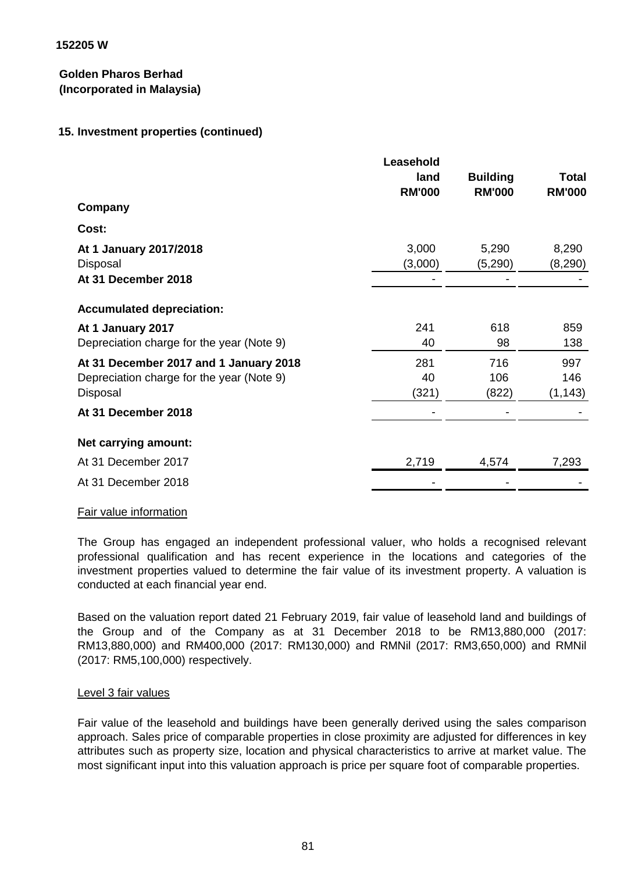### **15. Investment properties (continued)**

|                                                                                                 | Leasehold<br>land<br><b>RM'000</b> | <b>Building</b><br><b>RM'000</b> | <b>Total</b><br><b>RM'000</b> |
|-------------------------------------------------------------------------------------------------|------------------------------------|----------------------------------|-------------------------------|
| Company                                                                                         |                                    |                                  |                               |
| Cost:                                                                                           |                                    |                                  |                               |
| At 1 January 2017/2018<br>Disposal                                                              | 3,000<br>(3,000)                   | 5,290<br>(5,290)                 | 8,290<br>(8, 290)             |
| At 31 December 2018                                                                             |                                    |                                  |                               |
| <b>Accumulated depreciation:</b>                                                                |                                    |                                  |                               |
| At 1 January 2017<br>Depreciation charge for the year (Note 9)                                  | 241<br>40                          | 618<br>98                        | 859<br>138                    |
| At 31 December 2017 and 1 January 2018<br>Depreciation charge for the year (Note 9)<br>Disposal | 281<br>40<br>(321)                 | 716<br>106<br>(822)              | 997<br>146<br>(1, 143)        |
| At 31 December 2018                                                                             |                                    |                                  |                               |
| Net carrying amount:                                                                            |                                    |                                  |                               |
| At 31 December 2017                                                                             | 2,719                              | 4,574                            | 7,293                         |
| At 31 December 2018                                                                             |                                    |                                  |                               |
|                                                                                                 |                                    |                                  |                               |

#### Fair value information

The Group has engaged an independent professional valuer, who holds a recognised relevant professional qualification and has recent experience in the locations and categories of the investment properties valued to determine the fair value of its investment property. A valuation is conducted at each financial year end.

Based on the valuation report dated 21 February 2019, fair value of leasehold land and buildings of the Group and of the Company as at 31 December 2018 to be RM13,880,000 (2017: RM13,880,000) and RM400,000 (2017: RM130,000) and RMNil (2017: RM3,650,000) and RMNil (2017: RM5,100,000) respectively.

#### Level 3 fair values

Fair value of the leasehold and buildings have been generally derived using the sales comparison approach. Sales price of comparable properties in close proximity are adjusted for differences in key attributes such as property size, location and physical characteristics to arrive at market value. The most significant input into this valuation approach is price per square foot of comparable properties.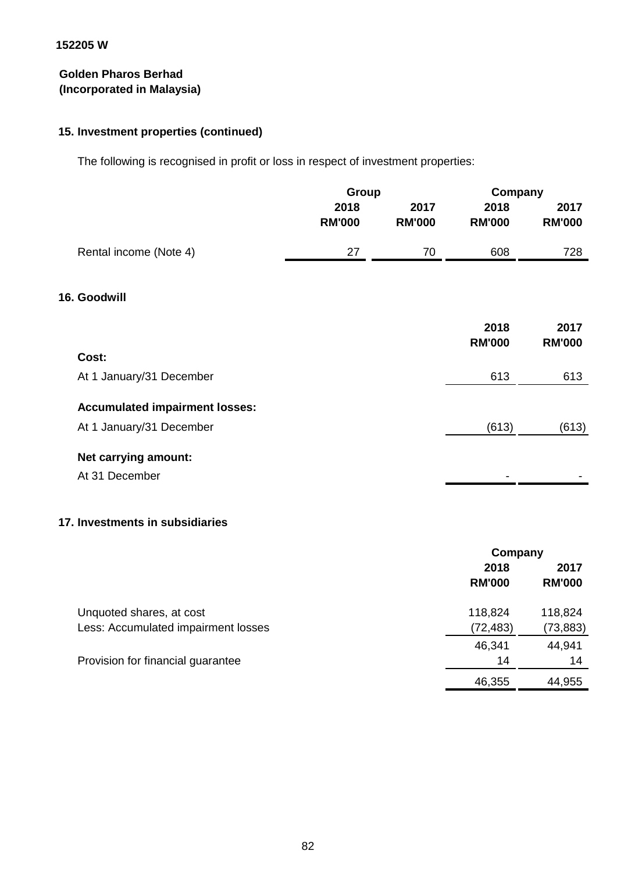## **Golden Pharos Berhad (Incorporated in Malaysia)**

# **15. Investment properties (continued)**

The following is recognised in profit or loss in respect of investment properties:

|                                       |                       | Group                 |                       | Company               |  |
|---------------------------------------|-----------------------|-----------------------|-----------------------|-----------------------|--|
|                                       | 2018<br><b>RM'000</b> | 2017<br><b>RM'000</b> | 2018<br><b>RM'000</b> | 2017<br><b>RM'000</b> |  |
| Rental income (Note 4)                | 27                    | 70                    | 608                   | 728                   |  |
| 16. Goodwill                          |                       |                       |                       |                       |  |
|                                       |                       |                       | 2018<br><b>RM'000</b> | 2017<br><b>RM'000</b> |  |
| Cost:                                 |                       |                       |                       |                       |  |
| At 1 January/31 December              |                       |                       | 613                   | 613                   |  |
| <b>Accumulated impairment losses:</b> |                       |                       |                       |                       |  |
| At 1 January/31 December              |                       |                       | (613)                 | (613)                 |  |
| Net carrying amount:                  |                       |                       |                       |                       |  |
| At 31 December                        |                       |                       |                       |                       |  |
|                                       |                       |                       |                       |                       |  |

### **17. Investments in subsidiaries**

|                                                                 | Company               |                       |
|-----------------------------------------------------------------|-----------------------|-----------------------|
|                                                                 | 2018<br><b>RM'000</b> | 2017<br><b>RM'000</b> |
| Unquoted shares, at cost<br>Less: Accumulated impairment losses | 118,824<br>(72, 483)  | 118,824<br>(73, 883)  |
| Provision for financial guarantee                               | 46,341<br>14          | 44,941<br>14          |
|                                                                 | 46,355                | 44,955                |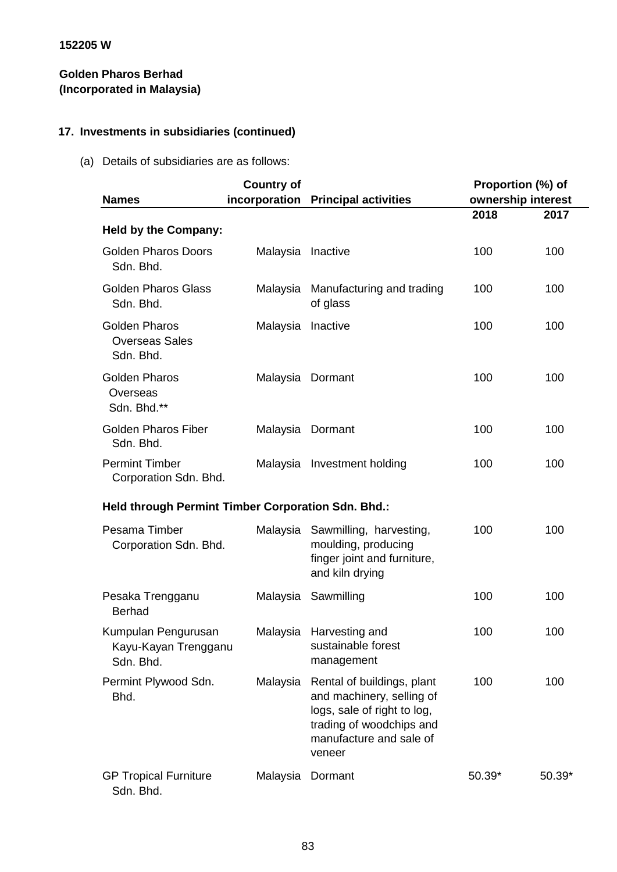## **17. Investments in subsidiaries (continued)**

(a) Details of subsidiaries are as follows:

| <b>Names</b>                                               | <b>Country of</b><br>incorporation | <b>Principal activities</b>                                                                                                                             |          | Proportion (%) of<br>ownership interest |
|------------------------------------------------------------|------------------------------------|---------------------------------------------------------------------------------------------------------------------------------------------------------|----------|-----------------------------------------|
| <b>Held by the Company:</b>                                |                                    |                                                                                                                                                         | 2018     | 2017                                    |
| <b>Golden Pharos Doors</b><br>Sdn. Bhd.                    | Malaysia Inactive                  |                                                                                                                                                         | 100      | 100                                     |
| <b>Golden Pharos Glass</b><br>Sdn. Bhd.                    | Malaysia                           | Manufacturing and trading<br>of glass                                                                                                                   | 100      | 100                                     |
| <b>Golden Pharos</b><br><b>Overseas Sales</b><br>Sdn. Bhd. | Malaysia                           | Inactive                                                                                                                                                | 100      | 100                                     |
| <b>Golden Pharos</b><br>Overseas<br>Sdn. Bhd.**            | Malaysia                           | Dormant                                                                                                                                                 | 100      | 100                                     |
| <b>Golden Pharos Fiber</b><br>Sdn. Bhd.                    | Malaysia                           | Dormant                                                                                                                                                 | 100      | 100                                     |
| <b>Permint Timber</b><br>Corporation Sdn. Bhd.             |                                    | Malaysia Investment holding                                                                                                                             | 100      | 100                                     |
| Held through Permint Timber Corporation Sdn. Bhd.:         |                                    |                                                                                                                                                         |          |                                         |
| Pesama Timber<br>Corporation Sdn. Bhd.                     | Malaysia                           | Sawmilling, harvesting,<br>moulding, producing<br>finger joint and furniture,<br>and kiln drying                                                        | 100      | 100                                     |
| Pesaka Trengganu<br><b>Berhad</b>                          | Malaysia                           | Sawmilling                                                                                                                                              | 100      | 100                                     |
| Kumpulan Pengurusan<br>Kayu-Kayan Trengganu<br>Sdn. Bhd.   | Malaysia                           | Harvesting and<br>sustainable forest<br>management                                                                                                      | 100      | 100                                     |
| Permint Plywood Sdn.<br>Bhd.                               | Malaysia                           | Rental of buildings, plant<br>and machinery, selling of<br>logs, sale of right to log,<br>trading of woodchips and<br>manufacture and sale of<br>veneer | 100      | 100                                     |
| <b>GP Tropical Furniture</b><br>Sdn. Bhd.                  | Malaysia                           | Dormant                                                                                                                                                 | $50.39*$ | $50.39*$                                |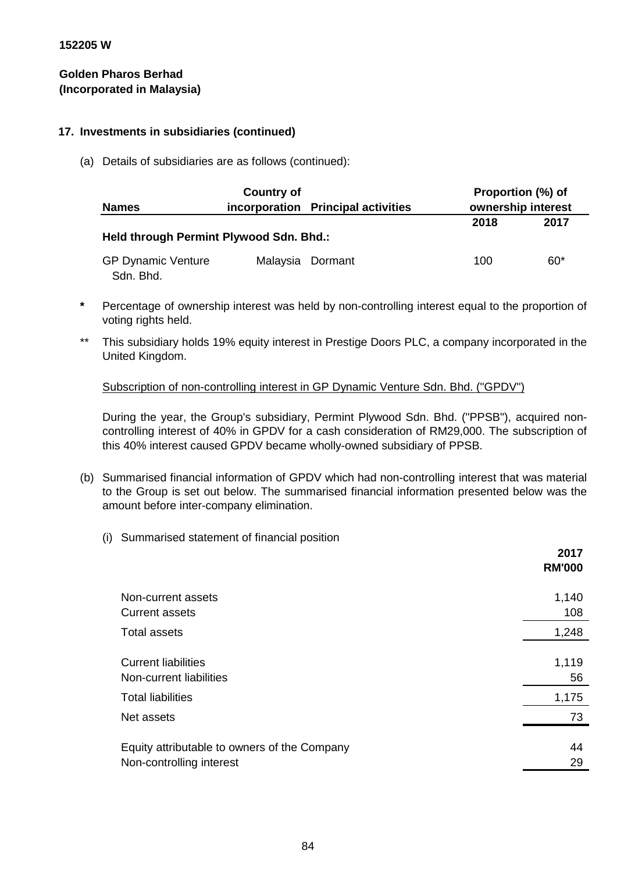#### **17. Investments in subsidiaries (continued)**

(a) Details of subsidiaries are as follows (continued):

| <b>Names</b>                           | <b>Country of</b><br>incorporation Principal activities | Proportion (%) of<br>ownership interest |       |
|----------------------------------------|---------------------------------------------------------|-----------------------------------------|-------|
|                                        | Held through Permint Plywood Sdn. Bhd.:                 | 2018                                    | 2017  |
| <b>GP Dynamic Venture</b><br>Sdn. Bhd. | Malaysia Dormant                                        | 100                                     | $60*$ |

- **\*** Percentage of ownership interest was held by non-controlling interest equal to the proportion of voting rights held.
- \*\* This subsidiary holds 19% equity interest in Prestige Doors PLC, a company incorporated in the United Kingdom.

#### Subscription of non-controlling interest in GP Dynamic Venture Sdn. Bhd. ("GPDV")

During the year, the Group's subsidiary, Permint Plywood Sdn. Bhd. ("PPSB"), acquired noncontrolling interest of 40% in GPDV for a cash consideration of RM29,000. The subscription of this 40% interest caused GPDV became wholly-owned subsidiary of PPSB.

- (b) Summarised financial information of GPDV which had non-controlling interest that was material to the Group is set out below. The summarised financial information presented below was the amount before inter-company elimination.
	- (i) Summarised statement of financial position

|                                                                          | 2017<br><b>RM'000</b> |
|--------------------------------------------------------------------------|-----------------------|
| Non-current assets<br><b>Current assets</b>                              | 1,140<br>108          |
| <b>Total assets</b>                                                      | 1,248                 |
| <b>Current liabilities</b><br>Non-current liabilities                    | 1,119<br>56           |
| <b>Total liabilities</b>                                                 | 1,175                 |
| Net assets                                                               | 73                    |
| Equity attributable to owners of the Company<br>Non-controlling interest | 44<br>29              |
|                                                                          |                       |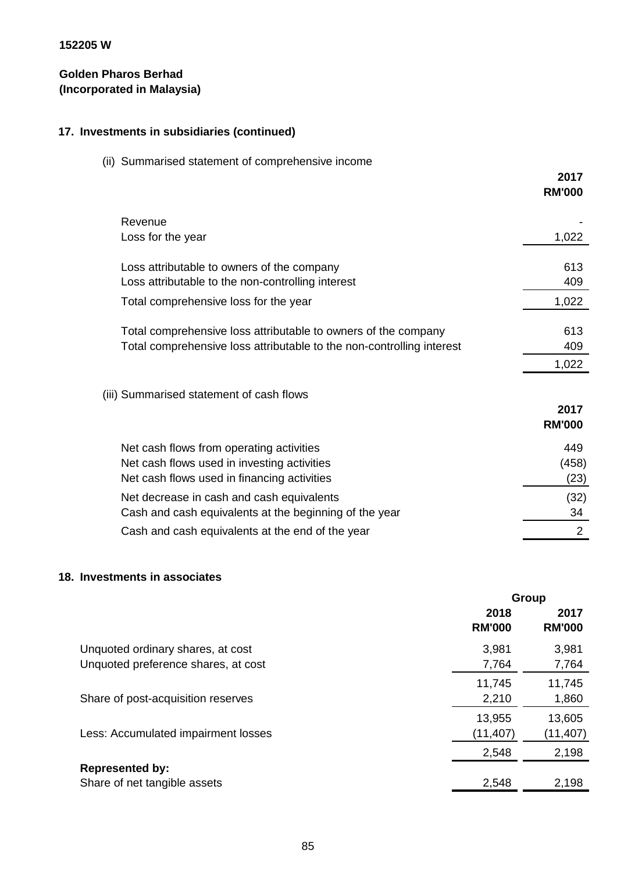# **17. Investments in subsidiaries (continued)**

(ii) Summarised statement of comprehensive income

|                                                                       | 2017<br><b>RM'000</b> |
|-----------------------------------------------------------------------|-----------------------|
| Revenue                                                               |                       |
| Loss for the year                                                     | 1,022                 |
| Loss attributable to owners of the company                            | 613                   |
| Loss attributable to the non-controlling interest                     | 409                   |
| Total comprehensive loss for the year                                 | 1,022                 |
|                                                                       |                       |
| Total comprehensive loss attributable to owners of the company        | 613                   |
| Total comprehensive loss attributable to the non-controlling interest | 409                   |
|                                                                       | 1,022                 |
| (iii) Summarised statement of cash flows                              |                       |
|                                                                       | 2017                  |
|                                                                       | <b>RM'000</b>         |
| Net cash flows from operating activities                              | 449                   |
| Net cash flows used in investing activities                           | (458)                 |
| Net cash flows used in financing activities                           | (23)                  |
| Net decrease in cash and cash equivalents                             | (32)                  |
| Cash and cash equivalents at the beginning of the year                | 34                    |
| Cash and cash equivalents at the end of the year                      | 2                     |

### **18. Investments in associates**

|                                                                          | Group                 |                       |
|--------------------------------------------------------------------------|-----------------------|-----------------------|
|                                                                          | 2018<br><b>RM'000</b> | 2017<br><b>RM'000</b> |
| Unquoted ordinary shares, at cost<br>Unquoted preference shares, at cost | 3,981<br>7,764        | 3,981<br>7,764        |
|                                                                          | 11,745                | 11,745                |
| Share of post-acquisition reserves                                       | 2,210<br>13,955       | 1,860<br>13,605       |
| Less: Accumulated impairment losses                                      | (11, 407)<br>2,548    | (11, 407)<br>2,198    |
| <b>Represented by:</b><br>Share of net tangible assets                   | 2,548                 | 2,198                 |
|                                                                          |                       |                       |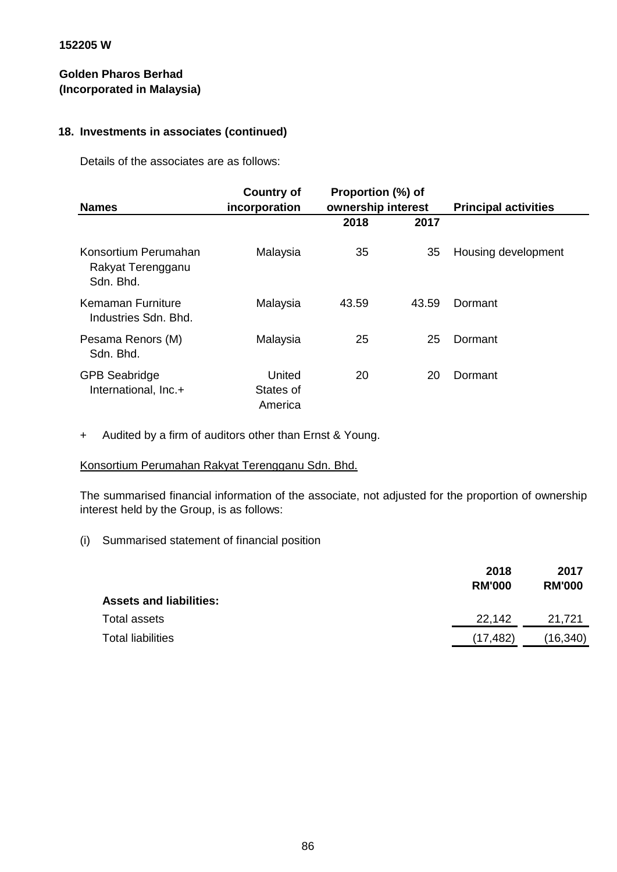## **18. Investments in associates (continued)**

Details of the associates are as follows:

|                                                        | <b>Country of</b>              | Proportion (%) of  |       |                     |                             |
|--------------------------------------------------------|--------------------------------|--------------------|-------|---------------------|-----------------------------|
| <b>Names</b>                                           | incorporation                  | ownership interest |       |                     | <b>Principal activities</b> |
|                                                        |                                | 2018               | 2017  |                     |                             |
| Konsortium Perumahan<br>Rakyat Terengganu<br>Sdn. Bhd. | Malaysia                       | 35                 | 35    | Housing development |                             |
| Kemaman Furniture<br>Industries Sdn. Bhd.              | Malaysia                       | 43.59              | 43.59 | Dormant             |                             |
| Pesama Renors (M)<br>Sdn. Bhd.                         | Malaysia                       | 25                 | 25    | Dormant             |                             |
| <b>GPB Seabridge</b><br>International, Inc.+           | United<br>States of<br>America | 20                 | 20    | Dormant             |                             |

+ Audited by a firm of auditors other than Ernst & Young.

#### Konsortium Perumahan Rakyat Terengganu Sdn. Bhd.

The summarised financial information of the associate, not adjusted for the proportion of ownership interest held by the Group, is as follows:

(i) Summarised statement of financial position

|                                | 2018<br><b>RM'000</b> | 2017<br><b>RM'000</b> |
|--------------------------------|-----------------------|-----------------------|
| <b>Assets and liabilities:</b> |                       |                       |
| Total assets                   | 22,142                | 21,721                |
| <b>Total liabilities</b>       | (17,482)              | (16,340)              |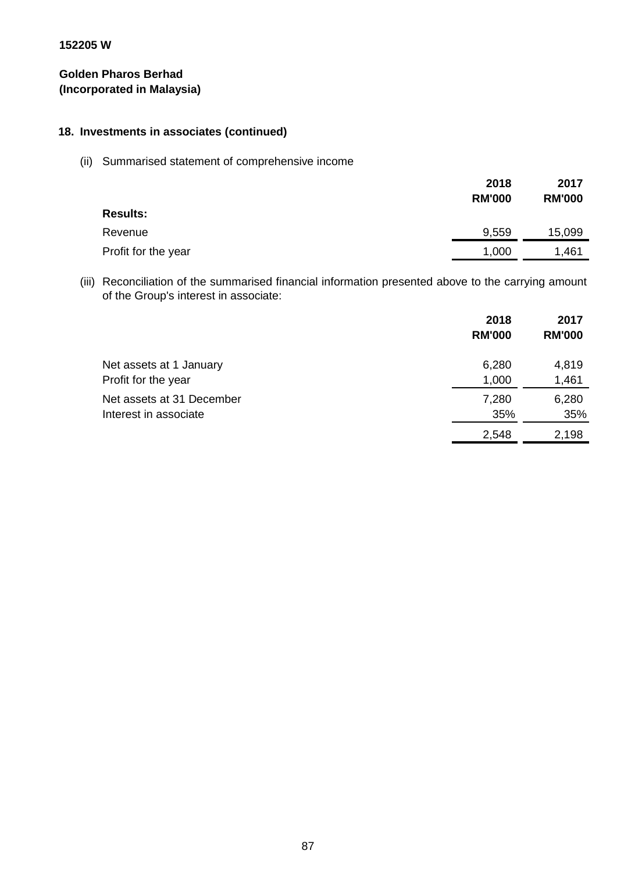# **18. Investments in associates (continued)**

(ii) Summarised statement of comprehensive income

|                     | 2018          | 2017          |
|---------------------|---------------|---------------|
|                     | <b>RM'000</b> | <b>RM'000</b> |
| <b>Results:</b>     |               |               |
| Revenue             | 9,559         | 15,099        |
| Profit for the year | 1,000         | 1,461         |

(iii) Reconciliation of the summarised financial information presented above to the carrying amount of the Group's interest in associate:

|                                                    | 2018<br><b>RM'000</b> | 2017<br><b>RM'000</b> |
|----------------------------------------------------|-----------------------|-----------------------|
| Net assets at 1 January                            | 6,280                 | 4,819                 |
| Profit for the year                                | 1,000                 | 1,461                 |
| Net assets at 31 December<br>Interest in associate | 7,280<br>35%          | 6,280<br>35%          |
|                                                    | 2,548                 | 2,198                 |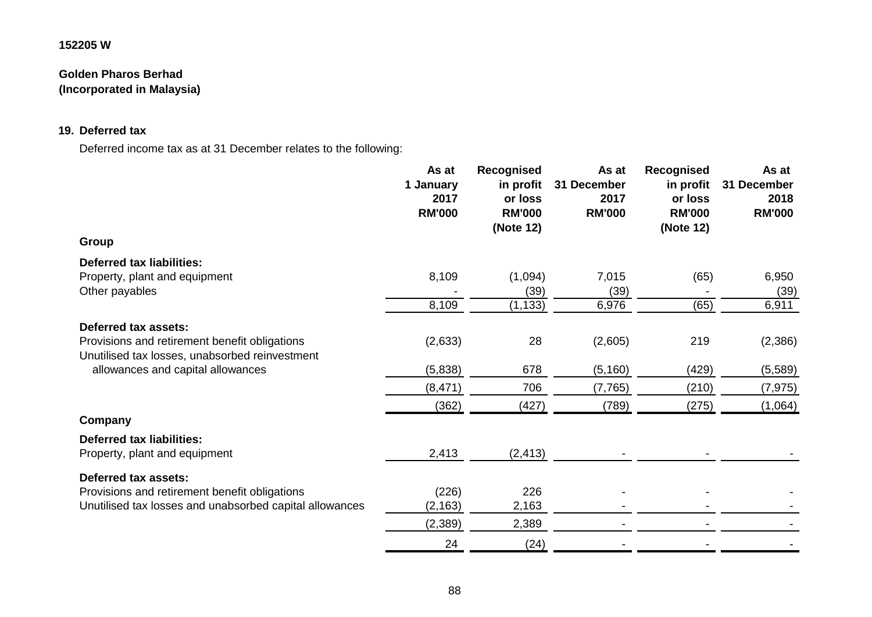## **Golden Pharos Berhad (Incorporated in Malaysia)**

## **19. Deferred tax**

Deferred income tax as at 31 December relates to the following:

|                                                                                                 | As at<br>1 January<br>2017<br><b>RM'000</b> | Recognised<br>in profit<br>or loss<br><b>RM'000</b><br>(Note 12) | As at<br>31 December<br>2017<br><b>RM'000</b> | <b>Recognised</b><br>in profit<br>or loss<br><b>RM'000</b><br>(Note 12) | As at<br>31 December<br>2018<br><b>RM'000</b> |
|-------------------------------------------------------------------------------------------------|---------------------------------------------|------------------------------------------------------------------|-----------------------------------------------|-------------------------------------------------------------------------|-----------------------------------------------|
| Group                                                                                           |                                             |                                                                  |                                               |                                                                         |                                               |
| <b>Deferred tax liabilities:</b>                                                                |                                             |                                                                  |                                               |                                                                         |                                               |
| Property, plant and equipment<br>Other payables                                                 | 8,109                                       | (1,094)<br>(39)                                                  | 7,015<br>(39)                                 | (65)                                                                    | 6,950<br>(39)                                 |
|                                                                                                 | 8,109                                       | (1, 133)                                                         | 6,976                                         | (65)                                                                    | 6,911                                         |
| Deferred tax assets:                                                                            |                                             |                                                                  |                                               |                                                                         |                                               |
| Provisions and retirement benefit obligations<br>Unutilised tax losses, unabsorbed reinvestment | (2,633)                                     | 28                                                               | (2,605)                                       | 219                                                                     | (2,386)                                       |
| allowances and capital allowances                                                               | (5,838)                                     | 678                                                              | (5, 160)                                      | (429)                                                                   | (5,589)                                       |
|                                                                                                 | (8, 471)                                    | 706                                                              | (7, 765)                                      | (210)                                                                   | (7, 975)                                      |
|                                                                                                 | (362)                                       | (427)                                                            | (789)                                         | (275)                                                                   | (1,064)                                       |
| Company                                                                                         |                                             |                                                                  |                                               |                                                                         |                                               |
| <b>Deferred tax liabilities:</b>                                                                |                                             |                                                                  |                                               |                                                                         |                                               |
| Property, plant and equipment                                                                   | 2,413                                       | (2, 413)                                                         |                                               |                                                                         |                                               |
| <b>Deferred tax assets:</b>                                                                     |                                             |                                                                  |                                               |                                                                         |                                               |
| Provisions and retirement benefit obligations                                                   | (226)                                       | 226                                                              |                                               |                                                                         |                                               |
| Unutilised tax losses and unabsorbed capital allowances                                         | (2, 163)                                    | 2,163                                                            |                                               |                                                                         |                                               |
|                                                                                                 | (2, 389)                                    | 2,389                                                            |                                               |                                                                         |                                               |
|                                                                                                 | 24                                          | (24)                                                             |                                               |                                                                         |                                               |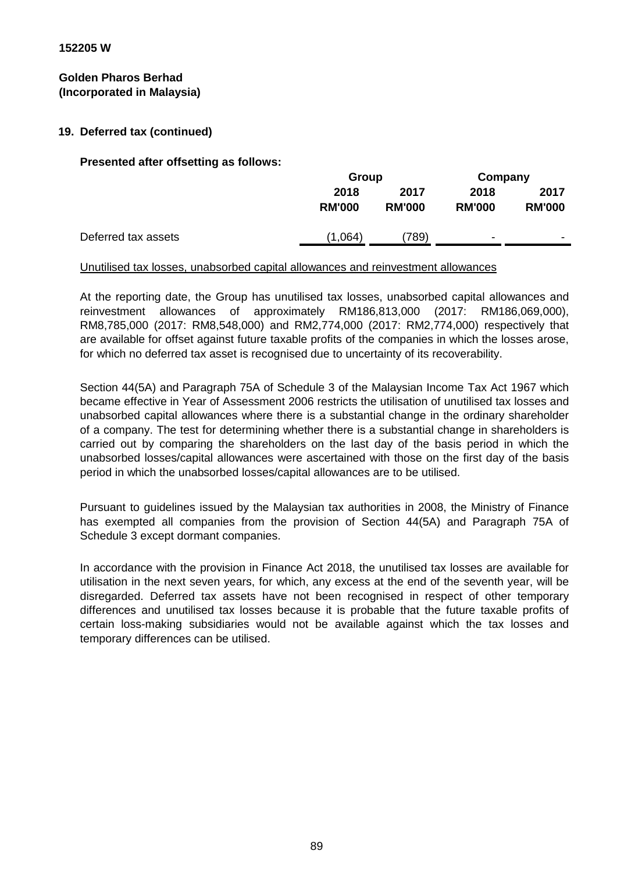### **19. Deferred tax (continued)**

#### **Presented after offsetting as follows:**

|                     | Group                 |                       | Company               |                       |
|---------------------|-----------------------|-----------------------|-----------------------|-----------------------|
|                     | 2018<br><b>RM'000</b> | 2017<br><b>RM'000</b> | 2018<br><b>RM'000</b> | 2017<br><b>RM'000</b> |
| Deferred tax assets | (1,064)               | 789)                  | -                     | ٠                     |

#### Unutilised tax losses, unabsorbed capital allowances and reinvestment allowances

At the reporting date, the Group has unutilised tax losses, unabsorbed capital allowances and reinvestment allowances of approximately RM186,813,000 (2017: RM186,069,000), RM8,785,000 (2017: RM8,548,000) and RM2,774,000 (2017: RM2,774,000) respectively that are available for offset against future taxable profits of the companies in which the losses arose, for which no deferred tax asset is recognised due to uncertainty of its recoverability.

Section 44(5A) and Paragraph 75A of Schedule 3 of the Malaysian Income Tax Act 1967 which became effective in Year of Assessment 2006 restricts the utilisation of unutilised tax losses and unabsorbed capital allowances where there is a substantial change in the ordinary shareholder of a company. The test for determining whether there is a substantial change in shareholders is carried out by comparing the shareholders on the last day of the basis period in which the unabsorbed losses/capital allowances were ascertained with those on the first day of the basis period in which the unabsorbed losses/capital allowances are to be utilised.

Pursuant to guidelines issued by the Malaysian tax authorities in 2008, the Ministry of Finance has exempted all companies from the provision of Section 44(5A) and Paragraph 75A of Schedule 3 except dormant companies.

In accordance with the provision in Finance Act 2018, the unutilised tax losses are available for utilisation in the next seven years, for which, any excess at the end of the seventh year, will be disregarded. Deferred tax assets have not been recognised in respect of other temporary differences and unutilised tax losses because it is probable that the future taxable profits of certain loss-making subsidiaries would not be available against which the tax losses and temporary differences can be utilised.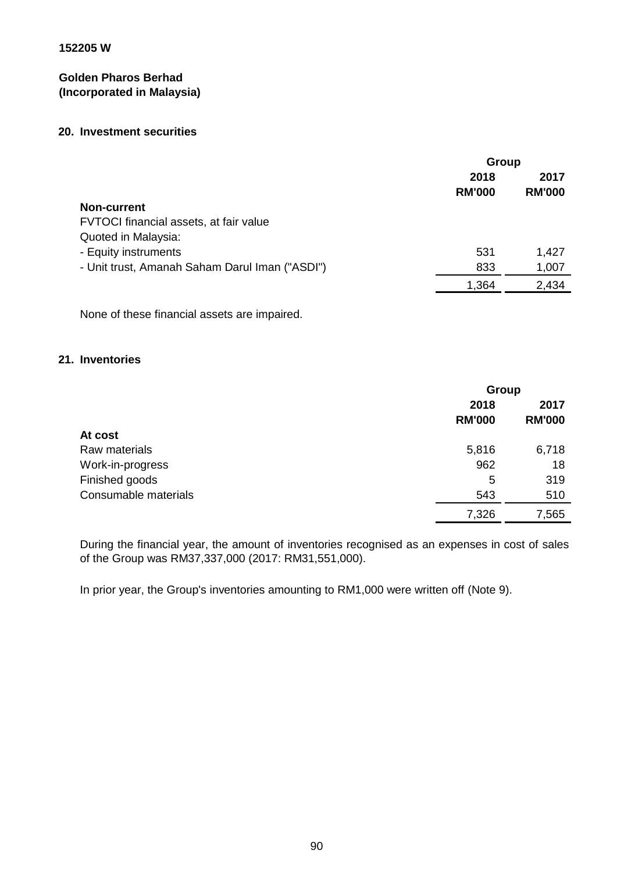## **20. Investment securities**

|                                                               | Group                 |                       |
|---------------------------------------------------------------|-----------------------|-----------------------|
|                                                               | 2018<br><b>RM'000</b> | 2017<br><b>RM'000</b> |
| <b>Non-current</b>                                            |                       |                       |
| FVTOCI financial assets, at fair value<br>Quoted in Malaysia: |                       |                       |
| - Equity instruments                                          | 531                   | 1,427                 |
| - Unit trust, Amanah Saham Darul Iman ("ASDI")                | 833                   | 1,007                 |
|                                                               | 1,364                 | 2,434                 |

None of these financial assets are impaired.

### **21. Inventories**

|                      |                       | Group                 |  |  |
|----------------------|-----------------------|-----------------------|--|--|
|                      | 2018<br><b>RM'000</b> | 2017<br><b>RM'000</b> |  |  |
| At cost              |                       |                       |  |  |
| Raw materials        | 5,816                 | 6,718                 |  |  |
| Work-in-progress     | 962                   | 18                    |  |  |
| Finished goods       | 5                     | 319                   |  |  |
| Consumable materials | 543                   | 510                   |  |  |
|                      | 7,326                 | 7,565                 |  |  |

During the financial year, the amount of inventories recognised as an expenses in cost of sales of the Group was RM37,337,000 (2017: RM31,551,000).

In prior year, the Group's inventories amounting to RM1,000 were written off (Note 9).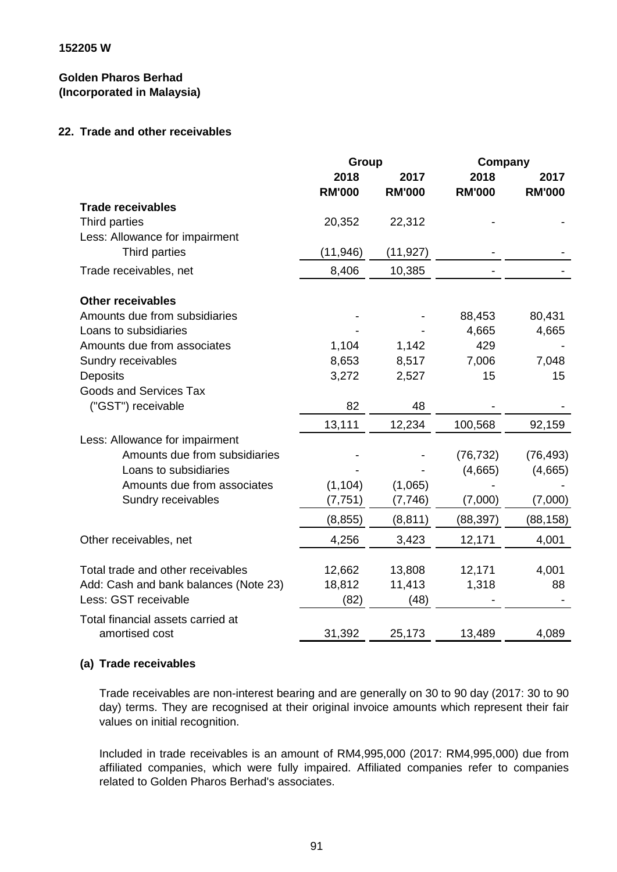### **22. Trade and other receivables**

|                                                   | Group                 |                       | Company               |                       |
|---------------------------------------------------|-----------------------|-----------------------|-----------------------|-----------------------|
|                                                   | 2018<br><b>RM'000</b> | 2017<br><b>RM'000</b> | 2018<br><b>RM'000</b> | 2017<br><b>RM'000</b> |
| <b>Trade receivables</b>                          |                       |                       |                       |                       |
| Third parties                                     | 20,352                | 22,312                |                       |                       |
| Less: Allowance for impairment                    |                       |                       |                       |                       |
| Third parties                                     | (11, 946)             | (11, 927)             |                       |                       |
| Trade receivables, net                            | 8,406                 | 10,385                |                       |                       |
| <b>Other receivables</b>                          |                       |                       |                       |                       |
| Amounts due from subsidiaries                     |                       |                       | 88,453                | 80,431                |
| Loans to subsidiaries                             |                       |                       | 4,665                 | 4,665                 |
| Amounts due from associates                       | 1,104                 | 1,142                 | 429                   |                       |
| Sundry receivables                                | 8,653                 | 8,517                 | 7,006                 | 7,048                 |
| <b>Deposits</b>                                   | 3,272                 | 2,527                 | 15                    | 15                    |
| <b>Goods and Services Tax</b>                     |                       |                       |                       |                       |
| ("GST") receivable                                | 82                    | 48                    |                       |                       |
|                                                   | 13,111                | 12,234                | 100,568               | 92,159                |
| Less: Allowance for impairment                    |                       |                       |                       |                       |
| Amounts due from subsidiaries                     |                       |                       | (76, 732)             | (76, 493)             |
| Loans to subsidiaries                             |                       |                       | (4,665)               | (4,665)               |
| Amounts due from associates<br>Sundry receivables | (1, 104)              | (1,065)               | (7,000)               | (7,000)               |
|                                                   | (7, 751)              | (7, 746)              |                       |                       |
|                                                   | (8, 855)              | (8, 811)              | (88, 397)             | (88, 158)             |
| Other receivables, net                            | 4,256                 | 3,423                 | 12,171                | 4,001                 |
| Total trade and other receivables                 | 12,662                | 13,808                | 12,171                | 4,001                 |
| Add: Cash and bank balances (Note 23)             | 18,812                | 11,413                | 1,318                 | 88                    |
| Less: GST receivable                              | (82)                  | (48)                  |                       |                       |
| Total financial assets carried at                 |                       |                       |                       |                       |
| amortised cost                                    | 31,392                | 25,173                | 13,489                | 4,089                 |

#### **(a) Trade receivables**

Trade receivables are non-interest bearing and are generally on 30 to 90 day (2017: 30 to 90 day) terms. They are recognised at their original invoice amounts which represent their fair values on initial recognition.

Included in trade receivables is an amount of RM4,995,000 (2017: RM4,995,000) due from affiliated companies, which were fully impaired. Affiliated companies refer to companies related to Golden Pharos Berhad's associates.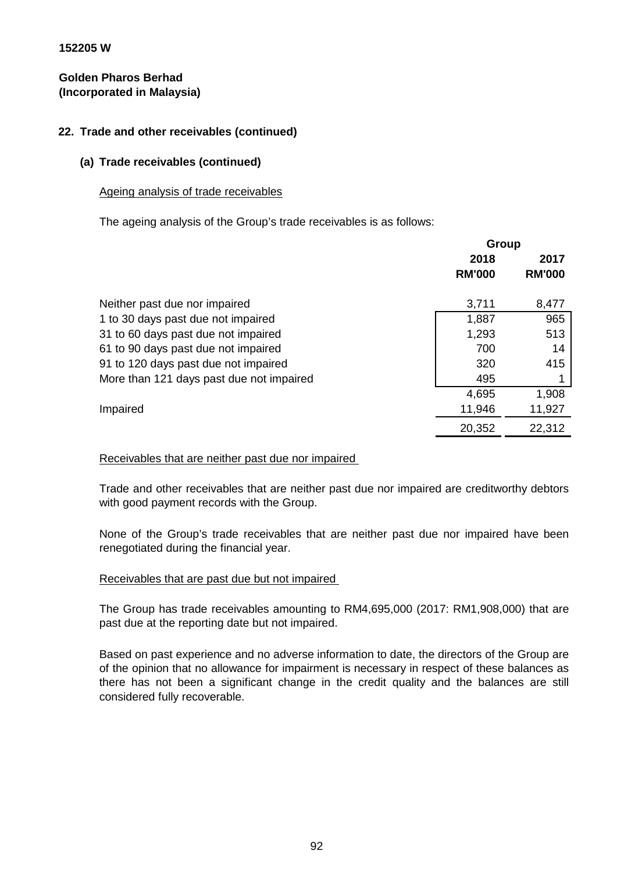#### **Golden Pharos Berhad (Incorporated in Malaysia)**

### **22. Trade and other receivables (continued)**

#### **(a) Trade receivables (continued)**

#### Ageing analysis of trade receivables

The ageing analysis of the Group's trade receivables is as follows:

|                                          | Group         |               |  |
|------------------------------------------|---------------|---------------|--|
|                                          | 2018          | 2017          |  |
|                                          | <b>RM'000</b> | <b>RM'000</b> |  |
| Neither past due nor impaired            | 3,711         | 8,477         |  |
| 1 to 30 days past due not impaired       | 1,887         | 965           |  |
| 31 to 60 days past due not impaired      | 1,293         | 513           |  |
| 61 to 90 days past due not impaired      | 700           | 14            |  |
| 91 to 120 days past due not impaired     | 320           | 415           |  |
| More than 121 days past due not impaired | 495           |               |  |
|                                          | 4,695         | 1,908         |  |
| Impaired                                 | 11,946        | 11,927        |  |
|                                          | 20,352        | 22,312        |  |

#### Receivables that are neither past due nor impaired

Trade and other receivables that are neither past due nor impaired are creditworthy debtors with good payment records with the Group.

None of the Group's trade receivables that are neither past due nor impaired have been renegotiated during the financial year.

#### Receivables that are past due but not impaired

The Group has trade receivables amounting to RM4,695,000 (2017: RM1,908,000) that are past due at the reporting date but not impaired.

Based on past experience and no adverse information to date, the directors of the Group are of the opinion that no allowance for impairment is necessary in respect of these balances as there has not been a significant change in the credit quality and the balances are still considered fully recoverable.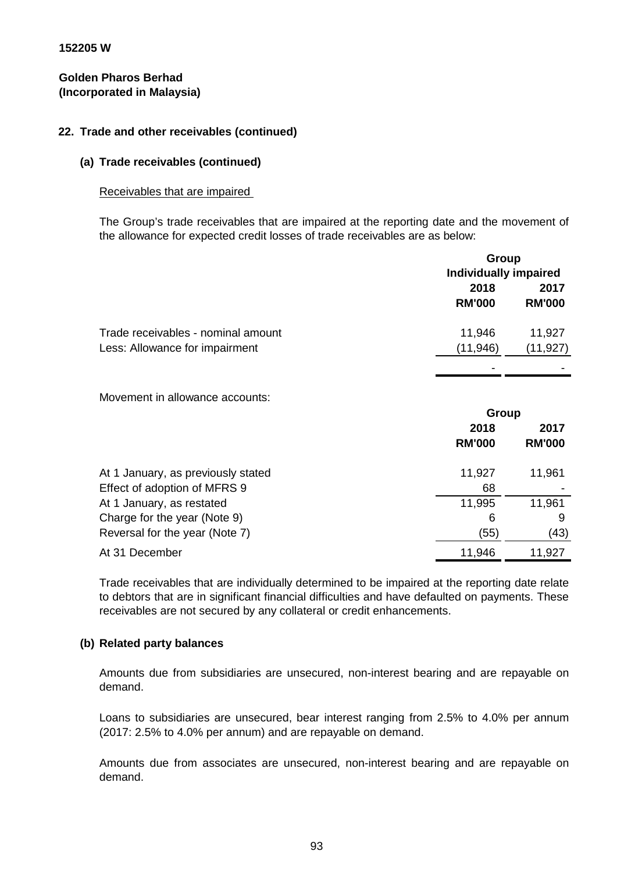#### **Golden Pharos Berhad (Incorporated in Malaysia)**

### **22. Trade and other receivables (continued)**

#### **(a) Trade receivables (continued)**

#### Receivables that are impaired

The Group's trade receivables that are impaired at the reporting date and the movement of the allowance for expected credit losses of trade receivables are as below:

|                                    | Group                        |               |  |
|------------------------------------|------------------------------|---------------|--|
|                                    | <b>Individually impaired</b> |               |  |
|                                    | 2018                         |               |  |
|                                    | <b>RM'000</b>                | <b>RM'000</b> |  |
| Trade receivables - nominal amount | 11,946                       | 11,927        |  |
| Less: Allowance for impairment     | (11, 946)                    | (11, 927)     |  |
|                                    |                              |               |  |
| Movement in allowance accounts:    |                              |               |  |
|                                    | Group                        |               |  |
|                                    | 2018                         | 2017          |  |
|                                    | <b>RM'000</b>                | <b>RM'000</b> |  |
| At 1 January, as previously stated | 11,927                       | 11,961        |  |
| Effect of adoption of MFRS 9       | 68                           |               |  |
| At 1 January, as restated          | 11,995                       | 11,961        |  |
| Charge for the year (Note 9)       | 6                            | 9             |  |
| Reversal for the year (Note 7)     | (55)                         | (43)          |  |

#### At 31 December 2011,927

Trade receivables that are individually determined to be impaired at the reporting date relate to debtors that are in significant financial difficulties and have defaulted on payments. These receivables are not secured by any collateral or credit enhancements.

#### **(b) Related party balances**

Amounts due from subsidiaries are unsecured, non-interest bearing and are repayable on demand.

Loans to subsidiaries are unsecured, bear interest ranging from 2.5% to 4.0% per annum (2017: 2.5% to 4.0% per annum) and are repayable on demand.

Amounts due from associates are unsecured, non-interest bearing and are repayable on demand.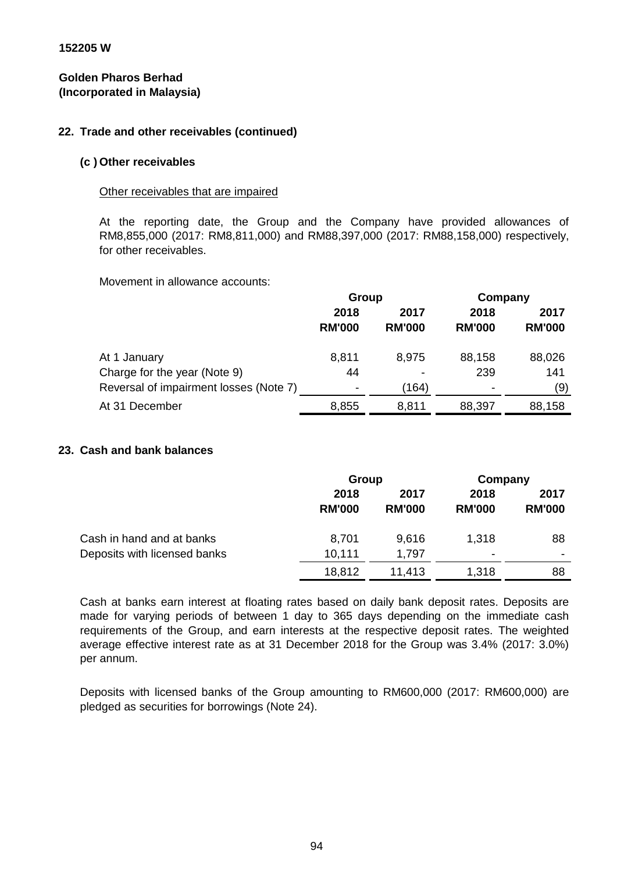### **22. Trade and other receivables (continued)**

#### **(c ) Other receivables**

#### Other receivables that are impaired

At the reporting date, the Group and the Company have provided allowances of RM8,855,000 (2017: RM8,811,000) and RM88,397,000 (2017: RM88,158,000) respectively, for other receivables.

Movement in allowance accounts:

|                                        | Group                    |                       | Company                  |                       |
|----------------------------------------|--------------------------|-----------------------|--------------------------|-----------------------|
|                                        | 2018<br><b>RM'000</b>    | 2017<br><b>RM'000</b> | 2018<br><b>RM'000</b>    | 2017<br><b>RM'000</b> |
| At 1 January                           | 8,811                    | 8,975                 | 88,158                   | 88,026                |
| Charge for the year (Note 9)           | 44                       | $\,$                  | 239                      | 141                   |
| Reversal of impairment losses (Note 7) | $\overline{\phantom{a}}$ | (164)                 | $\overline{\phantom{a}}$ | (9)                   |
| At 31 December                         | 8,855                    | 8,811                 | 88,397                   | 88,158                |

#### **23. Cash and bank balances**

|                              | Group                 |                       | Company               |                       |
|------------------------------|-----------------------|-----------------------|-----------------------|-----------------------|
|                              | 2018<br><b>RM'000</b> | 2017<br><b>RM'000</b> | 2018<br><b>RM'000</b> | 2017<br><b>RM'000</b> |
| Cash in hand and at banks    | 8,701                 | 9,616                 | 1,318                 | 88                    |
| Deposits with licensed banks | 10,111                | 1,797                 | -                     | ۰                     |
|                              | 18,812                | 11,413                | 1,318                 | 88                    |

Cash at banks earn interest at floating rates based on daily bank deposit rates. Deposits are made for varying periods of between 1 day to 365 days depending on the immediate cash requirements of the Group, and earn interests at the respective deposit rates. The weighted average effective interest rate as at 31 December 2018 for the Group was 3.4% (2017: 3.0%) per annum.

Deposits with licensed banks of the Group amounting to RM600,000 (2017: RM600,000) are pledged as securities for borrowings (Note 24).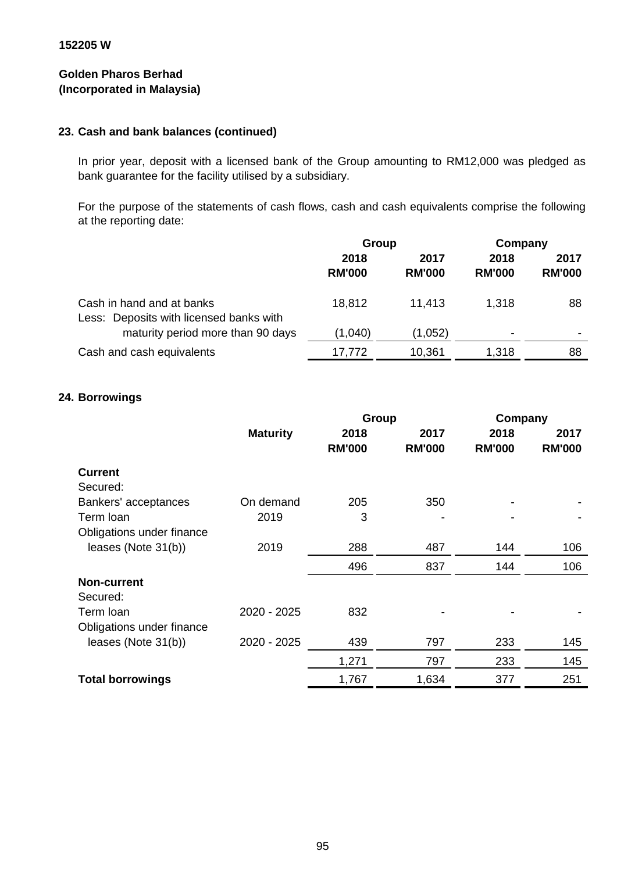## **23. Cash and bank balances (continued)**

In prior year, deposit with a licensed bank of the Group amounting to RM12,000 was pledged as bank guarantee for the facility utilised by a subsidiary.

For the purpose of the statements of cash flows, cash and cash equivalents comprise the following at the reporting date:

|                                                                      | Group         |               | Company       |               |  |      |
|----------------------------------------------------------------------|---------------|---------------|---------------|---------------|--|------|
|                                                                      | 2018          | 2017          | 2018          |               |  | 2017 |
|                                                                      | <b>RM'000</b> | <b>RM'000</b> | <b>RM'000</b> | <b>RM'000</b> |  |      |
| Cash in hand and at banks<br>Less: Deposits with licensed banks with | 18,812        | 11,413        | 1,318         | 88            |  |      |
| maturity period more than 90 days                                    | (1,040)       | (1,052)       | -             |               |  |      |
| Cash and cash equivalents                                            | 17,772        | 10,361        | 1,318         | 88            |  |      |

### **24. Borrowings**

|                                |                 |                       | Group                 | Company               |                       |
|--------------------------------|-----------------|-----------------------|-----------------------|-----------------------|-----------------------|
|                                | <b>Maturity</b> | 2018<br><b>RM'000</b> | 2017<br><b>RM'000</b> | 2018<br><b>RM'000</b> | 2017<br><b>RM'000</b> |
| <b>Current</b><br>Secured:     |                 |                       |                       |                       |                       |
| Bankers' acceptances           | On demand       | 205                   | 350                   |                       |                       |
| Term loan                      | 2019            | 3                     |                       |                       |                       |
| Obligations under finance      |                 |                       |                       |                       |                       |
| leases (Note 31(b))            | 2019            | 288                   | 487                   | 144                   | 106                   |
|                                |                 | 496                   | 837                   | 144                   | 106                   |
| <b>Non-current</b><br>Secured: |                 |                       |                       |                       |                       |
| Term loan                      | 2020 - 2025     | 832                   |                       |                       |                       |
| Obligations under finance      |                 |                       |                       |                       |                       |
| leases (Note 31(b))            | 2020 - 2025     | 439                   | 797                   | 233                   | 145                   |
|                                |                 | 1,271                 | 797                   | 233                   | 145                   |
| <b>Total borrowings</b>        |                 | 1,767                 | 1,634                 | 377                   | 251                   |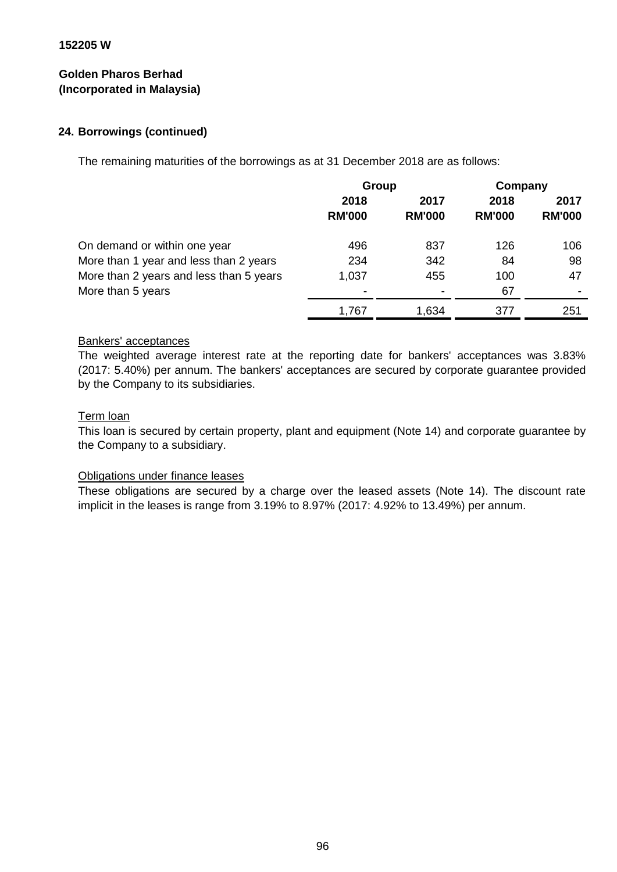#### **24. Borrowings (continued)**

The remaining maturities of the borrowings as at 31 December 2018 are as follows:

|                                         | Group                 |                       | Company               |                       |
|-----------------------------------------|-----------------------|-----------------------|-----------------------|-----------------------|
|                                         | 2018<br><b>RM'000</b> | 2017<br><b>RM'000</b> | 2018<br><b>RM'000</b> | 2017<br><b>RM'000</b> |
| On demand or within one year            | 496                   | 837                   | 126                   | 106                   |
| More than 1 year and less than 2 years  | 234                   | 342                   | 84                    | 98                    |
| More than 2 years and less than 5 years | 1,037                 | 455                   | 100                   | 47                    |
| More than 5 years                       |                       |                       | 67                    |                       |
|                                         | 1,767                 | 1,634                 | 377                   | 251                   |

#### Bankers' acceptances

The weighted average interest rate at the reporting date for bankers' acceptances was 3.83% (2017: 5.40%) per annum. The bankers' acceptances are secured by corporate guarantee provided by the Company to its subsidiaries.

#### Term loan

This loan is secured by certain property, plant and equipment (Note 14) and corporate guarantee by the Company to a subsidiary.

#### Obligations under finance leases

These obligations are secured by a charge over the leased assets (Note 14). The discount rate implicit in the leases is range from 3.19% to 8.97% (2017: 4.92% to 13.49%) per annum.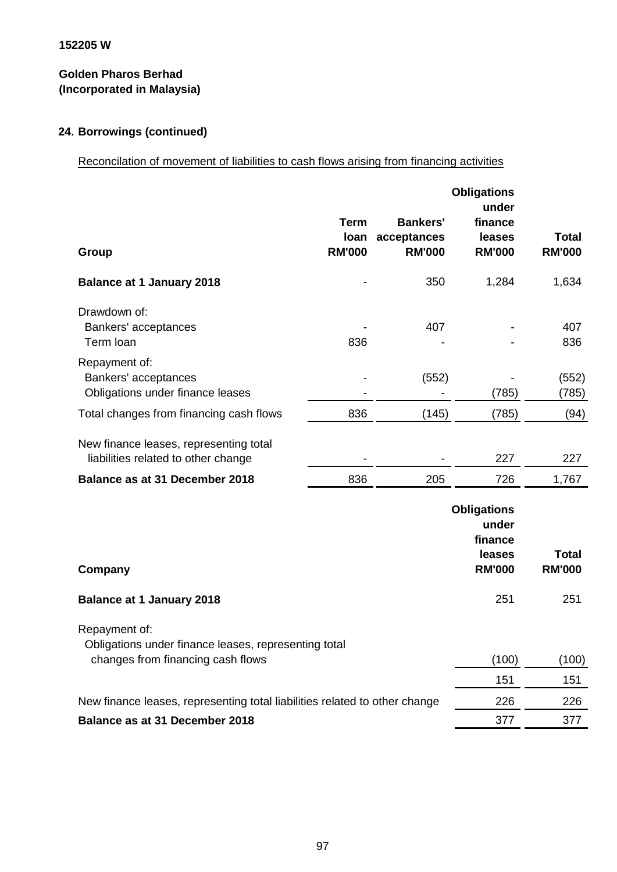# **24. Borrowings (continued)**

Reconcilation of movement of liabilities to cash flows arising from financing activities

|                                                                               | <b>Term</b><br>loan | <b>Bankers'</b><br>acceptances | <b>Obligations</b><br>under<br>finance<br>leases                  | <b>Total</b>                  |
|-------------------------------------------------------------------------------|---------------------|--------------------------------|-------------------------------------------------------------------|-------------------------------|
| Group                                                                         | <b>RM'000</b>       | <b>RM'000</b>                  | <b>RM'000</b>                                                     | <b>RM'000</b>                 |
| <b>Balance at 1 January 2018</b>                                              |                     | 350                            | 1,284                                                             | 1,634                         |
| Drawdown of:<br>Bankers' acceptances<br>Term loan                             | 836                 | 407                            |                                                                   | 407<br>836                    |
| Repayment of:<br>Bankers' acceptances<br>Obligations under finance leases     |                     | (552)                          | (785)                                                             | (552)<br>(785)                |
| Total changes from financing cash flows                                       | 836                 | (145)                          | (785)                                                             | (94)                          |
| New finance leases, representing total<br>liabilities related to other change |                     |                                | 227                                                               | 227                           |
| <b>Balance as at 31 December 2018</b>                                         | 836                 | 205                            | 726                                                               | 1,767                         |
| Company                                                                       |                     |                                | <b>Obligations</b><br>under<br>finance<br>leases<br><b>RM'000</b> | <b>Total</b><br><b>RM'000</b> |
| <b>Balance at 1 January 2018</b>                                              |                     |                                | 251                                                               | 251                           |
| Repayment of:<br>Obligations under finance leases, representing total         |                     |                                |                                                                   |                               |
| changes from financing cash flows                                             |                     |                                | (100)                                                             | (100)                         |
|                                                                               |                     |                                | 151                                                               | 151                           |
| New finance leases, representing total liabilities related to other change    |                     |                                | 226                                                               | 226                           |
| Balance as at 31 December 2018                                                |                     |                                | 377                                                               | 377                           |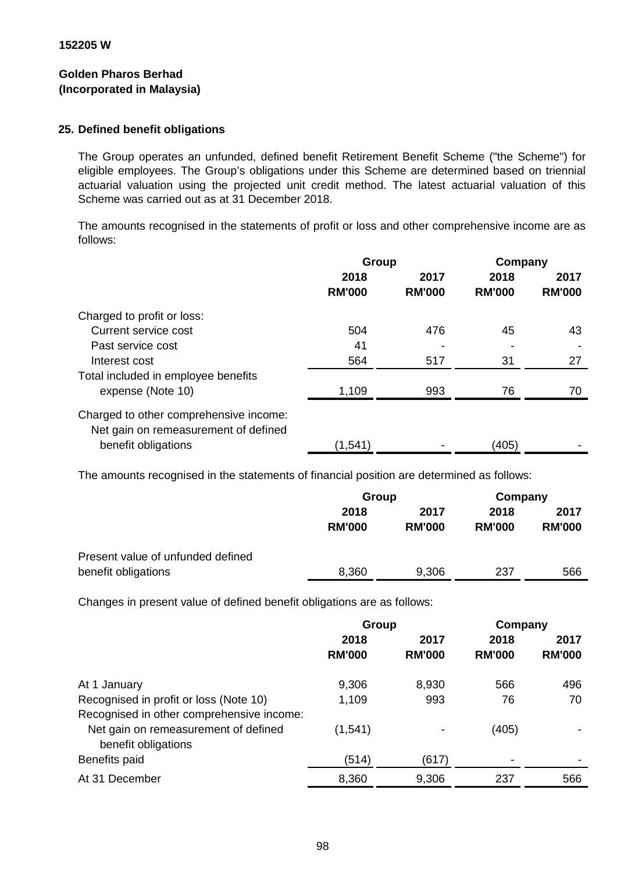#### **25. Defined benefit obligations**

The Group operates an unfunded, defined benefit Retirement Benefit Scheme ("the Scheme") for eligible employees. The Group's obligations under this Scheme are determined based on triennial actuarial valuation using the projected unit credit method. The latest actuarial valuation of this Scheme was carried out as at 31 December 2018.

The amounts recognised in the statements of profit or loss and other comprehensive income are as follows:

|                                                                                | Group         |               | Company       |               |
|--------------------------------------------------------------------------------|---------------|---------------|---------------|---------------|
|                                                                                | 2018          | 2017          | 2018          | 2017          |
|                                                                                | <b>RM'000</b> | <b>RM'000</b> | <b>RM'000</b> | <b>RM'000</b> |
| Charged to profit or loss:                                                     |               |               |               |               |
| Current service cost                                                           | 504           | 476           | 45            | 43            |
| Past service cost                                                              | 41            |               |               |               |
| Interest cost                                                                  | 564           | 517           | 31            | 27            |
| Total included in employee benefits                                            |               |               |               |               |
| expense (Note 10)                                                              | 1,109         | 993           | 76            | 70            |
| Charged to other comprehensive income:<br>Net gain on remeasurement of defined |               |               |               |               |
| benefit obligations                                                            | (1,541)       |               | (405)         |               |

The amounts recognised in the statements of financial position are determined as follows:

|                                                          | Group                 |                       | Company               |                       |
|----------------------------------------------------------|-----------------------|-----------------------|-----------------------|-----------------------|
|                                                          | 2018<br><b>RM'000</b> | 2017<br><b>RM'000</b> | 2018<br><b>RM'000</b> | 2017<br><b>RM'000</b> |
| Present value of unfunded defined<br>benefit obligations | 8,360                 | 9,306                 | 237                   | 566                   |

Changes in present value of defined benefit obligations are as follows:

|                                           | Group         |               | Company       |               |
|-------------------------------------------|---------------|---------------|---------------|---------------|
|                                           | 2018          | 2017          | 2018          | 2017          |
|                                           | <b>RM'000</b> | <b>RM'000</b> | <b>RM'000</b> | <b>RM'000</b> |
| At 1 January                              | 9,306         | 8,930         | 566           | 496           |
| Recognised in profit or loss (Note 10)    | 1,109         | 993           | 76            | 70            |
| Recognised in other comprehensive income: |               |               |               |               |
| Net gain on remeasurement of defined      | (1,541)       |               | (405)         |               |
| benefit obligations                       |               |               |               |               |
| Benefits paid                             | (514)         | (617)         |               |               |
| At 31 December                            | 8,360         | 9,306         | 237           | 566           |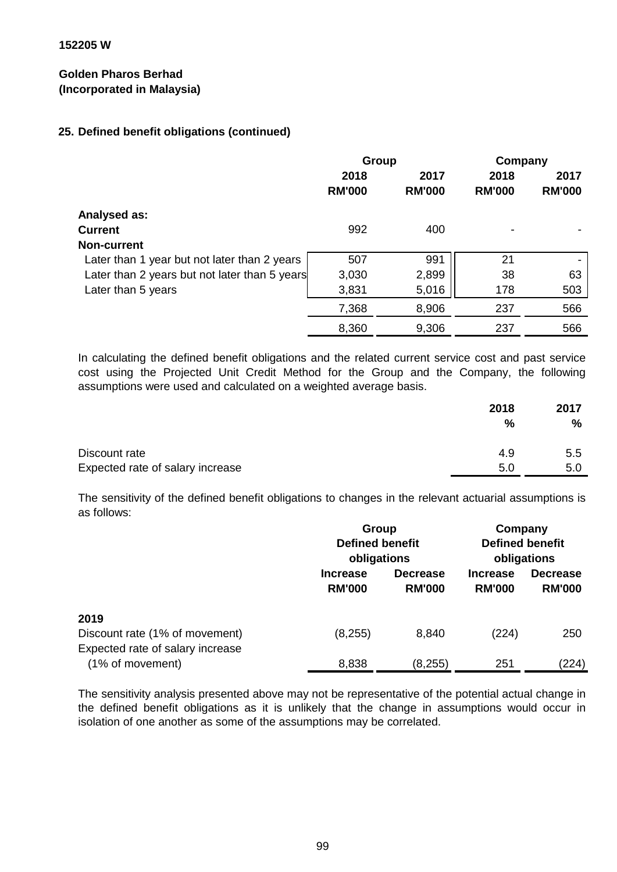### **25. Defined benefit obligations (continued)**

|                                               |                       | Group                 |                       | Company               |
|-----------------------------------------------|-----------------------|-----------------------|-----------------------|-----------------------|
|                                               | 2018<br><b>RM'000</b> | 2017<br><b>RM'000</b> | 2018<br><b>RM'000</b> | 2017<br><b>RM'000</b> |
| Analysed as:                                  |                       |                       |                       |                       |
| <b>Current</b>                                | 992                   | 400                   |                       |                       |
| Non-current                                   |                       |                       |                       |                       |
| Later than 1 year but not later than 2 years  | 507                   | 991                   | 21                    |                       |
| Later than 2 years but not later than 5 years | 3,030                 | 2,899                 | 38                    | 63                    |
| Later than 5 years                            | 3,831                 | 5,016                 | 178                   | 503                   |
|                                               | 7,368                 | 8,906                 | 237                   | 566                   |
|                                               | 8,360                 | 9,306                 | 237                   | 566                   |

In calculating the defined benefit obligations and the related current service cost and past service cost using the Projected Unit Credit Method for the Group and the Company, the following assumptions were used and calculated on a weighted average basis.

|                                  | 2018 | 2017 |
|----------------------------------|------|------|
|                                  | %    | %    |
| Discount rate                    | 4.9  | 5.5  |
| Expected rate of salary increase | 5.0  | 5.0  |

The sensitivity of the defined benefit obligations to changes in the relevant actuarial assumptions is as follows:

|                                                                    | Group<br><b>Defined benefit</b><br>obligations |                                  | Company<br><b>Defined benefit</b><br>obligations |                                  |
|--------------------------------------------------------------------|------------------------------------------------|----------------------------------|--------------------------------------------------|----------------------------------|
|                                                                    | <b>Increase</b><br><b>RM'000</b>               | <b>Decrease</b><br><b>RM'000</b> | <b>Increase</b><br><b>RM'000</b>                 | <b>Decrease</b><br><b>RM'000</b> |
| 2019                                                               |                                                |                                  |                                                  |                                  |
| Discount rate (1% of movement)<br>Expected rate of salary increase | (8, 255)                                       | 8,840                            | (224)                                            | 250                              |
| (1% of movement)                                                   | 8,838                                          | (8, 255)                         | 251                                              | (224)                            |

The sensitivity analysis presented above may not be representative of the potential actual change in the defined benefit obligations as it is unlikely that the change in assumptions would occur in isolation of one another as some of the assumptions may be correlated.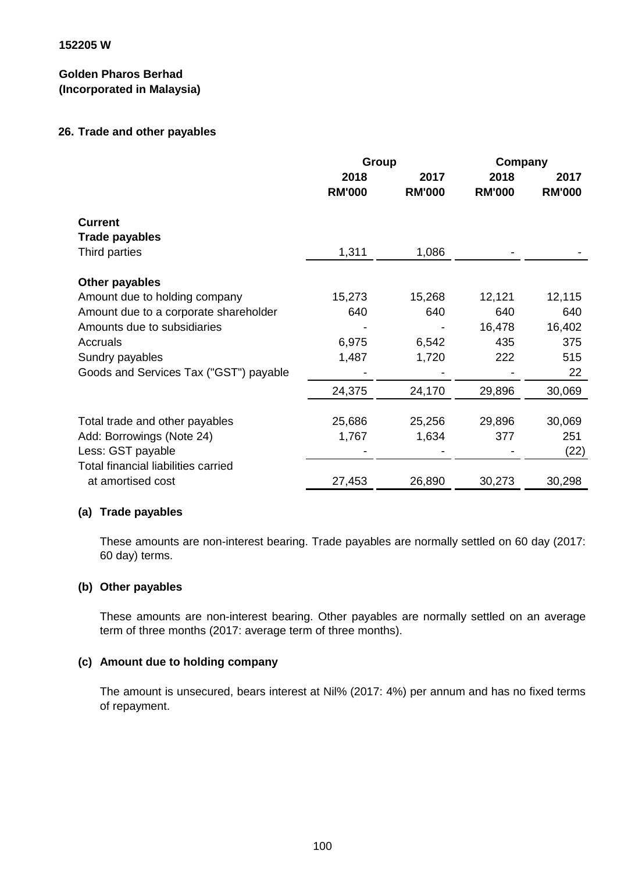#### **26. Trade and other payables**

|                                            | Group                 |                       | Company               |                       |
|--------------------------------------------|-----------------------|-----------------------|-----------------------|-----------------------|
|                                            | 2018<br><b>RM'000</b> | 2017<br><b>RM'000</b> | 2018<br><b>RM'000</b> | 2017<br><b>RM'000</b> |
| <b>Current</b><br><b>Trade payables</b>    |                       |                       |                       |                       |
| Third parties                              | 1,311                 | 1,086                 |                       |                       |
| Other payables                             |                       |                       |                       |                       |
| Amount due to holding company              | 15,273                | 15,268                | 12,121                | 12,115                |
| Amount due to a corporate shareholder      | 640                   | 640                   | 640                   | 640                   |
| Amounts due to subsidiaries                |                       |                       | 16,478                | 16,402                |
| Accruals                                   | 6,975                 | 6,542                 | 435                   | 375                   |
| Sundry payables                            | 1,487                 | 1,720                 | 222                   | 515                   |
| Goods and Services Tax ("GST") payable     |                       |                       |                       | 22                    |
|                                            | 24,375                | 24,170                | 29,896                | 30,069                |
| Total trade and other payables             | 25,686                | 25,256                | 29,896                | 30,069                |
| Add: Borrowings (Note 24)                  | 1,767                 | 1,634                 | 377                   | 251                   |
| Less: GST payable                          |                       |                       |                       | (22)                  |
| <b>Total financial liabilities carried</b> |                       |                       |                       |                       |
| at amortised cost                          | 27,453                | 26,890                | 30,273                | 30,298                |

#### **(a) Trade payables**

These amounts are non-interest bearing. Trade payables are normally settled on 60 day (2017: 60 day) terms.

### **(b) Other payables**

These amounts are non-interest bearing. Other payables are normally settled on an average term of three months (2017: average term of three months).

### **(c) Amount due to holding company**

The amount is unsecured, bears interest at Nil% (2017: 4%) per annum and has no fixed terms of repayment.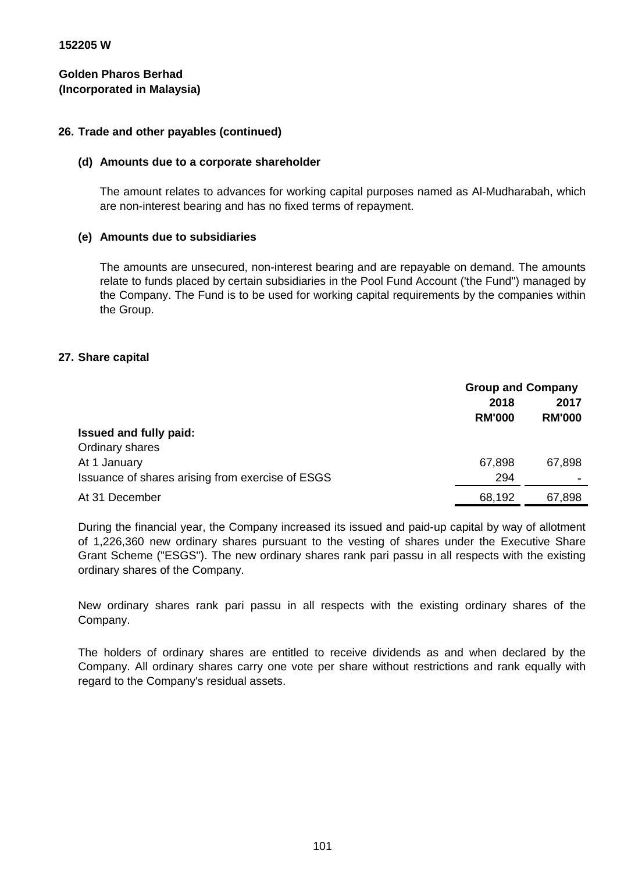#### **26. Trade and other payables (continued)**

#### **(d) Amounts due to a corporate shareholder**

The amount relates to advances for working capital purposes named as Al-Mudharabah, which are non-interest bearing and has no fixed terms of repayment.

#### **(e) Amounts due to subsidiaries**

The amounts are unsecured, non-interest bearing and are repayable on demand. The amounts relate to funds placed by certain subsidiaries in the Pool Fund Account ('the Fund") managed by the Company. The Fund is to be used for working capital requirements by the companies within the Group.

#### **27. Share capital**

|                                                  | <b>Group and Company</b> |                       |  |
|--------------------------------------------------|--------------------------|-----------------------|--|
|                                                  | 2018<br><b>RM'000</b>    | 2017<br><b>RM'000</b> |  |
| <b>Issued and fully paid:</b>                    |                          |                       |  |
| Ordinary shares                                  |                          |                       |  |
| At 1 January                                     | 67,898                   | 67,898                |  |
| Issuance of shares arising from exercise of ESGS | 294                      |                       |  |
| At 31 December                                   | 68,192                   | 67,898                |  |

During the financial year, the Company increased its issued and paid-up capital by way of allotment of 1,226,360 new ordinary shares pursuant to the vesting of shares under the Executive Share Grant Scheme ("ESGS"). The new ordinary shares rank pari passu in all respects with the existing ordinary shares of the Company.

New ordinary shares rank pari passu in all respects with the existing ordinary shares of the Company.

The holders of ordinary shares are entitled to receive dividends as and when declared by the Company. All ordinary shares carry one vote per share without restrictions and rank equally with regard to the Company's residual assets.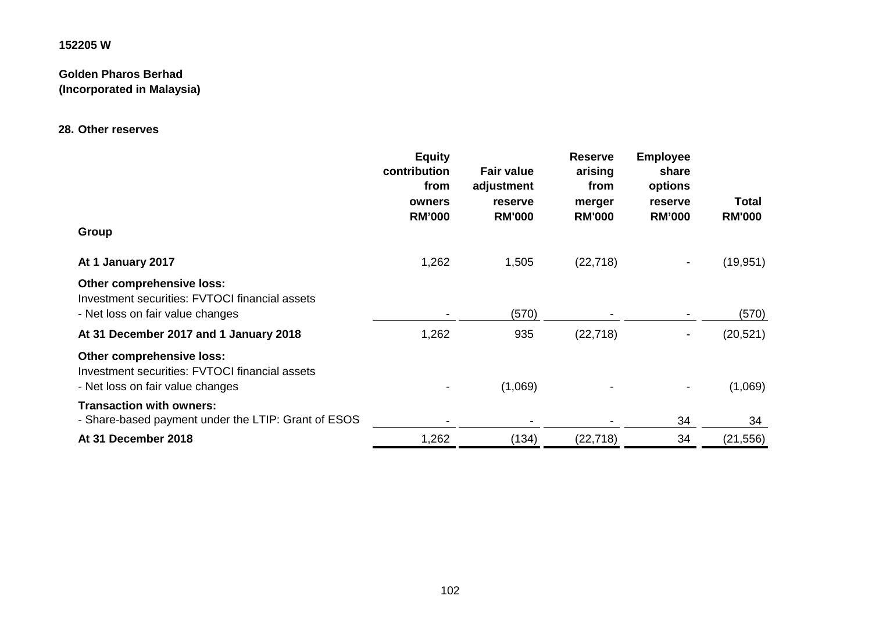# **Golden Pharos Berhad (Incorporated in Malaysia)**

## **28. Other reserves**

|                                                                                                                 | <b>Equity</b><br>contribution<br>from<br>owners<br><b>RM'000</b> | <b>Fair value</b><br>adjustment<br>reserve<br><b>RM'000</b> | <b>Reserve</b><br>arising<br>from<br>merger<br><b>RM'000</b> | <b>Employee</b><br>share<br>options<br>reserve<br><b>RM'000</b> | <b>Total</b><br><b>RM'000</b> |
|-----------------------------------------------------------------------------------------------------------------|------------------------------------------------------------------|-------------------------------------------------------------|--------------------------------------------------------------|-----------------------------------------------------------------|-------------------------------|
| Group                                                                                                           |                                                                  |                                                             |                                                              |                                                                 |                               |
| At 1 January 2017                                                                                               | 1,262                                                            | 1,505                                                       | (22, 718)                                                    |                                                                 | (19, 951)                     |
| Other comprehensive loss:<br>Investment securities: FVTOCI financial assets<br>- Net loss on fair value changes |                                                                  | (570)                                                       |                                                              |                                                                 | (570)                         |
| At 31 December 2017 and 1 January 2018                                                                          | 1,262                                                            | 935                                                         | (22, 718)                                                    | ۰                                                               | (20, 521)                     |
| Other comprehensive loss:<br>Investment securities: FVTOCI financial assets<br>- Net loss on fair value changes |                                                                  | (1,069)                                                     |                                                              | $\overline{\phantom{a}}$                                        | (1,069)                       |
| <b>Transaction with owners:</b><br>- Share-based payment under the LTIP: Grant of ESOS                          |                                                                  |                                                             |                                                              | 34                                                              | 34                            |
| At 31 December 2018                                                                                             | 1,262                                                            | (134)                                                       | (22, 718)                                                    | 34                                                              | (21, 556)                     |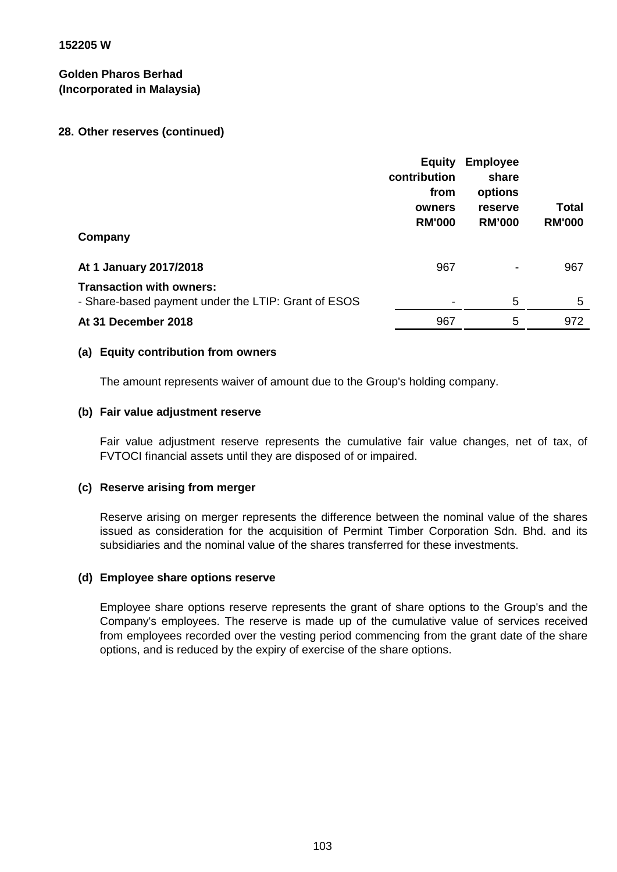#### **28. Other reserves (continued)**

|                                                                                        | <b>Equity</b><br>contribution<br>from<br>owners<br><b>RM'000</b> | <b>Employee</b><br>share<br>options<br>reserve<br><b>RM'000</b> | <b>Total</b><br><b>RM'000</b> |
|----------------------------------------------------------------------------------------|------------------------------------------------------------------|-----------------------------------------------------------------|-------------------------------|
| Company                                                                                |                                                                  |                                                                 |                               |
| At 1 January 2017/2018                                                                 | 967                                                              | $\overline{\phantom{a}}$                                        | 967                           |
| <b>Transaction with owners:</b><br>- Share-based payment under the LTIP: Grant of ESOS |                                                                  | 5                                                               | 5                             |
| At 31 December 2018                                                                    | 967                                                              | 5                                                               | 972                           |

#### **(a) Equity contribution from owners**

The amount represents waiver of amount due to the Group's holding company.

#### **(b) Fair value adjustment reserve**

Fair value adjustment reserve represents the cumulative fair value changes, net of tax, of FVTOCI financial assets until they are disposed of or impaired.

#### **(c) Reserve arising from merger**

Reserve arising on merger represents the difference between the nominal value of the shares issued as consideration for the acquisition of Permint Timber Corporation Sdn. Bhd. and its subsidiaries and the nominal value of the shares transferred for these investments.

#### **(d) Employee share options reserve**

Employee share options reserve represents the grant of share options to the Group's and the Company's employees. The reserve is made up of the cumulative value of services received from employees recorded over the vesting period commencing from the grant date of the share options, and is reduced by the expiry of exercise of the share options.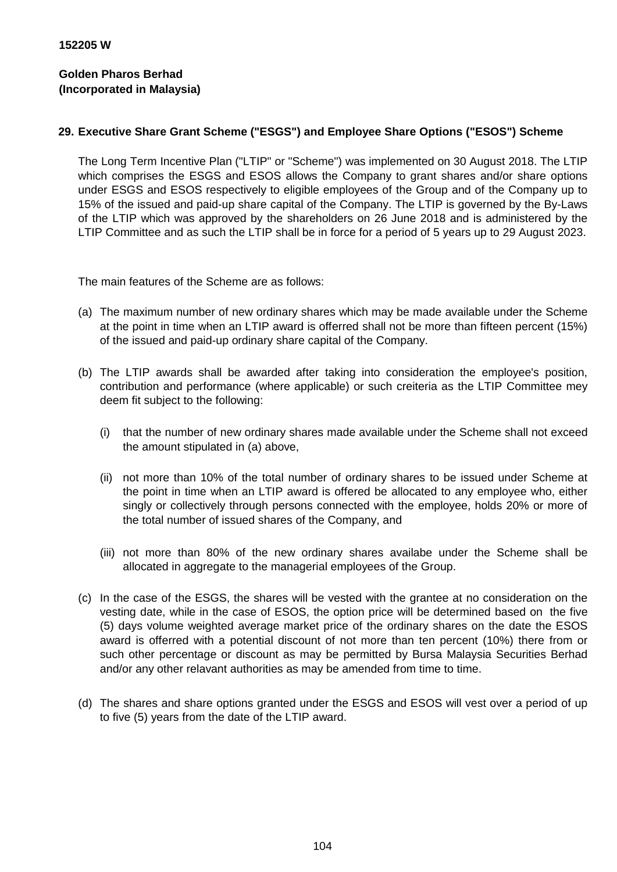### **29. Executive Share Grant Scheme ("ESGS") and Employee Share Options ("ESOS") Scheme**

The Long Term Incentive Plan ("LTIP" or "Scheme") was implemented on 30 August 2018. The LTIP which comprises the ESGS and ESOS allows the Company to grant shares and/or share options under ESGS and ESOS respectively to eligible employees of the Group and of the Company up to 15% of the issued and paid-up share capital of the Company. The LTIP is governed by the By-Laws of the LTIP which was approved by the shareholders on 26 June 2018 and is administered by the LTIP Committee and as such the LTIP shall be in force for a period of 5 years up to 29 August 2023.

The main features of the Scheme are as follows:

- (a) The maximum number of new ordinary shares which may be made available under the Scheme at the point in time when an LTIP award is offerred shall not be more than fifteen percent (15%) of the issued and paid-up ordinary share capital of the Company.
- (b) The LTIP awards shall be awarded after taking into consideration the employee's position, contribution and performance (where applicable) or such creiteria as the LTIP Committee mey deem fit subject to the following:
	- (i) that the number of new ordinary shares made available under the Scheme shall not exceed the amount stipulated in (a) above,
	- (ii) not more than 10% of the total number of ordinary shares to be issued under Scheme at the point in time when an LTIP award is offered be allocated to any employee who, either singly or collectively through persons connected with the employee, holds 20% or more of the total number of issued shares of the Company, and
	- (iii) not more than 80% of the new ordinary shares availabe under the Scheme shall be allocated in aggregate to the managerial employees of the Group.
- (c) In the case of the ESGS, the shares will be vested with the grantee at no consideration on the vesting date, while in the case of ESOS, the option price will be determined based on the five (5) days volume weighted average market price of the ordinary shares on the date the ESOS award is offerred with a potential discount of not more than ten percent (10%) there from or such other percentage or discount as may be permitted by Bursa Malaysia Securities Berhad and/or any other relavant authorities as may be amended from time to time.
- (d) The shares and share options granted under the ESGS and ESOS will vest over a period of up to five (5) years from the date of the LTIP award.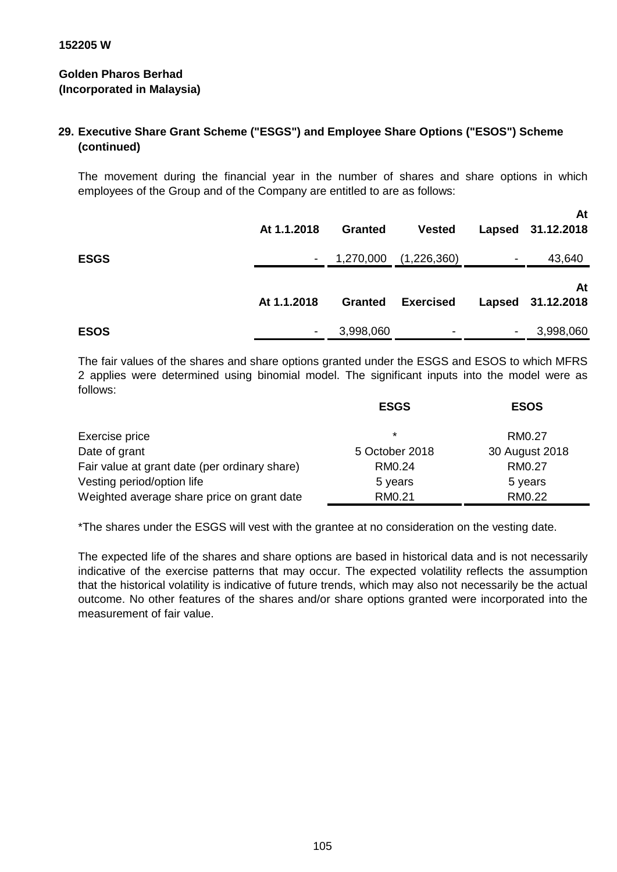## **29. Executive Share Grant Scheme ("ESGS") and Employee Share Options ("ESOS") Scheme (continued)**

The movement during the financial year in the number of shares and share options in which employees of the Group and of the Company are entitled to are as follows:

 **At**

|             |             |                |                          | AL                      |
|-------------|-------------|----------------|--------------------------|-------------------------|
|             | At 1.1.2018 | <b>Granted</b> | <b>Vested</b>            | Lapsed 31.12.2018       |
| <b>ESGS</b> |             | 1,270,000      | (1,226,360)              | 43,640                  |
|             | At 1.1.2018 | <b>Granted</b> | Exercised                | At<br>Lapsed 31.12.2018 |
| <b>ESOS</b> |             | 3,998,060      | $\overline{\phantom{0}}$ | 3,998,060               |

The fair values of the shares and share options granted under the ESGS and ESOS to which MFRS 2 applies were determined using binomial model. The significant inputs into the model were as follows:

|                                               | <b>ESGS</b>    | <b>ESOS</b>    |  |
|-----------------------------------------------|----------------|----------------|--|
| Exercise price                                | $\star$        | RM0.27         |  |
| Date of grant                                 | 5 October 2018 | 30 August 2018 |  |
| Fair value at grant date (per ordinary share) | RM0.24         | RM0.27         |  |
| Vesting period/option life                    | 5 years        | 5 years        |  |
| Weighted average share price on grant date    | RM0.21         | RM0.22         |  |

\*The shares under the ESGS will vest with the grantee at no consideration on the vesting date.

The expected life of the shares and share options are based in historical data and is not necessarily indicative of the exercise patterns that may occur. The expected volatility reflects the assumption that the historical volatility is indicative of future trends, which may also not necessarily be the actual outcome. No other features of the shares and/or share options granted were incorporated into the measurement of fair value.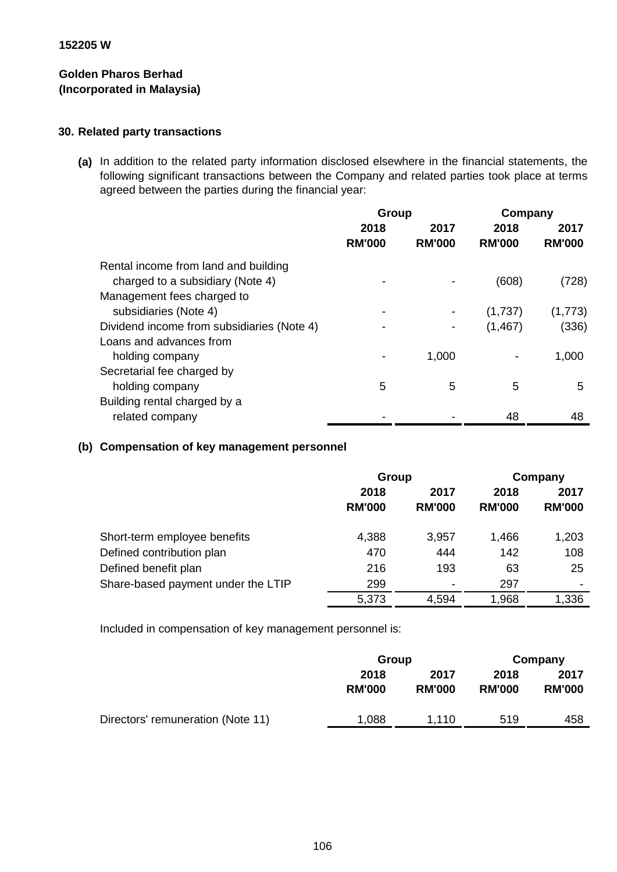### **30. Related party transactions**

**(a)** In addition to the related party information disclosed elsewhere in the financial statements, the following significant transactions between the Company and related parties took place at terms agreed between the parties during the financial year:

|                                            | Group         |               | Company       |               |
|--------------------------------------------|---------------|---------------|---------------|---------------|
|                                            | 2018          | 2017          | 2018          | 2017          |
|                                            | <b>RM'000</b> | <b>RM'000</b> | <b>RM'000</b> | <b>RM'000</b> |
| Rental income from land and building       |               |               |               |               |
| charged to a subsidiary (Note 4)           |               |               | (608)         | (728)         |
| Management fees charged to                 |               |               |               |               |
| subsidiaries (Note 4)                      |               |               | (1,737)       | (1,773)       |
| Dividend income from subsidiaries (Note 4) |               |               | (1,467)       | (336)         |
| Loans and advances from                    |               |               |               |               |
| holding company                            |               | 1,000         |               | 1,000         |
| Secretarial fee charged by                 |               |               |               |               |
| holding company                            | 5             | 5             | 5             | 5             |
| Building rental charged by a               |               |               |               |               |
| related company                            |               |               | 48            | 48            |
|                                            |               |               |               |               |

### **(b) Compensation of key management personnel**

|                                    | Group         |               | Company       |               |
|------------------------------------|---------------|---------------|---------------|---------------|
|                                    | 2018          | 2017          | 2018          | 2017          |
|                                    | <b>RM'000</b> | <b>RM'000</b> | <b>RM'000</b> | <b>RM'000</b> |
| Short-term employee benefits       | 4,388         | 3,957         | 1,466         | 1,203         |
| Defined contribution plan          | 470           | 444           | 142           | 108           |
| Defined benefit plan               | 216           | 193           | 63            | 25            |
| Share-based payment under the LTIP | 299           | ۰             | 297           |               |
|                                    | 5,373         | 4,594         | 1,968         | 1,336         |

Included in compensation of key management personnel is:

|                                   | Group                 |                       | Company               |                       |
|-----------------------------------|-----------------------|-----------------------|-----------------------|-----------------------|
|                                   | 2018<br><b>RM'000</b> | 2017<br><b>RM'000</b> | 2018<br><b>RM'000</b> | 2017<br><b>RM'000</b> |
| Directors' remuneration (Note 11) | 1,088                 | 1,110                 | 519                   | 458                   |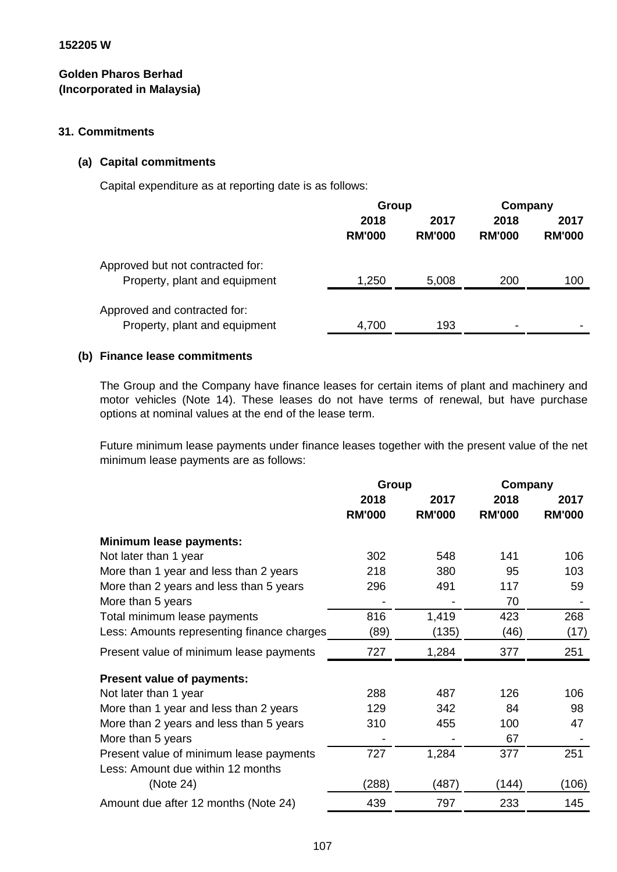# **31. Commitments**

## **(a) Capital commitments**

Capital expenditure as at reporting date is as follows:

|                                  | Group         | Company       |                          |               |
|----------------------------------|---------------|---------------|--------------------------|---------------|
|                                  | 2018          | 2017          | 2018                     | 2017          |
|                                  | <b>RM'000</b> | <b>RM'000</b> | <b>RM'000</b>            | <b>RM'000</b> |
| Approved but not contracted for: |               |               |                          |               |
| Property, plant and equipment    | 1,250         | 5,008         | 200                      | 100           |
| Approved and contracted for:     |               |               |                          |               |
| Property, plant and equipment    | 4,700         | 193           | $\overline{\phantom{0}}$ |               |

## **(b) Finance lease commitments**

The Group and the Company have finance leases for certain items of plant and machinery and motor vehicles (Note 14). These leases do not have terms of renewal, but have purchase options at nominal values at the end of the lease term.

Future minimum lease payments under finance leases together with the present value of the net minimum lease payments are as follows:

|                                                                              | Group         |               | Company       |               |  |
|------------------------------------------------------------------------------|---------------|---------------|---------------|---------------|--|
|                                                                              | 2018          | 2017          | 2018          | 2017          |  |
|                                                                              | <b>RM'000</b> | <b>RM'000</b> | <b>RM'000</b> | <b>RM'000</b> |  |
| Minimum lease payments:                                                      |               |               |               |               |  |
| Not later than 1 year                                                        | 302           | 548           | 141           | 106           |  |
| More than 1 year and less than 2 years                                       | 218           | 380           | 95            | 103           |  |
| More than 2 years and less than 5 years                                      | 296           | 491           | 117           | 59            |  |
| More than 5 years                                                            |               |               | 70            |               |  |
| Total minimum lease payments                                                 | 816           | 1,419         | 423           | 268           |  |
| Less: Amounts representing finance charges                                   | (89)          | (135)         | (46)          | (17)          |  |
| Present value of minimum lease payments                                      | 727           | 1,284         | 377           | 251           |  |
| <b>Present value of payments:</b>                                            |               |               |               |               |  |
| Not later than 1 year                                                        | 288           | 487           | 126           | 106           |  |
| More than 1 year and less than 2 years                                       | 129           | 342           | 84            | 98            |  |
| More than 2 years and less than 5 years                                      | 310           | 455           | 100           | 47            |  |
| More than 5 years                                                            |               |               | 67            |               |  |
| Present value of minimum lease payments<br>Less: Amount due within 12 months | 727           | 1,284         | 377           | 251           |  |
| (Note 24)                                                                    | (288)         | (487)         | (144)         | (106)         |  |
| Amount due after 12 months (Note 24)                                         | 439           | 797           | 233           | 145           |  |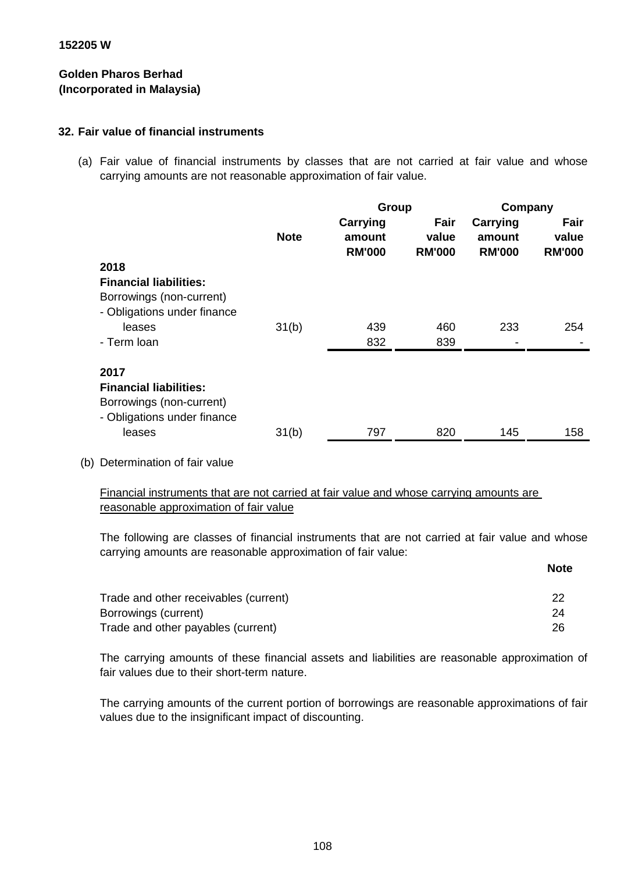# **32. Fair value of financial instruments**

Fair value of financial instruments by classes that are not carried at fair value and whose (a) carrying amounts are not reasonable approximation of fair value.

|                                                                                                  |             | <b>Group</b>                        | Company                        |                                            |                                |
|--------------------------------------------------------------------------------------------------|-------------|-------------------------------------|--------------------------------|--------------------------------------------|--------------------------------|
|                                                                                                  | <b>Note</b> | Carrying<br>amount<br><b>RM'000</b> | Fair<br>value<br><b>RM'000</b> | <b>Carrying</b><br>amount<br><b>RM'000</b> | Fair<br>value<br><b>RM'000</b> |
| 2018                                                                                             |             |                                     |                                |                                            |                                |
| <b>Financial liabilities:</b><br>Borrowings (non-current)<br>- Obligations under finance         |             |                                     |                                |                                            |                                |
| leases                                                                                           | 31(b)       | 439                                 | 460                            | 233                                        | 254                            |
| - Term Ioan                                                                                      |             | 832                                 | 839                            |                                            |                                |
| 2017<br><b>Financial liabilities:</b><br>Borrowings (non-current)<br>- Obligations under finance |             |                                     |                                |                                            |                                |
| leases                                                                                           | 31(b)       | 797                                 | 820                            | 145                                        | 158                            |

(b) Determination of fair value

# Financial instruments that are not carried at fair value and whose carrying amounts are reasonable approximation of fair value

The following are classes of financial instruments that are not carried at fair value and whose carrying amounts are reasonable approximation of fair value:

|                                       | <b>Note</b> |
|---------------------------------------|-------------|
| Trade and other receivables (current) | 22          |
| Borrowings (current)                  | 24          |
| Trade and other payables (current)    | 26          |

The carrying amounts of these financial assets and liabilities are reasonable approximation of fair values due to their short-term nature.

The carrying amounts of the current portion of borrowings are reasonable approximations of fair values due to the insignificant impact of discounting.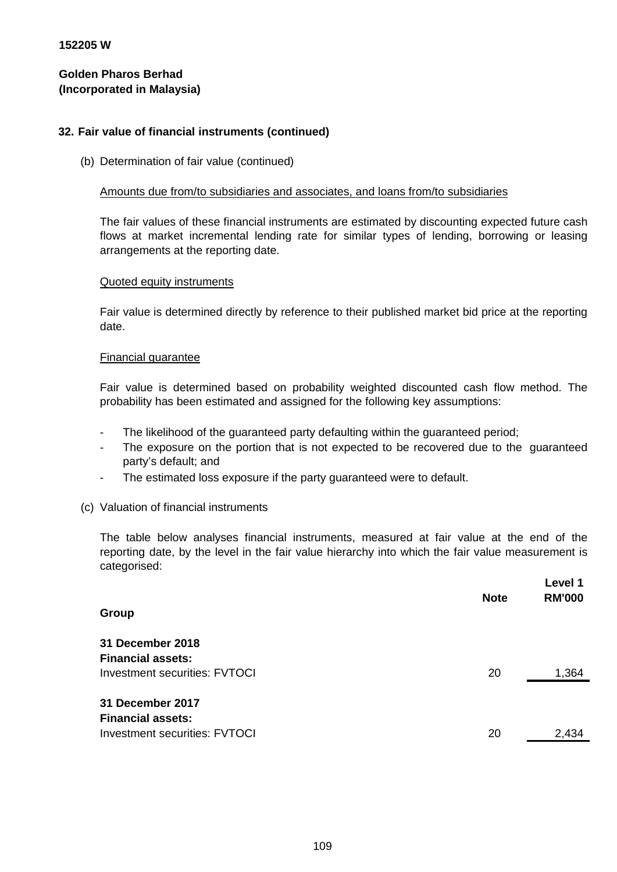## **32. Fair value of financial instruments (continued)**

(b) Determination of fair value (continued)

#### Amounts due from/to subsidiaries and associates, and loans from/to subsidiaries

The fair values of these financial instruments are estimated by discounting expected future cash flows at market incremental lending rate for similar types of lending, borrowing or leasing arrangements at the reporting date.

#### Quoted equity instruments

Fair value is determined directly by reference to their published market bid price at the reporting date.

#### Financial guarantee

Fair value is determined based on probability weighted discounted cash flow method. The probability has been estimated and assigned for the following key assumptions:

- The likelihood of the guaranteed party defaulting within the guaranteed period;
- The exposure on the portion that is not expected to be recovered due to the guaranteed party's default; and
- The estimated loss exposure if the party guaranteed were to default.

#### (c) Valuation of financial instruments

The table below analyses financial instruments, measured at fair value at the end of the reporting date, by the level in the fair value hierarchy into which the fair value measurement is categorised:

**Level 1**

| Group                                                     | <b>Note</b> | Level I<br><b>RM'000</b> |
|-----------------------------------------------------------|-------------|--------------------------|
| 31 December 2018                                          |             |                          |
| <b>Financial assets:</b><br>Investment securities: FVTOCI | 20          | 1,364                    |
| 31 December 2017<br><b>Financial assets:</b>              |             |                          |
| Investment securities: FVTOCI                             | 20          | 2,434                    |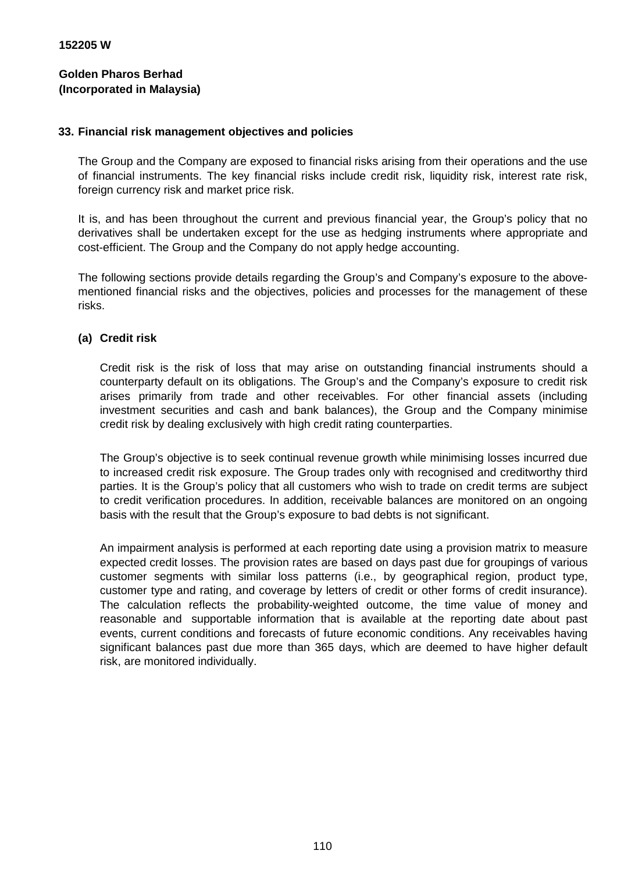#### **33. Financial risk management objectives and policies**

The Group and the Company are exposed to financial risks arising from their operations and the use of financial instruments. The key financial risks include credit risk, liquidity risk, interest rate risk, foreign currency risk and market price risk.

It is, and has been throughout the current and previous financial year, the Group's policy that no derivatives shall be undertaken except for the use as hedging instruments where appropriate and cost-efficient. The Group and the Company do not apply hedge accounting.

The following sections provide details regarding the Group's and Company's exposure to the abovementioned financial risks and the objectives, policies and processes for the management of these risks.

#### **(a) Credit risk**

Credit risk is the risk of loss that may arise on outstanding financial instruments should a counterparty default on its obligations. The Group's and the Company's exposure to credit risk arises primarily from trade and other receivables. For other financial assets (including investment securities and cash and bank balances), the Group and the Company minimise credit risk by dealing exclusively with high credit rating counterparties.

The Group's objective is to seek continual revenue growth while minimising losses incurred due to increased credit risk exposure. The Group trades only with recognised and creditworthy third parties. It is the Group's policy that all customers who wish to trade on credit terms are subject to credit verification procedures. In addition, receivable balances are monitored on an ongoing basis with the result that the Group's exposure to bad debts is not significant.

An impairment analysis is performed at each reporting date using a provision matrix to measure expected credit losses. The provision rates are based on days past due for groupings of various customer segments with similar loss patterns (i.e., by geographical region, product type, customer type and rating, and coverage by letters of credit or other forms of credit insurance). The calculation reflects the probability-weighted outcome, the time value of money and reasonable and supportable information that is available at the reporting date about past events, current conditions and forecasts of future economic conditions. Any receivables having significant balances past due more than 365 days, which are deemed to have higher default risk, are monitored individually.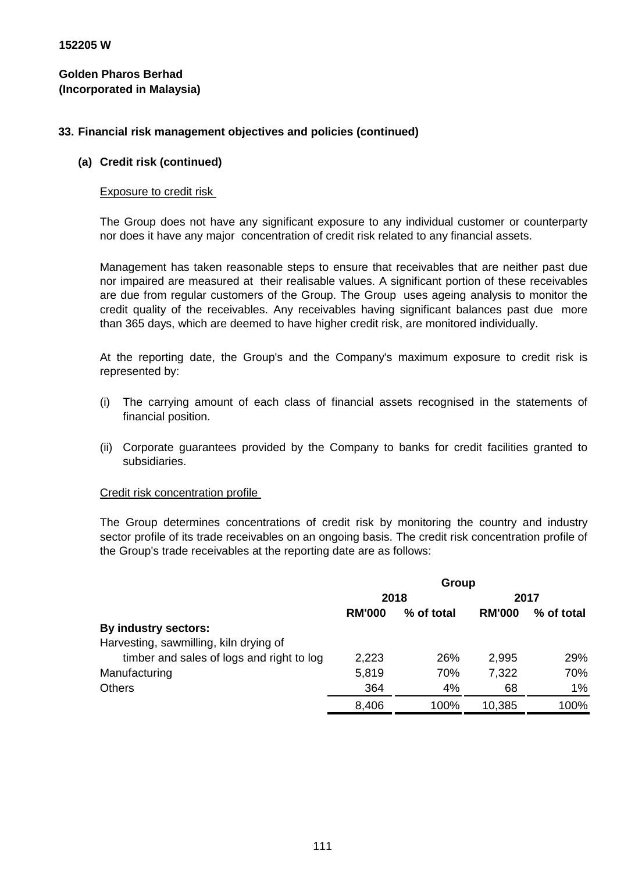## **33. Financial risk management objectives and policies (continued)**

#### **(a) Credit risk (continued)**

#### Exposure to credit risk

The Group does not have any significant exposure to any individual customer or counterparty nor does it have any major concentration of credit risk related to any financial assets.

Management has taken reasonable steps to ensure that receivables that are neither past due nor impaired are measured at their realisable values. A significant portion of these receivables are due from regular customers of the Group. The Group uses ageing analysis to monitor the credit quality of the receivables. Any receivables having significant balances past due more than 365 days, which are deemed to have higher credit risk, are monitored individually.

At the reporting date, the Group's and the Company's maximum exposure to credit risk is represented by:

- (i) The carrying amount of each class of financial assets recognised in the statements of financial position.
- (ii) Corporate guarantees provided by the Company to banks for credit facilities granted to subsidiaries.

#### Credit risk concentration profile

The Group determines concentrations of credit risk by monitoring the country and industry sector profile of its trade receivables on an ongoing basis. The credit risk concentration profile of the Group's trade receivables at the reporting date are as follows:

|                                           | Group         |            |               |            |  |
|-------------------------------------------|---------------|------------|---------------|------------|--|
|                                           |               | 2018       |               | 2017       |  |
|                                           | <b>RM'000</b> | % of total | <b>RM'000</b> | % of total |  |
| By industry sectors:                      |               |            |               |            |  |
| Harvesting, sawmilling, kiln drying of    |               |            |               |            |  |
| timber and sales of logs and right to log | 2,223         | 26%        | 2,995         | 29%        |  |
| Manufacturing                             | 5,819         | 70%        | 7,322         | 70%        |  |
| <b>Others</b>                             | 364           | 4%         | 68            | 1%         |  |
|                                           | 8,406         | 100%       | 10,385        | 100%       |  |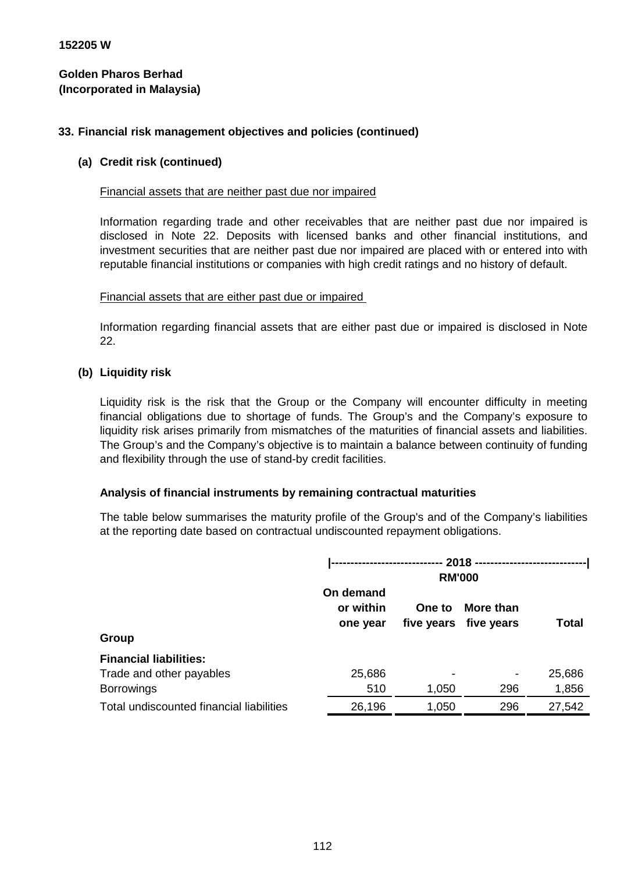## **33. Financial risk management objectives and policies (continued)**

## **(a) Credit risk (continued)**

#### Financial assets that are neither past due nor impaired

Information regarding trade and other receivables that are neither past due nor impaired is disclosed in Note 22. Deposits with licensed banks and other financial institutions, and investment securities that are neither past due nor impaired are placed with or entered into with reputable financial institutions or companies with high credit ratings and no history of default.

#### Financial assets that are either past due or impaired

Information regarding financial assets that are either past due or impaired is disclosed in Note 22.

#### **(b) Liquidity risk**

Liquidity risk is the risk that the Group or the Company will encounter difficulty in meeting financial obligations due to shortage of funds. The Group's and the Company's exposure to liquidity risk arises primarily from mismatches of the maturities of financial assets and liabilities. The Group's and the Company's objective is to maintain a balance between continuity of funding and flexibility through the use of stand-by credit facilities.

#### **Analysis of financial instruments by remaining contractual maturities**

The table below summarises the maturity profile of the Group's and of the Company's liabilities at the reporting date based on contractual undiscounted repayment obligations.

|                                          |                                    | 2018<br><b>RM'000</b> |                         |              |
|------------------------------------------|------------------------------------|-----------------------|-------------------------|--------------|
|                                          | On demand<br>or within<br>one year | One to<br>five years  | More than<br>five years | <b>Total</b> |
| Group                                    |                                    |                       |                         |              |
| <b>Financial liabilities:</b>            |                                    |                       |                         |              |
| Trade and other payables                 | 25,686                             |                       |                         | 25,686       |
| <b>Borrowings</b>                        | 510                                | 1,050                 | 296                     | 1,856        |
| Total undiscounted financial liabilities | 26,196                             | 1,050                 | 296                     | 27,542       |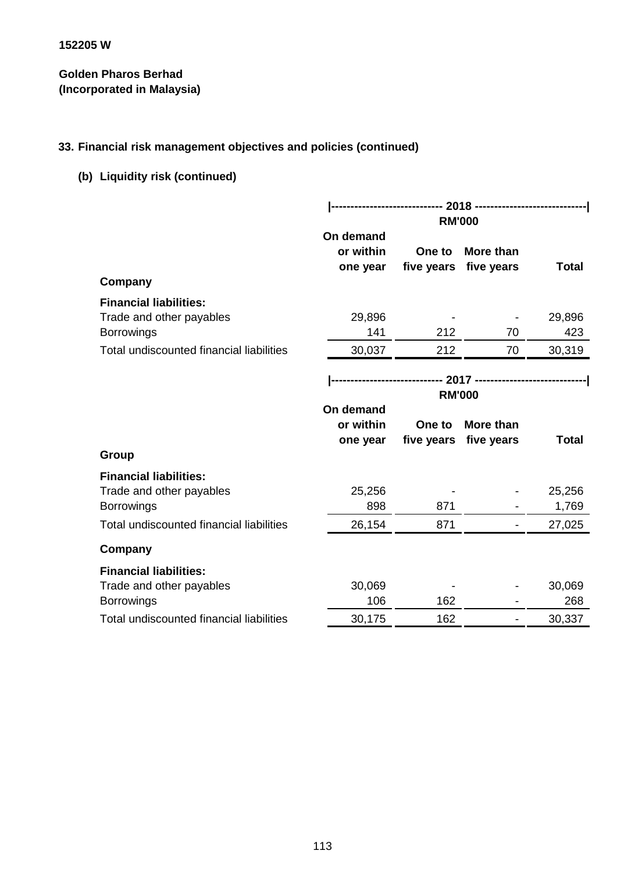# **33. Financial risk management objectives and policies (continued)**

# **(b) Liquidity risk (continued)**

| -- 2018 -------------- |                                           |                             |                                                                        |  |  |
|------------------------|-------------------------------------------|-----------------------------|------------------------------------------------------------------------|--|--|
| <b>RM'000</b>          |                                           |                             |                                                                        |  |  |
| On demand              |                                           |                             |                                                                        |  |  |
| or within              | One to                                    | More than                   |                                                                        |  |  |
| one year               | five years                                | five years                  | <b>Total</b>                                                           |  |  |
|                        |                                           |                             |                                                                        |  |  |
|                        |                                           |                             |                                                                        |  |  |
| 29,896                 |                                           |                             | 29,896                                                                 |  |  |
| 141                    | 212                                       | 70                          | 423                                                                    |  |  |
| 30,037                 | 212                                       | 70                          | 30,319                                                                 |  |  |
|                        |                                           |                             |                                                                        |  |  |
|                        |                                           |                             |                                                                        |  |  |
|                        |                                           |                             |                                                                        |  |  |
|                        |                                           |                             |                                                                        |  |  |
|                        |                                           |                             |                                                                        |  |  |
|                        |                                           |                             | <b>Total</b>                                                           |  |  |
|                        |                                           |                             |                                                                        |  |  |
|                        |                                           |                             |                                                                        |  |  |
| 25,256                 |                                           |                             | 25,256                                                                 |  |  |
|                        |                                           |                             | 1,769                                                                  |  |  |
| 26,154                 | 871                                       |                             | 27,025                                                                 |  |  |
|                        |                                           |                             |                                                                        |  |  |
|                        |                                           |                             |                                                                        |  |  |
| 30,069                 |                                           |                             | 30,069                                                                 |  |  |
| 106                    | 162                                       |                             | 268                                                                    |  |  |
| 30,175                 |                                           |                             | 30,337                                                                 |  |  |
|                        | On demand<br>or within<br>one year<br>898 | One to<br>five years<br>871 | -- 2017 -----------<br><b>RM'000</b><br>More than<br>five years<br>162 |  |  |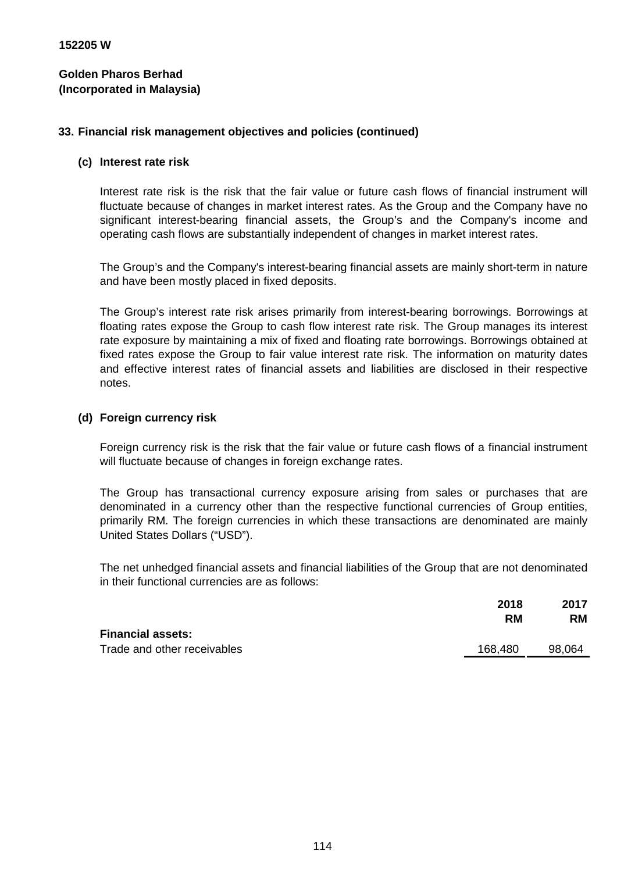#### **33. Financial risk management objectives and policies (continued)**

#### **(c) Interest rate risk**

Interest rate risk is the risk that the fair value or future cash flows of financial instrument will fluctuate because of changes in market interest rates. As the Group and the Company have no significant interest-bearing financial assets, the Group's and the Company's income and operating cash flows are substantially independent of changes in market interest rates.

The Group's and the Company's interest-bearing financial assets are mainly short-term in nature and have been mostly placed in fixed deposits.

The Group's interest rate risk arises primarily from interest-bearing borrowings. Borrowings at floating rates expose the Group to cash flow interest rate risk. The Group manages its interest rate exposure by maintaining a mix of fixed and floating rate borrowings. Borrowings obtained at fixed rates expose the Group to fair value interest rate risk. The information on maturity dates and effective interest rates of financial assets and liabilities are disclosed in their respective notes.

#### **(d) Foreign currency risk**

Foreign currency risk is the risk that the fair value or future cash flows of a financial instrument will fluctuate because of changes in foreign exchange rates.

The Group has transactional currency exposure arising from sales or purchases that are denominated in a currency other than the respective functional currencies of Group entities, primarily RM. The foreign currencies in which these transactions are denominated are mainly United States Dollars ("USD").

The net unhedged financial assets and financial liabilities of the Group that are not denominated in their functional currencies are as follows:

|                             | 2018    | 2017   |
|-----------------------------|---------|--------|
|                             | RM      | RM     |
| <b>Financial assets:</b>    |         |        |
| Trade and other receivables | 168,480 | 98,064 |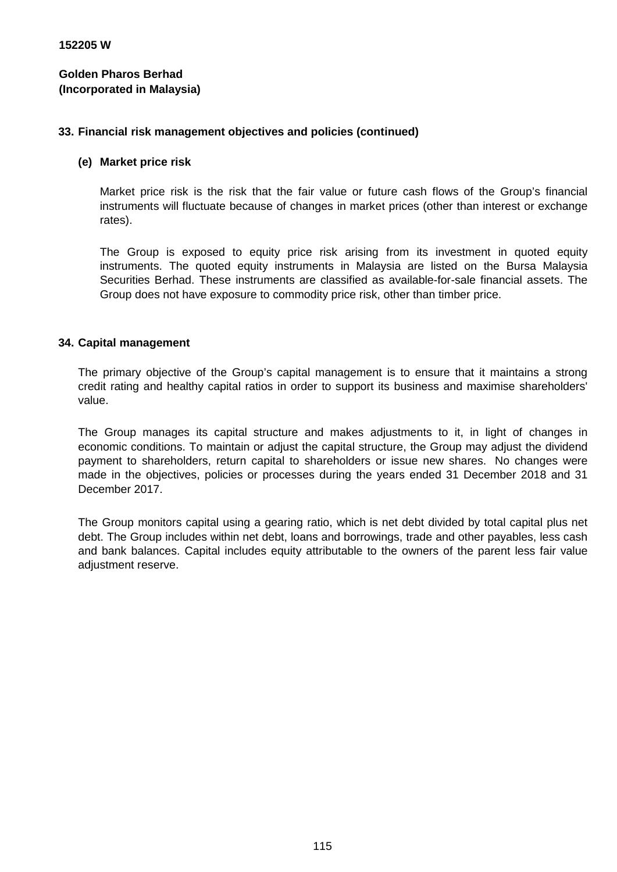#### **33. Financial risk management objectives and policies (continued)**

#### **(e) Market price risk**

Market price risk is the risk that the fair value or future cash flows of the Group's financial instruments will fluctuate because of changes in market prices (other than interest or exchange rates).

The Group is exposed to equity price risk arising from its investment in quoted equity instruments. The quoted equity instruments in Malaysia are listed on the Bursa Malaysia Securities Berhad. These instruments are classified as available-for-sale financial assets. The Group does not have exposure to commodity price risk, other than timber price.

#### **34. Capital management**

The primary objective of the Group's capital management is to ensure that it maintains a strong credit rating and healthy capital ratios in order to support its business and maximise shareholders' value.

The Group manages its capital structure and makes adjustments to it, in light of changes in economic conditions. To maintain or adjust the capital structure, the Group may adjust the dividend payment to shareholders, return capital to shareholders or issue new shares. No changes were made in the objectives, policies or processes during the years ended 31 December 2018 and 31 December 2017.

The Group monitors capital using a gearing ratio, which is net debt divided by total capital plus net debt. The Group includes within net debt, loans and borrowings, trade and other payables, less cash and bank balances. Capital includes equity attributable to the owners of the parent less fair value adjustment reserve.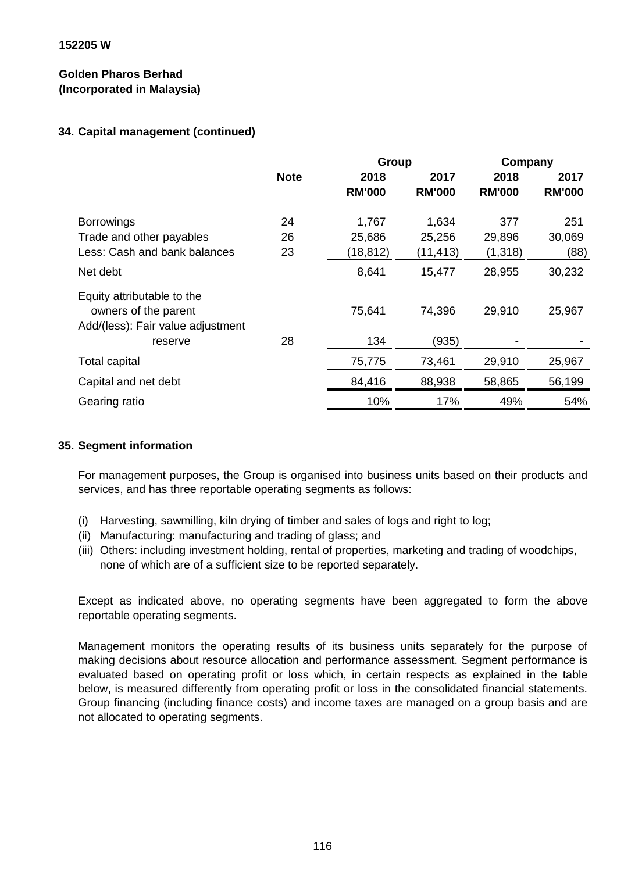# **34. Capital management (continued)**

|                                                                                         |             | Group         |               | Company       |               |  |
|-----------------------------------------------------------------------------------------|-------------|---------------|---------------|---------------|---------------|--|
|                                                                                         | <b>Note</b> | 2018          | 2017          | 2018          | 2017          |  |
|                                                                                         |             | <b>RM'000</b> | <b>RM'000</b> | <b>RM'000</b> | <b>RM'000</b> |  |
| <b>Borrowings</b>                                                                       | 24          | 1,767         | 1,634         | 377           | 251           |  |
| Trade and other payables                                                                | 26          | 25,686        | 25,256        | 29,896        | 30,069        |  |
| Less: Cash and bank balances                                                            | 23          | (18, 812)     | (11, 413)     | (1, 318)      | (88)          |  |
| Net debt                                                                                |             | 8,641         | 15,477        | 28,955        | 30,232        |  |
| Equity attributable to the<br>owners of the parent<br>Add/(less): Fair value adjustment |             | 75,641        | 74,396        | 29,910        | 25,967        |  |
| reserve                                                                                 | 28          | 134           | (935)         |               |               |  |
| <b>Total capital</b>                                                                    |             | 75,775        | 73,461        | 29,910        | 25,967        |  |
| Capital and net debt                                                                    |             | 84,416        | 88,938        | 58,865        | 56,199        |  |
| Gearing ratio                                                                           |             | 10%           | 17%           | 49%           | 54%           |  |

#### **35. Segment information**

For management purposes, the Group is organised into business units based on their products and services, and has three reportable operating segments as follows:

- (i) Harvesting, sawmilling, kiln drying of timber and sales of logs and right to log;
- (ii) Manufacturing: manufacturing and trading of glass; and
- (iii) Others: including investment holding, rental of properties, marketing and trading of woodchips, none of which are of a sufficient size to be reported separately.

Except as indicated above, no operating segments have been aggregated to form the above reportable operating segments.

Management monitors the operating results of its business units separately for the purpose of making decisions about resource allocation and performance assessment. Segment performance is evaluated based on operating profit or loss which, in certain respects as explained in the table below, is measured differently from operating profit or loss in the consolidated financial statements. Group financing (including finance costs) and income taxes are managed on a group basis and are not allocated to operating segments.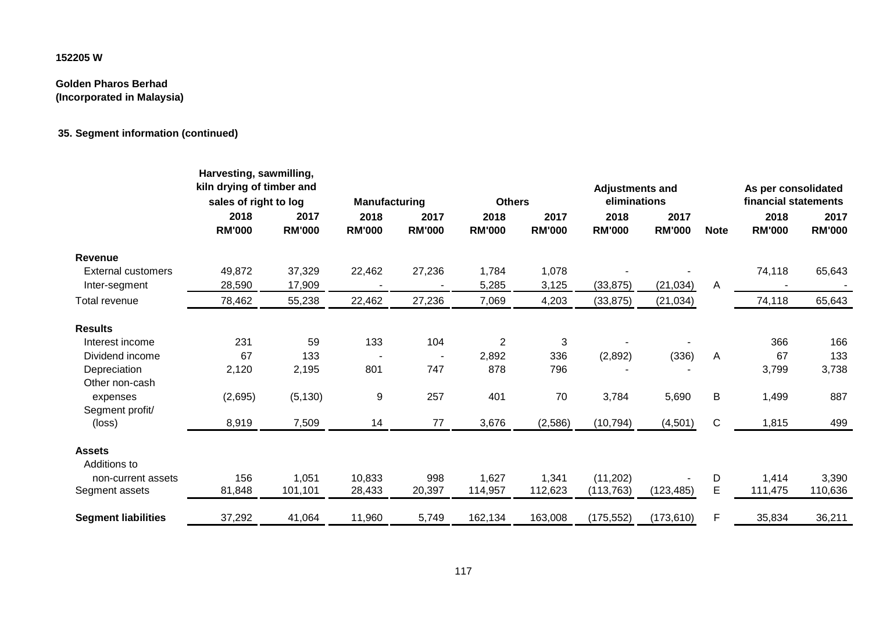#### **152205 W**

#### **Golden Pharos Berhad (Incorporated in Malaysia)**

#### **35. Segment information (continued)**

|                                      | Harvesting, sawmilling,<br>kiln drying of timber and |                       |                       |                          |                       |                       | <b>Adjustments and</b>  |                       |             | As per consolidated   |                       |
|--------------------------------------|------------------------------------------------------|-----------------------|-----------------------|--------------------------|-----------------------|-----------------------|-------------------------|-----------------------|-------------|-----------------------|-----------------------|
|                                      | sales of right to log                                |                       | <b>Manufacturing</b>  |                          | <b>Others</b>         |                       | eliminations            |                       |             | financial statements  |                       |
|                                      | 2018<br><b>RM'000</b>                                | 2017<br><b>RM'000</b> | 2018<br><b>RM'000</b> | 2017<br><b>RM'000</b>    | 2018<br><b>RM'000</b> | 2017<br><b>RM'000</b> | 2018<br><b>RM'000</b>   | 2017<br><b>RM'000</b> | <b>Note</b> | 2018<br><b>RM'000</b> | 2017<br><b>RM'000</b> |
| <b>Revenue</b>                       |                                                      |                       |                       |                          |                       |                       |                         |                       |             |                       |                       |
| <b>External customers</b>            | 49,872                                               | 37,329                | 22,462                | 27,236                   | 1,784                 | 1,078                 |                         |                       |             | 74,118                | 65,643                |
| Inter-segment                        | 28,590                                               | 17,909                |                       |                          | 5,285                 | 3,125                 | (33, 875)               | (21, 034)             | A           |                       |                       |
| Total revenue                        | 78,462                                               | 55,238                | 22,462                | 27,236                   | 7,069                 | 4,203                 | (33, 875)               | (21, 034)             |             | 74,118                | 65,643                |
| <b>Results</b>                       |                                                      |                       |                       |                          |                       |                       |                         |                       |             |                       |                       |
| Interest income                      | 231                                                  | 59                    | 133                   | 104                      | $\overline{2}$        | 3                     |                         |                       |             | 366                   | 166                   |
| Dividend income                      | 67                                                   | 133                   |                       | $\overline{\phantom{a}}$ | 2,892                 | 336                   | (2,892)                 | (336)                 | A           | 67                    | 133                   |
| Depreciation                         | 2,120                                                | 2,195                 | 801                   | 747                      | 878                   | 796                   |                         |                       |             | 3,799                 | 3,738                 |
| Other non-cash                       |                                                      |                       |                       |                          |                       |                       |                         |                       |             |                       |                       |
| expenses                             | (2,695)                                              | (5, 130)              | 9                     | 257                      | 401                   | 70                    | 3,784                   | 5,690                 | B           | 1,499                 | 887                   |
| Segment profit/                      |                                                      |                       |                       |                          |                       |                       |                         |                       |             |                       |                       |
| (loss)                               | 8,919                                                | 7,509                 | 14                    | 77                       | 3,676                 | (2,586)               | (10, 794)               | (4,501)               | $\mathsf C$ | 1,815                 | 499                   |
| <b>Assets</b>                        |                                                      |                       |                       |                          |                       |                       |                         |                       |             |                       |                       |
| Additions to                         |                                                      |                       |                       |                          |                       |                       |                         |                       |             |                       |                       |
| non-current assets<br>Segment assets | 156<br>81,848                                        | 1,051<br>101,101      | 10,833<br>28,433      | 998<br>20,397            | 1,627<br>114,957      | 1,341<br>112,623      | (11, 202)<br>(113, 763) | (123, 485)            | D<br>E      | 1,414<br>111,475      | 3,390<br>110,636      |
|                                      |                                                      |                       |                       |                          |                       |                       |                         |                       |             |                       |                       |
| <b>Segment liabilities</b>           | 37,292                                               | 41,064                | 11,960                | 5,749                    | 162,134               | 163,008               | (175, 552)              | (173, 610)            | F           | 35,834                | 36,211                |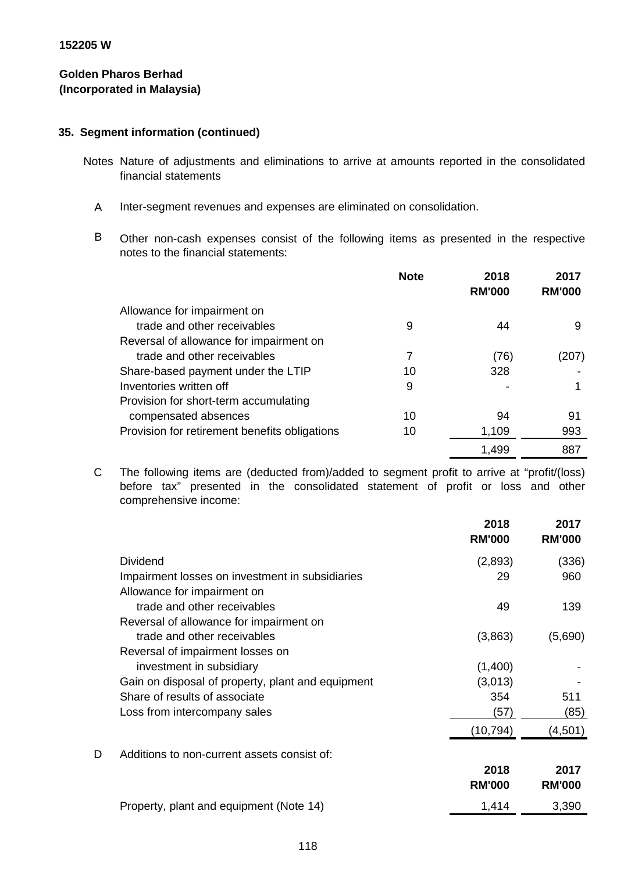## **35. Segment information (continued)**

- Notes Nature of adjustments and eliminations to arrive at amounts reported in the consolidated financial statements
	- A Inter-segment revenues and expenses are eliminated on consolidation.
	- Other non-cash expenses consist of the following items as presented in the respective notes to the financial statements: B

|                                               | <b>Note</b> | 2018<br><b>RM'000</b> | 2017<br><b>RM'000</b> |
|-----------------------------------------------|-------------|-----------------------|-----------------------|
| Allowance for impairment on                   |             |                       |                       |
| trade and other receivables                   | 9           | 44                    | 9                     |
| Reversal of allowance for impairment on       |             |                       |                       |
| trade and other receivables                   |             | (76)                  | (207)                 |
| Share-based payment under the LTIP            | 10          | 328                   |                       |
| Inventories written off                       | 9           |                       |                       |
| Provision for short-term accumulating         |             |                       |                       |
| compensated absences                          | 10          | 94                    | 91                    |
| Provision for retirement benefits obligations | 10          | 1,109                 | 993                   |
|                                               |             | 1,499                 | 887                   |

The following items are (deducted from)/added to segment profit to arrive at "profit/(loss) before tax" presented in the consolidated statement of profit or loss and other comprehensive income:  $\mathbf{C}$ 

|   |                                                   | 2018<br><b>RM'000</b> | 2017<br><b>RM'000</b> |
|---|---------------------------------------------------|-----------------------|-----------------------|
|   | <b>Dividend</b>                                   | (2,893)               | (336)                 |
|   | Impairment losses on investment in subsidiaries   | 29                    | 960                   |
|   | Allowance for impairment on                       |                       |                       |
|   | trade and other receivables                       | 49                    | 139                   |
|   | Reversal of allowance for impairment on           |                       |                       |
|   | trade and other receivables                       | (3,863)               | (5,690)               |
|   | Reversal of impairment losses on                  |                       |                       |
|   | investment in subsidiary                          | (1,400)               |                       |
|   | Gain on disposal of property, plant and equipment | (3,013)               |                       |
|   | Share of results of associate                     | 354                   | 511                   |
|   | Loss from intercompany sales                      | (57)                  | (85)                  |
|   |                                                   | (10, 794)             | (4,501)               |
| D | Additions to non-current assets consist of:       |                       |                       |
|   |                                                   | 2018                  | 2017                  |
|   |                                                   | <b>RM'000</b>         | <b>RM'000</b>         |
|   | Property, plant and equipment (Note 14)           | 1,414                 | 3,390                 |
|   |                                                   |                       |                       |